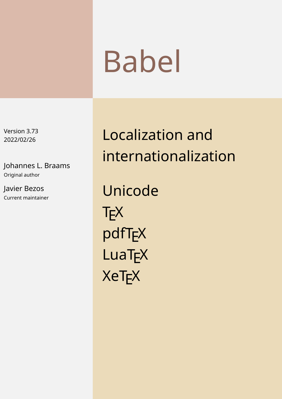# Babel

Version 3.73 2022/02/26

Johannes L. Braams Original author

Javier Bezos Current maintainer

Localization and internationalization

Unicode **T<sub>E</sub>X** pdfT<sub>E</sub>X **LuaT<sub>E</sub>X XeT<sub>E</sub>X**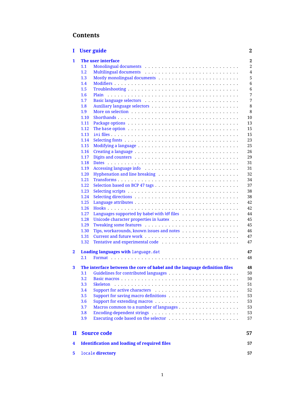# **Contents**

| 1            |                    | <b>User guide</b>                                                         | $\overline{2}$ |  |  |
|--------------|--------------------|---------------------------------------------------------------------------|----------------|--|--|
| 1            | The user interface |                                                                           |                |  |  |
|              | 1.1                |                                                                           | $\overline{2}$ |  |  |
|              | 1.2                |                                                                           | 4              |  |  |
|              | 1.3                |                                                                           | 5              |  |  |
|              | 1.4                |                                                                           | 6              |  |  |
|              | 1.5                |                                                                           | 6              |  |  |
|              | 1.6                |                                                                           | 7              |  |  |
|              | 1.7                |                                                                           | 7              |  |  |
|              | 1.8                |                                                                           | 8              |  |  |
|              | 1.9                |                                                                           | 8              |  |  |
|              | 1.10               |                                                                           | 10             |  |  |
|              | 1.11               |                                                                           | 13             |  |  |
|              | 1.12               |                                                                           | 15             |  |  |
|              | 1.13               |                                                                           | 15             |  |  |
|              | 1.14               |                                                                           | 23             |  |  |
|              | 1.15               |                                                                           | 25             |  |  |
|              | 1.16               |                                                                           | 26             |  |  |
|              | 1.17               |                                                                           | 29             |  |  |
|              | 1.18               |                                                                           | 31             |  |  |
|              | 1.19               |                                                                           | 31             |  |  |
|              | 1.20               |                                                                           | 32             |  |  |
|              | 1.21               |                                                                           | 34             |  |  |
|              | 1.22               |                                                                           | 37             |  |  |
|              | 1.23               |                                                                           | 38             |  |  |
|              | 1.24               |                                                                           | 38             |  |  |
|              | 1.25               |                                                                           | 42             |  |  |
|              | 1.26               |                                                                           | 42             |  |  |
|              | 1.27               |                                                                           | 44             |  |  |
|              | 1.28               |                                                                           | 45             |  |  |
|              | 1.29               |                                                                           | 45             |  |  |
|              | 1.30               |                                                                           | 46             |  |  |
|              | 1.31               |                                                                           | 47             |  |  |
|              | 1.32               |                                                                           | 47             |  |  |
|              |                    |                                                                           |                |  |  |
| $\mathbf{2}$ |                    | Loading languages with language.dat                                       | 47             |  |  |
|              | 2.1                |                                                                           | 48             |  |  |
|              |                    |                                                                           |                |  |  |
| 3            |                    | The interface between the core of babel and the language definition files | 48             |  |  |
|              | 3.1                |                                                                           | 50             |  |  |
|              | 3.2                |                                                                           | 50             |  |  |
|              | 3.3                | <b>Skeleton</b>                                                           | 51             |  |  |
|              | 3.4                |                                                                           | 52             |  |  |
|              | 3.5                |                                                                           | 53             |  |  |
|              | 3.6                |                                                                           | 53             |  |  |
|              | 3.7                |                                                                           | 53             |  |  |
|              | 3.8                |                                                                           | 53             |  |  |
|              | 3.9                | Executing code based on the selector                                      | 57             |  |  |
|              |                    |                                                                           |                |  |  |
| П            |                    | <b>Source code</b>                                                        | 57             |  |  |
| 4            |                    | <b>Identification and loading of required files</b>                       | 57             |  |  |
| 5            |                    | locale directory                                                          | 57             |  |  |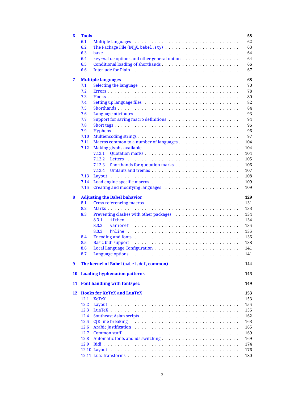| 6  | <b>Tools</b> | 58                                                                                           |
|----|--------------|----------------------------------------------------------------------------------------------|
|    | 6.1          | 62                                                                                           |
|    | 6.2          | 63<br>The Package File (LATEX, babel.sty) $\ldots \ldots \ldots \ldots \ldots \ldots \ldots$ |
|    | 6.3          | 64                                                                                           |
|    | 6.4          | 64                                                                                           |
|    | 6.5          | 66                                                                                           |
|    | 6.6          | 67                                                                                           |
|    |              |                                                                                              |
| 7  |              | 68<br><b>Multiple languages</b><br>70                                                        |
|    | 7.1<br>7.2   | 78                                                                                           |
|    |              |                                                                                              |
|    | 7.3          | 80                                                                                           |
|    | 7.4          | 82                                                                                           |
|    | 7.5          | 84                                                                                           |
|    | 7.6          | 93                                                                                           |
|    | 7.7          | 94                                                                                           |
|    | 7.8          | 96                                                                                           |
|    | 7.9          | 96                                                                                           |
|    | 7.10         | 97                                                                                           |
|    | 7.11         | 104                                                                                          |
|    | 7.12         | 104                                                                                          |
|    |              | 104<br>7.12.1                                                                                |
|    |              | 105<br>7.12.2                                                                                |
|    |              | 106<br>7.12.3                                                                                |
|    |              | 107<br>7.12.4                                                                                |
|    | 7.13         | 108<br>Layout                                                                                |
|    | 7.14         | 109                                                                                          |
|    | 7.15         | 109                                                                                          |
| 8  |              | <b>Adjusting the Babel bahavior</b><br>129                                                   |
|    | 8.1          | 131                                                                                          |
|    | 8.2          | 133                                                                                          |
|    | 8.3          | 134                                                                                          |
|    |              | 8.3.1<br>134                                                                                 |
|    |              | 8.3.2<br>135                                                                                 |
|    |              | 8.3.3<br>135                                                                                 |
|    | 8.4          | 136                                                                                          |
|    | 8.5          | 138                                                                                          |
|    | 8.6          | 141                                                                                          |
|    | 8.7          | 141                                                                                          |
|    |              |                                                                                              |
| 9  |              | The kernel of Babel (babel.def, common)<br>144                                               |
| 10 |              | <b>Loading hyphenation patterns</b><br>145                                                   |
|    |              |                                                                                              |
| 11 |              | <b>Font handling with fontspec</b><br>149                                                    |
| 12 |              | <b>Hooks for XeTeX and LuaTeX</b><br>153                                                     |
|    | 12.1         | 153                                                                                          |
|    | 12.2         | 155                                                                                          |
|    | 12.3         | 156                                                                                          |
|    | 12.4         | 162                                                                                          |
|    | 12.5         | 163                                                                                          |
|    | 12.6         | 165                                                                                          |
|    | 12.7         | 169                                                                                          |
|    | 12.8         | Automatic fonts and ids switching<br>169                                                     |
|    | 12.9         | 174                                                                                          |
|    |              | 176                                                                                          |
|    |              | 180                                                                                          |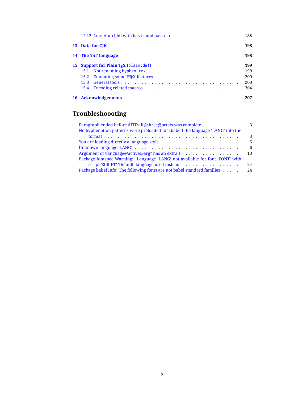|                                                   | 188  |
|---------------------------------------------------|------|
| 13 Data for CJK                                   | 198  |
| 14 The 'nil' language                             | 198  |
| 15 Support for Plain T <sub>F</sub> X (plain.def) | 199  |
|                                                   | 199  |
|                                                   | 200  |
|                                                   | 200  |
|                                                   | 2.04 |
| <b>16</b> Acknowledgements                        | 207  |

# **Troubleshoooting**

| Paragraph ended before <i>UTFviii@three@octets was complete</i><br>No hyphenation patterns were preloaded for (babel) the language 'LANG' into the | 3   |
|----------------------------------------------------------------------------------------------------------------------------------------------------|-----|
|                                                                                                                                                    | 3   |
|                                                                                                                                                    | 6   |
|                                                                                                                                                    | 6   |
|                                                                                                                                                    | 10  |
| Package fontspec Warning: 'Language 'LANG' not available for font 'FONT' with                                                                      |     |
| script 'SCRIPT' 'Default' language used instead'                                                                                                   | 2.4 |
| Package babel Info: The following fonts are not babel standard families                                                                            | 24  |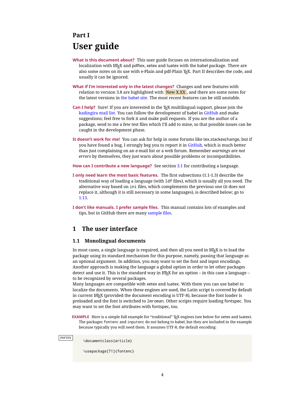# <span id="page-4-0"></span>**Part I User guide**

- **What is this document about?** This user guide focuses on internationalization and localization with  $E$ FEX and pdftex, xetex and luatex with the babel package. There are also some notes on its use with e-Plain and pdf-Plain TEX. Part II describes the code, and usually it can be ignored.
- **What if I'm interested only in the latest changes?** Changes and new features with relation to version 3.8 are highlighted with  $\overline{\text{New X.XX}}$ , and there are some notes for the latest versions in the [babel](https://latex3.github.io/babel/) site. The most recent features can be still unstable.
- **Can I help?** Sure! If you are interested in the T<sub>EX</sub> multilingual support, please join the [kadingira mail list.](http://tug.org/mailman/listinfo/kadingira) You can follow the development of babel in [GitHub](https://github.com/latex3/babel) and make suggestions; feel free to fork it and make pull requests. If you are the author of a package, send to me a few test files which I'll add to mine, so that possible issues can be caught in the development phase.
- **It doesn't work for me!** You can ask for help in some forums like tex.stackexchange, but if you have found a bug, I strongly beg you to report it in [GitHub,](https://github.com/latex3/babel/issues) which is much better than just complaining on an e-mail list or a web forum. Remember *warnings are not errors* by themselves, they just warn about possible problems or incompatibilities.
- **How can I contribute a new language?** See section [3.1](#page-52-0) for contributing a language.
- **I only need learn the most basic features.** The first subsections (1.1-1.3) describe the traditional way of loading a language (with ldf files), which is usually all you need. The alternative way based on ini files, which complements the previous one (it does *not* replace it, although it is still necessary in some languages), is described below; go to [1.13.](#page-17-1)
- **I don't like manuals. I prefer sample files.** This manual contains lots of examples and tips, but in GitHub there are many [sample files.](https://github.com/latex3/babel/tree/master/samples)

# <span id="page-4-1"></span>**1 The user interface**

# <span id="page-4-2"></span>**1.1 Monolingual documents**

In most cases, a single language is required, and then all you need in  $E_{T}X$  is to load the package using its standard mechanism for this purpose, namely, passing that language as an optional argument. In addition, you may want to set the font and input encodings. Another approach is making the language a global option in order to let other packages detect and use it. This is the standard way in  $\mathbb{F}E$  for an option – in this case a language – to be recognized by several packages.

Many languages are compatible with xetex and luatex. With them you can use babel to localize the documents. When these engines are used, the Latin script is covered by default in current LATEX (provided the document encoding is UTF-8), because the font loader is preloaded and the font is switched to lmroman. Other scripts require loading fontspec. You may want to set the font attributes with fontspec, too.

**EXAMPLE** Here is a simple full example for "traditional" T<sub>E</sub>X engines (see below for xetex and luatex). The packages fontenc and inputenc do not belong to babel, but they are included in the example because typically you will need them. It assumes UTF-8, the default encoding:

PDFTEX

\documentclass{article}

\usepackage[T1]{fontenc}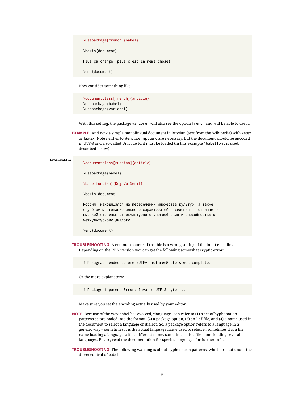\usepackage[french]{babel}

\begin{document}

Plus ça change, plus c'est la même chose!

\end{document}

Now consider something like:

```
\documentclass[french]{article}
\usepackage{babel}
\usepackage{varioref}
```
With this setting, the package varioref will also see the option french and will be able to use it.

**EXAMPLE** And now a simple monolingual document in Russian (text from the Wikipedia) with xetex or luatex. Note neither fontenc nor inputenc are necessary, but the document should be encoded in UTF-8 and a so-called Unicode font must be loaded (in this example \babelfont is used, described below).

luatex/xetex

\documentclass[russian]{article}

\usepackage{babel}

\babelfont{rm}{DejaVu Serif}

\begin{document}

Россия, находящаяся на пересечении множества культур, а также с учётом многонационального характера её населения, — отличается высокой степенью этнокультурного многообразия и способностью к межкультурному диалогу.

\end{document}

<span id="page-5-0"></span>**TROUBLESHOOTING** A common source of trouble is a wrong setting of the input encoding. Depending on the LHFX version you can get the following somewhat cryptic error:

! Paragraph ended before \UTFviii@three@octets was complete.

Or the more explanatory:

! Package inputenc Error: Invalid UTF-8 byte ...

Make sure you set the encoding actually used by your editor.

- **NOTE** Because of the way babel has evolved, "language" can refer to (1) a set of hyphenation patterns as preloaded into the format, (2) a package option, (3) an ldf file, and (4) a name used in the document to select a language or dialect. So, a package option refers to a language in a generic way – sometimes it is the actual language name used to select it, sometimes it is a file name loading a language with a different name, sometimes it is a file name loading several languages. Please, read the documentation for specific languages for further info.
- <span id="page-5-1"></span>**TROUBLESHOOTING** The following warning is about hyphenation patterns, which are not under the direct control of babel: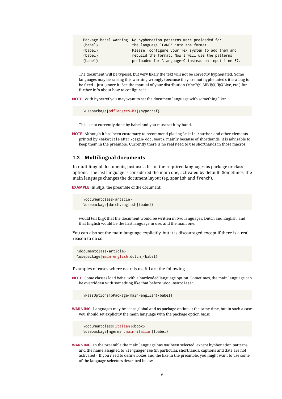|         | Package babel Warning: No hyphenation patterns were preloaded for |
|---------|-------------------------------------------------------------------|
| (babel) | the language 'LANG' into the format.                              |
| (babel) | Please, configure your TeX system to add them and                 |
| (babel) | rebuild the format. Now I will use the patterns                   |
| (babel) | preloaded for \language=0 instead on input line 57.               |

The document will be typeset, but very likely the text will not be correctly hyphenated. Some languages may be raising this warning wrongly (because they are not hyphenated); it is a bug to be fixed – just ignore it. See the manual of your distribution (MacT<sub>EX</sub>, MikT<sub>E</sub>X, T<sub>E</sub>XLive, etc.) for further info about how to configure it.

**NOTE** With hyperref you may want to set the document language with something like:

```
\usepackage[pdflang=es-MX]{hyperref}
```
This is not currently done by babel and you must set it by hand.

**NOTE** Although it has been customary to recommend placing \title, \author and other elements printed by \maketitle after \begin{document}, mainly because of shorthands, it is advisable to keep them in the preamble. Currently there is no real need to use shorthands in those macros.

## <span id="page-6-0"></span>**1.2 Multilingual documents**

In multilingual documents, just use a list of the required languages as package or class options. The last language is considered the main one, activated by default. Sometimes, the main language changes the document layout (eg, spanish and french).

**EXAMPLE** In LAT<sub>E</sub>X, the preamble of the document:

```
\documentclass{article}
\usepackage[dutch,english]{babel}
```
would tell LATEX that the document would be written in two languages, Dutch and English, and that English would be the first language in use, and the main one.

You can also set the main language explicitly, but it is discouraged except if there is a real reason to do so:

```
\documentclass{article}
\usepackage[main=english,dutch]{babel}
```
Examples of cases where main is useful are the following.

**NOTE** Some classes load babel with a hardcoded language option. Sometimes, the main language can be overridden with something like that before \documentclass:

\PassOptionsToPackage{main=english}{babel}

**WARNING** Languages may be set as global and as package option at the same time, but in such a case you should set explicitly the main language with the package option main:

```
\documentclass[italian]{book}
\usepackage[ngerman,main=italian]{babel}
```
**WARNING** In the preamble the main language has *not* been selected, except hyphenation patterns and the name assigned to \languagename (in particular, shorthands, captions and date are not activated). If you need to define boxes and the like in the preamble, you might want to use some of the language selectors described below.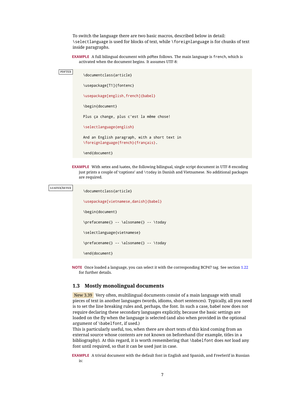To switch the language there are two basic macros, described below in detail: \selectlanguage is used for blocks of text, while \foreignlanguage is for chunks of text inside paragraphs.

**EXAMPLE** A full bilingual document with pdftex follows. The main language is french, which is activated when the document begins. It assumes UTF-8:

```
PDFTEX
```

```
\documentclass{article}
```
\usepackage[T1]{fontenc}

\usepackage[english,french]{babel}

\begin{document}

Plus ça change, plus c'est la même chose!

\selectlanguage{english}

And an English paragraph, with a short text in \foreignlanguage{french}{français}.

```
\end{document}
```
**EXAMPLE** With xetex and luatex, the following bilingual, single script document in UTF-8 encoding just prints a couple of 'captions' and \today in Danish and Vietnamese. No additional packages are required.

luatex/xetex

```
\documentclass{article}
```

```
\usepackage[vietnamese,danish]{babel}
\begin{document}
\prefacename{} -- \alsoname{} -- \today
\selectlanguage{vietnamese}
\prefacename{} -- \alsoname{} -- \today
\end{document}
```
**NOTE** Once loaded a language, you can select it with the corresponding BCP47 tag. See section [1.22](#page-39-0) for further details.

# <span id="page-7-0"></span>**1.3 Mostly monolingual documents**

New 3.39 Very often, multilingual documents consist of a main language with small pieces of text in another languages (words, idioms, short sentences). Typically, all you need is to set the line breaking rules and, perhaps, the font. In such a case, babel now does not require declaring these secondary languages explicitly, because the basic settings are loaded on the fly when the language is selected (and also when provided in the optional argument of \babelfont, if used.)

This is particularly useful, too, when there are short texts of this kind coming from an external source whose contents are not known on beforehand (for example, titles in a bibliography). At this regard, it is worth remembering that \babelfont does *not* load any font until required, so that it can be used just in case.

**EXAMPLE** A trivial document with the default font in English and Spanish, and FreeSerif in Russian is: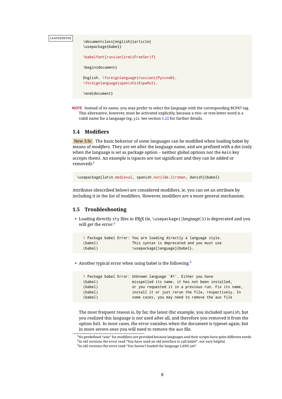#### luatex/xetex

```
\documentclass[english]{article}
\usepackage{babel}
\babelfont[russian]{rm}{FreeSerif}
\begin{document}
English. \foreignlanguage{russian}{Русский}.
\foreignlanguage{spanish}{Español}.
\end{document}
```
**NOTE** Instead of its name, you may prefer to select the language with the corresponding BCP47 tag. This alternative, however, must be activated explicitly, because a two- or tree-letter word is a valid name for a language (eg, yi). See section  $1.22$  for further details.

# <span id="page-8-0"></span>**1.4 Modifiers**

New 3.9c The basic behavior of some languages can be modified when loading babel by means of *modifiers*. They are set after the language name, and are prefixed with a dot (only when the language is set as package option – neither global options nor the main key accepts them). An example is (spaces are not significant and they can be added or removed):[1](#page-8-2)

\usepackage[latin.medieval, spanish.notilde.lcroman, danish]{babel}

Attributes (described below) are considered modifiers, ie, you can set an attribute by including it in the list of modifiers. However, modifiers are a more general mechanism.

# <span id="page-8-1"></span>**1.5 Troubleshooting**

• Loading directly sty files in L<sup>AT</sup>EX (ie, \usepackage{/*language*}}) is deprecated and you will get the error:<sup>[2](#page-8-3)</sup>

|         | ! Package babel Error: You are loading directly a language style. |
|---------|-------------------------------------------------------------------|
| (babel) | This syntax is deprecated and you must use                        |
| (babel) | \usepackage[language]{babel}.                                     |

• Another typical error when using babel is the following: $3$ 

|         | ! Package babel Error: Unknown language `#1'. Either you have |
|---------|---------------------------------------------------------------|
| (babel) | misspelled its name, it has not been installed,               |
| (babel) | or you requested it in a previous run. Fix its name,          |
| (babel) | install it or just rerun the file, respectively. In           |
| (babel) | some cases, you may need to remove the aux file               |

The most frequent reason is, by far, the latest (for example, you included spanish, but you realized this language is not used after all, and therefore you removed it from the option list). In most cases, the error vanishes when the document is typeset again, but in more severe ones you will need to remove the aux file.

<span id="page-8-3"></span><span id="page-8-2"></span> $1$ No predefined "axis" for modifiers are provided because languages and their scripts have quite different needs.  $^2$ In old versions the error read "You have used an old interface to call babel", not very helpful.

<span id="page-8-4"></span> $^3$ In old versions the error read "You haven't loaded the language LANG yet".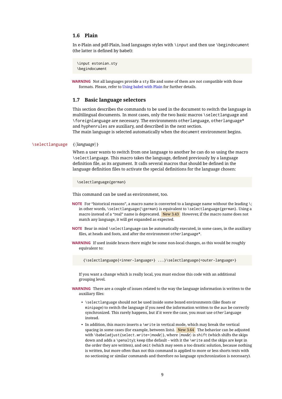# <span id="page-9-0"></span>**1.6 Plain**

In e-Plain and pdf-Plain, load languages styles with \input and then use \begindocument (the latter is defined by babel):

```
\input estonian.sty
\begindocument
```
**WARNING** Not all languages provide a sty file and some of them are not compatible with those formats. Please, refer to [Using babel with Plain](https://latex3.github.io/babel/guides/using-babel-with-plain.html) for further details.

## <span id="page-9-1"></span>**1.7 Basic language selectors**

This section describes the commands to be used in the document to switch the language in multilingual documents. In most cases, only the two basic macros \selectlanguage and \foreignlanguage are necessary. The environments otherlanguage, otherlanguage\* and hyphenrules are auxiliary, and described in the next section. The main language is selected automatically when the document environment begins.

#### \selectlanguage {\*language*}}

When a user wants to switch from one language to another he can do so using the macro \selectlanguage. This macro takes the language, defined previously by a language definition file, as its argument. It calls several macros that should be defined in the language definition files to activate the special definitions for the language chosen:

\selectlanguage{german}

This command can be used as environment, too.

- **NOTE** For "historical reasons", a macro name is converted to a language name without the leading \; in other words, \selectlanguage{\german} is equivalent to \selectlanguage{german}. Using a macro instead of a "real" name is deprecated. New 3.43 However, if the macro name does not match any language, it will get expanded as expected.
- **NOTE** Bear in mind \selectlanguage can be automatically executed, in some cases, in the auxiliary files, at heads and foots, and after the environment otherlanguage\*.
- **WARNING** If used inside braces there might be some non-local changes, as this would be roughly equivalent to:

{\selectlanguage{<inner-language>} ...}\selectlanguage{<outer-language>}

If you want a change which is really local, you must enclose this code with an additional grouping level.

**WARNING** There are a couple of issues related to the way the language information is written to the auxiliary files:

- \selectlanguage should not be used inside some boxed environments (like floats or minipage) to switch the language if you need the information written to the aux be correctly synchronized. This rarely happens, but if it were the case, you must use otherlanguage instead.
- In addition, this macro inserts a \write in vertical mode, which may break the vertical spacing in some cases (for example, between lists). New  $3.64$  The behavior can be adjusted with \babeladjust{select.write= $\langle mode \rangle$ }, where  $\langle mode \rangle$  is shift (which shifts the skips down and adds a \penalty); keep (the default – with it the \write and the skips are kept in the order they are written), and omit (which may seem a too drastic solution, because nothing is written, but more often than not this command is applied to more or less shorts texts with no sectioning or similar commands and therefore no language synchronization is necessary).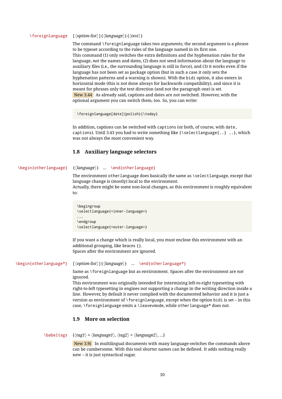#### \foreignlanguage [ $\langle$ option-list<sup>}</sup>]{ $\langle$ language<sup>}</sup>}{ $\langle$ text<sup>}</sup>}

The command \foreignlanguage takes two arguments; the second argument is a phrase to be typeset according to the rules of the language named in its first one. This command (1) only switches the extra definitions and the hyphenation rules for the language, *not* the names and dates, (2) does not send information about the language to auxiliary files (i.e., the surrounding language is still in force), and (3) it works even if the language has not been set as package option (but in such a case it only sets the hyphenation patterns and a warning is shown). With the bidi option, it also enters in horizontal mode (this is not done always for backwards compatibility), and since it is meant for phrases only the text direction (and not the paragraph one) is set. New 3.44 As already said, captions and dates are not switched. However, with the optional argument you can switch them, too. So, you can write:

\foreignlanguage[date]{polish}{\today}

In addition, captions can be switched with captions (or both, of course, with date, captions). Until 3.43 you had to write something like  ${\setminus}$  selectlanguage ${\setcdot}$ ..., which was not always the most convenient way.

# <span id="page-10-0"></span>**1.8 Auxiliary language selectors**

\begin{otherlanguage} {\*language*}} ... \end{otherlanguage}

The environment otherlanguage does basically the same as \selectlanguage, except that language change is (mostly) local to the environment.

Actually, there might be some non-local changes, as this environment is roughly equivalent to:

```
\begingroup
\selectlanguage{<inner-language>}
...
\endgroup
\selectlanguage{<outer-language>}
```
If you want a change which is really local, you must enclose this environment with an additional grouping, like braces {}. Spaces after the environment are ignored.

# \begin{otherlanguage\*} [*\option-list*)]{*\language*}} … \end{otherlanguage\*}

Same as \foreignlanguage but as environment. Spaces after the environment are *not* ignored.

This environment was originally intended for intermixing left-to-right typesetting with right-to-left typesetting in engines not supporting a change in the writing direction inside a line. However, by default it never complied with the documented behavior and it is just a version as environment of \foreignlanguage, except when the option bidi is set – in this case, \foreignlanguage emits a \leavevmode, while otherlanguage\* does not.

# <span id="page-10-1"></span>**1.9 More on selection**

 $\b{babeltags \quad {\langle tag1 \rangle = \langle language1 \rangle, \langle tag2 \rangle = \langle language2 \rangle, \dots}$ 

New 3.9i In multilingual documents with many language-switches the commands above can be cumbersome. With this tool shorter names can be defined. It adds nothing really new – it is just syntactical sugar.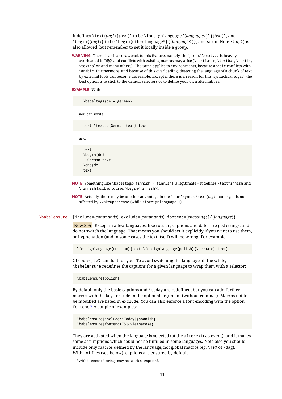It defines  $\text{text}(tag1)$  { $\text{text}\rangle$ } to be \foreignlanguage{ $\text{lambda}$ *anguage1*} {\*text*}, and  $\begin{pmatrix} \text{deg1} \\ \text{deg2} \end{pmatrix}$  to be  $\begin{pmatrix} \text{deg1} \\ \text{deg2} \end{pmatrix}$  is also allowed, but remember to set it locally inside a group.

**WARNING** There is a clear drawback to this feature, namely, the 'prefix' \text... is heavily overloaded in LATEX and conflicts with existing macros may arise (\textlatin, \textbar, \textit, \textcolor and many others). The same applies to environments, because arabic conflicts with \arabic. Furthermore, and because of this overloading, detecting the language of a chunk of text by external tools can become unfeasible. Except if there is a reason for this 'syntactical sugar', the best option is to stick to the default selectors or to define your own alternatives.

#### **EXAMPLE** With

```
\babeltags{de = german}
```
you can write

```
text \textde{German text} text
```
and

```
text
\begin{de}
  German text
\end{de}
text
```
- **NOTE** Something like \babeltags{finnish = finnish} is legitimate it defines \textfinnish and \finnish (and, of course, \begin{finnish}).
- **NOTE** Actually, there may be another advantage in the 'short' syntax  $\text{text}(tag)$ , namely, it is not affected by \MakeUppercase (while \foreignlanguage is).

\babelensure [include=/*commands*).exclude=/*commands*),fontenc=/*encoding*)]{/*language*}}

New 3.9i Except in a few languages, like russian, captions and dates are just strings, and do not switch the language. That means you should set it explicitly if you want to use them, or hyphenation (and in some cases the text itself) will be wrong. For example:

```
\foreignlanguage{russian}{text \foreignlanguage{polish}{\seename} text}
```
Of course, TEX can do it for you. To avoid switching the language all the while, \babelensure redefines the captions for a given language to wrap them with a selector:

\babelensure{polish}

By default only the basic captions and \today are redefined, but you can add further macros with the key include in the optional argument (without commas). Macros not to be modified are listed in exclude. You can also enforce a font encoding with the option fontenc. [4](#page-11-0) A couple of examples:

```
\babelensure[include=\Today]{spanish}
\babelensure[fontenc=T5]{vietnamese}
```
They are activated when the language is selected (at the afterextras event), and it makes some assumptions which could not be fulfilled in some languages. Note also you should include only macros defined by the language, not global macros (eg, \TeX of \dag). With ini files (see below), captions are ensured by default.

<span id="page-11-0"></span><sup>4</sup>With it, encoded strings may not work as expected.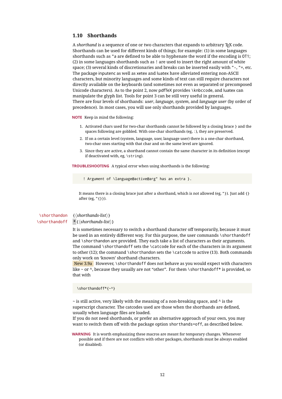# <span id="page-12-0"></span>**1.10 Shorthands**

A *shorthand* is a sequence of one or two characters that expands to arbitrary T<sub>F</sub>X code. Shorthands can be used for different kinds of things; for example: (1) in some languages shorthands such as "a are defined to be able to hyphenate the word if the encoding is OT1; (2) in some languages shorthands such as ! are used to insert the right amount of white space; (3) several kinds of discretionaries and breaks can be inserted easily with "-, "=, etc. The package inputenc as well as xetex and luatex have alleviated entering non-ASCII characters, but minority languages and some kinds of text can still require characters not directly available on the keyboards (and sometimes not even as separated or precomposed Unicode characters). As to the point 2, now pdfTeX provides \knbccode, and luatex can manipulate the glyph list. Tools for point 3 can be still very useful in general. There are four levels of shorthands: *user*, *language*, *system*, and *language user* (by order of precedence). In most cases, you will use only shorthands provided by languages.

**NOTE** Keep in mind the following:

- 1. Activated chars used for two-char shorthands cannot be followed by a closing brace } and the spaces following are gobbled. With one-char shorthands (eg, :), they are preserved.
- 2. If on a certain level (system, language, user, language user) there is a one-char shorthand, two-char ones starting with that char and on the same level are ignored.
- 3. Since they are active, a shorthand cannot contain the same character in its definition (except if deactivated with, eg, \string).

<span id="page-12-1"></span>**TROUBLESHOOTING** A typical error when using shorthands is the following:

! Argument of \language@active@arg" has an extra }.

It means there is a closing brace just after a shorthand, which is not allowed (eg, "}). Just add {} after (eg, "{}}).

# \shorthandon {*\shorthands-list*}} \shorthandoff \* {\shorthands-list\}

It is sometimes necessary to switch a shorthand character off temporarily, because it must be used in an entirely different way. For this purpose, the user commands \shorthandoff and \shorthandon are provided. They each take a list of characters as their arguments. The command \shorthandoff sets the \catcode for each of the characters in its argument to other (12); the command \shorthandon sets the \catcode to active (13). Both commands only work on 'known' shorthand characters.

New 3.9a However, \shorthandoff does not behave as you would expect with characters like  $\sim$  or  $\land$ , because they usually are not "other". For them \shorthandoff\* is provided, so that with

\shorthandoff\*{~^}

 $\sim$  is still active, very likely with the meaning of a non-breaking space, and  $\wedge$  is the superscript character. The catcodes used are those when the shorthands are defined, usually when language files are loaded.

If you do not need shorthands, or prefer an alternative approach of your own, you may want to switch them off with the package option shorthands=off, as described below.

**WARNING** It is worth emphasizing these macros are meant for temporary changes. Whenever possible and if there are not conflicts with other packages, shorthands must be always enabled (or disabled).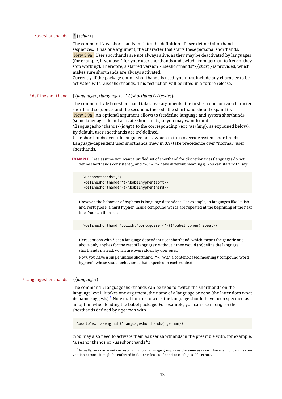## \useshorthands  $*(char)$ }

The command \useshorthands initiates the definition of user-defined shorthand sequences. It has one argument, the character that starts these personal shorthands. New 3.9a User shorthands are not always alive, as they may be deactivated by languages (for example, if you use " for your user shorthands and switch from german to french, they stop working). Therefore, a starred version \useshorthands\*{h*char*i} is provided, which makes sure shorthands are always activated.

Currently, if the package option shorthands is used, you must include any character to be activated with \useshorthands. This restriction will be lifted in a future release.

\defineshorthand [ $\langle \text{language}\rangle, \langle \text{language}\rangle, ...\}$ }{ $\langle \text{shorthand}\rangle$ }{ $\langle \text{code}\rangle$ }

The command \defineshorthand takes two arguments: the first is a one- or two-character shorthand sequence, and the second is the code the shorthand should expand to. New 3.9a An optional argument allows to (re)define language and system shorthands (some languages do not activate shorthands, so you may want to add \languageshorthands{ $\langle lang \rangle$ } to the corresponding \extras*\lang*}, as explained below). By default, user shorthands are (re)defined.

User shorthands override language ones, which in turn override system shorthands. Language-dependent user shorthands (new in 3.9) take precedence over "normal" user shorthands.

**EXAMPLE** Let's assume you want a unified set of shorthand for discretionaries (languages do not define shorthands consistently, and "-, \-, "= have different meanings). You can start with, say:

\useshorthands\*{"} \defineshorthand{"\*}{\babelhyphen{soft}} \defineshorthand{"-}{\babelhyphen{hard}}

However, the behavior of hyphens is language-dependent. For example, in languages like Polish and Portuguese, a hard hyphen inside compound words are repeated at the beginning of the next line. You can then set:

\defineshorthand[\*polish,\*portuguese]{"-}{\babelhyphen{repeat}}

Here, options with \* set a language-dependent user shorthand, which means the generic one above only applies for the rest of languages; without \* they would (re)define the language shorthands instead, which are overridden by user ones.

Now, you have a single unified shorthand ("-), with a content-based meaning ('compound word hyphen') whose visual behavior is that expected in each context.

#### \languageshorthands {\*language*}}

The command \languageshorthands can be used to switch the shorthands on the language level. It takes one argument, the name of a language or none (the latter does what its name suggests). $5$  Note that for this to work the language should have been specified as an option when loading the babel package. For example, you can use in english the shorthands defined by ngerman with

\addto\extrasenglish{\languageshorthands{ngerman}}

(You may also need to activate them as user shorthands in the preamble with, for example, \useshorthands or \useshorthands\*.)

<span id="page-13-0"></span><sup>&</sup>lt;sup>5</sup> Actually, any name not corresponding to a language group does the same as none. However, follow this convention because it might be enforced in future releases of babel to catch possible errors.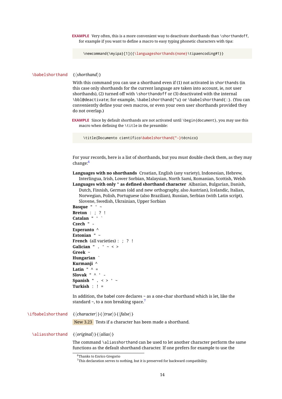**EXAMPLE** Very often, this is a more convenient way to deactivate shorthands than \shorthandoff, for example if you want to define a macro to easy typing phonetic characters with tipa:

\newcommand{\myipa}[1]{{\languageshorthands{none}\tipaencoding#1}}

#### \babelshorthand {*{shorthand*}}

With this command you can use a shorthand even if (1) not activated in shorthands (in this case only shorthands for the current language are taken into account, ie, not user shorthands), (2) turned off with \shorthandoff or (3) deactivated with the internal \bbl@deactivate; for example, \babelshorthand{"u} or \babelshorthand{:}. (You can conveniently define your own macros, or even your own user shorthands provided they do not overlap.)

**EXAMPLE** Since by default shorthands are not activated until \begin{document}, you may use this macro when defining the \title in the preamble:

\title{Documento científico\babelshorthand{"-}técnico}

For your records, here is a list of shorthands, but you must double check them, as they may change:<sup>[6](#page-14-0)</sup>

**Languages with no shorthands** Croatian, English (any variety), Indonesian, Hebrew, Interlingua, Irish, Lower Sorbian, Malaysian, North Sami, Romanian, Scottish, Welsh

**Languages with only** " **as defined shorthand character** Albanian, Bulgarian, Danish, Dutch, Finnish, German (old and new orthography, also Austrian), Icelandic, Italian, Norwegian, Polish, Portuguese (also Brazilian), Russian, Serbian (with Latin script), Slovene, Swedish, Ukrainian, Upper Sorbian

```
Basque " ' ~
Breton : ; ? !
Catalan " ' `
Czech " -
Esperanto ^
Estonian " ~
French (all varieties) : ; ? !
Galician " . ' ~ < >
Greek ~
Hungarian `
Kurmanji ^
Latin \sqrt[n]{\wedge} =
Slovak " ^ ' -
Spanish " . < > ' ~
Turkish : ! =
```
In addition, the babel core declares ~ as a one-char shorthand which is let, like the standard  $\sim$ , to a non breaking space.<sup>[7](#page-14-1)</sup>

| \ifbabelshorthand { <i>\character</i> }}{ <i>\true</i> }}{ <i>\false</i> }}<br>New 3.23 Tests if a character has been made a shorthand.                                                                                                             |
|-----------------------------------------------------------------------------------------------------------------------------------------------------------------------------------------------------------------------------------------------------|
| \aliasshorthand $\{\langle original \rangle\}\{\langle alias \rangle\}$<br>The command \aliasshorthand can be used to let another character perform the same<br>functions as the default shorthand character. If one prefers for example to use the |

<span id="page-14-0"></span><sup>6</sup>Thanks to Enrico Gregorio

<span id="page-14-1"></span> $7$ This declaration serves to nothing, but it is preserved for backward compatibility.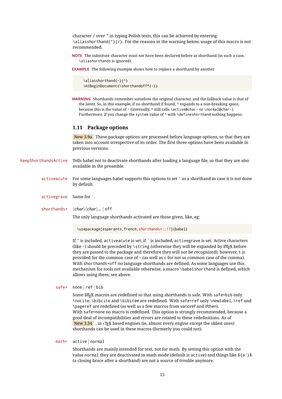character / over " in typing Polish texts, this can be achieved by entering \aliasshorthand{"}{/}. For the reasons in the warning below, usage of this macro is not recommended.

**NOTE** The substitute character must *not* have been declared before as shorthand (in such a case, \aliashorthands is ignored).

**EXAMPLE** The following example shows how to replace a shorthand by another

```
\aliasshorthand{~}{^}
\AtBeginDocument{\shorthandoff*{~}}
```
**WARNING** Shorthands remember somehow the original character, and the fallback value is that of the latter. So, in this example, if no shorthand if found,  $\wedge$  expands to a non-breaking space, because this is the value of ~ (internally, ^ still calls \active@char~ or \normal@char~). Furthermore, if you change the system value of  $\land$  with \defineshorthand nothing happens.

# <span id="page-15-0"></span>**1.11 Package options**

New 3.9a These package options are processed before language options, so that they are taken into account irrespective of its order. The first three options have been available in previous versions.

- KeepShorthandsActive Tells babel not to deactivate shorthands after loading a language file, so that they are also available in the preamble.
	- activeacute For some languages babel supports this options to set ' as a shorthand in case it is not done by default.
	- activegrave Same for `.
	- shorthands=  $\langle char \rangle \langle char \rangle$ ... | off

The only language shorthands activated are those given, like, eg:

\usepackage[esperanto,french,shorthands=:;!?]{babel}

If ' is included, activeacute is set; if ` is included, activegrave is set. Active characters (like  $\sim$ ) should be preceded by \string (otherwise they will be expanded by  $\mathbb{E}T_FX$  before they are passed to the package and therefore they will not be recognized); however, t is provided for the common case of  $\sim$  (as well as c for not so common case of the comma). With shorthands=off no language shorthands are defined, As some languages use this mechanism for tools not available otherwise, a macro \babelshorthand is defined, which allows using them; see above.

#### safe= none | ref | bib

Some LATEX macros are redefined so that using shorthands is safe. With safe=bib only \nocite, \bibcite and \bibitem are redefined. With safe=ref only \newlabel, \ref and \pageref are redefined (as well as a few macros from varioref and ifthen). With safe=none no macro is redefined. This option is strongly recommended, because a good deal of incompatibilities and errors are related to these redefinitions. As of New 3.34 , in  $\epsilon$ T<sub>F</sub>X based engines (ie, almost every engine except the oldest ones) shorthands can be used in these macros (formerly you could not).

math= active | normal

Shorthands are mainly intended for text, not for math. By setting this option with the value normal they are deactivated in math mode (default is active) and things like \${a'}\$ (a closing brace after a shorthand) are not a source of trouble anymore.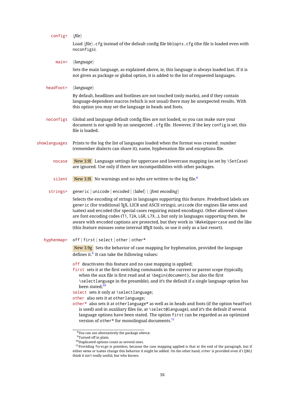| $config=$     | $\langle$ file $\rangle$                                                                                                                                                                                                                                                                                                                                                                                                                                                                                                                                                    |
|---------------|-----------------------------------------------------------------------------------------------------------------------------------------------------------------------------------------------------------------------------------------------------------------------------------------------------------------------------------------------------------------------------------------------------------------------------------------------------------------------------------------------------------------------------------------------------------------------------|
|               | Load $\langle file \rangle$ . cfg instead of the default config file bblopts. cfg (the file is loaded even with<br>noconfigs).                                                                                                                                                                                                                                                                                                                                                                                                                                              |
| $main=$       | $\langle$ language $\rangle$                                                                                                                                                                                                                                                                                                                                                                                                                                                                                                                                                |
|               | Sets the main language, as explained above, ie, this language is always loaded last. If it is<br>not given as package or global option, it is added to the list of requested languages.                                                                                                                                                                                                                                                                                                                                                                                     |
| headfoot=     | $\langle$ language $\rangle$                                                                                                                                                                                                                                                                                                                                                                                                                                                                                                                                                |
|               | By default, headlines and footlines are not touched (only marks), and if they contain<br>language-dependent macros (which is not usual) there may be unexpected results. With<br>this option you may set the language in heads and foots.                                                                                                                                                                                                                                                                                                                                   |
| noconfigs     | Global and language default config files are not loaded, so you can make sure your<br>document is not spoilt by an unexpected . cfg file. However, if the key config is set, this<br>file is loaded.                                                                                                                                                                                                                                                                                                                                                                        |
| showlanguages | Prints to the log the list of languages loaded when the format was created: number<br>(remember dialects can share it), name, hyphenation file and exceptions file.                                                                                                                                                                                                                                                                                                                                                                                                         |
| nocase        | New 3.91 Language settings for uppercase and lowercase mapping (as set by \SetCase)<br>are ignored. Use only if there are incompatibilities with other packages.                                                                                                                                                                                                                                                                                                                                                                                                            |
| silent        | New 3.91 No warnings and no <i>infos</i> are written to the $\log$ file. <sup>8</sup>                                                                                                                                                                                                                                                                                                                                                                                                                                                                                       |
| strings=      | generic   unicode   encoded $  \langle label \rangle   \langle font\; encoding \rangle$                                                                                                                                                                                                                                                                                                                                                                                                                                                                                     |
|               | Selects the encoding of strings in languages supporting this feature. Predefined labels are<br>generic (for traditional T <sub>F</sub> X, LICR and ASCII strings), unicode (for engines like xetex and<br>luatex) and encoded (for special cases requiring mixed encodings). Other allowed values<br>are font encoding codes (T1, T2A, LGR, L7X), but only in languages supporting them. Be<br>aware with encoded captions are protected, but they work in \MakeUppercase and the like<br>(this feature misuses some internal LTFX tools, so use it only as a last resort). |
|               | hyphenmap= off   first   select   other   other*                                                                                                                                                                                                                                                                                                                                                                                                                                                                                                                            |
|               | New 3.9g Sets the behavior of case mapping for hyphenation, provided the language<br>defines it. $9$ It can take the following values:                                                                                                                                                                                                                                                                                                                                                                                                                                      |
|               | off deactivates this feature and no case mapping is applied;<br>first sets it at the first switching commands in the current or parent scope (typically,<br>when the aux file is first read and at \begin{document}, but also the first<br>\selectlanguage in the preamble), and it's the default if a single language option has<br>been stated; <sup>10</sup>                                                                                                                                                                                                             |
|               | select sets it only at \selectlanguage;<br>other also sets it at other language;                                                                                                                                                                                                                                                                                                                                                                                                                                                                                            |
|               | other* also sets it at other language* as well as in heads and foots (if the option headfoot<br>is used) and in auxiliary files (ie, at \select@language), and it's the default if several<br>language options have been stated. The option first can be regarded as an optimized<br>version of other* for monolingual documents. <sup>11</sup>                                                                                                                                                                                                                             |
|               | <sup>8</sup> You can use alternatively the package silence.                                                                                                                                                                                                                                                                                                                                                                                                                                                                                                                 |

<span id="page-16-1"></span><span id="page-16-0"></span><sup>&</sup>lt;sup>9</sup>Turned off in plain.

<span id="page-16-3"></span><span id="page-16-2"></span> $10$ Duplicated options count as several ones.

 $11$ Providing foreign is pointless, because the case mapping applied is that at the end of the paragraph, but if either xetex or luatex change this behavior it might be added. On the other hand, other is provided even if I [JBL] think it isn't really useful, but who knows.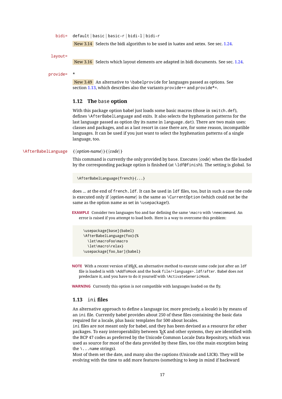bidi= default | basic | basic-r | bidi-l | bidi-r

New 3.14 Selects the bidi algorithm to be used in luatex and xetex. See sec. [1.24.](#page-40-1)

layout=

New 3.16 Selects which layout elements are adapted in bidi documents. See sec. [1.24.](#page-40-1)

provide= \*

New 3.49 An alternative to \babelprovide for languages passed as options. See section [1.13,](#page-17-1) which describes also the variants provide  $+=$  and provide  $*=$ .

# <span id="page-17-0"></span>**1.12 The** base **option**

With this package option babel just loads some basic macros (those in switch.def), defines \AfterBabelLanguage and exits. It also selects the hyphenation patterns for the last language passed as option (by its name in language.dat). There are two main uses: classes and packages, and as a last resort in case there are, for some reason, incompatible languages. It can be used if you just want to select the hyphenation patterns of a single language, too.

\AfterBabelLanguage {*\option-name*}}{*\code*}}

This command is currently the only provided by base. Executes  $\langle code \rangle$  when the file loaded by the corresponding package option is finished (at \ldf@finish). The setting is global. So

\AfterBabelLanguage{french}{...}

does ... at the end of french.ldf. It can be used in ldf files, too, but in such a case the code is executed only if  $\langle$ *option-name* $\rangle$  is the same as  $\Upsilon$ urrentOption (which could not be the same as the option name as set in \usepackage!).

**EXAMPLE** Consider two languages foo and bar defining the same \macro with \newcommand. An error is raised if you attempt to load both. Here is a way to overcome this problem:

```
\usepackage[base]{babel}
\AfterBabelLanguage{foo}{%
  \let\macroFoo\macro
  \let\macro\relax}
\usepackage[foo,bar]{babel}
```
**NOTE** With a recent version of ET<sub>EX</sub>, an alternative method to execute some code just after an 1df file is loaded is with \AddToHook and the hook file/<language>.ldf/after. Babel does not predeclare it, and you have to do it yourself with \ActivateGenericHook.

**WARNING** Currently this option is not compatible with languages loaded on the fly.

# <span id="page-17-1"></span>**1.13** ini **files**

An alternative approach to define a language (or, more precisely, a *locale*) is by means of an ini file. Currently babel provides about 250 of these files containing the basic data required for a locale, plus basic templates for 500 about locales.

ini files are not meant only for babel, and they has been devised as a resource for other packages. To easy interoperability between T<sub>F</sub>X and other systems, they are identified with the BCP 47 codes as preferred by the Unicode Common Locale Data Repository, which was used as source for most of the data provided by these files, too (the main exception being the  $\lambda$ ... name strings).

Most of them set the date, and many also the captions (Unicode and LICR). They will be evolving with the time to add more features (something to keep in mind if backward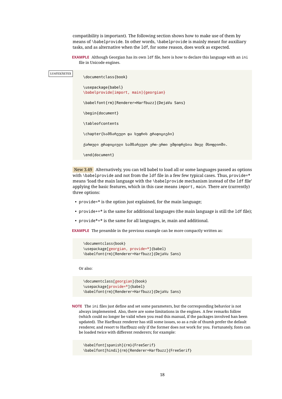compatibility is important). The following section shows how to make use of them by means of \babelprovide. In other words, \babelprovide is mainly meant for auxiliary tasks, and as alternative when the ldf, for some reason, does work as expected.

**EXAMPLE** Although Georgian has its own ldf file, here is how to declare this language with an ini file in Unicode engines.

| LUATEX/XETEX | \documentclass{book}                                              |  |  |  |  |
|--------------|-------------------------------------------------------------------|--|--|--|--|
|              | \usepackage{babel}<br>\babelprovide[import, main]{georgian}       |  |  |  |  |
|              | \babelfont{rm}[Renderer=Harfbuzz]{DejaVu Sans}                    |  |  |  |  |
|              | \begin{document}                                                  |  |  |  |  |
|              | \tableofcontents                                                  |  |  |  |  |
|              | \chapter{სამზარეუდო და სუფრის ტრადიციები}                         |  |  |  |  |
|              | ქართუიი ტრადიციუიი სამზარეუიო ერთ-ერთი უმდიდრესია მთეი მსოფიიოში. |  |  |  |  |
|              | \end{document}                                                    |  |  |  |  |

New 3.49 Alternatively, you can tell babel to load all or some languages passed as options with \babelprovide and not from the ldf file in a few few typical cases. Thus, provide= $*$ means 'load the main language with the \babelprovide mechanism instead of the ldf file' applying the basic features, which in this case means import, main. There are (currently) three options:

- provide=\* is the option just explained, for the main language;
- provide+=\* is the same for additional languages (the main language is still the  $1 df file$ );
- provide\*=\* is the same for all languages, ie, main and additional.

**EXAMPLE** The preamble in the previous example can be more compactly written as:

```
\documentclass{book}
\usepackage[georgian, provide=*]{babel}
\babelfont{rm}[Renderer=Harfbuzz]{DejaVu Sans}
```
Or also:

```
\documentclass[georgian]{book}
\usepackage[provide=*]{babel}
\babelfont{rm}[Renderer=Harfbuzz]{DejaVu Sans}
```
**NOTE** The ini files just define and set some parameters, but the corresponding behavior is not always implemented. Also, there are some limitations in the engines. A few remarks follow (which could no longer be valid when you read this manual, if the packages involved han been updated). The Harfbuzz renderer has still some issues, so as a rule of thumb prefer the default renderer, and resort to Harfbuzz only if the former does not work for you. Fortunately, fonts can be loaded twice with different renderers; for example:

```
\babelfont[spanish]{rm}{FreeSerif}
\babelfont[hindi]{rm}[Renderer=Harfbuzz]{FreeSerif}
```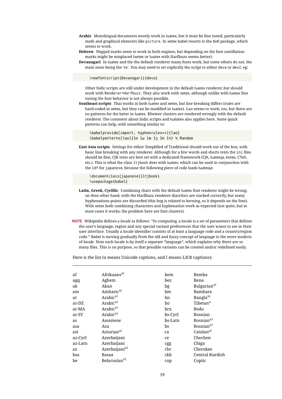- **Arabic** Monolingual documents mostly work in luatex, but it must be fine tuned, particularly math and graphical elements like picture. In xetex babel resorts to the bidi package, which seems to work.
- **Hebrew** Niqqud marks seem to work in both engines, but depending on the font cantillation marks might be misplaced (xetex or luatex with Harfbuzz seems better).
- **Devanagari** In luatex and the the default renderer many fonts work, but some others do not, the main issue being the 'ra'. You may need to set explicitly the script to either deva or dev2, eg:

\newfontscript{Devanagari}{deva}

Other Indic scripts are still under development in the default luatex renderer, but should work with Renderer=Harfbuzz. They also work with xetex, although unlike with luatex fine tuning the font behavior is not always possible.

**Southeast scripts** Thai works in both luatex and xetex, but line breaking differs (rules are hard-coded in xetex, but they can be modified in luatex). Lao seems to work, too, but there are no patterns for the latter in luatex. Khemer clusters are rendered wrongly with the default renderer. The comment about Indic scripts and lualatex also applies here. Some quick patterns can help, with something similar to:

\babelprovide[import, hyphenrules=+]{lao} \babelpatterns[lao]{1ດ 1ມ 1ອ 1ງ 1ກ 1າ} % Random

**East Asia scripts** Settings for either Simplified of Traditional should work out of the box, with basic line breaking with any renderer. Although for a few words and shorts texts the ini files should be fine, CJK texts are best set with a dedicated framework (CJK, luatexja, kotex, CTeX, etc.). This is what the class ltjbook does with luatex, which can be used in conjunction with the ldf for japanese, because the following piece of code loads luatexja:

```
\documentclass[japanese]{ltjbook}
\usepackage{babel}
```
- **Latin, Greek, Cyrillic** Combining chars with the default luatex font renderer might be wrong; on then other hand, with the Harfbuzz renderer diacritics are stacked correctly, but many hyphenations points are discarded (this bug is related to kerning, so it depends on the font). With xetex both combining characters and hyphenation work as expected (not quite, but in most cases it works; the problem here are font clusters).
- **NOTE** Wikipedia defines a *locale* as follows: "In computing, a locale is a set of parameters that defines the user's language, region and any special variant preferences that the user wants to see in their user interface. Usually a locale identifier consists of at least a language code and a country/region code." Babel is moving gradually from the old and fuzzy concept of *language* to the more modern of *locale*. Note each locale is by itself a separate "language", which explains why there are so many files. This is on purpose, so that possible variants can be created and/or redefined easily.

Here is the list (u means Unicode captions, and l means LICR captions):

| af      | Afrikaansul               | bem         | Bemba                   |
|---------|---------------------------|-------------|-------------------------|
| agq     | Aghem                     | bez         | Bena                    |
| ak      | Akan                      | bg          | Bulgarian <sup>ul</sup> |
| am      | Amharic <sup>ul</sup>     | bm          | Bambara                 |
| ar      | Arabicul                  | bn          | Banglaul                |
| ar-DZ   | Arabic <sup>ul</sup>      | bo          | Tibetan <sup>u</sup>    |
| ar-MA   | Arabicul                  | brx         | Bodo                    |
| ar-SY   | Arabic <sup>ul</sup>      | bs-Cyrl     | Bosnian                 |
| as      | Assamese                  | bs-Latn     | Bosnian <sup>ul</sup>   |
| asa     | Asu                       | $_{\rm bs}$ | Bosnian <sup>ul</sup>   |
| ast     | Asturian <sup>ul</sup>    | ca          | Catalanul               |
| az-Cyrl | Azerbaijani               | ce          | Chechen                 |
| az-Latn | Azerbaijani               | cgg         | Chiga                   |
| az      | Azerbaijani <sup>ul</sup> | chr         | Cherokee                |
| bas     | Basaa                     | ckb         | Central Kurdish         |
| be      | Belarusian <sup>ul</sup>  | cop         | Coptic                  |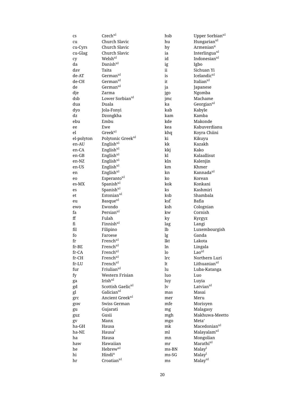| cs                     | Czechul                                     | hsb       | Upper Sorbian <sup>ul</sup>  |
|------------------------|---------------------------------------------|-----------|------------------------------|
| cu                     | Church Slavic                               | hu        | Hungarianul                  |
| cu-Cyrs                | Church Slavic                               | hy        | Armenian <sup>u</sup>        |
| cu-Glag                | Church Slavic                               | ia        | Interlingua <sup>ul</sup>    |
| cy                     | Welshul                                     | id        | Indonesianul                 |
| da                     | Danish <sup>ul</sup>                        | ig        | Igbo                         |
| dav                    | Taita                                       | ii        | Sichuan Yi                   |
| $de-AT$                | Germanul                                    | is        | Icelandicul                  |
| de-CH                  | Germanul                                    | it        | Italianul                    |
| de                     | Germanul                                    | ja        | Japanese                     |
| dje                    | Zarma                                       | jgo       | Ngomba                       |
| dsb                    | Lower Sorbian <sup>ul</sup>                 | jmc       | Machame                      |
| dua                    | Duala                                       | ka        | Georgianul                   |
| dyo                    | Jola-Fonyi                                  | kab       | Kabyle                       |
| dz                     | Dzongkha                                    | kam       | Kamba                        |
| ebu                    | Embu                                        | kde       | Makonde                      |
| ee                     | Ewe                                         | kea       | Kabuverdianu                 |
| el                     | Greekul                                     | khq       | Koyra Chiini                 |
| el-polyton             | Polytonic Greek <sup>ul</sup>               | ki        | Kikuyu                       |
| en-AU                  | Englishul                                   | kk        | Kazakh                       |
| en-CA                  | ${\rm English^{ul}}$                        | kkj       | Kako                         |
| $en-GB$                | ${\tt English^{ul}}$                        | kl        | Kalaallisut                  |
| en-NZ                  | ${\tt English^{ul}}$                        | kln       | Kalenjin                     |
| en-US                  | ${\tt English^{ul}}$                        | km        | Khmer                        |
| en                     | ${\tt English^{ul}}$                        | kn        | Kannadaul                    |
| eo                     | Esperantoul                                 | ko        | Korean                       |
| es-MX                  | $\mbox{Spanish}^\mbox{ul}$                  | kok       | Konkani                      |
| es                     | $\mbox{Spanish}^{\mbox{\scriptsize ul}}$    | ks        | Kashmiri                     |
| et                     | Estonian <sup>ul</sup>                      | ksb       | Shambala                     |
| eu                     | ${\bf Basque^{ul}}$                         | ksf       | Bafia                        |
|                        | Ewondo                                      | ksh       |                              |
| ewo<br>fa              | Persianul                                   | kw        | Colognian<br>Cornish         |
| ff                     | Fulah                                       |           |                              |
| fi                     | Finnish <sup>ul</sup>                       | ky        | Kyrgyz<br>Langi              |
| fil                    |                                             | lag<br>lb |                              |
| fo                     | Filipino                                    |           | Luxembourgish<br>Ganda       |
|                        | Faroese<br>Frenchul                         | lg        | Lakota                       |
| fr                     |                                             | lkt       |                              |
| fr-BE                  | French <sup>ul</sup><br>Frenchul            | ln.       | Lingala<br>Lao <sup>ul</sup> |
| fr-CA                  | Frenchul                                    | lo        |                              |
| $fr-CH$                |                                             | lrc       | Northern Luri                |
| fr-LU                  | Frenchul<br>Friulianul                      | lt        | Lithuanianul                 |
| fur                    |                                             | lu        | Luba-Katanga                 |
| fy                     | Western Frisian                             | luo       | Luo                          |
| ga                     | Irishul                                     | luy       | Luyia                        |
| $\mathsf{g}\mathsf{d}$ | Scottish Gaelic <sup>ul</sup><br>Galicianul | lv        | Latvian <sup>ul</sup>        |
| gl                     |                                             | mas       | Masai                        |
| grc                    | Ancient Greek <sup>ul</sup>                 | mer       | Meru                         |
| gsw                    | Swiss German                                | mfe       | Morisyen                     |
| gu                     | Gujarati                                    | mg        | Malagasy                     |
| guz                    | Gusii                                       | mgh       | Makhuwa-Meetto               |
| gv                     | Manx                                        | mgo       | Meta'                        |
| ha-GH                  | Hausa                                       | mk        | Macedonianul                 |
| ha-NE                  | Hausa <sup>1</sup>                          | ml        | Malayalam <sup>ul</sup>      |
| ha                     | Hausa                                       | mn        | Mongolian                    |
| haw                    | Hawaiian                                    | mr        | Marathiul                    |
| he                     | Hebrew <sup>ul</sup>                        | ms-BN     | Malay <sup>l</sup>           |
| hi                     | Hindi <sup>u</sup>                          | ms-SG     | Malay <sup>l</sup>           |
| hr                     | Croatianul                                  | ms        | Malayul                      |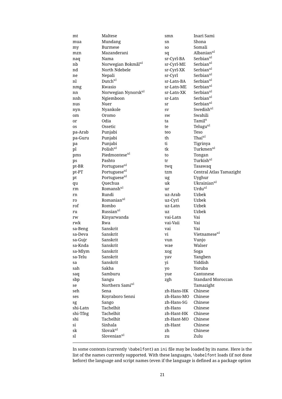| mt       | Maltese                         | smn        | Inari Sami               |
|----------|---------------------------------|------------|--------------------------|
| mua      | Mundang                         | sn         | Shona                    |
| my       | <b>Burmese</b>                  | SO.        | Somali                   |
| mzn      | Mazanderani                     | sq         | Albanianul               |
| naq      | Nama                            | sr-Cyrl-BA | Serbianul                |
| nb       | Norwegian Bokmålul              | sr-Cyrl-ME | Serbianul                |
| nd       | North Ndebele                   | sr-Cyrl-XK | Serbianul                |
| ne       | Nepali                          | sr-Cyrl    | Serbianul                |
| nl       | Dutchul                         | sr-Latn-BA | Serbianul                |
| nmg      | Kwasio                          | sr-Latn-ME | Serbianul                |
| nn       | Norwegian Nynorsk <sup>ul</sup> | sr-Latn-XK | Serbianul                |
| nnh      | Ngiemboon                       | sr-Latn    | Serbianul                |
| nus      | Nuer                            | sr         | Serbianul                |
| nyn      | Nyankole                        | <b>SV</b>  | Swedish <sup>ul</sup>    |
| om       | Oromo                           | SW         | Swahili                  |
| or       | Odia                            | ta         | Tamil <sup>u</sup>       |
| os       | Ossetic                         | te         | Telugu <sup>ul</sup>     |
|          |                                 |            | Teso                     |
| pa-Arab  | Punjabi                         | teo<br>th  | Thaiul                   |
| pa-Guru  | Punjabi                         |            |                          |
| pa       | Punjabi                         | ti         | Tigrinya                 |
| pl       | Polishul                        | tk         | Turkmenul                |
| pms      | Piedmontese <sup>ul</sup>       | to         | Tongan                   |
| ps       | Pashto                          | tr         | Turkish <sup>ul</sup>    |
| pt-BR    | Portugueseul                    | twq        | Tasawaq                  |
| pt-PT    | Portugueseul                    | tzm        | Central Atlas Tamazight  |
| pt       | Portugueseul                    | ug         | Uyghur                   |
| qu       | Quechua                         | uk         | Ukrainianul              |
| rm       | Romanshul                       | ur         | Urduul                   |
| rn       | Rundi                           | uz-Arab    | Uzbek                    |
| ro       | Romanian <sup>ul</sup>          | uz-Cyrl    | Uzbek                    |
| rof      | Rombo                           | uz-Latn    | Uzbek                    |
| ru       | Russianul                       | uz         | Uzbek                    |
| rw       | Kinyarwanda                     | vai-Latn   | Vai                      |
| rwk      | Rwa                             | vai-Vaii   | Vai                      |
| sa-Beng  | Sanskrit                        | vai        | Vai                      |
| sa-Deva  | Sanskrit                        | vi         | Vietnamese <sup>ul</sup> |
| sa-Gujr  | Sanskrit                        | vun        | Vunjo                    |
| sa-Knda  | Sanskrit                        | wae        | Walser                   |
| sa-Mlym  | Sanskrit                        | xog        | Soga                     |
| sa-Telu  | Sanskrit                        | yav        | Yangben                  |
| sa       | Sanskrit                        | yi         | Yiddish                  |
| sah      | Sakha                           | yo         | Yoruba                   |
| saq      | Samburu                         | yue        | Cantonese                |
| sbp      | Sangu                           | zgh        | <b>Standard Moroccan</b> |
| se       | Northern Sami <sup>ul</sup>     |            | Tamazight                |
| seh      | Sena                            | zh-Hans-HK | Chinese                  |
| ses      | Koyraboro Senni                 | zh-Hans-MO | Chinese                  |
| sg       | Sango                           | zh-Hans-SG | Chinese                  |
| shi-Latn | Tachelhit                       | zh-Hans    | Chinese                  |
| shi-Tfng | Tachelhit                       | zh-Hant-HK | Chinese                  |
| shi      | Tachelhit                       | zh-Hant-MO | Chinese                  |
| si       | Sinhala                         | zh-Hant    | Chinese                  |
| sk       | Slovakul                        | zh         | Chinese                  |
| sl       | Slovenianul                     | zu         | Zulu                     |
|          |                                 |            |                          |

In some contexts (currently \babelfont) an ini file may be loaded by its name. Here is the list of the names currently supported. With these languages, \babelfont loads (if not done before) the language and script names (even if the language is defined as a package option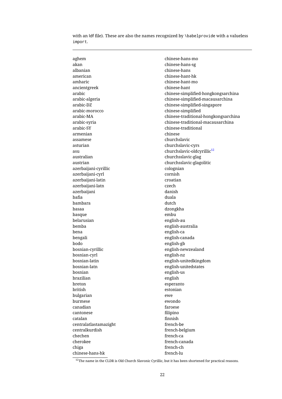with an ldf file). These are also the names recognized by \babelprovide with a valueless import.

| aghem                 | chinese-hans-mo                        |
|-----------------------|----------------------------------------|
| akan                  | chinese-hans-sg                        |
| albanian              | chinese-hans                           |
| american              | chinese-hant-hk                        |
| amharic               | chinese-hant-mo                        |
| ancientgreek          | chinese-hant                           |
| arabic                | chinese-simplified-hongkongsarchina    |
| arabic-algeria        | chinese-simplified-macausarchina       |
| arabic-DZ             | chinese-simplified-singapore           |
| arabic-morocco        | chinese-simplified                     |
| arabic-MA             | chinese-traditional-hongkongsarchina   |
| arabic-syria          | chinese-traditional-macausarchina      |
| arabic-SY             | chinese-traditional                    |
| armenian              | chinese                                |
| assamese              | churchslavic                           |
| asturian              | churchslavic-cyrs                      |
| asu                   | churchslavic-oldcyrillic <sup>12</sup> |
| australian            | churchsslavic-glag                     |
| austrian              | churchsslavic-glagolitic               |
| azerbaijani-cyrillic  | colognian                              |
| azerbaijani-cyrl      | cornish                                |
| azerbaijani-latin     | croatian                               |
| azerbaijani-latn      | czech                                  |
| azerbaijani           | danish                                 |
| bafia                 | duala                                  |
| bambara               | dutch                                  |
| basaa                 | dzongkha                               |
| basque                | embu                                   |
| belarusian            | english-au                             |
| bemba                 | english-australia                      |
| bena                  | english-ca                             |
| bengali               | english-canada                         |
| bodo                  | english-gb                             |
| bosnian-cyrillic      | english-newzealand                     |
| bosnian-cyrl          | english-nz                             |
| bosnian-latin         | english-unitedkingdom                  |
| bosnian-latn          | english-unitedstates                   |
| bosnian               | english-us                             |
| brazilian             | english                                |
| breton                | esperanto                              |
| british               | estonian                               |
|                       |                                        |
| bulgarian             | ewe                                    |
| burmese               | ewondo                                 |
| canadian              | faroese                                |
| cantonese             | filipino                               |
| catalan               | finnish                                |
| centralatlastamazight | french-be                              |
| centralkurdish        | french-belgium                         |
| chechen               | french-ca                              |
| cherokee              | french-canada                          |
| chiga                 | french-ch                              |
| chinese-hans-hk       | french-lu                              |

<span id="page-22-0"></span> $\overline{12}$ The name in the CLDR is Old Church Slavonic Cyrillic, but it has been shortened for practical reasons.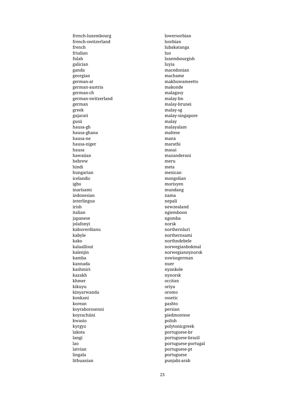french-luxembourg french-switzerland french friulian fulah galician ganda georgian german-at german-austria german-ch german-switzerland german greek gujarati gusii hausa-gh hausa-ghana hausa-ne hausa-niger hausa hawaiian hebrew hindi hungarian icelandic igbo inarisami indonesian interlingua irish italian japanese jolafonyi kabuverdianu kabyle kako kalaallisut kalenjin kamba kannada kashmiri kazakh khmer kikuyu kinyarwanda konkani korean koyraborosenni koyrachiini kwasio kyrgyz lakota langi lao latvian lingala lithuanian

lowersorbian lsorbian lubakatanga luo luxembourgish luyia macedonian machame makhuwameetto makonde malagasy malay-bn malay-brunei malay-sg malay-singapore malay malayalam maltese manx marathi masai mazanderani meru meta mexican mongolian morisyen mundang nama nepali newzealand ngiemboon ngomba norsk northernluri northernsami northndebele norwegianbokmal norwegiannynorsk nswissgerman nuer nyankole nynorsk occitan oriya oromo ossetic pashto persian piedmontese polish polytonicgreek portuguese-br portuguese-brazil portuguese-portugal portuguese-pt portuguese punjabi-arab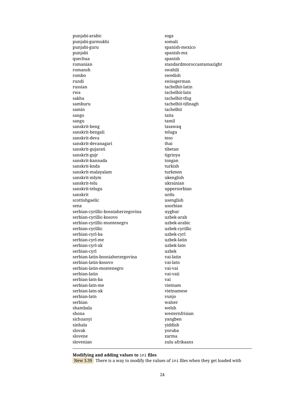punjabi-arabic punjabi-gurmukhi punjabi-guru punjabi quechua romanian romansh rombo rundi russian rwa sakha samburu samin sango sangu sanskrit-beng sanskrit-bengali sanskrit-deva sanskrit-devanagari sanskrit-gujarati sanskrit-gujr sanskrit-kannada sanskrit-knda sanskrit-malayalam sanskrit-mlym sanskrit-telu sanskrit-telugu sanskrit scottishgaelic sena serbian-cyrillic-bosniaherzegovina serbian-cyrillic-kosovo serbian-cyrillic-montenegro serbian-cyrillic serbian-cyrl-ba serbian-cyrl-me serbian-cyrl-xk serbian-cyrl serbian-latin-bosniaherzegovina serbian-latin-kosovo serbian-latin-montenegro serbian-latin serbian-latn-ba serbian-latn-me serbian-latn-xk serbian-latn serbian shambala shona sichuanyi sinhala slovak slovene slovenian

soga somali spanish-mexico spanish-mx spanish standardmoroccantamazight swahili swedish swissgerman tachelhit-latin tachelhit-latn tachelhit-tfng tachelhit-tifinagh tachelhit taita tamil tasawaq telugu teso thai tibetan tigrinya tongan turkish turkmen ukenglish ukrainian uppersorbian urdu usenglish usorbian uyghur uzbek-arab uzbek-arabic uzbek-cyrillic uzbek-cyrl uzbek-latin uzbek-latn uzbek vai-latin vai-latn vai-vai vai-vaii vai vietnam vietnamese vunjo walser welsh westernfrisian yangben yiddish yoruba zarma zulu afrikaans

#### **Modifying and adding values to** ini **files**

New 3.39 There is a way to modify the values of ini files when they get loaded with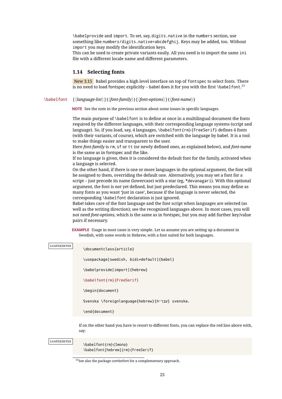\babelprovide and import. To set, say, digits.native in the numbers section, use something like numbers/digits.native=abcdefghij. Keys may be added, too. Without import you may modify the identification keys.

This can be used to create private variants easily. All you need is to import the same ini file with a different locale name and different parameters.

# <span id="page-25-0"></span>**1.14 Selecting fonts**

New 3.15 Babel provides a high level interface on top of fontspec to select fonts. There is no need to load fontspec explicitly – babel does it for you with the first **\babelfont.<sup>[13](#page-25-1)</sup>** 

\babelfont [ $\langle \text{language-list}\rangle$ ]{ $\langle \text{font-family}\rangle$ }[ $\langle \text{font-options}\rangle$ ]{ $\langle \text{font-name}\rangle$ }

**NOTE** See the note in the previous section about some issues in specific languages.

The main purpose of \babelfont is to define at once in a multilingual document the fonts required by the different languages, with their corresponding language systems (script and language). So, if you load, say, 4 languages, \babelfont{rm}{FreeSerif} defines 4 fonts (with their variants, of course), which are switched with the language by babel. It is a tool to make things easier and transparent to the user.

Here *font-family* is rm, sf or tt (or newly defined ones, as explained below), and *font-name* is the same as in fontspec and the like.

If no language is given, then it is considered the default font for the family, activated when a language is selected.

On the other hand, if there is one or more languages in the optional argument, the font will be assigned to them, overriding the default one. Alternatively, you may set a font for a script – just precede its name (lowercase) with a star (eg, \*devanagari). With this optional argument, the font is *not* yet defined, but just predeclared. This means you may define as many fonts as you want 'just in case', because if the language is never selected, the corresponding \babelfont declaration is just ignored.

Babel takes care of the font language and the font script when languages are selected (as well as the writing direction); see the recognized languages above. In most cases, you will not need *font-options*, which is the same as in fontspec, but you may add further key/value pairs if necessary.

**EXAMPLE** Usage in most cases is very simple. Let us assume you are setting up a document in Swedish, with some words in Hebrew, with a font suited for both languages.

| <b>LUATEX/XETEX</b> | \documentclass{article}                                                                                      |
|---------------------|--------------------------------------------------------------------------------------------------------------|
|                     | \usepackage[swedish, bidi=default]{babel}                                                                    |
|                     | \babelprovide[import]{hebrew}                                                                                |
|                     | \babelfont{rm}{FreeSerif}                                                                                    |
|                     | \begin{document}                                                                                             |
|                     | Svenska \foreignlanguage{hebrew}{עבְרית} svenska.                                                            |
|                     | \end{document}                                                                                               |
|                     | If on the other hand you have to resort to different fonts, you can replace the red line above with,<br>say: |
| LUATEX/XETEX        | \babelfont{rm}{Iwona}<br>\babelfont[hebrew]{rm}{FreeSerif}                                                   |

<span id="page-25-1"></span> $13$ See also the package combofont for a complementary approach.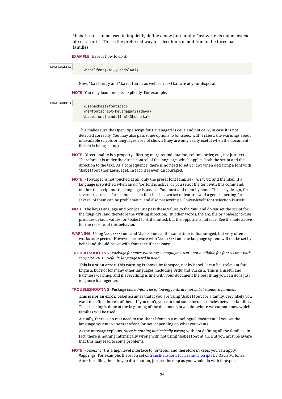\babelfont can be used to implicitly define a new font family. Just write its name instead of rm, sf or tt. This is the preferred way to select fonts in addition to the three basic families.

**EXAMPLE** Here is how to do it:

<span id="page-26-1"></span><span id="page-26-0"></span>

| LUATEX/XETEX<br>\babelfont{kai}{FandolKai}                                                                                                                                                                                                                                                                                                                                                                                                                                                                      |
|-----------------------------------------------------------------------------------------------------------------------------------------------------------------------------------------------------------------------------------------------------------------------------------------------------------------------------------------------------------------------------------------------------------------------------------------------------------------------------------------------------------------|
| Now, \kaifamily and \kaidefault, as well as \textkai are at your disposal.                                                                                                                                                                                                                                                                                                                                                                                                                                      |
| <b>NOTE</b> You may load fontspec explicitly. For example:                                                                                                                                                                                                                                                                                                                                                                                                                                                      |
| LUATEX/XETEX<br>\usepackage{fontspec}<br>\newfontscript{Devanagari}{deva}<br>\babelfont[hindi]{rm}{Shobhika}                                                                                                                                                                                                                                                                                                                                                                                                    |
| This makes sure the OpenType script for Devanagari is deva and not dev2, in case it is not<br>detected correctly. You may also pass some options to fontspec: with silent, the warnings about<br>unavailable scripts or languages are not shown (they are only really useful when the document<br>format is being set up).                                                                                                                                                                                      |
| <b>NOTE</b> Directionality is a property affecting margins, indentation, column order, etc., not just text.<br>Therefore, it is under the direct control of the language, which applies both the script and the<br>direction to the text. As a consequence, there is no need to set Script when declaring a font with<br>\babelfont (nor Language). In fact, it is even discouraged.                                                                                                                            |
| NOTE \fontspec is not touched at all, only the preset font families (rm, sf, tt, and the like). If a<br>language is switched when an ad hoc font is active, or you select the font with this command,<br>neither the script nor the language is passed. You must add them by hand. This is by design, for<br>several reasons -for example, each font has its own set of features and a generic setting for<br>several of them can be problematic, and also preserving a "lower-level" font selection is useful. |
| NOTE The keys Language and Script just pass these values to the font, and do not set the script for<br>the language (and therefore the writing direction). In other words, the ini file or \babelprovide<br>provides default values for \babelfont if omitted, but the opposite is not true. See the note above<br>for the reasons of this behavior.                                                                                                                                                            |
| WARNING Using \setxxxxfont and \babelfont at the same time is discouraged, but very often<br>works as expected. However, be aware with \setxxxxfont the language system will not be set by<br>babel and should be set with fontspec if necessary.                                                                                                                                                                                                                                                               |
| TROUBLESHOOTING Package fontspec Warning: 'Language 'LANG' not available for font 'FONT' with<br>script 'SCRIPT' 'Default' language used instead'.                                                                                                                                                                                                                                                                                                                                                              |
| This is not an error. This warning is shown by fontspec, not by babel. It can be irrelevant for<br>English, but not for many other languages, including Urdu and Turkish. This is a useful and<br>harmless warning, and if everything is fine with your document the best thing you can do is just<br>to ignore it altogether.                                                                                                                                                                                  |
| TROUBLESHOOTING Package babel Info: The following fonts are not babel standard families.                                                                                                                                                                                                                                                                                                                                                                                                                        |
| This is not an error. babel assumes that if you are using \babelfont for a family, very likely you<br>want to define the rest of them. If you don't, you can find some inconsistencies between families.<br>This checking is done at the beginning of the document, at a point where we cannot know which<br>families will be used.                                                                                                                                                                             |
| Actually, there is no real need to use \babelfont in a monolingual document, if you set the<br>language system in \setmainfont (or not, depending on what you want).                                                                                                                                                                                                                                                                                                                                            |
| As the message explains, there is nothing intrinsically wrong with not defining all the families. In<br>fact, there is nothing intrinsically wrong with not using \babe1font at all. But you must be aware<br>that this may lead to some problems.                                                                                                                                                                                                                                                              |
| <b>NOTE</b> \babelfont is a high level interface to fontspec, and therefore in xetex you can apply<br>Mappings. For example, there is a set of transliterations for Brahmic scripts by Davis M. Jones.<br>After installing them in you distribution, just set the map as you would do with fontspec.                                                                                                                                                                                                            |
| 26                                                                                                                                                                                                                                                                                                                                                                                                                                                                                                              |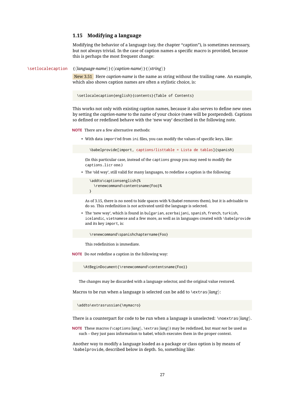# <span id="page-27-0"></span>**1.15 Modifying a language**

Modifying the behavior of a language (say, the chapter "caption"), is sometimes necessary, but not always trivial. In the case of caption names a specific macro is provided, because this is perhaps the most frequent change:

\setlocalecaption { $\langle \text{language-name} \rangle$ }{ $\langle \text{caption:}$ *ame*}}{ $\langle \text{string} \rangle$ }

New 3.51 Here *caption-name* is the name as string without the trailing name. An example, which also shows caption names are often a stylistic choice, is:

\setlocalecaption{english}{contents}{Table of Contents}

This works not only with existing caption names, because it also serves to define new ones by setting the *caption-name* to the name of your choice (name will be postpended). Captions so defined or redefined behave with the 'new way' described in the following note.

**NOTE** There are a few alternative methods:

• With data import'ed from ini files, you can modify the values of specific keys, like:

```
\babelprovide[import, captions/listtable = Lista de tablas]{spanish}
```
(In this particular case, instead of the captions group you may need to modify the captions.licr one.)

• The 'old way', still valid for many languages, to redefine a caption is the following:

```
\addto\captionsenglish{%
  \renewcommand\contentsname{Foo}%
}
```
As of 3.15, there is no need to hide spaces with % (babel removes them), but it is advisable to do so. This redefinition is not activated until the language is selected.

• The 'new way', which is found in bulgarian, azerbaijani, spanish, french, turkish, icelandic, vietnamese and a few more, as well as in languages created with \babelprovide and its key import, is:

\renewcommand\spanishchaptername{Foo}

This redefinition is immediate.

**NOTE** Do *not* redefine a caption in the following way:

\AtBeginDocument{\renewcommand\contentsname{Foo}}

The changes may be discarded with a language selector, and the original value restored.

Macros to be run when a language is selected can be add to \extras*\lang*}:

\addto\extrasrussian{\mymacro}

There is a counterpart for code to be run when a language is unselected:  $\noindent \n\rangle$ noextras $\langle \n\rangle$ 

**NOTE** These macros (\captions *\lang*), \extras *\lang*)) may be redefined, but *must not* be used as such – they just pass information to babel, which executes them in the proper context.

Another way to modify a language loaded as a package or class option is by means of \babelprovide, described below in depth. So, something like: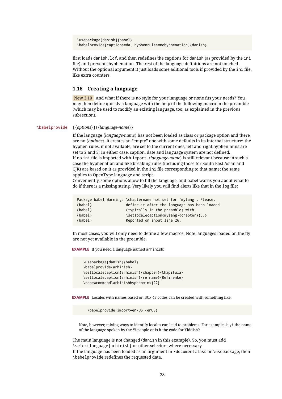```
\usepackage[danish]{babel}
\babelprovide[captions=da, hyphenrules=nohyphenation]{danish}
```
first loads danish.ldf, and then redefines the captions for danish (as provided by the ini file) and prevents hyphenation. The rest of the language definitions are not touched. Without the optional argument it just loads some aditional tools if provided by the ini file, like extra counters.

# <span id="page-28-0"></span>**1.16 Creating a language**

New 3.10 And what if there is no style for your language or none fits your needs? You may then define quickly a language with the help of the following macro in the preamble (which may be used to modify an existing language, too, as explained in the previous subsection).

#### \babelprovide [\*options*\]{\*language-name*\}

If the language *(language-name)* has not been loaded as class or package option and there are no  $\langle options\rangle$ , it creates an "empty" one with some defaults in its internal structure: the hyphen rules, if not available, are set to the current ones, left and right hyphen mins are set to 2 and 3. In either case, caption, date and language system are not defined. If no ini file is imported with import,  $\langle$ *language-name* $\rangle$  is still relevant because in such a case the hyphenation and like breaking rules (including those for South East Asian and CJK) are based on it as provided in the ini file corresponding to that name; the same applies to OpenType language and script.

Conveniently, some options allow to fill the language, and babel warns you about what to do if there is a missing string. Very likely you will find alerts like that in the log file:

|         | Package babel Warning: \chaptername not set for 'mylang'. Please, |
|---------|-------------------------------------------------------------------|
| (babel) | define it after the language has been loaded                      |
| (babel) | (typically in the preamble) with:                                 |
| (babel) | \setlocalecaption{mylang}{chapter}{}                              |
| (babel) | Reported on input line 26.                                        |

In most cases, you will only need to define a few macros. Note languages loaded on the fly are not yet available in the preamble.

**EXAMPLE** If you need a language named arhinish:

```
\usepackage[danish]{babel}
\babelprovide{arhinish}
\setlocalecaption{arhinish}{chapter}{Chapitula}
\setlocalecaption{arhinish}{refname}{Refirenke}
\renewcommand\arhinishhyphenmins{22}
```
**EXAMPLE** Locales with names based on BCP 47 codes can be created with something like:

\babelprovide[import=en-US]{enUS}

Note, however, mixing ways to identify locales can lead to problems. For example, is yi the name of the language spoken by the Yi people or is it the code for Yiddish?

The main language is not changed (danish in this example). So, you must add \selectlanguage{arhinish} or other selectors where necessary. If the language has been loaded as an argument in \documentclass or \usepackage, then \babelprovide redefines the requested data.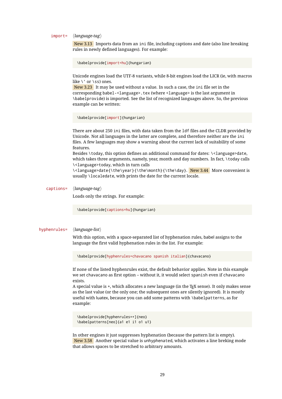import=  $\langle$ *language-tag* $\rangle$ 

New 3.13 Imports data from an ini file, including captions and date (also line breaking rules in newly defined languages). For example:

\babelprovide[import=hu]{hungarian}

Unicode engines load the UTF-8 variants, while 8-bit engines load the LICR (ie, with macros like \' or \ss) ones.

New 3.23 It may be used without a value. In such a case, the ini file set in the corresponding babel-<language>.tex (where <language> is the last argument in \babelprovide) is imported. See the list of recognized languages above. So, the previous example can be written:

\babelprovide[import]{hungarian}

There are about 250 ini files, with data taken from the ldf files and the CLDR provided by Unicode. Not all languages in the latter are complete, and therefore neither are the ini files. A few languages may show a warning about the current lack of suitability of some features.

Besides \today, this option defines an additional command for dates: \<language>date, which takes three arguments, namely, year, month and day numbers. In fact, \today calls \<language>today, which in turn calls

\<language>date{\the\year}{\the\month}{\the\day}. New 3.44 More convenient is usually \localedate, with prints the date for the current locale.

#### captions=  $\langle$ *language-tag* $\rangle$

Loads only the strings. For example:

\babelprovide[captions=hu]{hungarian}

#### hyphenrules=  $\langle$ *language-list* $\rangle$

With this option, with a space-separated list of hyphenation rules, babel assigns to the language the first valid hyphenation rules in the list. For example:

\babelprovide[hyphenrules=chavacano spanish italian]{chavacano}

If none of the listed hyphenrules exist, the default behavior applies. Note in this example we set chavacano as first option – without it, it would select spanish even if chavacano exists.

A special value is +, which allocates a new language (in the TEX sense). It only makes sense as the last value (or the only one; the subsequent ones are silently ignored). It is mostly useful with luatex, because you can add some patterns with \babelpatterns, as for example:

```
\babelprovide[hyphenrules=+]{neo}
\babelpatterns[neo]{a1 e1 i1 o1 u1}
```
In other engines it just suppresses hyphenation (because the pattern list is empty). New 3.58 Another special value is unhyphenated, which activates a line breking mode that allows spaces to be stretched to arbitrary amounts.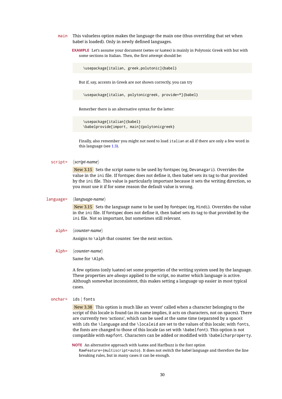main This valueless option makes the language the main one (thus overriding that set when babel is loaded). Only in newly defined languages.

**EXAMPLE** Let's assume your document (xetex or luatex) is mainly in Polytonic Greek with but with some sections in Italian. Then, the first attempt should be:

\usepackage[italian, greek.polutonic]{babel}

But if, say, accents in Greek are not shown correctly, you can try

\usepackage[italian, polytonicgreek, provide=\*]{babel}

Remerber there is an alternative syntax for the latter:

```
\usepackage[italian]{babel}
\babelprovide[import, main]{polytonicgreek}
```
Finally, also remember you might not need to load italian at all if there are only a few word in this language (see [1.3\)](#page-7-0).

script=  $\langle script-name \rangle$ 

New 3.15 Sets the script name to be used by fontspec (eg, Devanagari). Overrides the value in the ini file. If fontspec does not define it, then babel sets its tag to that provided by the ini file. This value is particularly important because it sets the writing direction, so you must use it if for some reason the default value is wrong.

#### language=  $\langle$ *language-name* $\rangle$

New 3.15 Sets the language name to be used by fontspec (eg, Hindi). Overrides the value in the ini file. If fontspec does not define it, then babel sets its tag to that provided by the ini file. Not so important, but sometimes still relevant.

alph=  $\langle counter-name \rangle$ 

Assigns to \alph that counter. See the next section.

Alph=  $\langle counter-name \rangle$ 

Same for \Alph.

A few options (only luatex) set some properties of the writing system used by the language. These properties are *always* applied to the script, no matter which language is active. Although somewhat inconsistent, this makes setting a language up easier in most typical cases.

onchar= ids | fonts

New 3.38 This option is much like an 'event' called when a character belonging to the script of this locale is found (as its name implies, it acts on characters, not on spaces). There are currently two 'actions', which can be used at the same time (separated by a space): with ids the \language and the \localeid are set to the values of this locale; with fonts, the fonts are changed to those of this locale (as set with \babelfont). This option is not compatible with mapfont. Characters can be added or modified with \babelcharproperty.

**NOTE** An alternative approach with luatex and Harfbuzz is the font option RawFeature={multiscript=auto}. It does not switch the babel language and therefore the line breaking rules, but in many cases it can be enough.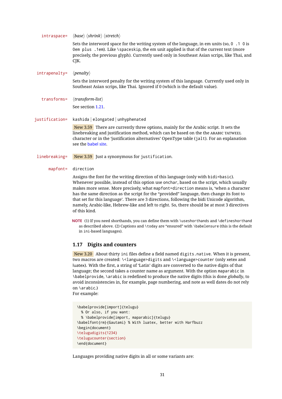|                | $intraspace = \langle base \rangle \langle shrink \rangle \langle stretch \rangle$                                                                                                                                                                                                                          |
|----------------|-------------------------------------------------------------------------------------------------------------------------------------------------------------------------------------------------------------------------------------------------------------------------------------------------------------|
|                | Sets the interword space for the writing system of the language, in em units (so, $0 \cdot 1 \cdot 0$ is<br>0em plus .1em). Like \spaceskip, the em unit applied is that of the current text (more<br>precisely, the previous glyph). Currently used only in Southeast Asian scrips, like Thai, and<br>CJK. |
| intrapenalty=  | $\langle$ <i>penalty</i> $\rangle$                                                                                                                                                                                                                                                                          |
|                | Sets the interword penalty for the writing system of this language. Currently used only in<br>Southeast Asian scrips, like Thai. Ignored if 0 (which is the default value).                                                                                                                                 |
| transforms=    | $\langle transform\text{-}list\rangle$                                                                                                                                                                                                                                                                      |
|                | See section 1.21.                                                                                                                                                                                                                                                                                           |
| justification= | kashida   elongated   unhyphenated                                                                                                                                                                                                                                                                          |
|                | New 3.59 There are currently three options, mainly for the Arabic script. It sets the<br>linebreaking and justification method, which can be based on the the ARABIC TATWEEL<br>character or in the 'justification alternatives' OpenType table (jalt). For an explanation<br>see the babel site.           |
| linebreaking=  | New 3.59 Just a synonymous for justification.                                                                                                                                                                                                                                                               |
| $mapfont =$    | direction                                                                                                                                                                                                                                                                                                   |
|                | Assigns the font for the writing direction of this language (only with hidi=hasic)                                                                                                                                                                                                                          |

font for the writing direction of this language (only with bidi=basic). Whenever possible, instead of this option use onchar, based on the script, which usually makes more sense. More precisely, what mapfont=direction means is, 'when a character has the same direction as the script for the "provided" language, then change its font to that set for this language'. There are 3 directions, following the bidi Unicode algorithm, namely, Arabic-like, Hebrew-like and left to right. So, there should be at most 3 directives of this kind.

**NOTE** (1) If you need shorthands, you can define them with \useshorthands and \defineshorthand as described above. (2) Captions and \today are "ensured" with \babelensure (this is the default in ini-based languages).

# <span id="page-31-0"></span>**1.17 Digits and counters**

New 3.20 About thirty ini files define a field named digits.native. When it is present, two macros are created: \<language>digits and \<language>counter (only xetex and luatex). With the first, a string of 'Latin' digits are converted to the native digits of that language; the second takes a counter name as argument. With the option maparabic in \babelprovide, \arabic is redefined to produce the native digits (this is done *globally*, to avoid inconsistencies in, for example, page numbering, and note as well dates do not rely on \arabic.)

For example:

```
\babelprovide[import]{telugu}
 % Or also, if you want:
 % \babelprovide[import, maparabic]{telugu}
\babelfont{rm}{Gautami} % With luatex, better with Harfbuzz
\begin{document}
\telugudigits{1234}
\telugucounter{section}
\end{document}
```
Languages providing native digits in all or some variants are: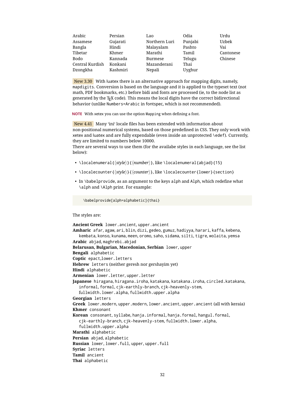| Arabic          | Persian  | Lao           | Odia    | Urdu      |
|-----------------|----------|---------------|---------|-----------|
| Assamese        | Gujarati | Northern Luri | Punjabi | Uzbek     |
| Bangla          | Hindi    | Malayalam     | Pashto  | Vai       |
| Tibetar         | Khmer    | Marathi       | Tamil   | Cantonese |
| <b>Bodo</b>     | Kannada  | Burmese       | Telugu  | Chinese   |
| Central Kurdish | Konkani  | Mazanderani   | Thai    |           |
| Dzongkha        | Kashmiri | Nepali        | Uyghur  |           |

New 3.30 With luatex there is an alternative approach for mapping digits, namely, mapdigits. Conversion is based on the language and it is applied to the typeset text (not math, PDF bookmarks, etc.) before bidi and fonts are processed (ie, to the node list as generated by the  $T<sub>F</sub>X$  code). This means the local digits have the correct bidirectional behavior (unlike Numbers=Arabic in fontspec, which is not recommended).

**NOTE** With xetex you can use the option Mapping when defining a font.

New 4.41 Many 'ini' locale files has been extended with information about non-positional numerical systems, based on those predefined in CSS. They only work with xetex and luatex and are fully expendable (even inside an unprotected \edef). Currently, they are limited to numbers below 10000.

There are several ways to use them (for the availabe styles in each language, see the list below):

- \localenumeral{*{style}*}{*{number}*}, like \localenumeral{abjad}{15}
- \localecounter{ $\langle style\rangle$ }{ $\langle counter\rangle$ }, like \localecounter{lower}{section}
- In \babelprovide, as an argument to the keys alph and Alph, which redefine what \alph and \Alph print. For example:

\babelprovide[alph=alphabetic]{thai}

The styles are:

```
Ancient Greek lower.ancient, upper.ancient
Amharic afar, agaw, ari, blin, dizi, gedeo, gumuz, hadiyya, harari, kaffa, kebena,
  kembata, konso, kunama, meen, oromo, saho, sidama, silti, tigre, wolaita, yemsa
Arabic abjad, maghrebi.abjad
Belarusan, Bulgarian, Macedonian, Serbian lower, upper
Bengali alphabetic
Coptic epact,lower.letters
Hebrew letters (neither geresh nor gershayim yet)
Hindi alphabetic
Armenian lower.letter, upper.letter
Japanese hiragana, hiragana.iroha, katakana, katakana.iroha, circled.katakana,
  informal, formal, cjk-earthly-branch, cjk-heavenly-stem,
  fullwidth.lower.alpha, fullwidth.upper.alpha
Georgian letters
Greek lower.modern, upper.modern, lower.ancient, upper.ancient (all with keraia)
Khmer consonant
Korean consonant, syllabe, hanja.informal, hanja.formal, hangul.formal,
  cjk-earthly-branch, cjk-heavenly-stem, fullwidth.lower.alpha,
  fullwidth.upper.alpha
Marathi alphabetic
Persian abjad, alphabetic
Russian lower, lower.full, upper, upper.full
Syriac letters
Tamil ancient
Thai alphabetic
```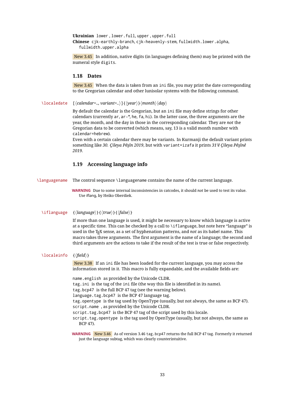**Ukrainian** lower , lower.full, upper , upper.full **Chinese** cjk-earthly-branch, cjk-heavenly-stem, fullwidth.lower.alpha, fullwidth.upper.alpha

New 3.45 In addition, native digits (in languages defining them) may be printed with the numeral style digits.

# <span id="page-33-0"></span>**1.18 Dates**

New 3.45 When the data is taken from an ini file, you may print the date corresponding to the Gregorian calendar and other lunisolar systems with the following command.

\localedate  $[\langle calendar=-.$ , variant=..\inepsilon \lamphimonthinday\monthinday\monthindgay\monthindgay\monthindgay\monthindgay\monthindgay\monthindgay\monthindgay\monthindgay\monthindgay\monthindgay\monthindgay\monthindgay\monthin

By default the calendar is the Gregorian, but an ini file may define strings for other calendars (currently ar, ar-\*, he, fa, hi). In the latter case, the three arguments are the year, the month, and the day in those in the corresponding calendar. They are *not* the Gregorian data to be converted (which means, say, 13 is a valid month number with calendar=hebrew).

Even with a certain calendar there may be variants. In Kurmanji the default variant prints something like *30. Çileya Pêşîn 2019*, but with variant=izafa it prints *31'ê Çileya Pêşînê 2019*.

# <span id="page-33-1"></span>**1.19 Accessing language info**

\languagename The control sequence \languagename contains the name of the current language.

**WARNING** Due to some internal inconsistencies in catcodes, it should *not* be used to test its value. Use iflang, by Heiko Oberdiek.

\iflanguage {*\language*}}{*\true*}}{*\false*}}

If more than one language is used, it might be necessary to know which language is active at a specific time. This can be checked by a call to \iflanguage, but note here "language" is used in the TEX sense, as a set of hyphenation patterns, and *not* as its babel name. This macro takes three arguments. The first argument is the name of a language; the second and third arguments are the actions to take if the result of the test is true or false respectively.

#### \localeinfo {\*field*}}

New 3.38 If an ini file has been loaded for the current language, you may access the information stored in it. This macro is fully expandable, and the available fields are:

name.english as provided by the Unicode CLDR.

tag.ini is the tag of the ini file (the way this file is identified in its name).

tag.bcp47 is the full BCP 47 tag (see the warning below).

language.tag.bcp47 is the BCP 47 language tag.

tag.opentype is the tag used by OpenType (usually, but not always, the same as BCP 47). script.name , as provided by the Unicode CLDR.

script.tag.bcp47 is the BCP 47 tag of the script used by this locale.

script.tag.opentype is the tag used by OpenType (usually, but not always, the same as BCP 47).

**WARNING** New 3.46 As of version 3.46 tag.bcp47 returns the full BCP 47 tag. Formerly it returned just the language subtag, which was clearly counterintuitive.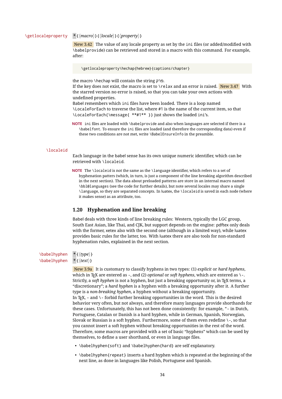# \getlocaleproperty \* {\macro\}{\locale\}{\property\}

New 3.42 The value of any locale property as set by the ini files (or added/modified with \babelprovide) can be retrieved and stored in a macro with this command. For example, after:

\getlocaleproperty\hechap{hebrew}{captions/chapter}

the macro \hechap will contain the string p.

If the key does not exist, the macro is set to \relax and an error is raised. New  $3.47$  With the starred version no error is raised, so that you can take your own actions with undefined properties.

Babel remembers which ini files have been loaded. There is a loop named \LocaleForEach to traverse the list, where #1 is the name of the current item, so that \LocaleForEach{\message{ \*\*#1\*\* }} just shows the loaded ini's.

**NOTE** ini files are loaded with \babelprovide and also when languages are selected if there is a \babelfont. To ensure the ini files are loaded (and therefore the corresponding data) even if these two conditions are not met, write \BabelEnsureInfo in the preamble.

#### \localeid

Each language in the babel sense has its own unique numeric identifier, which can be retrieved with \localeid.

**NOTE** The \localeid is not the same as the \language identifier, which refers to a set of hyphenation patters (which, in turn, is just a component of the line breaking algorithm described in the next section). The data about preloaded patterns are store in an internal macro named \bbl@languages (see the code for further details), but note several locales may share a single \language, so they are separated concepts. In luatex, the \localeid is saved in each node (where it makes sense) as an attribute, too.

# <span id="page-34-0"></span>**1.20 Hyphenation and line breaking**

Babel deals with three kinds of line breaking rules: Western, typically the LGC group, South East Asian, like Thai, and CJK, but support depends on the engine: pdftex only deals with the former, xetex also with the second one (although in a limited way), while luatex provides basic rules for the latter, too. With luatex there are also tools for non-standard hyphenation rules, explained in the next section.

# \babelhyphen \* {\*type*}}  $\b{$ babelhyphen \* { $\langle text \rangle$ }

New 3.9a It is customary to classify hyphens in two types: (1) *explicit* or *hard hyphens*, which in T<sub>F</sub>X are entered as -, and (2) *optional* or *soft hyphens*, which are entered as \-. Strictly, a *soft hyphen* is not a hyphen, but just a breaking opportunity or, in T<sub>F</sub>X terms, a "discretionary"; a *hard hyphen* is a hyphen with a breaking opportunity after it. A further type is a *non-breaking hyphen*, a hyphen without a breaking opportunity. In T<sub>EX</sub>, - and  $\iota$ - forbid further breaking opportunities in the word. This is the desired behavior very often, but not always, and therefore many languages provide shorthands for these cases. Unfortunately, this has not been done consistently: for example, "- in Dutch, Portuguese, Catalan or Danish is a hard hyphen, while in German, Spanish, Norwegian, Slovak or Russian is a soft hyphen. Furthermore, some of them even redefine  $\setminus$ -, so that you cannot insert a soft hyphen without breaking opportunities in the rest of the word. Therefore, some macros are provided with a set of basic "hyphens" which can be used by themselves, to define a user shorthand, or even in language files.

• \babelhyphen{soft} and \babelhyphen{hard} are self explanatory.

• \babelhyphen{repeat} inserts a hard hyphen which is repeated at the beginning of the next line, as done in languages like Polish, Portuguese and Spanish.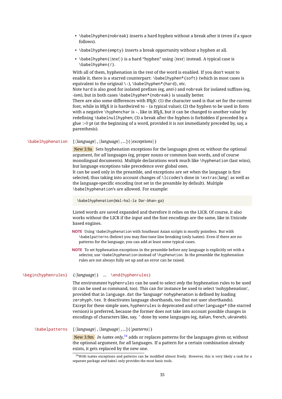| • \babelhyphen{nobreak} inserts a hard hyphen without a break after it (even if a space |
|-----------------------------------------------------------------------------------------|
| follows).                                                                               |

- \babelhyphen{empty} inserts a break opportunity without a hyphen at all.
- \babelhyphen{ $\langle text \rangle$ } is a hard "hyphen" using  $\langle text \rangle$  instead. A typical case is \babelhyphen{/}.

With all of them, hyphenation in the rest of the word is enabled. If you don't want to enable it, there is a starred counterpart: \babelhyphen\*{soft} (which in most cases is equivalent to the original \-), \babelhyphen\*{hard}, etc.

Note hard is also good for isolated prefixes (eg, *anti-*) and nobreak for isolated suffixes (eg, *-ism*), but in both cases \babelhyphen\*{nobreak} is usually better.

There are also some differences with  $\mathbb{M}P_X$ : (1) the character used is that set for the current font, while in LATEX it is hardwired to - (a typical value); (2) the hyphen to be used in fonts with a negative \hyphenchar is -, like in LATEX, but it can be changed to another value by redefining \babelnullhyphen; (3) a break after the hyphen is forbidden if preceded by a glue  $>0$  pt (at the beginning of a word, provided it is not immediately preceded by, say, a parenthesis).

#### \babelhyphenation [ $\langle \text{language} \rangle, \langle \text{language} \rangle, ...\}$ ]{ $\langle \text{exceptions} \rangle$ }

New 3.9a Sets hyphenation exceptions for the languages given or, without the optional argument, for *all* languages (eg, proper nouns or common loan words, and of course monolingual documents). Multiple declarations work much like \hyphenation (last wins), but language exceptions take precedence over global ones.

It can be used only in the preamble, and exceptions are set when the language is first selected, thus taking into account changes of **\lccodes's** done in  $\text{keras}\langle \text{lang} \rangle$  as well as the language-specific encoding (not set in the preamble by default). Multiple \babelhyphenation's are allowed. For example:

\babelhyphenation{Wal-hal-la Dar-bhan-ga}

Listed words are saved expanded and therefore it relies on the LICR. Of course, it also works without the LICR if the input and the font encodings are the same, like in Unicode based engines.

- **NOTE** Using \babelhyphenation with Southeast Asian scripts is mostly pointless. But with \babelpatterns (below) you may fine-tune line breaking (only luatex). Even if there are no patterns for the language, you can add at least some typical cases.
- **NOTE** To set hyphenation exceptions in the preamble before any language is explicitly set with a selector, use \babelhyphenation instead of \hyphenation. In the preamble the hyphenation rules are not always fully set up and an error can be raised.

#### \begin{hyphenrules} {\language\} ... \end{hyphenrules}

The environment hyphenrules can be used to select *only* the hyphenation rules to be used (it can be used as command, too). This can for instance be used to select 'nohyphenation', provided that in language.dat the 'language' nohyphenation is defined by loading zerohyph.tex. It deactivates language shorthands, too (but not user shorthands). Except for these simple uses, hyphenrules is deprecated and otherlanguage\* (the starred version) is preferred, because the former does not take into account possible changes in encodings of characters like, say, ' done by some languages (eg, italian, french, ukraineb).

# \babelpatterns [ $\langle \text{language} \rangle$ ,  $\langle \text{language} \rangle$ , ...] $\{ \langle \text{patterns} \rangle \}$

New 3.9m *In luatex only*, [14](#page-35-0) adds or replaces patterns for the languages given or, without the optional argument, for *all* languages. If a pattern for a certain combination already exists, it gets replaced by the new one.

<span id="page-35-0"></span> $14$ With luatex exceptions and patterns can be modified almost freely. However, this is very likely a task for a separate package and babel only provides the most basic tools.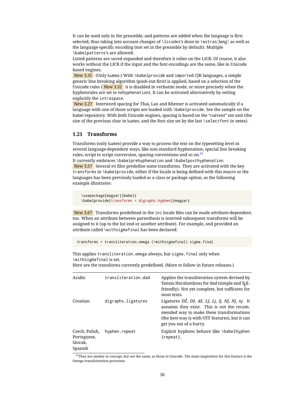It can be used only in the preamble, and patterns are added when the language is first selected, thus taking into account changes of **\lccodes's** done in \extras $\langle \text{lang} \rangle$  as well as the language-specific encoding (not set in the preamble by default). Multiple \babelpatterns's are allowed.

Listed patterns are saved expanded and therefore it relies on the LICR. Of course, it also works without the LICR if the input and the font encodings are the same, like in Unicode based engines.

New 3.31 (Only luatex.) With \babelprovide and imported CJK languages, a simple generic line breaking algorithm (push-out-first) is applied, based on a selection of the Unicode rules ( New 3.32 it is disabled in verbatim mode, or more precisely when the hyphenrules are set to nohyphenation). It can be activated alternatively by setting explicitly the intraspace.

New 3.27 Interword spacing for Thai, Lao and Khemer is activated automatically if a language with one of those scripts are loaded with \babelprovide. See the sample on the babel repository. With both Unicode engines, spacing is based on the "current" em unit (the size of the previous char in luatex, and the font size set by the last \selectfont in xetex).

## **1.21 Transforms**

Transforms (only luatex) provide a way to process the text on the typesetting level in several language-dependent ways, like non-standard hyphenation, special line breaking rules, script to script conversion, spacing conventions and so on.<sup>[15](#page-36-0)</sup>

It currently embraces \babelprehyphenation and \babelposthyphenation. New 3.57 Several ini files predefine some transforms. They are activated with the key transforms in \babelprovide, either if the locale is being defined with this macro or the languages has been previouly loaded as a class or package option, as the following example illustrates:

```
\usepackage[magyar]{babel}
\babelprovide[transforms = digraphs.hyphen]{magyar}
```
New 3.67 Transforms predefined in the ini locale files can be made attribute-dependent, too. When an attribute between parenthesis is inserted subsequent transforms will be assigned to it (up to the list end or another attribute). For example, and provided an attribute called \withsigmafinal has been declared:

transforms = transliteration.omega (\withsigmafinal) sigma.final

This applies transliteration.omega always, but sigma.final only when \withsigmafinal is set.

Here are the transforms currently predefined. (More to follow in future releases.)

| Arabic                                              | transliteration.dad | Applies the transliteration system devised by<br>Yannis Haralambous for dad (simple and T <sub>F</sub> X-<br>friendly). Not yet complete, but sufficient for<br>most texts.                                              |
|-----------------------------------------------------|---------------------|--------------------------------------------------------------------------------------------------------------------------------------------------------------------------------------------------------------------------|
| Croatian                                            | digraphs.ligatures  | Ligatures DŽ, Dž, dž, LJ, Lj, lj, NJ, Nj, nj. It<br>assumes they exist. This is not the recom-<br>mended way to make these transformations<br>(the best way is with OTF features), but it can<br>get you out of a hurry. |
| Czech, Polish,<br>Portuguese,<br>Slovak,<br>Spanish | hyphen.repeat       | Explicit hyphens behave like \babelhyphen<br>{repeat}.                                                                                                                                                                   |

<span id="page-36-0"></span> $15$ They are similar in concept, but not the same, as those in Unicode. The main inspiration for this feature is the Omega transformation processes.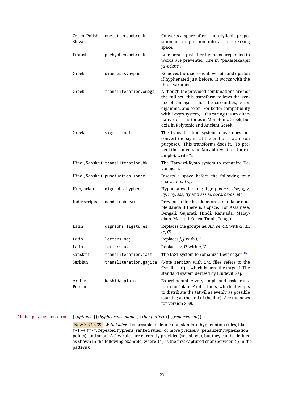| Czech, Polish,<br>Slovak | oneletter.nobreak                  | Converts a space after a non-syllabic prepo-<br>sition or conjunction into a non-breaking<br>space.                                                                                                                                                                                                                                                 |
|--------------------------|------------------------------------|-----------------------------------------------------------------------------------------------------------------------------------------------------------------------------------------------------------------------------------------------------------------------------------------------------------------------------------------------------|
| Finnish                  | prehyphen.nobreak                  | Line breaks just after hyphens prepended to<br>words are prevented, like in "pakastekaapit<br>ja -arkut".                                                                                                                                                                                                                                           |
| Greek                    | diaeresis.hyphen                   | Removes the diaeresis above iota and upsilon<br>if hyphenated just before. It works with the<br>three variants.                                                                                                                                                                                                                                     |
| Greek                    | transliteration.omega              | Although the provided combinations are not<br>the full set, this transform follows the syn-<br>tax of Omega: $=$ for the circumflex, $\vee$ for<br>digamma, and so on. For better compatibility<br>with Levy's system, $\sim$ (as 'string') is an alter-<br>native to =. ' is tonos in Monotonic Greek, but<br>oxia in Polytonic and Ancient Greek. |
| Greek                    | sigma.final                        | The transliteration system above does not<br>convert the sigma at the end of a word (on<br>purpose). This transforms does it. To pre-<br>vent the conversion (an abbreviation, for ex-<br>ample), write "s.                                                                                                                                         |
|                          | Hindi, Sanskrit transliteration.hk | The Harvard-Kyoto system to romanize De-<br>vanagari.                                                                                                                                                                                                                                                                                               |
|                          | Hindi, Sanskrit punctuation. space | Inserts a space before the following four<br>characters: !?:;.                                                                                                                                                                                                                                                                                      |
| Hungarian                | digraphs.hyphen                    | Hyphenates the long digraphs ccs, ddz, ggy,<br>lly, nny, ssz, tty and zzs as cs-cs, dz-dz, etc.                                                                                                                                                                                                                                                     |
| Indic scripts            | danda.nobreak                      | Prevents a line break before a danda or dou-<br>ble danda if there is a space. For Assamese,<br>Bengali, Gujarati, Hindi, Kannada, Malay-<br>alam, Marathi, Oriya, Tamil, Telugu.                                                                                                                                                                   |
| Latin                    | digraphs.ligatures                 | Replaces the groups <i>ae</i> , <i>AE</i> , <i>oe</i> , <i>OE</i> with $\alpha$ , <i>Æ</i> ,<br>$\alpha$ , $\epsilon$ .                                                                                                                                                                                                                             |
| Latin                    | letters.noj                        | Replaces $j, J$ with $i, I$ .                                                                                                                                                                                                                                                                                                                       |
| Latin                    | letters.uv                         | Replaces $v$ , $U$ with $u$ , $V$ .                                                                                                                                                                                                                                                                                                                 |
| Sanskrit                 | transliteration.iast               | The IAST system to romanize Devanagari. <sup>16</sup>                                                                                                                                                                                                                                                                                               |
| Serbian                  | transliteration.gajica             | (Note serbian with ini files refers to the<br>Cyrillic script, which is here the target.) The<br>standard system devised by Ljudevit Gaj.                                                                                                                                                                                                           |
| Arabic,<br>Persian       | kashida.plain                      | Experimental. A very simple and basic trans-<br>form for 'plain' Arabic fonts, which attempts<br>to distribute the tatwil as evenly as possible<br>(starting at the end of the line). See the news<br>for version 3.59.                                                                                                                             |

\babelposthyphenation [ $\langle$ options $\rangle$ ]{ $\langle$ hyphenrules-name $\rangle$ }{ $\langle$ lua-pattern $\rangle$ }{ $\langle$ replacement $\rangle$ }

New 3.37-3.39 *With luatex* it is possible to define non-standard hyphenation rules, like  $f-f \rightarrow ff-f$ , repeated hyphens, ranked ruled (or more precisely, 'penalized' hyphenation points), and so on. A few rules are currently provided (see above), but they can be defined as shown in the following example, where {1} is the first captured char (between () in the pattern):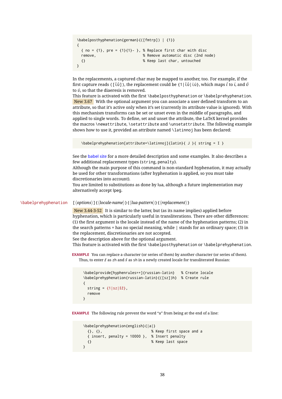```
\babelposthyphenation{german}{([fmtrp]) | {1}}
{
 {no = {1}, pre = {1}{1}- }, % Replace first char with disc
 remove, % Remove automatic disc (2nd node)
 {} % Keep last char, untouched
}
```
In the replacements, a captured char may be mapped to another, too. For example, if the first capture reads ([ΐΰ]), the replacement could be {1|ΐΰ|ίύ}, which maps *ΐ* to *ί*, and *ΰ* to *ύ*, so that the diaeresis is removed.

This feature is activated with the first \babelposthyphenation or \babelprehyphenation. New 3.67 With the optional argument you can associate a user defined transform to an attribute, so that it's active only when it's set (currently its attribute value is ignored). With this mechanism transforms can be set or unset even in the middle of paragraphs, and applied to single words. To define, set and unset the attribute, the LaTeX kernel provides the macros \newattribute, \setattribute and \unsetattribute. The following example shows how to use it, provided an attribute named \latinnoj has been declared:

```
\babelprehyphenation[attribute=\latinnoj]{latin}{ J }{ string = I }
```
See the [babel](https://latex3.github.io/babel/guides/non-standard-hyphenation-with-luatex.html) site for a more detailed description and some examples. It also describes a few additional replacement types (string, penalty).

Although the main purpose of this command is non-standard hyphenation, it may actually be used for other transformations (after hyphenation is applied, so you must take discretionaries into account).

You are limited to substitutions as done by lua, although a future implementation may alternatively accept lpeg.

### \babelprehyphenation  $[\langle options \rangle] {\langle locale-name \rangle} {\langle \langle lua-pattern \rangle} {\langle \langle repeat \rangle}$

New 3.44-3-52 It is similar to the latter, but (as its name implies) applied before hyphenation, which is particularly useful in transliterations. There are other differences: (1) the first argument is the locale instead of the name of the hyphenation patterns; (2) in the search patterns = has no special meaning, while | stands for an ordinary space; (3) in the replacement, discretionaries are not accepted.

See the description above for the optional argument.

This feature is activated with the first \babelposthyphenation or \babelprehyphenation.

**EXAMPLE** You can replace a character (or series of them) by another character (or series of them). Thus, to enter *ž* as zh and *š* as sh in a newly created locale for transliterated Russian:

```
\babelprovide[hyphenrules=+]{russian-latin} % Create locale
\babelprehyphenation{russian-latin}{([sz])h} % Create rule
{
  string = \{1|sz|\check{sz}\}\,,
  remove
}
```
**EXAMPLE** The following rule prevent the word "a" from being at the end of a line:

```
\babelprehyphenation{english}{|a|}
 {}, {}, % Keep first space and a
 { insert, penalty = 10000 }, % Insert penalty
 {} % Keep last space
}
```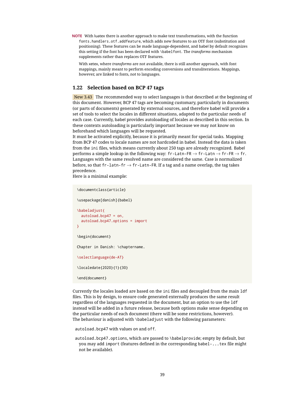**NOTE** With luatex there is another approach to make text transformations, with the function fonts.handlers.otf.addfeature, which adds new features to an OTF font (substitution and positioning). These features can be made language-dependent, and babel by default recognizes this setting if the font has been declared with \babelfont. The *transforms* mechanism supplements rather than replaces OTF features.

With xetex, where *transforms* are not available, there is still another approach, with font mappings, mainly meant to perform encoding conversions and transliterations. Mappings, however, are linked to fonts, not to languages.

### **1.22 Selection based on BCP 47 tags**

New 3.43 The recommended way to select languages is that described at the beginning of this document. However, BCP 47 tags are becoming customary, particularly in documents (or parts of documents) generated by external sources, and therefore babel will provide a set of tools to select the locales in different situations, adapted to the particular needs of each case. Currently, babel provides autoloading of locales as described in this section. In these contexts autoloading is particularly important because we may not know on beforehand which languages will be requested.

It must be activated explicitly, because it is primarily meant for special tasks. Mapping from BCP 47 codes to locale names are not hardcoded in babel. Instead the data is taken from the ini files, which means currently about 250 tags are already recognized. Babel performs a simple lookup in the following way: fr-Latn-FR  $\rightarrow$  fr-Latn  $\rightarrow$  fr-FR  $\rightarrow$  fr. Languages with the same resolved name are considered the same. Case is normalized before, so that fr-latn-fr  $\rightarrow$  fr-Latn-FR. If a tag and a name overlap, the tag takes precedence.

Here is a minimal example:

```
\documentclass{article}
\usepackage[danish]{babel}
\babeladjust{
  autoload.bcp47 = on,
 autoload.bcp47.options = import
}
\begin{document}
Chapter in Danish: \chaptername.
\selectlanguage{de-AT}
\localedate{2020}{1}{30}
\end{document}
```
Currently the locales loaded are based on the ini files and decoupled from the main ldf files. This is by design, to ensure code generated externally produces the same result regardless of the languages requested in the document, but an option to use the ldf instead will be added in a future release, because both options make sense depending on the particular needs of each document (there will be some restrictions, however). The behaviour is adjusted with \babeladjust with the following parameters:

```
autoload.bcp47 with values on and off.
```
autoload.bcp47.options, which are passed to \babelprovide; empty by default, but you may add import (features defined in the corresponding babel-...tex file might not be available).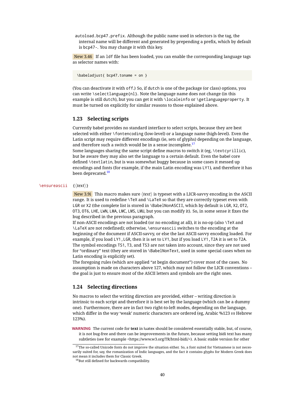autoload.bcp47.prefix. Although the public name used in selectors is the tag, the internal name will be different and generated by prepending a prefix, which by default is bcp47-. You may change it with this key.

New 3.46 If an ldf file has been loaded, you can enable the corresponding language tags as selector names with:

\babeladjust{ bcp47.toname = on }

(You can deactivate it with off.) So, if dutch is one of the package (or class) options, you can write \selectlanguage{nl}. Note the language name does not change (in this example is still dutch), but you can get it with \localeinfo or \getlanguageproperty. It must be turned on explicitly for similar reasons to those explained above.

## **1.23 Selecting scripts**

Currently babel provides no standard interface to select scripts, because they are best selected with either \fontencoding (low-level) or a language name (high-level). Even the Latin script may require different encodings (ie, sets of glyphs) depending on the language, and therefore such a switch would be in a sense incomplete. $17$ Some languages sharing the same script define macros to switch it (eg, \textcyrillic), but be aware they may also set the language to a certain default. Even the babel core defined \textlatin, but is was somewhat buggy because in some cases it messed up

encodings and fonts (for example, if the main Latin encoding was LY1), and therefore it has been deprecated.<sup>[18](#page-40-1)</sup>

### \ensureascii {*\text*}}

New 3.9i This macro makes sure  $\langle text \rangle$  is typeset with a LICR-savvy encoding in the ASCII range. It is used to redefine \TeX and \LaTeX so that they are correctly typeset even with LGR or X2 (the complete list is stored in \BabelNonASCII, which by default is LGR, X2, OT2, OT3, OT6, LHE, LWN, LMA, LMC, LMS, LMU, but you can modify it). So, in some sense it fixes the bug described in the previous paragraph.

If non-ASCII encodings are not loaded (or no encoding at all), it is no-op (also \TeX and \LaTeX are not redefined); otherwise, \ensureascii switches to the encoding at the beginning of the document if ASCII-savvy, or else the last ASCII-savvy encoding loaded. For example, if you load LY1,LGR, then it is set to LY1, but if you load LY1,T2A it is set to T2A. The symbol encodings TS1, T3, and TS3 are not taken into account, since they are not used for "ordinary" text (they are stored in \BabelNonText, used in some special cases when no Latin encoding is explicitly set).

The foregoing rules (which are applied "at begin document") cover most of the cases. No assumption is made on characters above 127, which may not follow the LICR conventions – the goal is just to ensure most of the ASCII letters and symbols are the right ones.

### **1.24 Selecting directions**

No macros to select the writing direction are provided, either – writing direction is intrinsic to each script and therefore it is best set by the language (which can be a dummy one). Furthermore, there are in fact two right-to-left modes, depending on the language, which differ in the way 'weak' numeric characters are ordered (eg, Arabic %123 *vs* Hebrew 123%).

**WARNING** The current code for **text** in luatex should be considered essentially stable, but, of course, it is not bug-free and there can be improvements in the future, because setting bidi text has many subtleties (see for example <https://www.w3.org/TR/html-bidi/>). A basic stable version for other

<span id="page-40-0"></span> $17$ The so-called Unicode fonts do not improve the situation either. So, a font suited for Vietnamese is not necessarily suited for, say, the romanization of Indic languages, and the fact it contains glyphs for Modern Greek does not mean it includes them for Classic Greek.

<span id="page-40-1"></span> $^{18}\rm{But}$  still defined for backwards compatibility.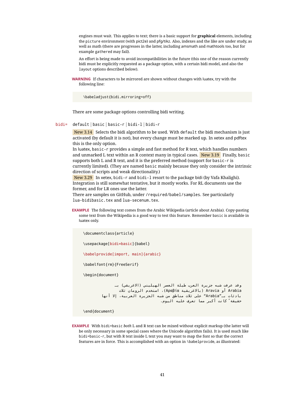engines must wait. This applies to text; there is a basic support for **graphical** elements, including the picture environment (with pict2e) and pfg/tikz. Also, indexes and the like are under study, as well as math (there are progresses in the latter, including amsmath and mathtools too, but for example gathered may fail).

An effort is being made to avoid incompatibilities in the future (this one of the reason currently bidi must be explicitly requested as a package option, with a certain bidi model, and also the layout options described below).

**WARNING** If characters to be mirrored are shown without changes with luatex, try with the following line:

\babeladjust{bidi.mirroring=off}

There are some package options controlling bidi writing.

bidi= default | basic | basic-r | bidi-l | bidi-r

New 3.14 Selects the bidi algorithm to be used. With default the bidi mechanism is just activated (by default it is not), but every change must be marked up. In xetex and pdftex this is the only option.

In luatex, basic-r provides a simple and fast method for R text, which handles numbers and unmarked L text within an R context many in typical cases. New  $3.19$  Finally, basic supports both L and R text, and it is the preferred method (support for basic-r is currently limited). (They are named basic mainly because they only consider the intrinsic direction of scripts and weak directionality.)

New 3.29 In xetex, bidi-r and bidi-l resort to the package bidi (by Vafa Khalighi). Integration is still somewhat tentative, but it mostly works. For RL documents use the former, and for LR ones use the latter.

There are samples on GitHub, under /required/babel/samples. See particularly lua-bidibasic.tex and lua-secenum.tex.

**EXAMPLE** The following text comes from the Arabic Wikipedia (article about Arabia). Copy-pasting some text from the Wikipedia is a good way to test this feature. Remember basic is available in luatex only.

```
\documentclass{article}
```
\usepackage[bidi=basic]{babel}

\babelprovide[import, main]{arabic}

\babelfont{rm}{FreeSerif}

\begin{document}

```
وقد عرفت شبه جزيرة العرب طيلة العصر الهيليني (الاغريقي) بـ
       krabia أو Aravia (بالاغريقية Αραβία)، استخدم الرومان ثلاث
بادئات بـ"Arabia" على ثلاث مناطق من شبه الجزيرة العربية، إلا أنها
                           حقيقة ً كانت أكبر مما تعرف عليه اليوم.
```
\end{document}

**EXAMPLE** With bidi=basic *both* L and R text can be mixed without explicit markup (the latter will be only necessary in some special cases where the Unicode algorithm fails). It is used much like bidi=basic-r, but with R text inside L text you may want to map the font so that the correct features are in force. This is accomplished with an option in \babelprovide, as illustrated: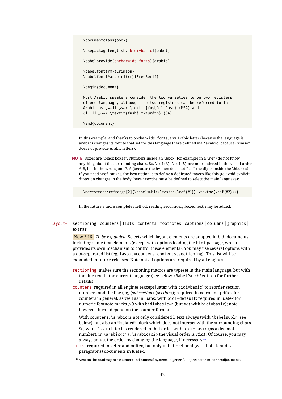\documentclass{book}

\usepackage[english, bidi=basic]{babel}

\babelprovide[onchar=ids fonts]{arabic}

\babelfont{rm}{Crimson} \babelfont[\*arabic]{rm}{FreeSerif}

\begin{document}

Most Arabic speakers consider the two varieties to be two registers of one language, although the two registers can be referred to in Arabic as رصعلاىحصف\ textit{fuṣḥā l-ʻaṣr} (MSA) and ثارتلاىحصف\ textit{fuṣḥā t-turāth} (CA).

\end{document}

In this example, and thanks to onchar=ids fonts, any Arabic letter (because the language is arabic) changes its font to that set for this language (here defined via \*arabic, because Crimson does not provide Arabic letters).

**NOTE** Boxes are "black boxes". Numbers inside an \hbox (for example in a \ref) do not know anything about the surrounding chars. So,  $\ref{A}-\ref{B}$  are not rendered in the visual order A-B, but in the wrong one B-A (because the hyphen does not "see" the digits inside the \hbox'es). If you need \ref ranges, the best option is to define a dedicated macro like this (to avoid explicit direction changes in the body; here \texthe must be defined to select the main language):

\newcommand\refrange[2]{\babelsublr{\texthe{\ref{#1}}-\texthe{\ref{#2}}}}

In the future a more complete method, reading recursively boxed text, may be added.

### layout= sectioning | counters | lists | contents | footnotes | captions | columns | graphics | extras

New 3.16 *To be expanded*. Selects which layout elements are adapted in bidi documents, including some text elements (except with options loading the bidi package, which provides its own mechanism to control these elements). You may use several options with a dot-separated list (eg, layout=counters.contents.sectioning). This list will be expanded in future releases. Note not all options are required by all engines.

- sectioning makes sure the sectioning macros are typeset in the main language, but with the title text in the current language (see below \BabelPatchSection for further details).
- counters required in all engines (except luatex with bidi=basic) to reorder section numbers and the like (eg,  $\langle subsection \rangle$ .  $\langle section \rangle$ ); required in xetex and pdftex for counters in general, as well as in luatex with bidi=default; required in luatex for numeric footnote marks >9 with bidi=basic-r (but *not* with bidi=basic); note, however, it can depend on the counter format.

With counters, \arabic is not only considered L text always (with \babelsublr, see below), but also an "isolated" block which does not interact with the surrounding chars. So, while 1.2 in R text is rendered in that order with bidi=basic (as a decimal number), in \arabic{c1}.\arabic{c2} the visual order is *c2.c1*. Of course, you may always adjust the order by changing the language, if necessary. $19$ 

lists required in xetex and pdftex, but only in bidirectional (with both R and L paragraphs) documents in luatex.

<span id="page-42-0"></span> $^{19}\rm{Next}$  on the roadmap are counters and numeral systems in general. Expect some minor readjustments.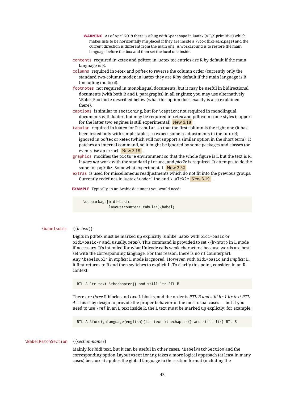- **WARNING** As of April 2019 there is a bug with \parshape in luatex (a T<sub>EX</sub> primitive) which makes lists to be horizontally misplaced if they are inside a \vbox (like minipage) and the current direction is different from the main one. A workaround is to restore the main language before the box and then set the local one inside.
- contents required in xetex and pdftex; in luatex toc entries are R by default if the main language is R.
- columns required in xetex and pdftex to reverse the column order (currently only the standard two-column mode); in luatex they are R by default if the main language is R (including multicol).
- footnotes not required in monolingual documents, but it may be useful in bidirectional documents (with both R and L paragraphs) in all engines; you may use alternatively \BabelFootnote described below (what this option does exactly is also explained there).
- captions is similar to sectioning, but for \caption; not required in monolingual documents with luatex, but may be required in xetex and pdftex in some styles (support for the latter two engines is still experimental)  $\boxed{\text{New 3.18}}$ .
- tabular required in luatex for R tabular, so that the first column is the right one (it has been tested only with simple tables, so expect some readjustments in the future); ignored in pdftex or xetex (which will not support a similar option in the short term). It patches an internal command, so it might be ignored by some packages and classes (or even raise an error). New 3.18 .
- graphics modifies the picture environment so that the whole figure is L but the text is R. It *does not* work with the standard picture, and *pict2e* is required. It attempts to do the same for pqf/tikz. Somewhat experimental. New 3.32.
- extras is used for miscellaneous readjustments which do not fit into the previous groups. Currently redefines in luatex \underline and \LaTeX2e New 3.19.

**EXAMPLE** Typically, in an Arabic document you would need:

\usepackage[bidi=basic, layout=counters.tabular]{babel}

### \babelsublr { $\langle$ *lr-text*}}

Digits in pdftex must be marked up explicitly (unlike luatex with bidi=basic or bidi=basic-r and, usually, xetex). This command is provided to set  $\{ \langle \textit{lr-textt} \rangle \}$  in L mode if necessary. It's intended for what Unicode calls weak characters, because words are best set with the corresponding language. For this reason, there is no rl counterpart. Any \babelsublr in *explicit* L mode is ignored. However, with bidi=basic and *implicit* L, it first returns to R and then switches to explicit L. To clarify this point, consider, in an R context:

RTL A ltr text \thechapter{} and still ltr RTL B

There are *three* R blocks and *two* L blocks, and the order is *RTL B and still ltr 1 ltr text RTL A*. This is by design to provide the proper behavior in the most usual cases — but if you need to use \ref in an L text inside R, the L text must be marked up explictly; for example:

RTL A \foreignlanguage{english}{ltr text \thechapter{} and still ltr} RTL B

#### \BabelPatchSection {*{section-name}*}

Mainly for bidi text, but it can be useful in other cases. \BabelPatchSection and the corresponding option layout=sectioning takes a more logical approach (at least in many cases) because it applies the global language to the section format (including the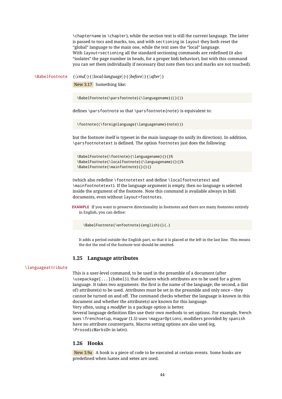\chaptername in \chapter), while the section text is still the current language. The latter is passed to tocs and marks, too, and with sectioning in layout they both reset the "global" language to the main one, while the text uses the "local" language. With layout=sectioning all the standard sectioning commands are redefined (it also "isolates" the page number in heads, for a proper bidi behavior), but with this command you can set them individually if necessary (but note then tocs and marks are not touched).

\BabelFootnote { $\langle$ *cmd* $\rangle$ }{ $\langle$ *local-language* $\rangle$ }{*\before*}}{ $\langle$ *after* $\rangle$ } New 3.17 Something like:

\BabelFootnote{\parsfootnote}{\languagename}{(}{)}

defines \parsfootnote so that \parsfootnote{note} is equivalent to:

\footnote{(\foreignlanguage{\languagename}{note})}

but the footnote itself is typeset in the main language (to unify its direction). In addition, \parsfootnotetext is defined. The option footnotes just does the following:

```
\BabelFootnote{\footnote}{\languagename}{}{}%
\BabelFootnote{\localfootnote}{\languagename}{}{}%
\BabelFootnote{\mainfootnote}{}{}{}
```
(which also redefine \footnotetext and define \localfootnotetext and \mainfootnotetext). If the language argument is empty, then no language is selected inside the argument of the footnote. Note this command is available always in bidi documents, even without layout=footnotes.

**EXAMPLE** If you want to preserve directionality in footnotes and there are many footnotes entirely in English, you can define:

\BabelFootnote{\enfootnote}{english}{}{.}

It adds a period outside the English part, so that it is placed at the left in the last line. This means the dot the end of the footnote text should be omitted.

### **1.25 Language attributes**

### \languageattribute

This is a user-level command, to be used in the preamble of a document (after \usepackage[...]{babel}), that declares which attributes are to be used for a given language. It takes two arguments: the first is the name of the language; the second, a (list of) attribute(s) to be used. Attributes must be set in the preamble and only once – they cannot be turned on and off. The command checks whether the language is known in this document and whether the attribute(s) are known for this language. Very often, using a *modifier* in a package option is better.

Several language definition files use their own methods to set options. For example, french uses \frenchsetup, magyar (1.5) uses \magyarOptions; modifiers provided by spanish have no attribute counterparts. Macros setting options are also used (eg, \ProsodicMarksOn in latin).

### **1.26 Hooks**

New 3.9a A hook is a piece of code to be executed at certain events. Some hooks are predefined when luatex and xetex are used.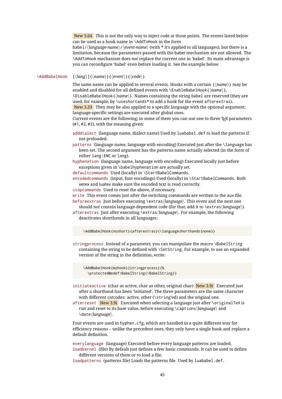New 3.64 This is not the only way to inject code at those points. The events listed below can be used as a hook name in \AddToHook in the form

babel/ $\langle$ *language-name* $\rangle$ / $\langle$ *event-name* $\rangle$  (with \* it's applied to all languages), but there is a limitation, because the parameters passed with the babel mechanism are not allowed. The \AddToHook mechanism does *not* replace the current one in 'babel'. Its main advantage is you can reconfigure 'babel' even before loading it. See the example below.

### \AddBabelHook [ $\langle \text{lang} \rangle$ ]{ $\langle \text{name} \rangle$ }{ $\langle \text{event} \rangle$ }{ $\langle \text{code} \rangle$ }

The same name can be applied to several events. Hooks with a certain  $\{\langle name \rangle\}$  may be enabled and disabled for all defined events with \EnableBabelHook{/name}}, \DisableBabelHook{/*name*}}. Names containing the string babel are reserved (they are used, for example, by \useshortands\* to add a hook for the event afterextras).

New 3.33 They may be also applied to a specific language with the optional argument; language-specific settings are executed after global ones.

Current events are the following; in some of them you can use one to three T<sub>EX</sub> parameters (#1, #2, #3), with the meaning given:

- adddialect (language name, dialect name) Used by luababel.def to load the patterns if not preloaded.
- patterns (language name, language with encoding) Executed just after the \language has been set. The second argument has the patterns name actually selected (in the form of either lang:ENC or lang).

hyphenation (language name, language with encoding) Executed locally just before exceptions given in \babelhyphenation are actually set.

defaultcommands Used (locally) in \StartBabelCommands.

encodedcommands (input, font encodings) Used (locally) in \StartBabelCommands. Both xetex and luatex make sure the encoded text is read correctly.

stopcommands Used to reset the above, if necessary.

write This event comes just after the switching commands are written to the aux file.

- beforeextras Just before executing \extras *(language*). This event and the next one should not contain language-dependent code (for that, add it to \extras*\language*)).
- afterextras Just after executing \extras *(language)*. For example, the following deactivates shorthands in all languages:

\AddBabelHook{noshort}{afterextras}{\languageshorthands{none}}

stringprocess Instead of a parameter, you can manipulate the macro \BabelString containing the string to be defined with \SetString. For example, to use an expanded version of the string in the definition, write:

\AddBabelHook{myhook}{stringprocess}{% \protected@edef\BabelString{\BabelString}}

initiateactive (char as active, char as other, original char) New 3.9i Executed just after a shorthand has been 'initiated'. The three parameters are the same character with different catcodes: active, other (\string'ed) and the original one.

afterreset New 3.9i Executed when selecting a language just after \originalTeX is run and reset to its base value, before executing \captions *(language)* and \date*\language*}.

Four events are used in hyphen.cfg, which are handled in a quite different way for efficiency reasons – unlike the precedent ones, they only have a single hook and replace a default definition.

everylanguage (language) Executed before every language patterns are loaded. loadkernel (file) By default just defines a few basic commands. It can be used to define different versions of them or to load a file.

loadpatterns (patterns file) Loads the patterns file. Used by luababel.def.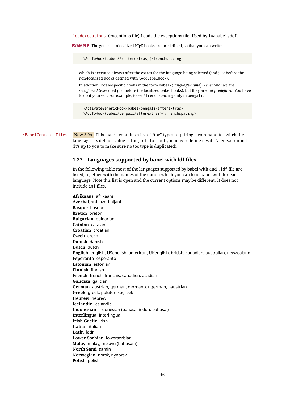loadexceptions (exceptions file) Loads the exceptions file. Used by luababel.def.

**EXAMPLE** The generic unlocalized LHFX hooks are predefined, so that you can write:

\AddToHook{babel/\*/afterextras}{\frenchspacing}

which is executed always after the extras for the language being selected (and just before the non-localized hooks defined with \AddBabelHook).

In addition, locale-specific hooks in the form babel/ $\langle$ *language-name* $\rangle$ / $\langle$ *event-name* $\rangle$  are *recognized* (executed just before the localized babel hooks), but they are *not predefined*. You have to do it yourself. For example, to set \frenchspacing only in bengali:

\ActivateGenericHook{babel/bengali/afterextras} \AddToHook{babel/bengali/afterextras}{\frenchspacing}

\BabelContentsFiles New 3.9a This macro contains a list of "toc" types requiring a command to switch the language. Its default value is toc, lof, lot, but you may redefine it with \renewcommand (it's up to you to make sure no toc type is duplicated).

### **1.27 Languages supported by babel with ldf files**

In the following table most of the languages supported by babel with and .ldf file are listed, together with the names of the option which you can load babel with for each language. Note this list is open and the current options may be different. It does not include ini files.

**Afrikaans** afrikaans **Azerbaijani** azerbaijani **Basque** basque **Breton** breton **Bulgarian** bulgarian **Catalan** catalan **Croatian** croatian **Czech** czech **Danish** danish **Dutch** dutch **English** english, USenglish, american, UKenglish, british, canadian, australian, newzealand **Esperanto** esperanto **Estonian** estonian **Finnish** finnish **French** french, francais, canadien, acadian **Galician** galician **German** austrian, german, germanb, ngerman, naustrian **Greek** greek, polutonikogreek **Hebrew** hebrew **Icelandic** icelandic **Indonesian** indonesian (bahasa, indon, bahasai) **Interlingua** interlingua **Irish Gaelic** irish **Italian** italian **Latin** latin **Lower Sorbian** lowersorbian **Malay** malay, melayu (bahasam) **North Sami** samin **Norwegian** norsk, nynorsk **Polish** polish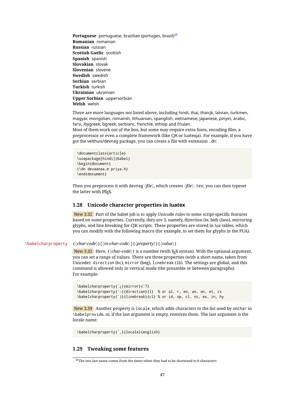**Portuguese** portuguese, brazilian (portuges, brazil)<sup>[20](#page-47-0)</sup> **Romanian** romanian **Russian** russian **Scottish Gaelic** scottish **Spanish** spanish **Slovakian** slovak **Slovenian** slovene **Swedish** swedish **Serbian** serbian **Turkish** turkish **Ukrainian** ukrainian **Upper Sorbian** uppersorbian **Welsh** welsh

There are more languages not listed above, including hindi, thai, thaicjk, latvian, turkmen, magyar, mongolian, romansh, lithuanian, spanglish, vietnamese, japanese, pinyin, arabic, farsi, ibygreek, bgreek, serbianc, frenchle, ethiop and friulan.

Most of them work out of the box, but some may require extra fonts, encoding files, a preprocessor or even a complete framework (like CJK or luatexja). For example, if you have got the velthuis/devnag package, you can create a file with extension .dn:

```
\documentclass{article}
\usepackage[hindi]{babel}
\begin{document}
{\dn devaanaa.m priya.h}
\end{document}
```
Then you preprocess it with devnag  $\langle f\hat{i}l\hat{e}\rangle$ , which creates  $\langle f\hat{i}l\hat{e}\rangle$ .tex; you can then typeset the latter with LAT<sub>EX</sub>.

### **1.28 Unicode character properties in luatex**

New 3.32 Part of the babel job is to apply Unicode rules to some script-specific features based on some properties. Currently, they are 3, namely, direction (ie, bidi class), mirroring glyphs, and line breaking for CJK scripts. These properties are stored in lua tables, which you can modify with the following macro (for example, to set them for glyphs in the PUA).

\babelcharproperty { $\langle char-code\rangle$ }[ $\langle to-character code\rangle$ ]{ $\langle property\rangle$ }{ $\langle value\rangle$ }

New 3.32 Here,  $\{ \langle char\text{-}code \rangle \}$  is a number (with T<sub>EX</sub> syntax). With the optional argument, you can set a range of values. There are three properties (with a short name, taken from Unicode): direction (bc), mirror (bmg), linebreak (lb). The settings are global, and this command is allowed only in vertical mode (the preamble or between paragraphs). For example:

```
\babelcharproperty{`¿}{mirror}{`?}
\babelcharproperty{`-}{direction}{l} % or al, r, en, an, on, et, cs
\babelcharproperty{`)}{linebreak}{cl} % or id, op, cl, ns, ex, in, hy
```
New 3.39 Another property is locale, which adds characters to the list used by onchar in \babelprovide, or, if the last argument is empty, removes them. The last argument is the locale name:

```
\babelcharproperty{`,}{locale}{english}
```
### **1.29 Tweaking some features**

<span id="page-47-0"></span> $20$ The two last name comes from the times when they had to be shortened to 8 characters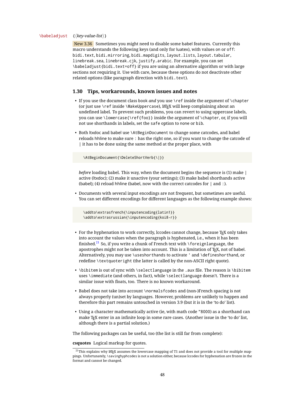### \babeladjust {*\key-value-list*}}

New 3.36 Sometimes you might need to disable some babel features. Currently this macro understands the following keys (and only for luatex), with values on or off: bidi.text, bidi.mirroring, bidi.mapdigits, layout.lists, layout.tabular, linebreak.sea, linebreak.cjk, justify.arabic. For example, you can set \babeladjust{bidi.text=off} if you are using an alternative algorithm or with large sections not requiring it. Use with care, because these options do not deactivate other related options (like paragraph direction with bidi.text).

### **1.30 Tips, workarounds, known issues and notes**

- If you use the document class book *and* you use \ref inside the argument of \chapter (or just use \ref inside \MakeUppercase), LATEX will keep complaining about an undefined label. To prevent such problems, you can revert to using uppercase labels, you can use \lowercase{\ref{foo}} inside the argument of \chapter, or, if you will not use shorthands in labels, set the safe option to none or bib.
- Both ltxdoc and babel use \AtBeginDocument to change some catcodes, and babel reloads hhline to make sure : has the right one, so if you want to change the catcode of | it has to be done using the same method at the proper place, with

\AtBeginDocument{\DeleteShortVerb{\|}}

*before* loading babel. This way, when the document begins the sequence is (1) make | active (ltxdoc); (2) make it unactive (your settings); (3) make babel shorthands active (babel); (4) reload hhline (babel, now with the correct catcodes for  $|$  and :).

• Documents with several input encodings are not frequent, but sometimes are useful. You can set different encodings for different languages as the following example shows:

```
\addto\extrasfrench{\inputencoding{latin1}}
\addto\extrasrussian{\inputencoding{koi8-r}}
```
- For the hyphenation to work correctly, lccodes cannot change, because  $TrX$  only takes into account the values when the paragraph is hyphenated, i.e., when it has been finished.<sup>[21](#page-48-0)</sup> So, if you write a chunk of French text with \foreignlanguage, the apostrophes might not be taken into account. This is a limitation of T<sub>F</sub>X, not of babel. Alternatively, you may use \useshorthands to activate ' and \defineshorthand, or redefine \textquoteright (the latter is called by the non-ASCII right quote).
- \bibitem is out of sync with \selectlanguage in the .aux file. The reason is \bibitem uses \immediate (and others, in fact), while \selectlanguage doesn't. There is a similar issue with floats, too. There is no known workaround.
- Babel does not take into account \normalsfcodes and (non-)French spacing is not always properly (un)set by languages. However, problems are unlikely to happen and therefore this part remains untouched in version 3.9 (but it is in the 'to do' list).
- Using a character mathematically active (ie, with math code "8000) as a shorthand can make T<sub>F</sub>X enter in an infinite loop in some rare cases. (Another issue in the 'to do' list, although there is a partial solution.)

The following packages can be useful, too (the list is still far from complete):

**csquotes** Logical markup for quotes.

<span id="page-48-0"></span><sup>&</sup>lt;sup>21</sup>This explains why LH<sub>K</sub>X assumes the lowercase mapping of T1 and does not provide a tool for multiple mappings. Unfortunately, \savinghyphcodes is not a solution either, because lccodes for hyphenation are frozen in the format and cannot be changed.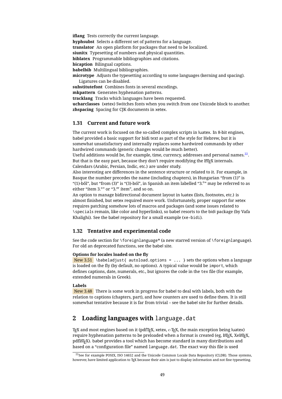**iflang** Tests correctly the current language. **hyphsubst** Selects a different set of patterns for a language. **translator** An open platform for packages that need to be localized. **siunitx** Typesetting of numbers and physical quantities. **biblatex** Programmable bibliographies and citations. **bicaption** Bilingual captions. **babelbib** Multilingual bibliographies. **microtype** Adjusts the typesetting according to some languages (kerning and spacing). Ligatures can be disabled. **substitutefont** Combines fonts in several encodings. **mkpattern** Generates hyphenation patterns. **tracklang** Tracks which languages have been requested. **ucharclasses** (xetex) Switches fonts when you switch from one Unicode block to another.

**zhspacing** Spacing for CJK documents in xetex.

**1.31 Current and future work**

# The current work is focused on the so-called complex scripts in luatex. In 8-bit engines, babel provided a basic support for bidi text as part of the style for Hebrew, but it is somewhat unsatisfactory and internally replaces some hardwired commands by other

hardwired commands (generic changes would be much better). Useful additions would be, for example, time, currency, addresses and personal names. $^{22}.$  $^{22}.$  $^{22}.$ But that is the easy part, because they don't require modifying the LATEX internals. Calendars (Arabic, Persian, Indic, etc.) are under study.

Also interesting are differences in the sentence structure or related to it. For example, in Basque the number precedes the name (including chapters), in Hungarian "from (1)" is "(1)-ből", but "from (3)" is "(3)-ból", in Spanish an item labelled "3.<sup>o</sup>" may be referred to as either "ítem 3.<sup>o</sup>" or "3.<sup>er</sup> ítem", and so on.

An option to manage bidirectional document layout in luatex (lists, footnotes, etc.) is almost finished, but xetex required more work. Unfortunately, proper support for xetex requires patching somehow lots of macros and packages (and some issues related to \specials remain, like color and hyperlinks), so babel resorts to the bidi package (by Vafa Khalighi). See the babel repository for a small example (xe-bidi).

# **1.32 Tentative and experimental code**

See the code section for \foreignlanguage\* (a new starred version of \foreignlanguage). For old an deprecated functions, see the babel site.

## **Options for locales loaded on the fly**

New 3.51 \babeladjust{ autoload.options = ... } sets the options when a language is loaded on the fly (by default, no options). A typical value would be import, which defines captions, date, numerals, etc., but ignores the code in the tex file (for example, extended numerals in Greek).

## **Labels**

New 3.48 There is some work in progress for babel to deal with labels, both with the relation to captions (chapters, part), and how counters are used to define them. It is still somewhat tentative because it is far from trivial – see the babel site for further details.

# **2 Loading languages with** language.dat

TEX and most engines based on it (pdfTEX, xetex,  $\epsilon$ -TEX, the main exception being luatex) require hyphenation patterns to be preloaded when a format is created (eg,  $\text{Lip}_X$ , Xe $\text{Lip}_X$ , pdfLATEX). babel provides a tool which has become standard in many distributions and based on a "configuration file" named language.dat. The exact way this file is used

<span id="page-49-0"></span> $22$ See for example POSIX, ISO 14652 and the Unicode Common Locale Data Repository (CLDR). Those systems, however, have limited application to T<sub>E</sub>X because their aim is just to display information and not fine typesetting.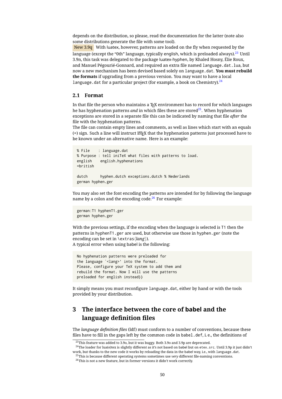depends on the distribution, so please, read the documentation for the latter (note also some distributions generate the file with some tool).

New 3.9q With luatex, however, patterns are loaded on the fly when requested by the language (except the "0th" language, typically english, which is preloaded always).<sup>[23](#page-50-0)</sup> Until 3.9n, this task was delegated to the package luatex-hyphen, by Khaled Hosny, Élie Roux, and Manuel Pégourié-Gonnard, and required an extra file named language.dat.lua, but now a new mechanism has been devised based solely on language.dat. **You must rebuild the formats** if upgrading from a previous version. You may want to have a local language.dat for a particular project (for example, a book on Chemistry). $^{24}$  $^{24}$  $^{24}$ 

### **2.1 Format**

In that file the person who maintains a T<sub>F</sub>X environment has to record for which languages he has hyphenation patterns *and* in which files these are stored[25](#page-50-2). When hyphenation exceptions are stored in a separate file this can be indicated by naming that file *after* the file with the hyphenation patterns.

The file can contain empty lines and comments, as well as lines which start with an equals  $(=)$  sign. Such a line will instruct  $\mathbb{F}E$  that the hyphenation patterns just processed have to be known under an alternative name. Here is an example:

```
% File : language.dat
% Purpose : tell iniTeX what files with patterns to load.
english english.hyphenations
=british
dutch hyphen.dutch exceptions.dutch % Nederlands
german hyphen.ger
```
You may also set the font encoding the patterns are intended for by following the language name by a colon and the encoding code. $26$  For example:

```
german:T1 hyphenT1.ger
german hyphen.ger
```
With the previous settings, if the encoding when the language is selected is T1 then the patterns in hyphenT1.ger are used, but otherwise use those in hyphen.ger (note the encoding can be set in  $\text{lextras}\langle \text{lang}\rangle$ .

A typical error when using babel is the following:

```
No hyphenation patterns were preloaded for
the language `<lang>' into the format.
Please, configure your TeX system to add them and
rebuild the format. Now I will use the patterns
preloaded for english instead}}
```
It simply means you must reconfigure language.dat, either by hand or with the tools provided by your distribution.

# **3 The interface between the core of babel and the language definition files**

The *language definition files* (ldf) must conform to a number of conventions, because these files have to fill in the gaps left by the common code in babel.def, i. e., the definitions of

<span id="page-50-1"></span><span id="page-50-0"></span><sup>&</sup>lt;sup>23</sup>This feature was added to 3.9o, but it was buggy. Both 3.9o and 3.9p are deprecated.

<sup>&</sup>lt;sup>24</sup>The loader for lua(e)tex is slightly different as it's not based on babel but on etex.src. Until 3.9p it just didn't work, but thanks to the new code it works by reloading the data in the babel way, i.e., with language.dat.

<span id="page-50-2"></span><sup>25</sup>This is because different operating systems sometimes use *very* different file-naming conventions.

<span id="page-50-3"></span> $^{26}$ This is not a new feature, but in former versions it didn't work correctly.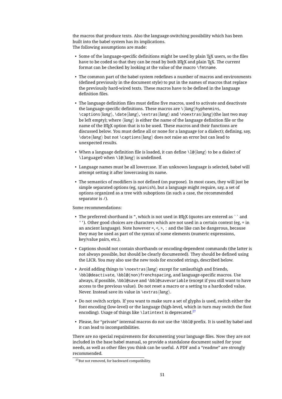the macros that produce texts. Also the language-switching possibility which has been built into the babel system has its implications. The following assumptions are made:

- Some of the language-specific definitions might be used by plain T<sub>F</sub>X users, so the files have to be coded so that they can be read by both LATEX and plain TEX. The current format can be checked by looking at the value of the macro \fmtname.
- The common part of the babel system redefines a number of macros and environments (defined previously in the document style) to put in the names of macros that replace the previously hard-wired texts. These macros have to be defined in the language definition files.
- The language definition files must define five macros, used to activate and deactivate the language-specific definitions. These macros are  $\langle \langle \text{lang} \rangle$ hyphenmins, \captions*\lang*\, \date*\lang*\, \extras*\lang*\ and \noextras*\lang*)(the last two may be left empty); where  $\langle \text{lang} \rangle$  is either the name of the language definition file or the name of the LATEX option that is to be used. These macros and their functions are discussed below. You must define all or none for a language (or a dialect); defining, say, \date*\lang*} but not \captions*\lang*} does not raise an error but can lead to unexpected results.
- When a language definition file is loaded, it can define  $\langle \log \langle \log \rangle$  to be a dialect of \language0 when \l@\*lang*\ is undefined.
- Language names must be all lowercase. If an unknown language is selected, babel will attempt setting it after lowercasing its name.
- The semantics of modifiers is not defined (on purpose). In most cases, they will just be simple separated options (eg, spanish), but a language might require, say, a set of options organized as a tree with suboptions (in such a case, the recommended separator is /).

### Some recommendations:

- The preferred shorthand is ", which is not used in  $E_{\rm E}$  (quotes are entered as `` and ''). Other good choices are characters which are not used in a certain context (eg, = in an ancient language). Note however  $=$ ,  $\lt$ ,  $\gt$ ,  $\div$  and the like can be dangerous, because they may be used as part of the syntax of some elements (numeric expressions, key/value pairs, etc.).
- Captions should not contain shorthands or encoding-dependent commands (the latter is not always possible, but should be clearly documented). They should be defined using the LICR. You may also use the new tools for encoded strings, described below.
- Avoid adding things to \noextras $\langle$ *lang* $\rangle$  except for umlauthigh and friends, \bbl@deactivate, \bbl@(non)frenchspacing, and language-specific macros. Use always, if possible, \bbl@save and \bbl@savevariable (except if you still want to have access to the previous value). Do not reset a macro or a setting to a hardcoded value. Never. Instead save its value in \extras*\lang*}.
- Do not switch scripts. If you want to make sure a set of glyphs is used, switch either the font encoding (low-level) or the language (high-level, which in turn may switch the font encoding). Usage of things like \latintext is deprecated.<sup>[27](#page-51-0)</sup>
- Please, for "private" internal macros do not use the \bbl@ prefix. It is used by babel and it can lead to incompatibilities.

There are no special requirements for documenting your language files. Now they are not included in the base babel manual, so provide a standalone document suited for your needs, as well as other files you think can be useful. A PDF and a "readme" are strongly recommended.

<span id="page-51-0"></span><sup>&</sup>lt;sup>27</sup>But not removed, for backward compatibility.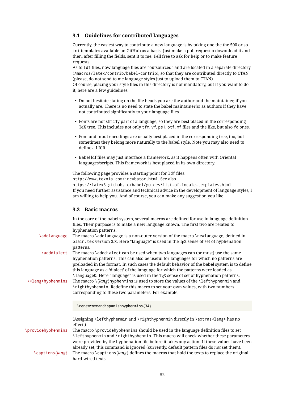# **3.1 Guidelines for contributed languages**

Currently, the easiest way to contribute a new language is by taking one the the 500 or so ini templates available on GitHub as a basis. Just make a pull request o dowonload it and then, after filling the fields, sent it to me. Fell free to ask for help or to make feature requests.

As to ldf files, now language files are "outsourced" and are located in a separate directory (/macros/latex/contrib/babel-contrib), so that they are contributed directly to CTAN (please, do not send to me language styles just to upload them to CTAN).

Of course, placing your style files in this directory is not mandatory, but if you want to do it, here are a few guidelines.

- Do not hesitate stating on the file heads you are the author and the maintainer, if you actually are. There is no need to state the babel maintainer(s) as authors if they have not contributed significantly to your language files.
- Fonts are not strictly part of a language, so they are best placed in the corresponding TeX tree. This includes not only tfm, vf, ps1, otf, mf files and the like, but also fd ones.
- Font and input encodings are usually best placed in the corresponding tree, too, but sometimes they belong more naturally to the babel style. Note you may also need to define a LICR.
- Babel ldf files may just interface a framework, as it happens often with Oriental languages/scripts. This framework is best placed in its own directory.

The following page provides a starting point for ldf files: http://www.texnia.com/incubator.html. See also https://latex3.github.io/babel/guides/list-of-locale-templates.html. If you need further assistance and technical advice in the development of language styles, I am willing to help you. And of course, you can make any suggestion you like.

# **3.2 Basic macros**

| <b>\addlanguage</b>       | In the core of the babel system, several macros are defined for use in language definition<br>files. Their purpose is to make a new language known. The first two are related to<br>hyphenation patterns.<br>The macro \addlanguage is a non-outer version of the macro \newlanguage, defined in<br>plain. tex version 3.x. Here "language" is used in the T <sub>F</sub> X sense of set of hyphenation<br>patterns.                                                                                                                                                                                                                                                      |
|---------------------------|---------------------------------------------------------------------------------------------------------------------------------------------------------------------------------------------------------------------------------------------------------------------------------------------------------------------------------------------------------------------------------------------------------------------------------------------------------------------------------------------------------------------------------------------------------------------------------------------------------------------------------------------------------------------------|
| <b>\adddialect</b>        | The macro \adddialect can be used when two languages can (or must) use the same                                                                                                                                                                                                                                                                                                                                                                                                                                                                                                                                                                                           |
| \ <lang>hyphenmins</lang> | hyphenation patterns. This can also be useful for languages for which no patterns are<br>preloaded in the format. In such cases the default behavior of the babel system is to define<br>this language as a 'dialect' of the language for which the patterns were loaded as<br>\language0. Here "language" is used in the T <sub>F</sub> X sense of set of hyphenation patterns.<br>The macro $\langle \langle \text{lang} \rangle$ hyphenmins is used to store the values of the $\langle \text{left} \rangle$ hefthyphenmin and<br>\righthyphenmin. Redefine this macro to set your own values, with two numbers<br>corresponding to these two parameters. For example: |
|                           | \renewcommand\spanishhyphenmins{34}                                                                                                                                                                                                                                                                                                                                                                                                                                                                                                                                                                                                                                       |
|                           | (Assigning \lefthyphenmin and \righthyphenmin directly in \extras <lang> has no<br/>effect.)</lang>                                                                                                                                                                                                                                                                                                                                                                                                                                                                                                                                                                       |
| <b>\providehyphenmins</b> | The macro \providehyphenmins should be used in the language definition files to set<br>\lefthyphenmin and \righthyphenmin. This macro will check whether these parameters<br>were provided by the hyphenation file before it takes any action. If these values have been<br>already set, this command is ignored (currently, default pattern files do not set them).                                                                                                                                                                                                                                                                                                      |
| \captions(lang)           | The macro \captions $\langle \text{lang} \rangle$ defines the macros that hold the texts to replace the original<br>hard-wired texts.                                                                                                                                                                                                                                                                                                                                                                                                                                                                                                                                     |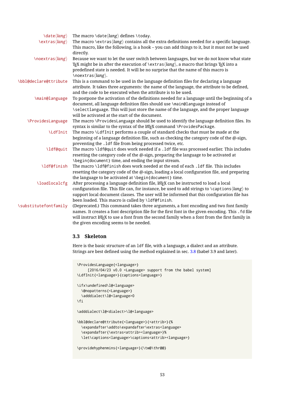| $\langle \text{date}\rangle$ | The macro \date $\langle lang \rangle$ defines \today.                                                                                  |
|------------------------------|-----------------------------------------------------------------------------------------------------------------------------------------|
| \extras(lang)                | The macro \extras $\langle \text{lang} \rangle$ contains all the extra definitions needed for a specific language.                      |
|                              | This macro, like the following, is a hook - you can add things to it, but it must not be used                                           |
|                              | directly.                                                                                                                               |
| \noextras(lang)              | Because we want to let the user switch between languages, but we do not know what state                                                 |
|                              | T <sub>F</sub> X might be in after the execution of \extras $\langle \text{lang} \rangle$ , a macro that brings T <sub>F</sub> X into a |
|                              | predefined state is needed. It will be no surprise that the name of this macro is                                                       |
|                              | \noextras(lang).                                                                                                                        |
| \bbl@declare@ttribute        | This is a command to be used in the language definition files for declaring a language                                                  |
|                              | attribute. It takes three arguments: the name of the language, the attribute to be defined,                                             |
|                              | and the code to be executed when the attribute is to be used.                                                                           |
| \main@language               | To postpone the activation of the definitions needed for a language until the beginning of a                                            |
|                              | document, all language definition files should use \main@language instead of                                                            |
|                              | \selectlanguage. This will just store the name of the language, and the proper language                                                 |
|                              | will be activated at the start of the document.                                                                                         |
| <b>\ProvidesLanguage</b>     | The macro \ProvidesLanguage should be used to identify the language definition files. Its                                               |
|                              | syntax is similar to the syntax of the LTFX command \ProvidesPackage.                                                                   |
| <b>\LdfInit</b>              | The macro \LdfInit performs a couple of standard checks that must be made at the                                                        |
|                              | beginning of a language definition file, such as checking the category code of the @-sign,                                              |
|                              | preventing the .1df file from being processed twice, etc.                                                                               |
| \ldf@quit                    | The macro \ldf@quit does work needed if a .ldf file was processed earlier. This includes                                                |
|                              | resetting the category code of the @-sign, preparing the language to be activated at                                                    |
|                              | \begin{document} time, and ending the input stream.                                                                                     |
| \ldf@finish                  | The macro \ldf@finish does work needed at the end of each . ldf file. This includes                                                     |
|                              | resetting the category code of the @-sign, loading a local configuration file, and preparing                                            |
|                              | the language to be activated at \begin{document} time.                                                                                  |
| <i><b>\loadlocalcfg</b></i>  | After processing a language definition file, LTFX can be instructed to load a local                                                     |
|                              | configuration file. This file can, for instance, be used to add strings to $\c{tang}$ to                                                |
|                              | support local document classes. The user will be informed that this configuration file has                                              |
|                              | been loaded. This macro is called by \ldf@finish.                                                                                       |
| \substitutefontfamily        | (Deprecated.) This command takes three arguments, a font encoding and two font family                                                   |
|                              | names. It creates a font description file for the first font in the given encoding. This . fd file                                      |
|                              | will instruct LTFX to use a font from the second family when a font from the first family in                                            |
|                              | the given encoding seems to be needed.                                                                                                  |

# **3.3 Skeleton**

Here is the basic structure of an ldf file, with a language, a dialect and an attribute. Strings are best defined using the method explained in sec. [3.8](#page-55-0) (babel 3.9 and later).

```
\ProvidesLanguage{<language>}
    [2016/04/23 v0.0 <Language> support from the babel system]
\LdfInit{<language>}{captions<language>}
\ifx\undefined\l@<language>
  \@nopatterns{<Language>}
  \adddialect\l@<language>0
\fi
\adddialect\l@<dialect>\l@<language>
\bbl@declare@ttribute{<language>}{<attrib>}{%
  \expandafter\addto\expandafter\extras<language>
  \expandafter{\extras<attrib><language>}%
 \let\captions<language>\captions<attrib><language>}
\providehyphenmins{<language>}{\tw@\thr@@}
```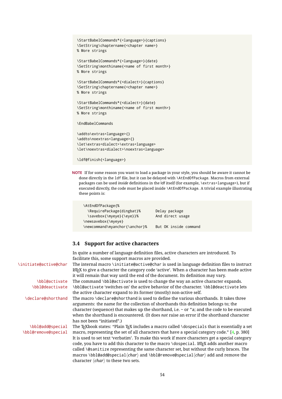```
\StartBabelCommands*{<language>}{captions}
\SetString\chaptername{<chapter name>}
% More strings
\StartBabelCommands*{<language>}{date}
\SetString\monthiname{<name of first month>}
% More strings
\StartBabelCommands*{<dialect>}{captions}
\SetString\chaptername{<chapter name>}
% More strings
\StartBabelCommands*{<dialect>}{date}
\SetString\monthiname{<name of first month>}
% More strings
\EndBabelCommands
\addto\extras<language>{}
\addto\noextras<language>{}
\let\extras<dialect>\extras<language>
\let\noextras<dialect>\noextras<language>
```

```
\ldf@finish{<language>}
```
**NOTE** If for some reason you want to load a package in your style, you should be aware it cannot be done directly in the ldf file, but it can be delayed with \AtEndOfPackage. Macros from external packages can be used *inside* definitions in the ldf itself (for example, \extras<language>), but if executed directly, the code must be placed inside \AtEndOfPackage. A trivial example illustrating these points is:

| \AtEndOfPackage{%              |                       |
|--------------------------------|-----------------------|
| \RequirePackage{dingbat}%      | Delay package         |
| \savebox{\myeye}{\eye}}%       | And direct usage      |
| \newsavebox{\myeye}            |                       |
| \newcommand\myanchor{\anchor}% | But OK inside command |

# **3.4 Support for active characters**

In quite a number of language definition files, active characters are introduced. To facilitate this, some support macros are provided.

\initiate@active@char The internal macro \initiate@active@char is used in language definition files to instruct  $E_{\text{L}}$  to give a character the category code 'active'. When a character has been made active it will remain that way until the end of the document. Its definition may vary.

\bbl@activate The command \bbl@activate is used to change the way an active character expands. \bbl@deactivate \bbl@activate 'switches on' the active behavior of the character. \bbl@deactivate lets the active character expand to its former (mostly) non-active self.

\declare@shorthand The macro \declare@shorthand is used to define the various shorthands. It takes three arguments: the name for the collection of shorthands this definition belongs to; the character (sequence) that makes up the shorthand, i.e.  $\sim$  or "a; and the code to be executed when the shorthand is encountered. (It does *not* raise an error if the shorthand character has not been "initiated".)

\bbl@add@special The T<sub>E</sub>Xbook states: "Plain T<sub>E</sub>X includes a macro called \dospecials that is essentially a set<br>\bbl@remove@special macro, representing the set of all characters that have a special category code." [4, p macro, representing the set of all characters that have a special category code."  $[4, p. 380]$ It is used to set text 'verbatim'. To make this work if more characters get a special category code, you have to add this character to the macro \dospecial. LATEX adds another macro called \@sanitize representing the same character set, but without the curly braces. The macros \bbl@add@special/*char*} and \bbl@remove@special/*char*} add and remove the character  $\langle char \rangle$  to these two sets.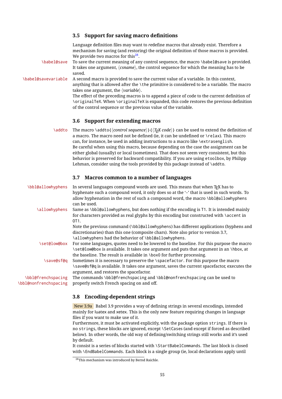|  |  | 3.5 Support for saving macro definitions |  |
|--|--|------------------------------------------|--|
|--|--|------------------------------------------|--|

Language definition files may want to *re*define macros that already exist. Therefore a mechanism for saving (and restoring) the original definition of those macros is provided. We provide two macros for this<sup>[28](#page-55-1)</sup>.

\babel@save To save the current meaning of any control sequence, the macro \babel@save is provided. It takes one argument,  $\langle$ *csname* $\rangle$ , the control sequence for which the meaning has to be saved.

\babel@savevariable A second macro is provided to save the current value of a variable. In this context, anything that is allowed after the \the primitive is considered to be a variable. The macro takes one argument, the *(variable)*. The effect of the preceding macros is to append a piece of code to the current definition of

\originalTeX. When \originalTeX is expanded, this code restores the previous definition of the control sequence or the previous value of the variable.

# **3.6 Support for extending macros**

\addto The macro \addto{*\control sequence*}}{\*T<sub>E</sub>X code*}} can be used to extend the definition of a macro. The macro need not be defined (ie, it can be undefined or \relax). This macro can, for instance, be used in adding instructions to a macro like \extrasenglish. Be careful when using this macro, because depending on the case the assignment can be either global (usually) or local (sometimes). That does not seem very consistent, but this behavior is preserved for backward compatibility. If you are using etoolbox, by Philipp Lehman, consider using the tools provided by this package instead of \addto.

## **3.7 Macros common to a number of languages**

| \bbl@allowhyphens                           | In several languages compound words are used. This means that when T <sub>F</sub> X has to<br>hyphenate such a compound word, it only does so at the '-' that is used in such words. To<br>allow hyphenation in the rest of such a compound word, the macro \bbl@allowhyphens<br>can be used. |
|---------------------------------------------|-----------------------------------------------------------------------------------------------------------------------------------------------------------------------------------------------------------------------------------------------------------------------------------------------|
| \allowhyphens                               | Same as \bbl@allowhyphens, but does nothing if the encoding is T1. It is intended mainly<br>for characters provided as real glyphs by this encoding but constructed with \accent in<br>OT <sub>1</sub> .                                                                                      |
|                                             | Note the previous command (\bb1@a11owhyphens) has different applications (hyphens and<br>discretionaries) than this one (composite chars). Note also prior to version 3.7,<br>\allowhyphens had the behavior of \bbl@allowhyphens.                                                            |
| \set@low@box                                | For some languages, quotes need to be lowered to the baseline. For this purpose the macro<br>\set@low@box is available. It takes one argument and puts that argument in an \hbox, at<br>the baseline. The result is available in \box0 for further processing.                                |
| \save@sf@q                                  | Sometimes it is necessary to preserve the \spacefactor. For this purpose the macro<br>\save@sf@q is available. It takes one argument, saves the current spacefactor, executes the<br>argument, and restores the spacefactor.                                                                  |
| \bbl@frenchspacing<br>\bbl@nonfrenchspacing | The commands \bbl@frenchspacing and \bbl@nonfrenchspacing can be used to<br>properly switch French spacing on and off.                                                                                                                                                                        |

# <span id="page-55-0"></span>**3.8 Encoding-dependent strings**

New 3.9a Babel 3.9 provides a way of defining strings in several encodings, intended mainly for luatex and xetex. This is the only new feature requiring changes in language files if you want to make use of it.

Furthermore, it must be activated explicitly, with the package option strings. If there is no strings, these blocks are ignored, except \SetCases (and except if forced as described below). In other words, the old way of defining/switching strings still works and it's used by default.

It consist is a series of blocks started with \StartBabelCommands. The last block is closed with \EndBabelCommands. Each block is a single group (ie, local declarations apply until

<span id="page-55-1"></span> $\frac{28}{100}$  mechanism was introduced by Bernd Raichle.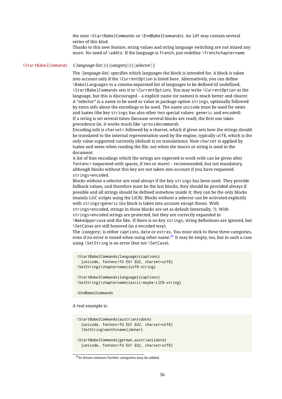the next \StartBabelCommands or \EndBabelCommands). An ldf may contain several series of this kind.

Thanks to this new feature, string values and string language switching are not mixed any more. No need of \addto. If the language is french, just redefine \frenchchaptername.

### \StartBabelCommands {*{language-list}*}{*{category}*}[*{selector}*]

The  $\langle$ *language-list* $\rangle$  specifies which languages the block is intended for. A block is taken into account only if the \CurrentOption is listed here. Alternatively, you can define \BabelLanguages to a comma-separated list of languages to be defined (if undefined, \StartBabelCommands sets it to \CurrentOption). You may write \CurrentOption as the language, but this is discouraged – a explicit name (or names) is much better and clearer. A "selector" is a name to be used as value in package option strings, optionally followed by extra info about the encodings to be used. The name unicode must be used for xetex and luatex (the key strings has also other two special values: generic and encoded). If a string is set several times (because several blocks are read), the first one takes precedence (ie, it works much like \providecommand).

Encoding info is charset= followed by a charset, which if given sets how the strings should be translated to the internal representation used by the engine, typically utf8, which is the only value supported currently (default is no translations). Note charset is applied by luatex and xetex when reading the file, not when the macro or string is used in the document.

A list of font encodings which the strings are expected to work with can be given after fontenc= (separated with spaces, if two or more) – recommended, but not mandatory, although blocks without this key are not taken into account if you have requested strings=encoded.

Blocks without a selector are read always if the key strings has been used. They provide fallback values, and therefore must be the last blocks; they should be provided always if possible and all strings should be defined somehow inside it; they can be the only blocks (mainly LGC scripts using the LICR). Blocks without a selector can be activated explicitly with strings=generic (no block is taken into account except those). With

strings=encoded, strings in those blocks are set as default (internally, ?). With strings=encoded strings are protected, but they are correctly expanded in

\MakeUppercase and the like. If there is no key strings, string definitions are ignored, but \SetCases are still honored (in a encoded way).

The  $\langle category \rangle$  is either captions, date or extras. You must stick to these three categories, even if no error is raised when using other name.<sup>[29](#page-56-0)</sup> It may be empty, too, but in such a case using \SetString is an error (but not \SetCase).

```
\StartBabelCommands{language}{captions}
  [unicode, fontenc=TU EU1 EU2, charset=utf8]
\SetString{\chaptername}{utf8-string}
```
\StartBabelCommands{language}{captions} \SetString{\chaptername}{ascii-maybe-LICR-string}

\EndBabelCommands

A real example is:

```
\StartBabelCommands{austrian}{date}
  [unicode, fontenc=TU EU1 EU2, charset=utf8]
 \SetString\monthiname{Jänner}
\StartBabelCommands{german,austrian}{date}
  [unicode, fontenc=TU EU1 EU2, charset=utf8]
```
<span id="page-56-0"></span> $29$ In future releases further categories may be added.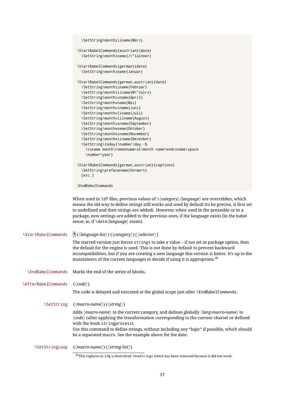|                            | \SetString\monthiiiname{März}                                                                                                                                                                                                                                                                                                                                                                                                                                                                                                                       |
|----------------------------|-----------------------------------------------------------------------------------------------------------------------------------------------------------------------------------------------------------------------------------------------------------------------------------------------------------------------------------------------------------------------------------------------------------------------------------------------------------------------------------------------------------------------------------------------------|
|                            | \StartBabelCommands{austrian}{date}<br>\SetString\monthiname{J\"{a}nner}                                                                                                                                                                                                                                                                                                                                                                                                                                                                            |
|                            | \StartBabelCommands{german}{date}<br>\SetString\monthiname{Januar}                                                                                                                                                                                                                                                                                                                                                                                                                                                                                  |
|                            | \StartBabelCommands{german,austrian}{date}<br>\SetString\monthiiname{Februar}<br>\SetString\monthiiiname{M\"{a}rz}<br>\SetString\monthivname{April}<br>\SetString\monthvname{Mai}<br>\SetString\monthviname{Juni}<br>\SetString\monthviiname{Juli}<br>\SetString\monthviiiname{August}<br>\SetString\monthixname{September}<br>\SetString\monthxname{Oktober}<br>\SetString\monthxiname{November}<br>\SetString\monthxiiname{Dezenber}<br>\SetString\today{\number\day.~%<br>\csname month\romannumeral\month name\endcsname\space<br>\number\year} |
|                            | \StartBabelCommands{german,austrian}{captions}<br>\SetString\prefacename{Vorwort}<br>[etc.]                                                                                                                                                                                                                                                                                                                                                                                                                                                         |
|                            | <b>\EndBabelCommands</b>                                                                                                                                                                                                                                                                                                                                                                                                                                                                                                                            |
|                            | When used in 1df files, previous values of $\langle \langle category \rangle \langle language \rangle$ are overridden, which<br>means the old way to define strings still works and used by default (to be precise, is first set<br>to undefined and then strings are added). However, when used in the preamble or in a<br>package, new settings are added to the previous ones, if the language exists (in the babel<br>sense, ie, if \date (language) exists).                                                                                   |
| <b>\StartBabelCommands</b> | *{\language-list\}}{\category\} [\selector\]                                                                                                                                                                                                                                                                                                                                                                                                                                                                                                        |
|                            | The starred version just forces $strings$ to take a value $-$ if not set as package option, then<br>the default for the engine is used. This is not done by default to prevent backward<br>incompatibilities, but if you are creating a new language this version is better. It's up to the<br>maintainers of the current languages to decide if using it is appropriate. <sup>30</sup>                                                                                                                                                             |
| <b>\EndBabelCommands</b>   | Marks the end of the series of blocks.                                                                                                                                                                                                                                                                                                                                                                                                                                                                                                              |
| <b>\AfterBabelCommands</b> | $\{\langle code \rangle\}$                                                                                                                                                                                                                                                                                                                                                                                                                                                                                                                          |
|                            | The code is delayed and executed at the global scope just after \EndBabelCommands.                                                                                                                                                                                                                                                                                                                                                                                                                                                                  |
| <b>\SetString</b>          | $\{\langle macro\text{-}name\rangle\}\{\langle string\rangle\}$                                                                                                                                                                                                                                                                                                                                                                                                                                                                                     |
|                            | Adds $\langle macro\text{-}name\rangle$ to the current category, and defines globally $\langle lang\text{-}macro\text{-}name\rangle$ to<br>(code) (after applying the transformation corresponding to the current charset or defined<br>with the hook stringprocess).<br>Use this command to define strings, without including any "logic" if possible, which should<br>be a separated macro. See the example above for the date.                                                                                                                   |
| <b>\SetStringLoop</b>      | $\{\langle macro\text{-}name\rangle\}\$ { $\langle string\text{-}list\rangle\}$                                                                                                                                                                                                                                                                                                                                                                                                                                                                     |
|                            |                                                                                                                                                                                                                                                                                                                                                                                                                                                                                                                                                     |

<span id="page-57-0"></span> $30$ This replaces in 3.9g a short-lived \UseStrings which has been removed because it did not work.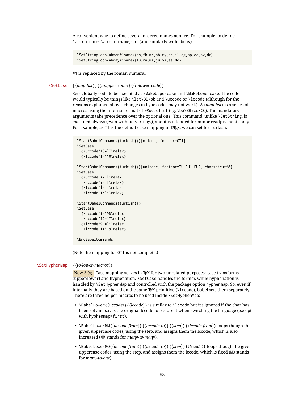A convenient way to define several ordered names at once. For example, to define \abmoniname, \abmoniiname, etc. (and similarly with abday):

\SetStringLoop{abmon#1name}{en,fb,mr,ab,my,jn,jl,ag,sp,oc,nv,dc} \SetStringLoop{abday#1name}{lu,ma,mi,ju,vi,sa,do}

#1 is replaced by the roman numeral.

\SetCase [h*map-list*i]{h*toupper-code*i}{h*tolower-code*i}

Sets globally code to be executed at \MakeUppercase and \MakeLowercase. The code would typically be things like \let\BB\bb and \uccode or \lccode (although for the reasons explained above, changes in lc/uc codes may not work). A  $\langle map\text{-}list\rangle$  is a series of macros using the internal format of  $\&$ uclclist (eg,  $\bb{B}\Bbb{C}$ c $\C$ ). The mandatory arguments take precedence over the optional one. This command, unlike \SetString, is executed always (even without strings), and it is intended for minor readjustments only. For example, as T1 is the default case mapping in  $\mathbb{F}$ FEX, we can set for Turkish:

```
\StartBabelCommands{turkish}{}[ot1enc, fontenc=OT1]
\SetCase
  {\uccode"10=`I\relax}
  {\lccode`I="10\relax}
\StartBabelCommands{turkish}{}[unicode, fontenc=TU EU1 EU2, charset=utf8]
\SetCase
 {\uccode`i=`İ\relax
  \uccode`ı=`I\relax}
 {\lccode`İ=`i\relax
  \lccode`I=`ı\relax}
\StartBabelCommands{turkish}{}
\SetCase
 {\uccode`i="9D\relax
  \uccode"19=`I\relax}
  {\lccode"9D=`i\relax
   \lccode`I="19\relax}
\EndBabelCommands
```
(Note the mapping for OT1 is not complete.)

#### \SetHyphenMap {\to-lower-macros\}

New 3.9g Case mapping serves in T<sub>F</sub>X for two unrelated purposes: case transforms (upper/lower) and hyphenation. \SetCase handles the former, while hyphenation is handled by \SetHyphenMap and controlled with the package option hyphenmap. So, even if internally they are based on the same  $T<sub>F</sub>X$  primitive ( $\lceil \cdot \rceil$  to  $\lceil \cdot \rceil$  babel sets them separately. There are three helper macros to be used inside \SetHyphenMap:

- \BabelLower{ $\langle uccode\rangle$ }  $\{ \langle lccode\rangle \}$  is similar to \lccode but it's ignored if the char has been set and saves the original lccode to restore it when switching the language (except with hyphenmap=first).
- \BabelLowerMM{/*uccode-from*}}{/*uccode-to*}}{/*step*}{/*lccode-from*}} loops though the given uppercase codes, using the step, and assigns them the lccode, which is also increased (MM stands for *many-to-many*).
- \BabelLowerMO{ $\langle uccode-from \rangle$ }{ $\langle uccode-to\rangle$ }{ $\langle tccode \rangle$ }  $\{ \langle lccode \rangle \}$  loops though the given uppercase codes, using the step, and assigns them the lccode, which is fixed (MO stands for *many-to-one*).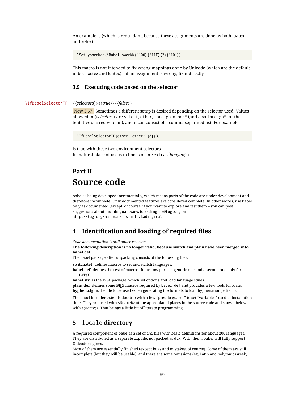An example is (which is redundant, because these assignments are done by both luatex and xetex):

\SetHyphenMap{\BabelLowerMM{"100}{"11F}{2}{"101}}

This macro is not intended to fix wrong mappings done by Unicode (which are the default in both xetex and luatex) – if an assignment is wrong, fix it directly.

### **3.9 Executing code based on the selector**

\IfBabelSelectorTF {*\selectors*}}{*\true*}}{*{false*}}

New 3.67 Sometimes a different setup is desired depending on the selector used. Values allowed in  $\langle selectors \rangle$  are select, other, foreign, other\* (and also foreign\* for the tentative starred version), and it can consist of a comma-separated list. For example:

```
\IfBabelSelectorTF{other, other*}{A}{B}
```
is true with these two environment selectors. Its natural place of use is in hooks or in \extras*\language*}.

# **Part II Source code**

babel is being developed incrementally, which means parts of the code are under development and therefore incomplete. Only documented features are considered complete. In other words, use babel only as documented (except, of course, if you want to explore and test them – you can post suggestions about multilingual issues to kadingira@tug.org on http://tug.org/mailman/listinfo/kadingira).

# **4 Identification and loading of required files**

*Code documentation is still under revision.*

**The following description is no longer valid, because switch and plain have been merged into babel.def.**

The babel package after unpacking consists of the following files:

**switch.def** defines macros to set and switch languages.

**babel.def** defines the rest of macros. It has tow parts: a generic one and a second one only for LaTeX.

**babel.sty** is the LT<sub>F</sub>X package, which set options and load language styles.

plain.def defines some  $E$ F<sub>K</sub>X macros required by babel.def and provides a few tools for Plain. **hyphen.cfg** is the file to be used when generating the formats to load hyphenation patterns.

The babel installer extends docstrip with a few "pseudo-guards" to set "variables" used at installation time. They are used with <@name@> at the appropiated places in the source code and shown below with  $\langle \langle name \rangle \rangle$ . That brings a little bit of literate programming.

# **5** locale **directory**

A required component of babel is a set of ini files with basic definitions for about 200 languages. They are distributed as a separate zip file, not packed as dtx. With them, babel will fully support Unicode engines.

Most of them are essentially finished (except bugs and mistakes, of course). Some of them are still incomplete (but they will be usable), and there are some omissions (eg, Latin and polytonic Greek,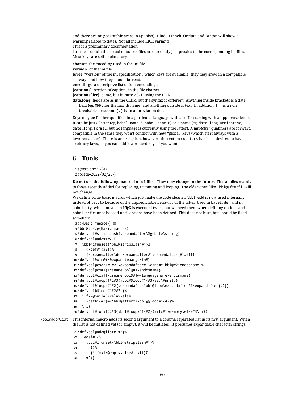and there are no geographic areas in Spanish). Hindi, French, Occitan and Breton will show a warning related to dates. Not all include LICR variants.

This is a preliminary documentation.

ini files contain the actual data; tex files are currently just proxies to the corresponding ini files. Most keys are self-explanatory.

**charset** the encoding used in the ini file.

**version** of the ini file

**level** "version" of the ini specification . which keys are available (they may grow in a compatible way) and how they should be read.

**encodings** a descriptive list of font encondings.

**[captions]** section of captions in the file charset

**[captions.licr]** same, but in pure ASCII using the LICR

**date.long** fields are as in the CLDR, but the syntax is different. Anything inside brackets is a date field (eg, MMMM for the month name) and anything outside is text. In addition, [ ] is a non breakable space and [.1] is an abbreviation dot.

Keys may be further qualified in a particular language with a suffix starting with a uppercase letter. It can be just a letter (eg, babel.name.A, babel.name.B) or a name (eg, date.long.Nominative, date.long.Formal, but no language is currently using the latter). *Multi-letter* qualifiers are forward compatible in the sense they won't conflict with new "global" keys (which start always with a lowercase case). There is an exception, however: the section counters has been devised to have arbitrary keys, so you can add lowercased keys if you want.

# **6 Tools**

```
1 \langle \langle version=3.73 \rangle \rangle
```

```
2 \langle (date=2022/02/26))
```
**Do not use the following macros in** ldf **files. They may change in the future**. This applies mainly to those recently added for replacing, trimming and looping. The older ones, like \bbl@afterfi, will not change.

We define some basic macros which just make the code cleaner. \bbl@add is now used internally instead of \addto because of the unpredictable behavior of the latter. Used in babel.def and in babel.sty, which means in LH<sub>EX</sub> is executed twice, but we need them when defining options and babel.def cannot be load until options have been defined. This does not hurt, but should be fixed somehow.

```
3 \langle \∗Basic macros}} ≡
                 4 \bbl@trace{Basic macros}
                 5 \def\bbl@stripslash{\expandafter\@gobble\string}
                 6 \def\bbl@add#1#2{%
                 7 \bbl@ifunset{\bbl@stripslash#1}%
                 8 {\def#1{#2}}%
                 9 {\expandafter\def\expandafter#1\expandafter{#1#2}}}
                10 \def\bbl@xin@{\@expandtwoargs\in@}
                11 \def\bbl@csarg#1#2{\expandafter#1\csname bbl@#2\endcsname}%
                12 \def\bbl@cs#1{\csname bbl@#1\endcsname}
                13 \def\bbl@cl#1{\csname bbl@#1@\languagename\endcsname}
                14 \def\bbl@loop#1#2#3{\bbl@@loop#1{#3}#2,\@nnil,}
                15 \def\bbl@loopx#1#2{\expandafter\bbl@loop\expandafter#1\expandafter{#2}}
                16 \def\bbl@@loop#1#2#3,{%
                17 \ifx\@nnil#3\relax\else
                18 \def#1{#3}#2\bbl@afterfi\bbl@@loop#1{#2}%
                19 \quad \text{If}20 \def\bbl@for#1#2#3{\bbl@loopx#1{#2}{\ifx#1\@empty\else#3\fi}}
\bbl@add@list This internal macro adds its second argument to a comma separated list in its first argument. When
               the list is not defined yet (or empty), it will be initiated. It presumes expandable character strings.
                21 \def\bbl@add@list#1#2{%
                22 \edef#1{%
                23 \bbl@ifunset{\bbl@stripslash#1}%
                24 {}%
```

```
25 {\ifx#1\@empty\else#1,\fi}%
```

```
26 #2}}
```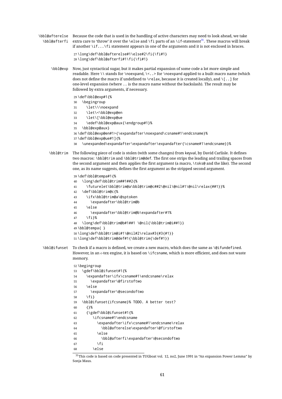\bbl@afterelse Because the code that is used in the handling of active characters may need to look ahead, we take \bbl@afterfi extra care to 'throw' it over the \else and \fi parts of an \if-statement<sup>[31](#page-61-0)</sup>. These macros will break if another \if...\fi statement appears in one of the arguments and it is not enclosed in braces.

> \long\def\bbl@afterelse#1\else#2\fi{\fi#1} \long\def\bbl@afterfi#1\fi{\fi#1}

\bbl@exp Now, just syntactical sugar, but it makes partial expansion of some code a lot more simple and readable. Here \\ stands for \noexpand, \<..> for \noexpand applied to a built macro name (which does not define the macro if undefined to \relax, because it is created locally), and \[..] for one-level expansion (where .. is the macro name without the backslash). The result may be followed by extra arguments, if necessary.

\def\bbl@exp#1{%

- \begingroup
- \let\\\noexpand
- \let\<\bbl@exp@en
- \let\[\bbl@exp@ue
- \edef\bbl@exp@aux{\endgroup#1}%
- \bbl@exp@aux}
- \def\bbl@exp@en#1>{\expandafter\noexpand\csname#1\endcsname}%
- \def\bbl@exp@ue#1]{%
- \unexpanded\expandafter\expandafter\expandafter{\csname#1\endcsname}}%
- \bbl@trim The following piece of code is stolen (with some changes) from keyval, by David Carlisle. It defines two macros: \bbl@trim and \bbl@trim@def. The first one strips the leading and trailing spaces from the second argument and then applies the first argument (a macro, \toks@ and the like). The second one, as its name suggests, defines the first argument as the stripped second argument.

```
39 \def\bbl@tempa#1{%
              40 \long\def\bbl@trim##1##2{%
              41 \futurelet\bbl@trim@a\bbl@trim@c##2\@nil\@nil#1\@nil\relax{##1}}%
              42 \def\bbl@trim@c{%
              43 \ifx\bbl@trim@a\@sptoken
              44 \expandafter\bbl@trim@b
              45 \else
              46 \expandafter\bbl@trim@b\expandafter#1%
              47 \{f_1\}%
              48 \long\def\bbl@trim@b#1##1 \@nil{\bbl@trim@i##1}}
              49 \bbl@tempa{ }
              50 \long\def\bbl@trim@i#1\@nil#2\relax#3{#3{#1}}
              51 \long\def\bbl@trim@def#1{\bbl@trim{\def#1}}
\bbl@ifunset To check if a macro is defined, we create a new macro, which does the same as \@ifundefined.
              memory.
              52 \begingroup
              53 \gdef\bbl@ifunset#1{%
              54 \expandafter\ifx\csname#1\endcsname\relax
              55 \expandafter\@firstoftwo
              56 \rightarrow \text{MeV}57 \expandafter\@secondoftwo
              58 \fi}
              59 \bbl@ifunset{ifcsname}% TODO. A better test?
```
However, in an  $\epsilon$ -tex engine, it is based on \ifcsname, which is more efficient, and does not waste

```
60 {}%
61 {\gdef\bbl@ifunset#1{%
62 \ifcsname#1\endcsname
63 \expandafter\ifx\csname#1\endcsname\relax
64 \bbl@afterelse\expandafter\@firstoftwo
65 \else
66 \bbl@afterfi\expandafter\@secondoftwo
67 \fi
68 \left\{ \begin{array}{c} \circ \\ \circ \end{array} \right\}
```
<span id="page-61-0"></span>This code is based on code presented in TUGboat vol. 12, no2, June 1991 in "An expansion Power Lemma" by Sonja Maus.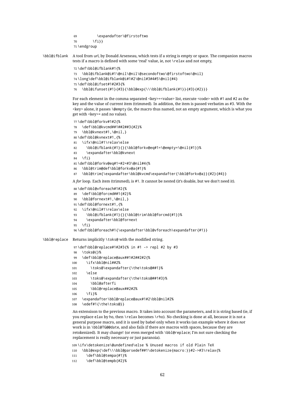```
69 \expandafter\@firstoftwo
```
- \fi}}
- \endgroup

```
\bbl@ifblank A tool from url, by Donald Arseneau, which tests if a string is empty or space. The companion macros
                tests if a macro is defined with some 'real' value, ie, not \relax and not empty,
```

```
72 \def\bbl@ifblank#1{%
73 \bbl@ifblank@i#1\@nil\@nil\@secondoftwo\@firstoftwo\@nil}
74 \long\def\bbl@ifblank@i#1#2\@nil#3#4#5\@nil{#4}
75 \def\bbl@ifset#1#2#3{%
76 \bbl@ifunset{#1}{#3}{\bbl@exp{\\\bbl@ifblank{#1}}{#3}{#2}}}
```
For each element in the comma separated <key>=<value> list, execute <code> with #1 and #2 as the key and the value of current item (trimmed). In addition, the item is passed verbatim as #3. With the  $\langle key \rangle$  alone, it passes  $\langle @empty (i)$  (ie, the macro thus named, not an empty argument, which is what you get with <key>= and no value).

```
77 \def\bbl@forkv#1#2{%
              78 \def\bbl@kvcmd##1##2##3{#2}%
              79 \bbl@kvnext#1,\@nil,}
              80 \def\bbl@kvnext#1,{%
              81 \ifx\@nil#1\relax\else
              82 \bbl@ifblank{#1}{}{\bbl@forkv@eq#1=\@empty=\@nil{#1}}%
              83 \expandafter\bbl@kvnext
              84 \fi}
              85 \def\bbl@forkv@eq#1=#2=#3\@nil#4{%
              86 \bbl@trim@def\bbl@forkv@a{#1}%
              87 \bbl@trim{\expandafter\bbl@kvcmd\expandafter{\bbl@forkv@a}}{#2}{#4}}
              A for loop. Each item (trimmed), is #1. It cannot be nested (it's doable, but we don't need it).
              88 \def\bbl@vforeach#1#2{%
              89 \def\bbl@forcmd##1{#2}%
              90 \bbl@fornext#1,\@nil,}
              91 \def\bbl@fornext#1,{%
              92 \ifx\@nil#1\relax\else
              93 \bbl@ifblank{#1}{}{\bbl@trim\bbl@forcmd{#1}}%
              94 \expandafter\bbl@fornext
              95 \fi}
              96 \def\bbl@foreach#1{\expandafter\bbl@vforeach\expandafter{#1}}
\bbl@replace Returns implicitly \toks@ with the modified string.
              97 \def\bbl@replace#1#2#3{% in #1 -> repl #2 by #3
              98 \toks@{}%
              99 \def\bbl@replace@aux##1#2##2#2{%
             100 \ifx\bbl@nil##2%
             101 \toks@\expandafter{\the\toks@##1}%
             102 \else
             103 \toks@\expandafter{\the\toks@##1#3}%
             104 \bbl@afterfi
             105 \bbl@replace@aux##2#2%
             106 \fi}%
             107 \expandafter\bbl@replace@aux#1#2\bbl@nil#2%
             108 \edef#1{\the\toks@}}
```
An extensison to the previous macro. It takes into account the parameters, and it is string based (ie, if you replace elax by ho, then \relax becomes \rho). No checking is done at all, because it is not a general purpose macro, and it is used by babel only when it works (an example where it does *not* work is in \bbl@TG@@date, and also fails if there are macros with spaces, because they are retokenized). It may change! (or even merged with \bbl@replace; I'm not sure ckecking the replacement is really necessary or just paranoia).

\ifx\detokenize\@undefined\else % Unused macros if old Plain TeX

```
110 \bbl@exp{\def\\\bbl@parsedef##1\detokenize{macro:}}#2->#3\relax{%
```
- \def\bbl@tempa{#1}%
- \def\bbl@tempb{#2}%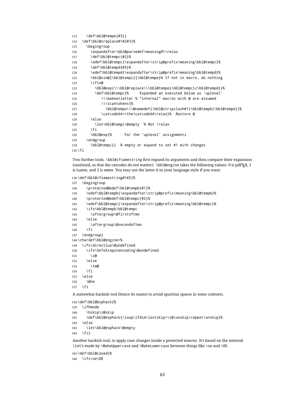```
113 \def\bbl@tempe{#3}}
114 \def\bbl@sreplace#1#2#3{%
115 \begingroup
116 \expandafter\bbl@parsedef\meaning#1\relax
117 \def\bbl@tempc{#2}%
118 \edef\bbl@tempc{\expandafter\strip@prefix\meaning\bbl@tempc}%
119 \def\bbl@tempd{#3}%
120 \edef\bbl@tempd{\expandafter\strip@prefix\meaning\bbl@tempd}%
121 \bbl@xin@{\bbl@tempc}{\bbl@tempe}% If not in macro, do nothing
122 \ifin@
123 \bbl@exp{\\\bbl@replace\\\bbl@tempe{\bbl@tempc}{\bbl@tempd}}%
124 \def\bbl@tempc{% Expanded an executed below as 'uplevel'
125 \\\makeatletter % "internal" macros with @ are assumed
126 \\\scantokens{%
127 \bbl@tempa\\\@namedef{\bbl@stripslash#1}\bbl@tempb{\bbl@tempe}}%
128 \catcode64=\the\catcode64\relax}% Restore @
129 \qquad \qquad \angleelse
130 \let\bbl@tempc\@empty % Not \relax
131 \quad \text{If}132 \bbl@exp{% For the 'uplevel' assignments
133 \endgroup
134 \bbl@tempc}} % empty or expand to set #1 with changes
135 \fi
```
Two further tools. \bbl@ifsamestring first expand its arguments and then compare their expansion (sanitized, so that the catcodes do not matter). \bbl@engine takes the following values: 0 is pdfTEX, 1 is luatex, and 2 is xetex. You may use the latter it in your language style if you want.

```
136 \def\bbl@ifsamestring#1#2{%
```

```
137 \begingroup
138 \protected@edef\bbl@tempb{#1}%
139 \edef\bbl@tempb{\expandafter\strip@prefix\meaning\bbl@tempb}%
140 \protected@edef\bbl@tempc{#2}%
141 \edef\bbl@tempc{\expandafter\strip@prefix\meaning\bbl@tempc}%
142 \ifx\bbl@tempb\bbl@tempc
143 \aftergroup\@firstoftwo
144 \leq \leq \leq145 \aftergroup\@secondoftwo
146 \fi
147 \endgroup}
148 \chardef\bbl@engine=%
149 \ifx\directlua\@undefined
150 \ifx\XeTeXinputencoding\@undefined
151 \angle \angle 2\omega152 \else
153 \tw@
154 \fi
155 \else
156 \@ne
157 \fi
A somewhat hackish tool (hence its name) to avoid spurious spaces in some contexts.
158 \def\bbl@bsphack{%
```

```
159 \ifhmode
```

```
160 \hskip\z@skip
```

```
161 \def\bbl@esphack{\loop\ifdim\lastskip>\z@\unskip\repeat\unskip}%
```

```
162 \else
```

```
163 \let\bbl@esphack\@empty
```
\fi}

Another hackish tool, to apply case changes inside a protected macros. It's based on the internal \let's made by \MakeUppercase and \MakeLowercase between things like \oe and \OE.

 \def\bbl@cased{% \ifx\oe\OE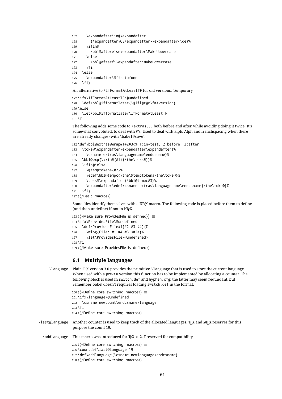```
167 \expandafter\in@\expandafter
168 {\expandafter\OE\expandafter}\expandafter{\oe}%
169 \ifin@
170 \bbl@afterelse\expandafter\MakeUppercase
171 \else
172 \bbl@afterfi\expandafter\MakeLowercase
173 \fi
174 \leq \leq \leq175 \expandafter\@firstofone
176 \quad \text{If} iAn alternative to \IfFormatAtLeastTF for old versions. Temporary.
```

```
177 \ifx\IfFormatAtLeastTF\@undefined
178 \def\bbl@ifformatlater{\@ifl@t@r\fmtversion}
170 \leq \leq \leq180 \let\bbl@ifformatlater\IfFormatAtLeastTF
181 \fi
```
The following adds some code to \extras... both before and after, while avoiding doing it twice. It's somewhat convoluted, to deal with #'s. Used to deal with alph, Alph and frenchspacing when there are already changes (with \babel@save).

```
182 \def\bbl@extras@wrap#1#2#3{% 1:in-test, 2:before, 3:after
183 \toks@\expandafter\expandafter\expandafter{%
184 \csname extras\languagename\endcsname}%
185 \bbl@exp{\\\in@{#1}{\the\toks@}}%
186 \ifin@\else
187 \@temptokena{#2}%
188 \edef\bbl@tempc{\the\@temptokena\the\toks@}%
189 \toks@\expandafter{\bbl@tempc#3}%
190 \expandafter\edef\csname extras\languagename\endcsname{\the\toks@}%
191 \fi}
192\langle \langle/Basic macros\rangle)
```
Some files identify themselves with a LATEX macro. The following code is placed before them to define (and then undefine) if not in  $E/FX$ .

```
193 (/*Make sure ProvidesFile is defined)) ≡
194 \ifx\ProvidesFile\@undefined
195 \def\ProvidesFile#1[#2 #3 #4]{%
196 \wlog{File: #1 #4 #3 <#2>}%
197 \let\ProvidesFile\@undefined}
198 \fi
199 \langle \langle \rangleMake sure ProvidesFile is defined)
```
## **6.1 Multiple languages**

```
\language Plain TEX version 3.0 provides the primitive \language that is used to store the current language.
             When used with a pre-3.0 version this function has to be implemented by allocating a counter. The
             following block is used in switch.def and hyphen.cfg; the latter may seem redundant, but
             remember babel doesn't requires loading switch.def in the format.
```

```
200 \langle\langle *Define\ core\ switching\ macros\rangle\rangle ≡
201 \ifx\language\@undefined
202 \csname newcount\endcsname\language
203 \fi
204 \langle \langle/Define core switching macros\rangle)
```
\last@language Another counter is used to keep track of the allocated languages. T<sub>F</sub>X and LATEX reserves for this purpose the count 19.

\addlanguage This macro was introduced for T<sub>EX</sub>  $<$  2. Preserved for compatibility.

205  $\langle$  ∗Define core switching macros)) ≡

\countdef\last@language=19

\def\addlanguage{\csname newlanguage\endcsname}

 $208 \langle \langle$ /Define core switching macros $\rangle$ )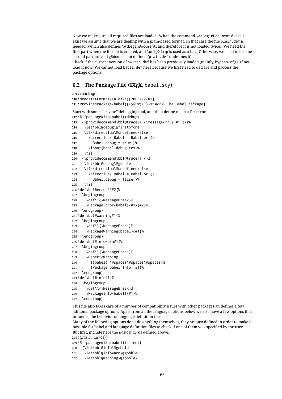Now we make sure all required files are loaded. When the command \AtBeginDocument doesn't exist we assume that we are dealing with a plain-based format. In that case the file plain.def is needed (which also defines \AtBeginDocument, and therefore it is not loaded twice). We need the first part when the format is created, and \orig@dump is used as a flag. Otherwise, we need to use the second part, so \orig@dump is not defined (plain.def undefines it).

Check if the current version of switch.def has been previously loaded (mainly, hyphen.cfg). If not, load it now. We cannot load babel.def here because we first need to declare and process the package options.

## **6.2** The Package File (LAT<sub>E</sub>X, babel.sty)

```
209 (*package)
210 \NeedsTeXFormat{LaTeX2e}[2005/12/01]
211 \ProvidesPackage{babel}[\langle \langle date \rangle \rangle \langle \langle version \rangle \rangle The Babel package]
Start with some "private" debugging tool, and then define macros for errors.
212 \@ifpackagewith{babel}{debug}
213 {\providecommand\bbl@trace[1]{\message{^^J[ #1 ]}}%
214 \let\bbl@debug\@firstofone
215 \ifx\directlua\@undefined\else
216 \directlua{ Babel = Babel or \{ \}217 Babel.debug = true }%
218 \input{babel-debug.tex}%
219 \{f_i\}220 {\providecommand\bbl@trace[1]{}%
221 \let\bbl@debug\@gobble
222 \ifx\directlua\@undefined\else
223 \directlua{ Babel = Babel or \{ \}224 Babel.debug = false }%
225 \fi}
226 \def\bbl@error#1#2{%
227 \begingroup
228 \def\\{\MessageBreak}%
229 \PackageError{babel}{#1}{#2}%
230 \endgroup}
231 \def\bbl@warning#1{%
232 \begingroup
233 \def\\{\MessageBreak}%
234 \PackageWarning{babel}{#1}%
235 \endgroup}
236 \def\bbl@infowarn#1{%
237 \begingroup
238 \def\\{\MessageBreak}%
239 \GenericWarning
240 {(babel) \@spaces\@spaces\@spaces}%
241 {Package babel Info: #1}%
242 \endgroup}
243 \def\bbl@info#1{%
244 \begingroup
245 \def\\{\MessageBreak}%
246 \PackageInfo{babel}{#1}%
247 \endgroup}
```
This file also takes care of a number of compatibility issues with other packages an defines a few aditional package options. Apart from all the language options below we also have a few options that influence the behavior of language definition files.

Many of the following options don't do anything themselves, they are just defined in order to make it possible for babel and language definition files to check if one of them was specified by the user. But first, include here the *Basic macros* defined above.

248  $\langle$ *Basic macros* $\rangle$ 

\@ifpackagewith{babel}{silent}

```
250 {\let\bbl@info\@gobble
```

```
251 \let\bbl@infowarn\@gobble
```
\let\bbl@warning\@gobble}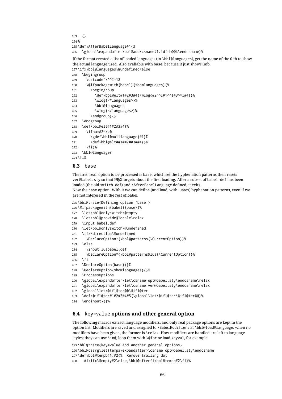```
253 {}
254 %
255 \def\AfterBabelLanguage#1{%
256 \global\expandafter\bbl@add\csname#1.ldf-h@@k\endcsname}%
```
If the format created a list of loaded languages (in \bbl@languages), get the name of the 0-th to show the actual language used. Also avaliable with base, because it just shows info. \ifx\bbl@languages\@undefined\else

```
258 \begingroup
259 \catcode`\^^I=12
260 \@ifpackagewith{babel}{showlanguages}{%
261 \begingroup
262 \def\bbl@elt#1#2#3#4{\wlog{#2^^I#1^^I#3^^I#4}}%
263 \wlog{<*languages>}%
264 \bbl@languages
265 \wlog{</languages>}%
266 \endgroup}{}
267 \endgroup
268 \def\bbl@elt#1#2#3#4{%
269 \ifnum#2=\z@
270 \gdef\bbl@nulllanguage{#1}%
271 \def\bbl@elt##1##2##3##4{}%
272 \fi}%
273 \bbl@languages
274 \fi%
```
#### **6.3** base

The first 'real' option to be processed is base, which set the hyphenation patterns then resets ver@babel.sty so that LATEXforgets about the first loading. After a subset of babel.def has been loaded (the old switch.def) and \AfterBabelLanguage defined, it exits. Now the base option. With it we can define (and load, with luatex) hyphenation patterns, even if we are not interesed in the rest of babel.

```
275 \bbl@trace{Defining option 'base'}
276 \@ifpackagewith{babel}{base}{%
```
- \let\bbl@onlyswitch\@empty
- 
- \let\bbl@provide@locale\relax
- \input babel.def
- \let\bbl@onlyswitch\@undefined
- \ifx\directlua\@undefined
- \DeclareOption\*{\bbl@patterns{\CurrentOption}}%
- \else
- \input luababel.def
- \DeclareOption\*{\bbl@patterns@lua{\CurrentOption}}%
- \fi
- \DeclareOption{base}{}%
- \DeclareOption{showlanguages}{}%
- \ProcessOptions
- \global\expandafter\let\csname opt@babel.sty\endcsname\relax
- \global\expandafter\let\csname ver@babel.sty\endcsname\relax
- \global\let\@ifl@ter@@\@ifl@ter

```
293 \def\@ifl@ter#1#2#3#4#5{\global\let\@ifl@ter\@ifl@ter@@}%
```

```
294 \endinput}{}%
```
### **6.4** key=value **options and other general option**

The following macros extract language modifiers, and only real package options are kept in the option list. Modifiers are saved and assigned to \BabelModifiers at \bbl@load@language; when no modifiers have been given, the former is \relax. How modifiers are handled are left to language styles; they can use \in@, loop them with \@for or load keyval, for example.

```
295 \bbl@trace{key=value and another general options}
296 \bbl@csarg\let{tempa\expandafter}\csname opt@babel.sty\endcsname
297 \def\bbl@tempb#1.#2{% Remove trailing dot
298 #1\ifx\@empty#2\else,\bbl@afterfi\bbl@tempb#2\fi}%
```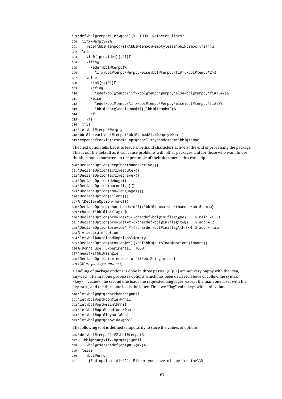```
299 \def\bbl@tempd#1.#2\@nnil{% TODO. Refactor lists?
300 \ifx\@empty#2%
301 \edef\bbl@tempc{\ifx\bbl@tempc\@empty\else\bbl@tempc,\fi#1}%
302 \else
303 \in@{,provide=}{,#1}%
304 \ifin@
305 \edef\bbl@tempc{%
306 \ifx\bbl@tempc\@empty\else\bbl@tempc,\fi#1.\bbl@tempb#2}%
307 \else
308 \in@{=}{#1}%
309 \ifin@
310 \edef\bbl@tempc{\ifx\bbl@tempc\@empty\else\bbl@tempc,\fi#1.#2}%
311 \leq \leq \leq \leq \leq \leq \leq \leq \leq \leq \leq \leq \leq \leq \leq \leq \leq \leq \leq \leq \leq \leq \leq \leq \leq \leq \leq \leq \leq \leq \leq \leq \leq \leq \leq \leq312 \edef\bbl@tempc{\ifx\bbl@tempc\@empty\else\bbl@tempc,\fi#1}%
313 \bbl@csarg\edef{mod@#1}{\bbl@tempb#2}%
314 \fi
215 \qquad \text{If}316 \fi}
317 \let\bbl@tempc\@empty
318 \bbl@foreach\bbl@tempa{\bbl@tempd#1.\@empty\@nnil}
319 \expandafter\let\csname opt@babel.sty\endcsname\bbl@tempc
```
The next option tells babel to leave shorthand characters active at the end of processing the package. This is *not* the default as it can cause problems with other packages, but for those who want to use the shorthand characters in the preamble of their documents this can help.

```
320 \DeclareOption{KeepShorthandsActive}{}
321 \DeclareOption{activeacute}{}
322 \DeclareOption{activegrave}{}
323 \DeclareOption{debug}{}
324 \DeclareOption{noconfigs}{}
325 \DeclareOption{showlanguages}{}
326 \DeclareOption{silent}{}
327 % \DeclareOption{mono}{}
328 \DeclareOption{shorthands=off}{\bbl@tempa shorthands=\bbl@tempa}
329 \chardef\bbl@iniflag\z@
330 \DeclareOption{provide=*}{\chardef\bbl@iniflag\@ne} % main -> +1
331 \DeclareOption{provide+=*}{\chardef\bbl@iniflag\tw@} % add = 2
332 \DeclareOption{provide*=*}{\chardef\bbl@iniflag\thr@@} % add + main
333 % A separate option
334 \let\bbl@autoload@options\@empty
335 \DeclareOption{provide@=*}{\def\bbl@autoload@options{import}}
336 % Don't use. Experimental. TODO.
337 \newif\ifbbl@single
338 \DeclareOption{selectors=off}{\bbl@singletrue}
339 \langle\langle More\ package\ options\rangle\rangle
```
Handling of package options is done in three passes. (I [JBL] am not very happy with the idea, anyway.) The first one processes options which has been declared above or follow the syntax <key>=<value>, the second one loads the requested languages, except the main one if set with the key main, and the third one loads the latter. First, we "flag" valid keys with a nil value.

```
340 \let\bbl@opt@shorthands\@nnil
341 \let\bbl@opt@config\@nnil
342 \let\bbl@opt@main\@nnil
343 \let\bbl@opt@headfoot\@nnil
344 \let\bbl@opt@layout\@nnil
345 \let\bbl@opt@provide\@nnil
```
The following tool is defined temporarily to store the values of options.

```
346 \def\bbl@tempa#1=#2\bbl@tempa{%
347 \bbl@csarg\ifx{opt@#1}\@nnil
348 \bbl@csarg\edef{opt@#1}{#2}%
349 \text{ kg}350 \bbl@error
351 {Bad option '#1=#2'. Either you have misspelled the\\%
```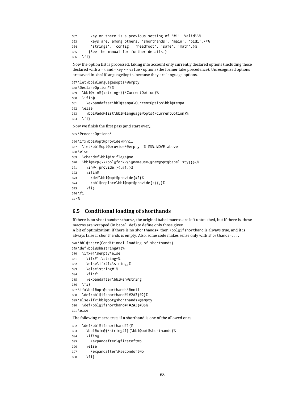```
352 key or there is a previous setting of '#1'. Valid\\%
353 keys are, among others, 'shorthands', 'main', 'bidi',\\%
354 'strings', 'config', 'headfoot', 'safe', 'math'.}%
355 {See the manual for further details.}
356 \fi}
```
Now the option list is processed, taking into account only currently declared options (including those declared with a =), and <key>=<value> options (the former take precedence). Unrecognized options are saved in \bbl@language@opts, because they are language options.

```
357 \let\bbl@language@opts\@empty
358 \DeclareOption*{%
359 \bbl@xin@{\string=}{\CurrentOption}%
360 \ifin@
361 \expandafter\bbl@tempa\CurrentOption\bbl@tempa
362 \else
363 \bbl@add@list\bbl@language@opts{\CurrentOption}%
364 \fi}
```
Now we finish the first pass (and start over).

```
365 \ProcessOptions*
```

```
366 \ifx\bbl@opt@provide\@nnil
367 \let\bbl@opt@provide\@empty % %%% MOVE above
368 \else
369 \chardef\bbl@iniflag\@ne
370 \bbl@exp{\\\bbl@forkv{\@nameuse{@raw@opt@babel.sty}}}{%
371 \in@{,provide,}{,#1,}%
372 \ifin@
373 \def\bbl@opt@provide{#2}%
374 \bbl@replace\bbl@opt@provide{;}{,}%
375 \quad \text{If} i376 \fi
377 %
```
### **6.5 Conditional loading of shorthands**

If there is no shorthands=<chars>, the original babel macros are left untouched, but if there is, these macros are wrapped (in babel.def) to define only those given.

```
A bit of optimization: if there is no shorthands=, then \bbl@ifshorthand is always true, and it is
always false if shorthands is empty. Also, some code makes sense only with shorthands=....
```

```
378 \bbl@trace{Conditional loading of shorthands}
379 \def\bbl@sh@string#1{%
380 \ifx#1\@empty\else
381 \ifx#1t\string~%
382 \else\ifx#1c\string,%
383 \else\string#1%
384 \fi\fi
385 \expandafter\bbl@sh@string
386 \fi}
387 \ifx\bbl@opt@shorthands\@nnil
388 \def\bbl@ifshorthand#1#2#3{#2}%
389 \else\ifx\bbl@opt@shorthands\@empty
390 \def\bbl@ifshorthand#1#2#3{#3}%
391 \else
```
The following macro tests if a shorthand is one of the allowed ones.

```
392 \def\bbl@ifshorthand#1{%
393 \bbl@xin@{\string#1}{\bbl@opt@shorthands}%
394 \ifin@
395 \expandafter\@firstoftwo
396 \lambdaelse
397 \expandafter\@secondoftwo
398 \fi}
```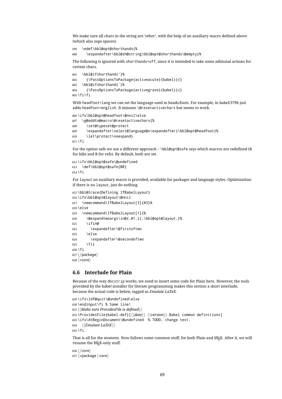We make sure all chars in the string are 'other', with the help of an auxiliary macro defined above (which also zaps spaces).

```
399 \edef\bbl@opt@shorthands{%
```

```
400 \expandafter\bbl@sh@string\bbl@opt@shorthands\@empty}%
```
The following is ignored with shorthands=off, since it is intended to take some aditional actions for certain chars.

```
401 \bbl@ifshorthand{'}%
402 {\PassOptionsToPackage{activeacute}{babel}}{}
403 \bbl@ifshorthand{`}%
404 {\PassOptionsToPackage{activegrave}{babel}}{}
405 \fi\fi
```
With headfoot=lang we can set the language used in heads/foots. For example, in babel/3796 just adds headfoot=english. It misuses \@resetactivechars but seems to work.

```
406 \ifx\bbl@opt@headfoot\@nnil\else
407 \g@addto@macro\@resetactivechars{%
408 \set@typeset@protect
409 \expandafter\select@language@x\expandafter{\bbl@opt@headfoot}%
410 \let\protect\noexpand}
411 \fi
```
For the option safe we use a different approach – \bbl@opt@safe says which macros are redefined (B for bibs and R for refs). By default, both are set.

```
412 \ifx\bbl@opt@safe\@undefined
413 \def\bbl@opt@safe{BR}
414 \fi
```
For layout an auxiliary macro is provided, available for packages and language styles. Optimization: if there is no layout, just do nothing.

```
415 \bbl@trace{Defining IfBabelLayout}
416 \ifx\bbl@opt@layout\@nnil
417 \newcommand\IfBabelLayout[3]{#3}%
418 \left\{ \rho \right\} se
419 \newcommand\IfBabelLayout[1]{%
420 \@expandtwoargs\in@{.#1.}{.\bbl@opt@layout.}%
421 \ifin@
422 \expandafter\@firstoftwo
423 \leq \leq \leq \leq424 \expandafter\@secondoftwo
425 \fi}
426 \fi
427 \langle/package)
428 \langle *core \rangle
```
### **6.6 Interlude for Plain**

Because of the way docstrip works, we need to insert some code for Plain here. However, the tools provided by the babel installer for literate programming makes this section a short interlude, because the actual code is below, tagged as *Emulate LaTeX*.

```
429 \ifx\ldf@quit\@undefined\else
430 \endinput\fi % Same line!
431 \langle Make sure ProvidesFile is defined)
432 \ProvidesFile{babel.def}[\langle \langle date \rangle \rangle \(\langle version \rangle} Babel common definitions]
433 \ifx\AtBeginDocument\@undefined % TODO. change test.
434 \langleEmulate LaTeX\rangle435 \fi
```
That is all for the moment. Now follows some common stuff, for both Plain and ETFX. After it, we will resume the LHFX-only stuff.

436  $\langle /core \rangle$ 437 (\*package | core)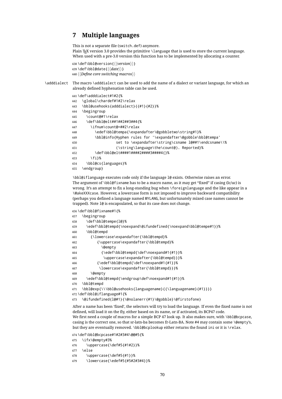# **7 Multiple languages**

This is not a separate file (switch.def) anymore. Plain T<sub>E</sub>X version 3.0 provides the primitive \language that is used to store the current language. When used with a pre-3.0 version this function has to be implemented by allocating a counter.

```
438 \def\bbl@version{\langle \langle version \rangle}
439 \def\bbl@date{\langle \langle date \rangle}
440 \langleDefine core switching macros\rangle
```
\adddialect The macro \adddialect can be used to add the name of a dialect or variant language, for which an already defined hyphenation table can be used.

```
441 \def\adddialect#1#2{%
442 \global\chardef#1#2\relax
443 \bbl@usehooks{adddialect}{{#1}{#2}}%
444 \begingroup
445 \count@#1\relax
446 \def\bbl@elt##1##2##3##4{%
447 \ifnum\count@=##2\relax
448 \edef\bbl@tempa{\expandafter\@gobbletwo\string#1}%
449 \bbl@info{Hyphen rules for '\expandafter\@gobble\bbl@tempa'
450 set to \expandafter\string\csname l@##1\endcsname\\%
451 (\string\language\the\count@). Reported}%
452 \def\bbl@elt####1####2####3####4{}%
453 \fi}%
454 \bbl@cs{languages}%
455 \endgroup}
```
\bbl@iflanguage executes code only if the language l@ exists. Otherwise raises an error. The argument of \bbl@fixname has to be a macro name, as it may get "fixed" if casing (lc/uc) is wrong. It's an attempt to fix a long-standing bug when \foreignlanguage and the like appear in a \MakeXXXcase. However, a lowercase form is not imposed to improve backward compatibility (perhaps you defined a language named MYLANG, but unfortunately mixed case names cannot be trapped). Note l@ is encapsulated, so that its case does not change.

```
456 \def\bbl@fixname#1{%
457 \begingroup
458 \def\bbl@tempe{l@}%
459 \edef\bbl@tempd{\noexpand\@ifundefined{\noexpand\bbl@tempe#1}}%
460 \bbl@tempd
461 {\lowercase\expandafter{\bbl@tempd}%
462 {\uppercase\expandafter{\bbl@tempd}%
463 \@empty
464 {\edef\bbl@tempd{\def\noexpand#1{#1}}%
465 \uppercase\expandafter{\bbl@tempd}}}%
466 {\edef\bbl@tempd{\def\noexpand#1{#1}}%
467 \lowercase\expandafter{\bbl@tempd}}}%
468 \@empty
469 \edef\bbl@tempd{\endgroup\def\noexpand#1{#1}}%
470 \bbl@tempd
471 \bbl@exp{\\\bbl@usehooks{languagename}{{\languagename}{#1}}}}
472 \def\bbl@iflanguage#1{%
473 \@ifundefined{l@#1}{\@nolanerr{#1}\@gobble}\@firstofone}
After a name has been 'fixed', the selectors will try to load the language. If even the fixed name is not
```
defined, will load it on the fly, either based on its name, or if activated, its BCP47 code. We first need a couple of macros for a simple BCP 47 look up. It also makes sure, with \bbl@bcpcase, casing is the correct one, so that sr-latn-ba becomes fr-Latn-BA. Note #4 may contain some \@empty's, but they are eventually removed. \bbl@bcplookup either returns the found ini or it is \relax.

\def\bbl@bcpcase#1#2#3#4\@@#5{%

- \ifx\@empty#3%
- \uppercase{\def#5{#1#2}}%
- $\leq$   $\leq$   $\leq$

```
478 \uppercase{\def#5{#1}}%
```

```
479 \lowercase{\edef#5{#5#2#3#4}}%
```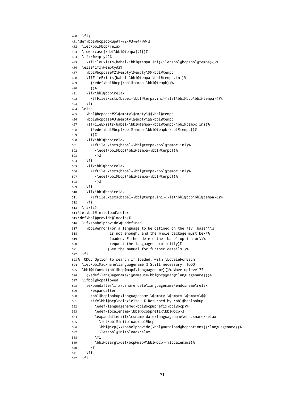```
480 \quad \text{If}481 \def\bbl@bcplookup#1-#2-#3-#4\@@{%
482 \let\bbl@bcp\relax
483 \lowercase{\def\bbl@tempa{#1}}%
484 \ifx\@empty#2%
485 \IfFileExists{babel-\bbl@tempa.ini}{\let\bbl@bcp\bbl@tempa}{}%
486 \else\ifx\@empty#3%
487 \bbl@bcpcase#2\@empty\@empty\@@\bbl@tempb
488 \IfFileExists{babel-\bbl@tempa-\bbl@tempb.ini}%
489 {\edef\bbl@bcp{\bbl@tempa-\bbl@tempb}}%
490 {}%
491 \ifx\bbl@bcp\relax
492 \IfFileExists{babel-\bbl@tempa.ini}{\let\bbl@bcp\bbl@tempa}{}%
493 \fi
494 \else
495 \bbl@bcpcase#2\@empty\@empty\@@\bbl@tempb
496 \bbl@bcpcase#3\@empty\@empty\@@\bbl@tempc
497 \IfFileExists{babel-\bbl@tempa-\bbl@tempb-\bbl@tempc.ini}%
498 {\edef\bbl@bcp{\bbl@tempa-\bbl@tempb-\bbl@tempc}}%
499 {}%
500 \ifx\bbl@bcp\relax
501 \IfFileExists{babel-\bbl@tempa-\bbl@tempc.ini}%
502 {\edef\bbl@bcp{\bbl@tempa-\bbl@tempc}}%
503 {}%
504 \fi
505 \ifx\bbl@bcp\relax
506 \IfFileExists{babel-\bbl@tempa-\bbl@tempc.ini}%
507 {\edef\bbl@bcp{\bbl@tempa-\bbl@tempc}}%
508 {}%
509 \fi
510 \ifx\bbl@bcp\relax
511 \IfFileExists{babel-\bbl@tempa.ini}{\let\bbl@bcp\bbl@tempa}{}%
512 \quad \text{Vfi}513 \{f_i\}_{i\}514 \let\bbl@initoload\relax
515 \def\bbl@provide@locale{%
516 \ifx\babelprovide\@undefined
517 \bbl@error{For a language to be defined on the fly 'base'\\%
518 is not enough, and the whole package must be\\%
519 loaded. Either delete the 'base' option or\\%
520 request the languages explicitly}%
521 {See the manual for further details.}%
522 \text{ } \text{ } 152523 % TODO. Option to search if loaded, with \LocaleForEach
524 \let\bbl@auxname\languagename % Still necessary. TODO
525 \bbl@ifunset{bbl@bcp@map@\languagename}{}% Move uplevel??
526 {\edef\languagename{\@nameuse{bbl@bcp@map@\languagename}}}%
527 \ifbbl@bcpallowed
528 \expandafter\ifx\csname date\languagename\endcsname\relax
529 \expandafter
530 \bbl@bcplookup\languagename-\@empty-\@empty-\@empty\@@
531 \ifx\bbl@bcp\relax\else % Returned by \bbl@bcplookup
532 \edef\languagename{\bbl@bcp@prefix\bbl@bcp}%
533 \edef\localename{\bbl@bcp@prefix\bbl@bcp}%
534 \expandafter\ifx\csname date\languagename\endcsname\relax
535 \let\bbl@initoload\bbl@bcp
536 \bbl@exp{\\\babelprovide[\bbl@autoload@bcpoptions]{\languagename}}%
537 \let\bbl@initoload\relax
538 \fi
539 \bbl@csarg\xdef{bcp@map@\bbl@bcp}{\localename}%
540 \quad \text{Vfi}541 \fi
542 \fi
```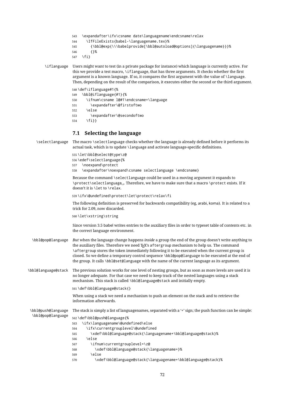- 543 \expandafter\ifx\csname date\languagename\endcsname\relax
- 544 \IfFileExists{babel-\languagename.tex}%
- 545 {\bbl@exp{\\\babelprovide[\bbl@autoload@options]{\languagename}}}%
- 546 {}%
- 547 \fi}

```
\iflanguage Users might want to test (in a private package for instance) which language is currently active. For
               this we provide a test macro, \iflanguage, that has three arguments. It checks whether the first
               argument is a known language. If so, it compares the first argument with the value of \language.
               Then, depending on the result of the comparison, it executes either the second or the third argument.
```

```
548 \def\iflanguage#1{%
549 \bbl@iflanguage{#1}{%
550 \ifnum\csname l@#1\endcsname=\language
551 \expandafter\@firstoftwo
552 \else
553 \expandafter\@secondoftwo
554 \fi}}
```
# **7.1 Selecting the language**

```
\selectlanguage The macro \selectlanguage checks whether the language is already defined before it performs its
                       actual task, which is to update \language and activate language-specific definitions.
                       555 \let\bbl@select@type\z@
                       556 \edef\selectlanguage{%
                       557 \noexpand\protect
                       558 \expandafter\noexpand\csname selectlanguage \endcsname}
                       Because the command \selectlanguage could be used in a moving argument it expands to
                       \protect\selectlanguage<sub>L1</sub>. Therefore, we have to make sure that a macro \protect exists. If it
                       doesn't it is \let to \relax.
                       559 \ifx\@undefined\protect\let\protect\relax\fi
                       The following definition is preserved for backwards compatibility (eg, arabi, koma). It is related to a
                       trick for 2.09, now discarded.
                       560 \let\xstring\string
                       Since version 3.5 babel writes entries to the auxiliary files in order to typeset table of contents etc. in
                       the correct language environment.
  \bbl@pop@language But when the language change happens inside a group the end of the group doesn't write anything to
                       the auxiliary files. Therefore we need T<sub>E</sub>X's aftergroup mechanism to help us. The command
                       \aftergroup stores the token immediately following it to be executed when the current group is
                       closed. So we define a temporary control sequence \bbl@pop@language to be executed at the end of
                       the group. It calls \bbl@set@language with the name of the current language as its argument.
\bbl@language@stack The previous solution works for one level of nesting groups, but as soon as more levels are used it is
                       no longer adequate. For that case we need to keep track of the nested languages using a stack
                       mechanism. This stack is called \bbl@language@stack and initially empty.
                       561 \def\bbl@language@stack{}
                       When using a stack we need a mechanism to push an element on the stack and to retrieve the
                       information afterwards.
 \bbl@push@language
  \bbl@pop@language
                       The stack is simply a list of languagenames, separated with a 4 sign; the push function can be simple:
                       562 \def\bbl@push@language{%
                       563 \ifx\languagename\@undefined\else
                       564 \ifx\currentgrouplevel\@undefined
                       565 \xdef\bbl@language@stack{\languagename+\bbl@language@stack}%
                       566 \else
                       567 \ifnum\currentgrouplevel=\z@
                       568 \xdef\bbl@language@stack{\languagename+}%
                       569 \sqrt{975}570 \xdef\bbl@language@stack{\languagename+\bbl@language@stack}%
```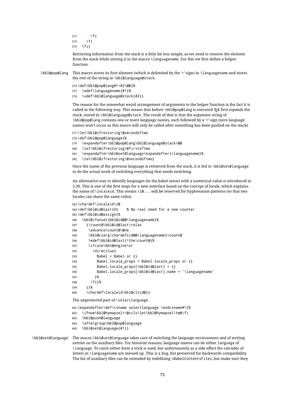- $571 \quad \text{If}$ \fi
- \fi}

Retrieving information from the stack is a little bit less simple, as we need to remove the element from the stack while storing it in the macro \languagename. For this we first define a helper function.

\bbl@pop@lang This macro stores its first element (which is delimited by the '+'-sign) in \languagename and stores the rest of the string in \bbl@language@stack.

> \def\bbl@pop@lang#1+#2\@@{% \edef\languagename{#1}% \xdef\bbl@language@stack{#2}}

The reason for the somewhat weird arrangement of arguments to the helper function is the fact it is called in the following way. This means that before \bbl@pop@lang is executed T<sub>F</sub>X first *expands* the stack, stored in \bbl@language@stack. The result of that is that the argument string of \bbl@pop@lang contains one or more language names, each followed by a '+'-sign (zero language names won't occur as this macro will only be called after something has been pushed on the stack).

\let\bbl@ifrestoring\@secondoftwo

- \def\bbl@pop@language{%
- \expandafter\bbl@pop@lang\bbl@language@stack\@@
- \let\bbl@ifrestoring\@firstoftwo
- \expandafter\bbl@set@language\expandafter{\languagename}%
- \let\bbl@ifrestoring\@secondoftwo}

Once the name of the previous language is retrieved from the stack, it is fed to \bbl@set@language to do the actual work of switching everything that needs switching.

An alternative way to identify languages (in the babel sense) with a numerical value is introduced in 3.30. This is one of the first steps for a new interface based on the concept of locale, which explains the name of \localeid. This means  $\lceil \theta \rceil$ ... will be reserved for hyphenation patterns (so that two locales can share the same rules).

```
583 \chardef\localeid\z@
584 \def\bbl@id@last{0} % No real need for a new counter
585 \def\bbl@id@assign{%
586 \bbl@ifunset{bbl@id@@\languagename}%
587 {\count@\bbl@id@last\relax
588 \advance\count@\@ne
589 \bbl@csarg\chardef{id@@\languagename}\count@
590 \edef\bbl@id@last{\the\count@}%
591 \ifcase\bbl@engine\or
592 \directlua{
593 Babel = Babel or {}
594 Babel.locale_props = Babel.locale_props or {}
595 Babel.locale_props[\bbl@id@last] = {}
596 Babel.locale_props[\bbl@id@last].name = '\languagename'
597 }%
598 \fi}%
599 {}%
600 \chardef\localeid\bbl@cl{id@}}
The unprotected part of \selectlanguage.
```
\expandafter\def\csname selectlanguage \endcsname#1{%

- \ifnum\bbl@hymapsel=\@cclv\let\bbl@hymapsel\tw@\fi
- \bbl@push@language
- \aftergroup\bbl@pop@language
- \bbl@set@language{#1}}

```
\bbl@set@language The macro \bbl@set@language takes care of switching the language environment and of writing
                      entries on the auxiliary files. For historial reasons, language names can be either language of
                      \language. To catch either form a trick is used, but unfortunately as a side effect the catcodes of
                      letters in \languagename are messed up. This is a bug, but preserved for backwards compatibility.
                      The list of auxiliary files can be extended by redefining \BabelContentsFiles, but make sure they
```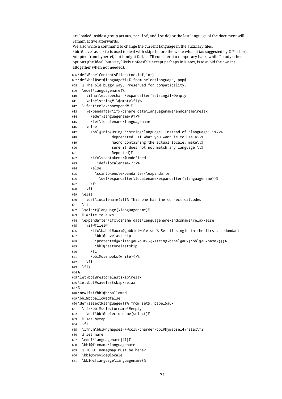are loaded inside a group (as aux, toc, lof, and lot do) or the last language of the document will remain active afterwards.

We also write a command to change the current language in the auxiliary files. \bbl@savelastskip is used to deal with skips before the write whatsit (as suggested by U Fischer). Adapted from hyperref, but it might fail, so I'll consider it a temporary hack, while I study other options (the ideal, but very likely unfeasible except perhaps in luatex, is to avoid the \write altogether when not needed).

```
606 \def\BabelContentsFiles{toc,lof,lot}
607 \def\bbl@set@language#1{% from selectlanguage, pop@
608 % The old buggy way. Preserved for compatibility.
609 \edef\languagename{%
610 \ifnum\escapechar=\expandafter`\string#1\@empty
611 \else\string#1\@empty\fi}%
612 \ifcat\relax\noexpand#1%
613 \expandafter\ifx\csname date\languagename\endcsname\relax
614 \edef\languagename{#1}%
615 \let\localename\languagename
616 \leq \leq \leq \leq \leq \leq \leq \leq \leq \leq \leq \leq \leq \leq \leq \leq \leq \leq \leq \leq \leq \leq \leq \leq \leq \leq \leq \leq \leq \leq \leq \leq \leq \leq \leq \leq617 \bbl@info{Using '\string\language' instead of 'language' is\\%
618 deprecated. If what you want is to use a\\%
619 macro containing the actual locale, make\\%
620 sure it does not not match any language.\\%
621 Reported}%
622 \ifx\scantokens\@undefined
623 \def\localename{??}%
624 \else
625 \scantokens\expandafter{\expandafter
626 \def\expandafter\localename\expandafter{\languagename}}%
627 \fi
628 \fi
629 \else
630 \def\localename{#1}% This one has the correct catcodes
631 \fi
632 \select@language{\languagename}%
633 % write to auxs
634 \expandafter\ifx\csname date\languagename\endcsname\relax\else
635 \if@filesw
636 \ifx\babel@aux\@gobbletwo\else % Set if single in the first, redundant
637 \bbl@savelastskip
638 \protected@write\@auxout{}{\string\babel@aux{\bbl@auxname}{}}%
639 \bbl@restorelastskip
640 \quad \text{If}641 \bbl@usehooks{write}{}%
642 \fi
643 \fi}
644 %
645 \let\bbl@restorelastskip\relax
646 \let\bbl@savelastskip\relax
647 %
648 \newif\ifbbl@bcpallowed
649 \bbl@bcpallowedfalse
650 \def\select@language#1{% from set@, babel@aux
651 \ifx\bbl@selectorname\@empty
652 \def\bbl@selectorname{select}%
653 % set hymap
654 \fi
655 \ifnum\bbl@hymapsel=\@cclv\chardef\bbl@hymapsel4\relax\fi
656 % set name
657 \edef\languagename{#1}%
658 \bbl@fixname\languagename
659 % TODO. name@map must be here?
660 \bbl@provide@locale
```
\bbl@iflanguage\languagename{%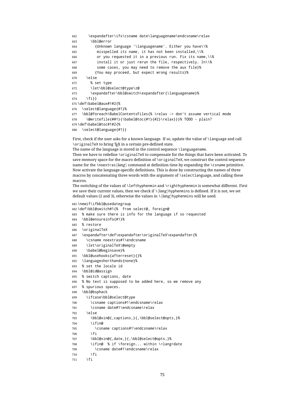```
662 \expandafter\ifx\csname date\languagename\endcsname\relax
663 \bbl@error
664 {Unknown language '\languagename'. Either you have\\%
665 misspelled its name, it has not been installed,\\%
666 or you requested it in a previous run. Fix its name,\\%
667 install it or just rerun the file, respectively. In\\%
668 some cases, you may need to remove the aux file}%
669 {You may proceed, but expect wrong results}%
670 \leq \text{e}671 % set type
672 \let\bbl@select@type\z@
673 \expandafter\bbl@switch\expandafter{\languagename}%
674 \fi}}
675 \def\babel@aux#1#2{%
676 \select@language{#1}%
677 \bbl@foreach\BabelContentsFiles{% \relax -> don't assume vertical mode
678 \@writefile{##1}{\babel@toc{#1}{#2}\relax}}}% TODO - plain?
679 \def\babel@toc#1#2{%
680 \select@language{#1}}
```
First, check if the user asks for a known language. If so, update the value of \language and call \originalTeX to bring TEX in a certain pre-defined state.

The name of the language is stored in the control sequence \languagename.

Then we have to *re*define \originalTeX to compensate for the things that have been activated. To save memory space for the macro definition of \originalTeX, we construct the control sequence name for the **\noextras** $\langle \text{lang} \rangle$  command at definition time by expanding the **\csname primitive.** Now activate the language-specific definitions. This is done by constructing the names of three macros by concatenating three words with the argument of \selectlanguage, and calling these macros.

The switching of the values of \lefthyphenmin and \righthyphenmin is somewhat different. First we save their current values, then we check if  $\langle \langle \text{lang} \rangle$ hyphenmins is defined. If it is not, we set default values (2 and 3), otherwise the values in  $\lambda \langle \text{lang} \rangle$ hyphenmins will be used.

```
682 \def\bbl@switch#1{% from select@, foreign@
683 % make sure there is info for the language if so requested
684 \bbl@ensureinfo{#1}%
685 % restore
686 \originalTeX
687 \expandafter\def\expandafter\originalTeX\expandafter{%
688 \csname noextras#1\endcsname
689 \let\originalTeX\@empty
690 \babel@beginsave}%
691 \bbl@usehooks{afterreset}{}%
692 \languageshorthands{none}%
693 % set the locale id
694 \bbl@id@assign
695 % switch captions, date
696 % No text is supposed to be added here, so we remove any
697 % spurious spaces.
698 \bbl@bsphack
699 \ifcase\bbl@select@type
700 \csname captions#1\endcsname\relax
701 \csname date#1\endcsname\relax
702 \else
703 \bbl@xin@{,captions,}{,\bbl@select@opts,}%
704 \ifin@
705 \csname captions#1\endcsname\relax
706 \fi
707 \bbl@xin@{,date,}{,\bbl@select@opts,}%
708 \ifin@ % if \foreign... within \<lang>date
709 \csname date#1\endcsname\relax
710 \quad \text{Vfi}
```
\newif\ifbbl@usedategroup

```
711 \fi
```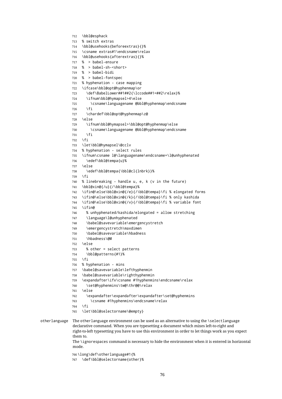```
712 \bbl@esphack
              713 % switch extras
              714 \bbl@usehooks{beforeextras}{}%
              715 \csname extras#1\endcsname\relax
              716 \bbl@usehooks{afterextras}{}%
              717 % > babel-ensure
              718 % > babel-sh-<short>
              719 % > babel-bidi
              720 % > babel-fontspec
              721 % hyphenation - case mapping
              722 \ifcase\bbl@opt@hyphenmap\or
              723 \def\BabelLower##1##2{\lccode##1=##2\relax}%
              724 \ifnum\bbl@hymapsel>4\else
              725 \csname\languagename @bbl@hyphenmap\endcsname
              726 \fi
              727 \chardef\bbl@opt@hyphenmap\z@
              728 \else
              729 \ifnum\bbl@hymapsel>\bbl@opt@hyphenmap\else
              730 \csname\languagename @bbl@hyphenmap\endcsname
              731 \qquad \text{If}732 \fi
              733 \let\bbl@hymapsel\@cclv
              734 % hyphenation - select rules
              735 \ifnum\csname l@\languagename\endcsname=\l@unhyphenated
              736 \edef\bbl@tempa{u}%
              737 \else
              738 \edef\bbl@tempa{\bbl@cl{lnbrk}}%
              739 \fi
              740 % linebreaking - handle u, e, k (v in the future)
              741 \bbl@xin@{/u}{/\bbl@tempa}%
              742 \ifin@\else\bbl@xin@{/e}{/\bbl@tempa}\fi % elongated forms
              743 \ifin@\else\bbl@xin@{/k}{/\bbl@tempa}\fi % only kashida
              744 \ifin@\else\bbl@xin@{/v}{/\bbl@tempa}\fi % variable font
              745 \ifin@
              746 % unhyphenated/kashida/elongated = allow stretching
              747 \language\l@unhyphenated
              748 \babel@savevariable\emergencystretch
              749 \emergencystretch\maxdimen
              750 \babel@savevariable\hbadness
              751 \hbadness\@M
              752 \else
              753 % other = select patterns
              754 \bbl@patterns{#1}%
              755 \fi
              756 % hyphenation - mins
              757 \babel@savevariable\lefthyphenmin
              758 \babel@savevariable\righthyphenmin
              759 \expandafter\ifx\csname #1hyphenmins\endcsname\relax
              760 \set@hyphenmins\tw@\thr@@\relax
              761 \else
              762 \expandafter\expandafter\expandafter\set@hyphenmins
              763 \csname #1hyphenmins\endcsname\relax
              764 \fi
              765 \let\bbl@selectorname\@empty}
otherlanguage The otherlanguage environment can be used as an alternative to using the \selectlanguage
               declarative command. When you are typesetting a document which mixes left-to-right and
               right-to-left typesetting you have to use this environment in order to let things work as you expect
               them to.
               The \ignorespaces command is necessary to hide the environment when it is entered in horizontal
               mode.
```
\long\def\otherlanguage#1{%

\def\bbl@selectorname{other}%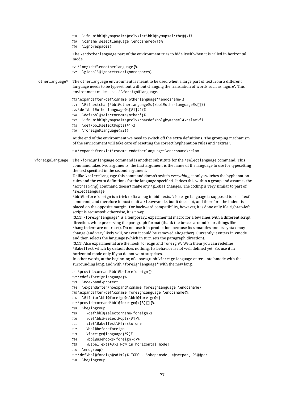- 768 \ifnum\bbl@hymapsel=\@cclv\let\bbl@hymapsel\thr@@\fi
- 769 \csname selectlanguage \endcsname{#1}%
- 770 \ignorespaces}

The \endotherlanguage part of the environment tries to hide itself when it is called in horizontal mode.

771 \long\def\endotherlanguage{%

772 \global\@ignoretrue\ignorespaces}

otherlanguage\* The otherlanguage environment is meant to be used when a large part of text from a different language needs to be typeset, but without changing the translation of words such as 'figure'. This environment makes use of \foreign@language.

```
773 \expandafter\def\csname otherlanguage*\endcsname{%
```
774 \@ifnextchar[\bbl@otherlanguage@s{\bbl@otherlanguage@s[]}}

- 775 \def\bbl@otherlanguage@s[#1]#2{%
- 776 \def\bbl@selectorname{other\*}%
- 777 \ifnum\bbl@hymapsel=\@cclv\chardef\bbl@hymapsel4\relax\fi
- 778 \def\bbl@select@opts{#1}%
- 779 \foreign@language{#2}}

At the end of the environment we need to switch off the extra definitions. The grouping mechanism of the environment will take care of resetting the correct hyphenation rules and "extras".

780 \expandafter\let\csname endotherlanguage\*\endcsname\relax

\foreignlanguage The \foreignlanguage command is another substitute for the \selectlanguage command. This command takes two arguments, the first argument is the name of the language to use for typesetting the text specified in the second argument.

Unlike \selectlanguage this command doesn't switch *everything*, it only switches the hyphenation rules and the extra definitions for the language specified. It does this within a group and assumes the \extras *(lang*) command doesn't make any \global changes. The coding is very similar to part of \selectlanguage.

\bbl@beforeforeign is a trick to fix a bug in bidi texts. \foreignlanguage is supposed to be a 'text' command, and therefore it must emit a \leavevmode, but it does not, and therefore the indent is placed on the opposite margin. For backward compatibility, however, it is done only if a right-to-left script is requested; otherwise, it is no-op.

 $(3.11)$  \foreignlanguage\* is a temporary, experimental macro for a few lines with a different script direction, while preserving the paragraph format (thank the braces around \par, things like \hangindent are not reset). Do not use it in production, because its semantics and its syntax may change (and very likely will, or even it could be removed altogether). Currently it enters in vmode and then selects the language (which in turn sets the paragraph direction).

(3.11) Also experimental are the hook foreign and foreign\*. With them you can redefine \BabelText which by default does nothing. Its behavior is not well defined yet. So, use it in horizontal mode only if you do not want surprises.

In other words, at the beginning of a paragraph \foreignlanguage enters into hmode with the surrounding lang, and with \foreignlanguage\* with the new lang.

781 \providecommand\bbl@beforeforeign{}

- 782 \edef\foreignlanguage{%
- 783 \noexpand\protect

```
784 \expandafter\noexpand\csname foreignlanguage \endcsname}
```
785 \expandafter\def\csname foreignlanguage \endcsname{%

```
786 \@ifstar\bbl@foreign@s\bbl@foreign@x}
```
787 \providecommand\bbl@foreign@x[3][]{%

- 788 \begingroup
- 789 \def\bbl@selectorname{foreign}%
- 790 \def\bbl@select@opts{#1}%
- 791 \let\BabelText\@firstofone
- 792 \bbl@beforeforeign
- 793 \foreign@language{#2}%
- 794 \bbl@usehooks{foreign}{}%
- 795 \BabelText{#3}% Now in horizontal mode!

796 \endgroup}

797 \def\bbl@foreign@s#1#2{% TODO - \shapemode, \@setpar, ?\@@par

798 \begingroup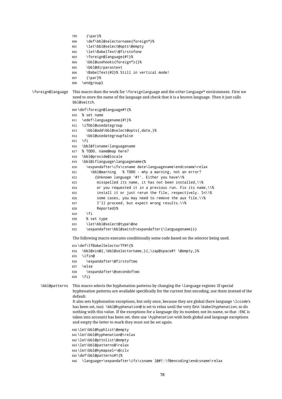```
799 {\par}%
```
- \def\bbl@selectorname{foreign\*}%
- \let\bbl@select@opts\@empty
- \let\BabelText\@firstofone
- \foreign@language{#1}%
- \bbl@usehooks{foreign\*}{}%
- \bbl@dirparastext
- \BabelText{#2}% Still in vertical mode!
- {\par}%
- \endgroup}

```
\foreign@language This macro does the work for \foreignlanguage and the otherlanguage* environment. First we
                     need to store the name of the language and check that it is a known language. Then it just calls
                     bbl@switch.
```

```
809 \def\foreign@language#1{%
810 % set name
811 \edef\languagename{#1}%
812 \ifbbl@usedategroup
813 \bbl@add\bbl@select@opts{,date,}%
814 \bbl@usedategroupfalse
815 \fi
816 \bbl@fixname\languagename
817 % TODO. name@map here?
818 \bbl@provide@locale
819 \bbl@iflanguage\languagename{%
820 \expandafter\ifx\csname date\languagename\endcsname\relax
821 \bbl@warning % TODO - why a warning, not an error?
822 {Unknown language '#1'. Either you have\\%
823 misspelled its name, it has not been installed,\\%
824 or you requested it in a previous run. Fix its name,\\%
825 install it or just rerun the file, respectively. In\\%
826 some cases, you may need to remove the aux file.\\%
827 I'll proceed, but expect wrong results.\\%
828 Reported}%
829 \fi
830 % set type
831 \let\bbl@select@type\@ne
832 \expandafter\bbl@switch\expandafter{\languagename}}}
```
The following macro executes conditionally some code based on the selector being used.

```
833 \def\IfBabelSelectorTF#1{%
834 \bbl@xin@{,\bbl@selectorname,}{,\zap@space#1 \@empty,}%
835 \quad \text{Vifin}\836 \expandafter\@firstoftwo
837 \leq \leq \leq \leq838 \expandafter\@secondoftwo
839 \fi}
```

```
\bbl@patterns This macro selects the hyphenation patterns by changing the \language register. If special
                 hyphenation patterns are available specifically for the current font encoding, use them instead of the
                 default.
```
It also sets hyphenation exceptions, but only once, because they are global (here language \lccode's has been set, too). \bbl@hyphenation@ is set to relax until the very first \babelhyphenation, so do nothing with this value. If the exceptions for a language (by its number, not its name, so that :ENC is taken into account) has been set, then use \hyphenation with both global and language exceptions and empty the latter to mark they must not be set again.

```
840 \let\bbl@hyphlist\@empty
841 \let\bbl@hyphenation@\relax
842 \let\bbl@pttnlist\@empty
843 \let\bbl@patterns@\relax
844 \let\bbl@hymapsel=\@cclv
845 \def\bbl@patterns#1{%
846 \language=\expandafter\ifx\csname l@#1:\f@encoding\endcsname\relax
```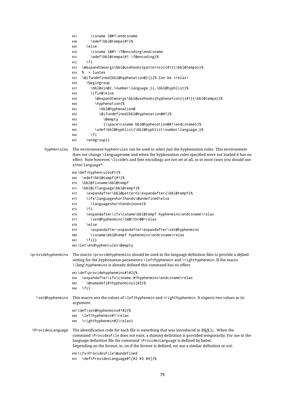\csname l@#1\endcsname \edef\bbl@tempa{#1}%  $\leq$   $\leq$   $\leq$   $\leq$  \csname l@#1:\f@encoding\endcsname \edef\bbl@tempa{#1:\f@encoding}% \fi \@expandtwoargs\bbl@usehooks{patterns}{{#1}{\bbl@tempa}}% % > luatex \@ifundefined{bbl@hyphenation@}{}{% Can be \relax! \begingroup \bbl@xin@{,\number\language,}{,\bbl@hyphlist}% \ifin@\else \@expandtwoargs\bbl@usehooks{hyphenation}{{#1}{\bbl@tempa}}% \hyphenation{% \bbl@hyphenation@ \@ifundefined{bbl@hyphenation@#1}% 863 \@empty {\space\csname bbl@hyphenation@#1\endcsname}}% \xdef\bbl@hyphlist{\bbl@hyphlist\number\language,}% 866 \fi \endgroup}} hyphenrules The environment hyphenrules can be used to select *just* the hyphenation rules. This environment does *not* change \languagename and when the hyphenation rules specified were not loaded it has no effect. Note however, \lccode's and font encodings are not set at all, so in most cases you should use otherlanguage\*. \def\hyphenrules#1{% \edef\bbl@tempf{#1}% \bbl@fixname\bbl@tempf \bbl@iflanguage\bbl@tempf{% \expandafter\bbl@patterns\expandafter{\bbl@tempf}% \ifx\languageshorthands\@undefined\else \languageshorthands{none}% \fi 876 \expandafter\ifx\csname\bbl@tempf hyphenmins\endcsname\relax 877 \set@hyphenmins\tw@\thr@@\relax \else \expandafter\expandafter\expandafter\set@hyphenmins \csname\bbl@tempf hyphenmins\endcsname\relax \fi}} \let\endhyphenrules\@empty \providehyphenmins The macro \providehyphenmins should be used in the language definition files to provide a *default* setting for the hyphenation parameters \lefthyphenmin and \righthyphenmin. If the macro  $\lambda$ *(lang*)hyphenmins is already defined this command has no effect. \def\providehyphenmins#1#2{% \expandafter\ifx\csname #1hyphenmins\endcsname\relax \@namedef{#1hyphenmins}{#2}% \fi} \set@hyphenmins This macro sets the values of \lefthyphenmin and \righthyphenmin. It expects two values as its argument. \def\set@hyphenmins#1#2{% \lefthyphenmin#1\relax

 $\Perp{O}$  \ProvidesLanguage The identification code for each file is something that was introduced in LATEX 2 $\epsilon$ . When the command \ProvidesFile does not exist, a dummy definition is provided temporarily. For use in the language definition file the command \ProvidesLanguage is defined by babel. Depending on the format, ie, on if the former is defined, we use a similar definition or not. \ifx\ProvidesFile\@undefined

\def\ProvidesLanguage#1[#2 #3 #4]{%

\righthyphenmin#2\relax}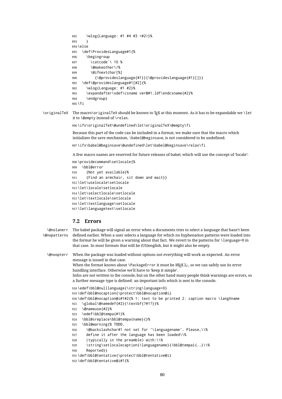```
892 \wlog{Language: #1 #4 #3 <#2>}%
893 }
894 \else
895 \def\ProvidesLanguage#1{%
896 \begingroup
897 \catcode`\ 10 %
898 \@makeother\/%
899 \@ifnextchar[%]
900 {\@provideslanguage{#1}}{\@provideslanguage{#1}[]}}
901 \def\@provideslanguage#1[#2]{%
902 \wlog{Language: #1 #2}%
903 \expandafter\xdef\csname ver@#1.ldf\endcsname{#2}%
904 \endgroup}
905 \text{ Yfi}
```
\originalTeX The macro\originalTeX should be known to TEX at this moment. As it has to be expandable we \let it to \@empty instead of \relax.

\ifx\originalTeX\@undefined\let\originalTeX\@empty\fi

Because this part of the code can be included in a format, we make sure that the macro which initializes the save mechanism, \babel@beginsave, is not considered to be undefined.

\ifx\babel@beginsave\@undefined\let\babel@beginsave\relax\fi

A few macro names are reserved for future releases of babel, which will use the concept of 'locale':

```
908 \providecommand\setlocale{%
909 \bbl@error
910 {Not yet available}%
911 {Find an armchair, sit down and wait}}
912 \let\uselocale\setlocale
913 \let\locale\setlocale
914 \let\selectlocale\setlocale
915 \let\textlocale\setlocale
916 \let\textlanguage\setlocale
917 \let\languagetext\setlocale
```
## **7.2 Errors**

```
\@nolanerr
\@nopatterns
              The babel package will signal an error when a documents tries to select a language that hasn't been
               defined earlier. When a user selects a language for which no hyphenation patterns were loaded into
               the format he will be given a warning about that fact. We revert to the patterns for \language=0 in
               that case. In most formats that will be (US)english, but it might also be empty.
  \@noopterr When the package was loaded without options not everything will work as expected. An error
               message is issued in that case.
               When the format knows about \PackageError it must be \mathbb{F} \mathbb{F} X2_\varepsilon, so we can safely use its error
               handling interface. Otherwise we'll have to 'keep it simple'.
               Infos are not written to the console, but on the other hand many people think warnings are errors, so
               a further message type is defined: an important info which is sent to the console.
               918 \edef\bbl@nulllanguage{\string\language=0}
               919 \def\bbl@nocaption{\protect\bbl@nocaption@i}
               920 \def\bbl@nocaption@i#1#2{% 1: text to be printed 2: caption macro \langXname
               921 \global\@namedef{#2}{\textbf{?#1?}}%
               922 \@nameuse{#2}%
               923 \edef\bbl@tempa{#1}%
               924 \bbl@sreplace\bbl@tempa{name}{}%
               925 \bbl@warning{% TODO.
               926 \@backslashchar#1 not set for '\languagename'. Please,\\%
               927 define it after the language has been loaded\\%
               928 (typically in the preamble) with:\\%
               929 \string\setlocalecaption{\languagename}{\bbl@tempa}{..}\\%
               930 Reported}}
               931 \def\bbl@tentative{\protect\bbl@tentative@i}
               932 \def\bbl@tentative@i#1{%
```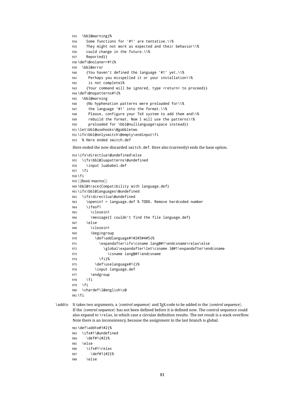```
933 \bbl@warning{%
934 Some functions for '#1' are tentative.\\%
935 They might not work as expected and their behavior\\%
936 could change in the future.\\%
937 Reported}}
938 \def\@nolanerr#1{%
939 \bbl@error
940 {You haven't defined the language '#1' yet.\\%
941 Perhaps you misspelled it or your installation\\%
942 is not complete}%
943 {Your command will be ignored, type <return> to proceed}}
944 \def\@nopatterns#1{%
945 \bbl@warning
946 {No hyphenation patterns were preloaded for\\%
947 the language '#1' into the format.\\%
948 Please, configure your TeX system to add them and\\%
949 rebuild the format. Now I will use the patterns\\%
950 preloaded for \bbl@nulllanguage\space instead}}
951 \let\bbl@usehooks\@gobbletwo
952 \ifx\bbl@onlyswitch\@empty\endinput\fi
953 % Here ended switch.def
```
Here ended the now discarded switch.def. Here also (currently) ends the base option.

```
954 \ifx\directlua\@undefined\else
955 \ifx\bbl@luapatterns\@undefined
956 \input luababel.def
957 \fi
958 \fi
959 ((Basic macros))
960 \bbl@trace{Compatibility with language.def}
961 \ifx\bbl@languages\@undefined
962 \ifx\directlua\@undefined
963 \openin1 = language.def % TODO. Remove hardcoded number
964 \ifeof1
965 \closein1
966 \message{I couldn't find the file language.def}
967 \left| \begin{array}{c} 967 \end{array} \right|968 \closein1
969 \begingroup
970 \def\addlanguage#1#2#3#4#5{%
971 \expandafter\ifx\csname lang@#1\endcsname\relax\else
972 \global\expandafter\let\csname l@#1\expandafter\endcsname
973 \csname lang@#1\endcsname
974 \fi}%
975 \def\uselanguage#1{}%
976 \input language.def
977 \endgroup
978 \fi
979 \fi
980 \chardef\l@english\z@
981 \fi
```
\addto It takes two arguments, a *\control sequence*} and T<sub>EX</sub>-code to be added to the *\control sequence*}. If the *(control sequence*) has not been defined before it is defined now. The control sequence could also expand to \relax, in which case a circular definition results. The net result is a stack overflow. Note there is an inconsistency, because the assignment in the last branch is global.

 \def\addto#1#2{% \ifx#1\@undefined \def#1{#2}% \else \ifx#1\relax \def#1{#2}% \else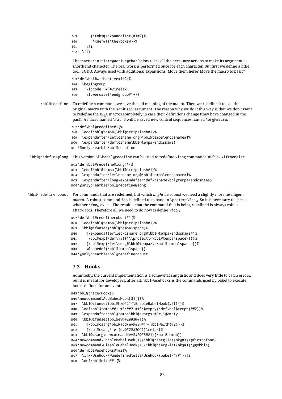```
989 {\toks@\expandafter{#1#2}%
990 \xdef#1{\the\toks@}}%
991 \fi
992 \fi}
```
The macro \initiate@active@char below takes all the necessary actions to make its argument a shorthand character. The real work is performed once for each character. But first we define a little tool. TODO. Always used with additional expansions. Move them here? Move the macro to basic?

 \def\bbl@withactive#1#2{% \begingroup \lccode`~=`#2\relax \lowercase{\endgroup#1~}}

\bbl@redefine To redefine a command, we save the old meaning of the macro. Then we redefine it to call the original macro with the 'sanitized' argument. The reason why we do it this way is that we don't want to redefine the LHFX macros completely in case their definitions change (they have changed in the past). A macro named \macro will be saved new control sequences named \org@macro.

```
997 \def\bbl@redefine#1{%
```

```
998 \edef\bbl@tempa{\bbl@stripslash#1}%
```
- \expandafter\let\csname org@\bbl@tempa\endcsname#1%
- \expandafter\def\csname\bbl@tempa\endcsname}
- \@onlypreamble\bbl@redefine

\bbl@redefine@long This version of \babel@redefine can be used to redefine \long commands such as \ifthenelse.

- \def\bbl@redefine@long#1{%
- \edef\bbl@tempa{\bbl@stripslash#1}%
- \expandafter\let\csname org@\bbl@tempa\endcsname#1%
- \expandafter\long\expandafter\def\csname\bbl@tempa\endcsname}
- \@onlypreamble\bbl@redefine@long

\bbl@redefinerobust For commands that are redefined, but which *might* be robust we need a slightly more intelligent macro. A robust command foo is defined to expand to  $\text{product}\setminus\text{foo}_\sqcup$ . So it is necessary to check whether  $\binom{1}{0}$  exists. The result is that the command that is being redefined is always robust afterwards. Therefore all we need to do now is define  $\setminus$  foo.

> \def\bbl@redefinerobust#1{% \edef\bbl@tempa{\bbl@stripslash#1}% \bbl@ifunset{\bbl@tempa\space}% {\expandafter\let\csname org@\bbl@tempa\endcsname#1% \bbl@exp{\def\\#1{\\\protect\<\bbl@tempa\space>}}}% {\bbl@exp{\let\<org@\bbl@tempa>\<\bbl@tempa\space>}}% \@namedef{\bbl@tempa\space}} \@onlypreamble\bbl@redefinerobust

# **7.3 Hooks**

Admittedly, the current implementation is a somewhat simplistic and does very little to catch errors, but it is meant for developers, after all. \bbl@usehooks is the commands used by babel to execute hooks defined for an event.

```
1015 \bbl@trace{Hooks}
1016 \newcommand\AddBabelHook[3][]{%
1017 \bbl@ifunset{bbl@hk@#2}{\EnableBabelHook{#2}}{}%
1018 \def\bbl@tempa##1,#3=##2,##3\@empty{\def\bbl@tempb{##2}}%
1019 \expandafter\bbl@tempa\bbl@evargs,#3=,\@empty
1020 \bbl@ifunset{bbl@ev@#2@#3@#1}%
1021 {\bbl@csarg\bbl@add{ev@#3@#1}{\bbl@elth{#2}}}%
1022 {\bbl@csarg\let{ev@#2@#3@#1}\relax}%
1023 \bbl@csarg\newcommand{ev@#2@#3@#1}[\bbl@tempb]}
1024 \newcommand\EnableBabelHook[1]{\bbl@csarg\let{hk@#1}\@firstofone}
1025 \newcommand\DisableBabelHook[1]{\bbl@csarg\let{hk@#1}\@gobble}
1026 \def\bbl@usehooks#1#2{%
1027 \ifx\UseHook\@undefined\else\UseHook{babel/*/#1}\fi
1028 \def\bbl@elth##1{%
```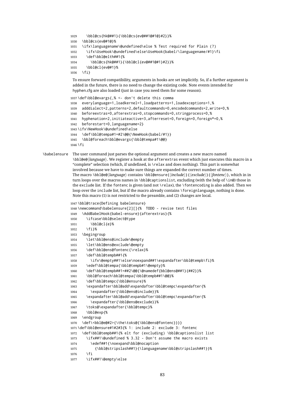```
1029 \bbl@cs{hk@##1}{\bbl@cs{ev@##1@#1@}#2}}%
             1030 \bbl@cs{ev@#1@}%
             1031 \ifx\languagename\@undefined\else % Test required for Plain (?)
             1032 \ifx\UseHook\@undefined\else\UseHook{babel/\languagename/#1}\fi
             1033 \def\bbl@elth##1{%
             1034 \bbl@cs{hk@##1}{\bbl@cl{ev@##1@#1}#2}}%
             1035 \bbl@cl{ev@#1}%
             1036 \fi}
              To ensure forward compatibility, arguments in hooks are set implicitly. So, if a further argument is
              added in the future, there is no need to change the existing code. Note events intended for
              hyphen.cfg are also loaded (just in case you need them for some reason).
             1037 \def\bbl@evargs{,% <- don't delete this comma
             1038 everylanguage=1,loadkernel=1,loadpatterns=1,loadexceptions=1,%
             1039 adddialect=2,patterns=2,defaultcommands=0,encodedcommands=2,write=0,%
             1040 beforeextras=0,afterextras=0,stopcommands=0,stringprocess=0,%
             1041 hyphenation=2,initiateactive=3,afterreset=0,foreign=0,foreign*=0,%
             1042 beforestart=0,languagename=2}
             1043 \ifx\NewHook\@undefined\else
             1044 \def\bbl@tempa#1=#2\@@{\NewHook{babel/#1}}
             1045 \bbl@foreach\bbl@evargs{\bbl@tempa#1\@@}
             1046 \fi
\babelensure The user command just parses the optional argument and creates a new macro named
              \bbl@e@(language). We register a hook at the afterextras event which just executes this macro in a
              "complete" selection (which, if undefined, is \relax and does nothing). This part is somewhat
              involved because we have to make sure things are expanded the correct number of times.
              The macro \bbl@e@\language\ contains \bbl@ensure{\include\}{\exclude\}{\fontenc\}, which in in
              turn loops over the macros names in \bbl@captionslist, excluding (with the help of \in@) those in
              the exclude list. If the fontenc is given (and not \relax), the \fontencoding is also added. Then we
              loop over the include list, but if the macro already contains \foreignlanguage, nothing is done.
              Note this macro (1) is not restricted to the preamble, and (2) changes are local.
             1047 \bbl@trace{Defining babelensure}
             1048 \newcommand\babelensure[2][]{% TODO - revise test files
             1049 \AddBabelHook{babel-ensure}{afterextras}{%
             1050 \ifcase\bbl@select@type
             1051 \bbl@cl{e}%
             1052 \fi}%
             1053 \begingroup
             1054 \let\bbl@ens@include\@empty
             1055 \let\bbl@ens@exclude\@empty
             1056 \def\bbl@ens@fontenc{\relax}%
             1057 \def\bbl@tempb##1{%
             1058 \ifx\@empty##1\else\noexpand##1\expandafter\bbl@tempb\fi}%
             1059 \edef\bbl@tempa{\bbl@tempb#1\@empty}%
             1060 \def\bbl@tempb##1=##2\@@{\@namedef{bbl@ens@##1}{##2}}%
             1061 \bbl@foreach\bbl@tempa{\bbl@tempb##1\@@}%
             1062 \def\bbl@tempc{\bbl@ensure}%
             1063 \expandafter\bbl@add\expandafter\bbl@tempc\expandafter{%
             1064 \expandafter{\bbl@ens@include}}%
             1065 \expandafter\bbl@add\expandafter\bbl@tempc\expandafter{%
             1066 \expandafter{\bbl@ens@exclude}}%
             1067 \toks@\expandafter{\bbl@tempc}%
             1068 \bbl@exp{%
             1069 \endgroup
             1070 \def\<bbl@e@#2>{\the\toks@{\bbl@ens@fontenc}}}}
             1071 \def\bbl@ensure#1#2#3{% 1: include 2: exclude 3: fontenc
             1072 \def\bbl@tempb##1{% elt for (excluding) \bbl@captionslist list
             1073 \ifx##1\@undefined % 3.32 - Don't assume the macro exists
             1074 \edef##1{\noexpand\bbl@nocaption
             1075 {\bbl@stripslash##1}{\languagename\bbl@stripslash##1}}%
             1076 \fi
             1077 \ifx##1\@empty\else
```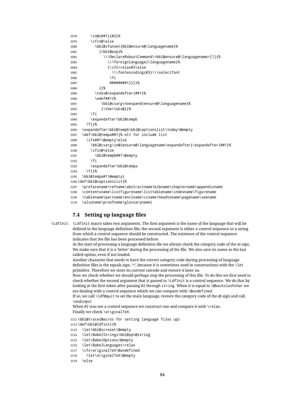```
1078 \in@{##1}{#2}%
1079 \ifin@\else
1080 \bbl@ifunset{bbl@ensure@\languagename}%
1081 {\bbl@exp{%
1082 \\\DeclareRobustCommand\<bbl@ensure@\languagename>[1]{%
1083 \\\foreignlanguage{\languagename}%
1084 {\ifx\relax#3\else
1085 \\\fontencoding{#3}\\\selectfont
1086 \fi
1087 ########1}}}}%
1088 {}%
1089 \toks@\expandafter{##1}%
1090 \edef##1{%
1091 \bbl@csarg\noexpand{ensure@\languagename}%
1092 {\the\toks@}}%
1093 \fi
1094 \expandafter\bbl@tempb
1095 \fi}%
1096 \expandafter\bbl@tempb\bbl@captionslist\today\@empty
1097 \def\bbl@tempa##1{% elt for include list
1098 \{i f \times # #1\}@empty\else
1099 \bbl@csarg\in@{ensure@\languagename\expandafter}\expandafter{##1}%
1100 \ifin@\else
1101 \bbl@tempb##1\@empty
1102 \quad \text{If}1103 \expandafter\bbl@tempa
1104 \fi}%
1105 \bbl@tempa#1\@empty}
1106 \def\bbl@captionslist{%
1107 \prefacename\refname\abstractname\bibname\chaptername\appendixname
1108 \contentsname\listfigurename\listtablename\indexname\figurename
1109 \tablename\partname\enclname\ccname\headtoname\pagename\seename
```

```
1110 \alsoname\proofname\glossaryname}
```
## **7.4 Setting up language files**

\LdfInit \LdfInit macro takes two arguments. The first argument is the name of the language that will be defined in the language definition file; the second argument is either a control sequence or a string from which a control sequence should be constructed. The existence of the control sequence indicates that the file has been processed before.

> At the start of processing a language definition file we always check the category code of the at-sign. We make sure that it is a 'letter' during the processing of the file. We also save its name as the last called option, even if not loaded.

Another character that needs to have the correct category code during processing of language definition files is the equals sign,  $\epsilon$ , because it is sometimes used in constructions with the \let primitive. Therefore we store its current catcode and restore it later on.

Now we check whether we should perhaps stop the processing of this file. To do this we first need to check whether the second argument that is passed to \LdfInit is a control sequence. We do that by looking at the first token after passing #2 through string. When it is equal to \@backslashchar we are dealing with a control sequence which we can compare with \@undefined.

If so, we call \ldf@quit to set the main language, restore the category code of the @-sign and call \endinput

When #2 was *not* a control sequence we construct one and compare it with \relax. Finally we check \originalTeX.

\bbl@trace{Macros for setting language files up}

- \def\bbl@ldfinit{%
- \let\bbl@screset\@empty
- \let\BabelStrings\bbl@opt@string
- \let\BabelOptions\@empty
- \let\BabelLanguages\relax
- \ifx\originalTeX\@undefined
- \let\originalTeX\@empty
- \else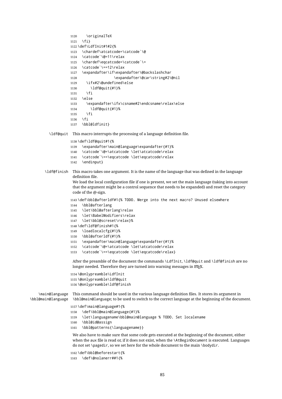```
1120 \originalTeX
                    1121 \fi}
                    1122 \def\LdfInit#1#2{%
                    1123 \chardef\atcatcode=\catcode`\@
                    1124 \catcode`\@=11\relax
                    1125 \chardef\eqcatcode=\catcode`\=
                    1126 \catcode`\==12\relax
                    1127 \expandafter\if\expandafter\@backslashchar
                    1128 \expandafter\@car\string#2\@nil
                    1129 \ifx#2\@undefined\else
                    1130 \ldf@quit{#1}%
                    1131 \fi
                    1132 \else
                    1133 \expandafter\ifx\csname#2\endcsname\relax\else
                    1134 \ldf@quit{#1}%
                    1135 \fi
                    1136 \quad \text{If}1137 \bbl@ldfinit}
         \ldf@quit This macro interrupts the processing of a language definition file.
                    1138 \def\ldf@quit#1{%
                    1139 \expandafter\main@language\expandafter{#1}%
                    1140 \catcode`\@=\atcatcode \let\atcatcode\relax
                    1141 \catcode`\==\eqcatcode \let\eqcatcode\relax
                    1142 \endinput}
       \ldf@finish This macro takes one argument. It is the name of the language that was defined in the language
                     definition file.
                     We load the local configuration file if one is present, we set the main language (taking into account
                     that the argument might be a control sequence that needs to be expanded) and reset the category
                     code of the @-sign.
                    1143 \def\bbl@afterldf#1{% TODO. Merge into the next macro? Unused elsewhere
                    1144 \bbl@afterlang
                    1145 \let\bbl@afterlang\relax
                    1146 \let\BabelModifiers\relax
                    1147 \let\bbl@screset\relax}%
                    1148 \def\ldf@finish#1{%
                    1149 \loadlocalcfg{#1}%
                    1150 \bbl@afterldf{#1}%
                    1151 \expandafter\main@language\expandafter{#1}%
                    1152 \catcode`\@=\atcatcode \let\atcatcode\relax
                    1153 \catcode`\==\eqcatcode \let\eqcatcode\relax}
                     After the preamble of the document the commands \LdfInit, \ldf@quit and \ldf@finish are no
                     longer needed. Therefore they are turned into warning messages in LHFX.
                    1154 \@onlypreamble\LdfInit
                    1155 \@onlypreamble\ldf@quit
                    1156 \@onlypreamble\ldf@finish
    \main@language
This command should be used in the various language definition files. It stores its argument in
\bbl@main@language
\bbl@main@language; to be used to switch to the correct language at the beginning of the document.
                    1157 \def\main@language#1{%
                    1158 \def\bbl@main@language{#1}%
                    1159 \let\languagename\bbl@main@language % TODO. Set localename
                    1160 \bbl@id@assign
                    1161 \bbl@patterns{\languagename}}
                     We also have to make sure that some code gets executed at the beginning of the document, either
                     when the aux file is read or, if it does not exist, when the \AtBeginDocument is executed. Languages
                     do not set \pagedir, so we set here for the whole document to the main \bodydir.
```

```
1162 \def\bbl@beforestart{%
1163 \def\@nolanerr##1{%
```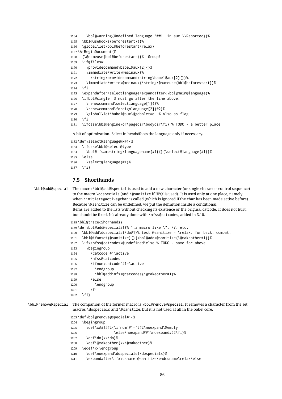```
1164 \bbl@warning{Undefined language '##1' in aux.\\Reported}}%
1165 \bbl@usehooks{beforestart}{}%
1166 \global\let\bbl@beforestart\relax}
1167 \AtBeginDocument{%
1168 {\@nameuse{bbl@beforestart}}% Group!
1169 \if@filesw
1170 \providecommand\babel@aux[2]{}%
1171 \immediate\write\@mainaux{%
1172 \string\providecommand\string\babel@aux[2]{}}%
1173 \immediate\write\@mainaux{\string\@nameuse{bbl@beforestart}}%
1174 \fi
1175 \expandafter\selectlanguage\expandafter{\bbl@main@language}%
1176 \ifbbl@single % must go after the line above.
1177 \renewcommand\selectlanguage[1]{}%
1178 \renewcommand\foreignlanguage[2]{#2}%
1179 \global\let\babel@aux\@gobbletwo % Also as flag
1180 \fi
1181 \ifcase\bbl@engine\or\pagedir\bodydir\fi} % TODO - a better place
 A bit of optimization. Select in heads/foots the language only if necessary.
```

```
1182 \def\select@language@x#1{%
1183 \ifcase\bbl@select@type
1184 \bbl@ifsamestring\languagename{#1}{}{\select@language{#1}}%
1185 \else
1186 \select@language{#1}%
1187 \fi}
```
# **7.5 Shorthands**

\bbl@add@special The macro \bbl@add@special is used to add a new character (or single character control sequence) to the macro \dospecials (and \@sanitize if  $E\Gamma$ X is used). It is used only at one place, namely when \initiate@active@char is called (which is ignored if the char has been made active before). Because \@sanitize can be undefined, we put the definition inside a conditional. Items are added to the lists without checking its existence or the original catcode. It does not hurt, but should be fixed. It's already done with \nfss@catcodes, added in 3.10.

```
1188 \bbl@trace{Shorhands}
1189 \def\bbl@add@special#1{% 1:a macro like \", \?, etc.
1190 \bbl@add\dospecials{\do#1}% test @sanitize = \relax, for back. compat.
1191 \bbl@ifunset{@sanitize}{}{\bbl@add\@sanitize{\@makeother#1}}%
1192 \ifx\nfss@catcodes\@undefined\else % TODO - same for above
1193 \begingroup
1194 \catcode`#1\active
1195 \nfss@catcodes
1196 \ifnum\catcode`#1=\active
1197 \endgroup
1198 \bbl@add\nfss@catcodes{\@makeother#1}%
1199 \else
1200 \endgroup
1201 \fi
1202 \fi}
```

```
\bbl@remove@special The companion of the former macro is \bbl@remove@special. It removes a character from the set
                       macros \dospecials and \@sanitize, but it is not used at all in the babel core.
```

```
1203 \def\bbl@remove@special#1{%
1204 \begingroup
1205 \def\x##1##2{\ifnum`#1=`##2\noexpand\@empty
1206 \else\noexpand##1\noexpand##2\fi}%
1207 \def\do{\x\do}%
1208 \def\@makeother{\x\@makeother}%
1209 \edef\x{\endgroup
1210 \def\noexpand\dospecials{\dospecials}%
1211 \expandafter\ifx\csname @sanitize\endcsname\relax\else
```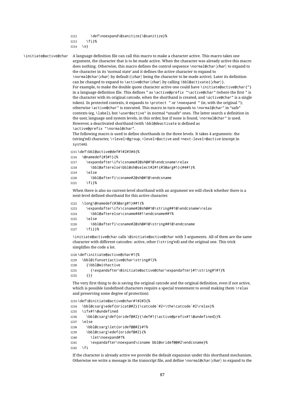- 1212 \def\noexpand\@sanitize{\@sanitize}%
- $1213$  \fi}%
- $1214 \quad \{x\}$

\initiate@active@char A language definition file can call this macro to make a character active. This macro takes one argument, the character that is to be made active. When the character was already active this macro does nothing. Otherwise, this macro defines the control sequence \normal@charh*char*i to expand to the character in its 'normal state' and it defines the active character to expand to  $\{char\}$ *normal@char* $\langle char \rangle$  *by default (* $\langle char \rangle$  *being the character to be made active). Later its definition* can be changed to expand to \active@char $\langle char \rangle$  by calling \bbl@activate{ $\langle char \rangle$ }. For example, to make the double quote character active one could have \initiate@active@char{"} in a language definition file. This defines " as \active@prefix "\active@char" (where the first " is the character with its original catcode, when the shorthand is created, and \active@char" is a single token). In protected contexts, it expands to \protect " or \noexpand " (ie, with the original "); otherwise \active@char" is executed. This macro in turn expands to \normal@char" in "safe" contexts (eg, \label), but \user@active" in normal "unsafe" ones. The latter search a definition in the user, language and system levels, in this order, but if none is found, \normal@char" is used. However, a deactivated shorthand (with \bbl@deactivate is defined as \active@prefix "\normal@char".

> The following macro is used to define shorthands in the three levels. It takes 4 arguments: the (string'ed) character, \<level>@group, <level>@active and <next-level>@active (except in system).

1215 \def\bbl@active@def#1#2#3#4{%

 \@namedef{#3#1}{% \expandafter\ifx\csname#2@sh@#1@\endcsname\relax \bbl@afterelse\bbl@sh@select#2#1{#3@arg#1}{#4#1}% 1219 \else \bbl@afterfi\csname#2@sh@#1@\endcsname 1221 \fi}%

When there is also no current-level shorthand with an argument we will check whether there is a next-level defined shorthand for this active character.

```
1222 \long\@namedef{#3@arg#1}##1{%
```

```
1223 \expandafter\ifx\csname#2@sh@#1@\string##1@\endcsname\relax
1224 \bbl@afterelse\csname#4#1\endcsname##1%
1225 \left\{ \text{else} \right\}1226 \bbl@afterfi\csname#2@sh@#1@\string##1@\endcsname
1227 \fi}}%
```
\initiate@active@char calls \@initiate@active@char with 3 arguments. All of them are the same character with different catcodes: active, other (\string'ed) and the original one. This trick simplifies the code a lot.

 \def\initiate@active@char#1{% \bbl@ifunset{active@char\string#1}% {\bbl@withactive {\expandafter\@initiate@active@char\expandafter}#1\string#1#1}% 1232 {}}

The very first thing to do is saving the original catcode and the original definition, even if not active, which is possible (undefined characters require a special treatement to avoid making them \relax and preserving some degree of protection).

```
1233 \def\@initiate@active@char#1#2#3{%
1234 \bbl@csarg\edef{oricat@#2}{\catcode`#2=\the\catcode`#2\relax}%
1235 \ifx#1\@undefined
1236 \bbl@csarg\def{oridef@#2}{\def#1{\active@prefix#1\@undefined}}%
1237 \else
1238 \bbl@csarg\let{oridef@@#2}#1%
1239 \bbl@csarg\edef{oridef@#2}{%
1240 \let\noexpand#1%
1241 \expandafter\noexpand\csname bbl@oridef@@#2\endcsname}%
1242 \fi
```
If the character is already active we provide the default expansion under this shorthand mechanism. Otherwise we write a message in the transcript file, and define \normal@charh*char*i to expand to the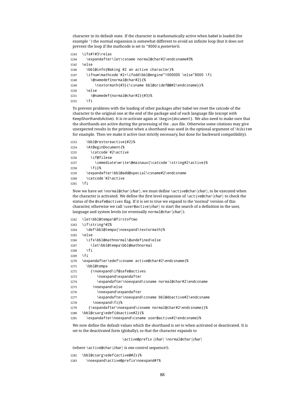character in its default state. If the character is mathematically active when babel is loaded (for example ') the normal expansion is somewhat different to avoid an infinite loop (but it does not prevent the loop if the mathcode is set to "8000 *a posteriori*).

```
1243 \ifx#1#3\relax
1244 \expandafter\let\csname normal@char#2\endcsname#3%
1245 \left\{ \rho \right\}se
1246 \bbl@info{Making #2 an active character}%
1247 \ifnum\mathcode`#2=\ifodd\bbl@engine"1000000 \else"8000 \fi
1248 \@namedef{normal@char#2}{%
1249 \textormath{#3}{\csname bbl@oridef@@#2\endcsname}}%
1250 \qquad \text{left}1251 \@namedef{normal@char#2}{#3}%
1252 \fi
```
To prevent problems with the loading of other packages after babel we reset the catcode of the character to the original one at the end of the package and of each language file (except with KeepShorthandsActive). It is re-activate again at \begin{document}. We also need to make sure that the shorthands are active during the processing of the .aux file. Otherwise some citations may give unexpected results in the printout when a shorthand was used in the optional argument of \bibitem for example. Then we make it active (not strictly necessary, but done for backward compatibility).

```
1253 \bbl@restoreactive{#2}%
1254 \AtBeginDocument{%
1255 \catcode`#2\active
1256 \if@filesw
1257 \immediate\write\@mainaux{\catcode`\string#2\active}%
1258 \fi}%
1259 \expandafter\bbl@add@special\csname#2\endcsname
1260 \catcode`#2\active
1261 \fi
```
Now we have set \normal@char  $\langle char \rangle$ , we must define \active@char $\langle char \rangle$ , to be executed when the character is activated. We define the first level expansion of \active@charh*char*i to check the status of the @safe@actives flag. If it is set to true we expand to the 'normal' version of this character, otherwise we call *\user@active* $\langle char \rangle$  to start the search of a definition in the user, language and system levels (or eventually normal@char $\langle char \rangle$ ).

```
1262 \let\bbl@tempa\@firstoftwo
1263 \if\string^#2%
1264 \def\bbl@tempa{\noexpand\textormath}%
1265 \else
1266 \ifx\bbl@mathnormal\@undefined\else
1267 \let\bbl@tempa\bbl@mathnormal
1268 \fi
1269 \fi
1270 \expandafter\edef\csname active@char#2\endcsname{%
1271 \bbl@tempa
1272 {\noexpand\if@safe@actives
1273 \noexpand\expandafter
1274 \expandafter\noexpand\csname normal@char#2\endcsname
1275 \noexpand\else
1276 \noexpand\expandafter
1277 \expandafter\noexpand\csname bbl@doactive#2\endcsname
1278 \noexpand\fi}%
1279 {\expandafter\noexpand\csname normal@char#2\endcsname}}%
1280 \bbl@csarg\edef{doactive#2}{%
1281 \expandafter\noexpand\csname user@active#2\endcsname}%
```
We now define the default values which the shorthand is set to when activated or deactivated. It is set to the deactivated form (globally), so that the character expands to

\active@prefix  $\langle char \rangle$  \normal@char $\langle char \rangle$ 

(where \active@char $\langle char \rangle$  is *one* control sequence!).

```
1282 \bbl@csarg\edef{active@#2}{%
```
1283 \noexpand\active@prefix\noexpand#1%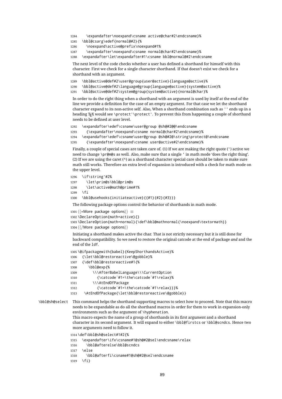- 1284 \expandafter\noexpand\csname active@char#2\endcsname}%
- 1285 \bbl@csarg\edef{normal@#2}{%
- 1286 \noexpand\active@prefix\noexpand#1%
- 1287 \expandafter\noexpand\csname normal@char#2\endcsname}%

1288 \expandafter\let\expandafter#1\csname bbl@normal@#2\endcsname

The next level of the code checks whether a user has defined a shorthand for himself with this character. First we check for a single character shorthand. If that doesn't exist we check for a shorthand with an argument.

```
1289 \bbl@active@def#2\user@group{user@active}{language@active}%
```
- 1290 \bbl@active@def#2\language@group{language@active}{system@active}%
- 1291 \bbl@active@def#2\system@group{system@active}{normal@char}%

In order to do the right thing when a shorthand with an argument is used by itself at the end of the line we provide a definition for the case of an empty argument. For that case we let the shorthand character expand to its non-active self. Also, When a shorthand combination such as '' ends up in a heading T<sub>E</sub>X would see \protect'\protect'. To prevent this from happening a couple of shorthand needs to be defined at user level.

1292 \expandafter\edef\csname\user@group @sh@#2@@\endcsname

- 1293 {\expandafter\noexpand\csname normal@char#2\endcsname}%
- 1294 \expandafter\edef\csname\user@group @sh@#2@\string\protect@\endcsname

1295 {\expandafter\noexpand\csname user@active#2\endcsname}%

Finally, a couple of special cases are taken care of. (1) If we are making the right quote (') active we need to change \pr@m@s as well. Also, make sure that a single ' in math mode 'does the right thing'. (2) If we are using the caret  $(^{\wedge})$  as a shorthand character special care should be taken to make sure math still works. Therefore an extra level of expansion is introduced with a check for math mode on the upper level.

```
1296 \if\string'#2%
1297 \let\prim@s\bbl@prim@s
1298 \let\active@math@prime#1%
1299 \fi
1300 \bbl@usehooks{initiateactive}{{#1}{#2}{#3}}}
```
The following package options control the behavior of shorthands in math mode.

```
1301 \langle ∗More package options\rangle \equiv1302 \DeclareOption{math=active}{}
1303 \DeclareOption{math=normal}{\def\bbl@mathnormal{\noexpand\textormath}}
1304 \langle \langle/More package options\rangle)
```
Initiating a shorthand makes active the char. That is not strictly necessary but it is still done for backward compatibility. So we need to restore the original catcode at the end of package *and* and the end of the ldf.

```
1305 \@ifpackagewith{babel}{KeepShorthandsActive}%
```

```
1306 {\let\bbl@restoreactive\@gobble}%
```
- 1307 {\def\bbl@restoreactive#1{%
- 1308 \bbl@exp{%
- 1309 \\\AfterBabelLanguage\\\CurrentOption
- 1310 {\catcode`#1=\the\catcode`#1\relax}%
- 1311 \\\AtEndOfPackage
- 1312 {\catcode`#1=\the\catcode`#1\relax}}}%
- 1313 \AtEndOfPackage{\let\bbl@restoreactive\@gobble}}

```
\bbl@sh@select This command helps the shorthand supporting macros to select how to proceed. Note that this macro
                  needs to be expandable as do all the shorthand macros in order for them to work in expansion-only
                  environments such as the argument of \hyphenation.
                  This macro expects the name of a group of shorthands in its first argument and a shorthand
```
character in its second argument. It will expand to either \bbl@firstcs or \bbl@scndcs. Hence two more arguments need to follow it.

```
1314 \def\bbl@sh@select#1#2{%
1315 \expandafter\ifx\csname#1@sh@#2@sel\endcsname\relax
1316 \bbl@afterelse\bbl@scndcs
1317 \else
1318 \bbl@afterfi\csname#1@sh@#2@sel\endcsname
1319 \fi}
```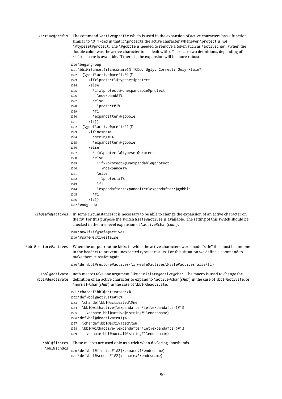\active@prefix The command \active@prefix which is used in the expansion of active characters has a function similar to \OT1-cmd in that it \protects the active character whenever \protect is *not* \@typeset@protect. The \@gobble is needed to remove a token such as \activechar: (when the double colon was the active character to be dealt with). There are two definitions, depending of \ifincsname is available. If there is, the expansion will be more robust. \begingroup \bbl@ifunset{ifincsname}% TODO. Ugly. Correct? Only Plain? {\gdef\active@prefix#1{% \ifx\protect\@typeset@protect \else \ifx\protect\@unexpandable@protect \noexpand#1% 1327 \else \protect#1% \fi \expandafter\@gobble 1331 \fi}} {\gdef\active@prefix#1{% \ifincsname \string#1% \expandafter\@gobble \else \ifx\protect\@typeset@protect \else \ifx\protect\@unexpandable@protect 1340 \noexpand#1%  $\leq \leq \leq 15e$ 1342 \protect#1% 1343 \fi \expandafter\expandafter\expandafter\@gobble \fi \fi}} \endgroup \if@safe@actives In some circumstances it is necessary to be able to change the expansion of an active character on the fly. For this purpose the switch @safe@actives is available. The setting of this switch should be checked in the first level expansion of \active@char*\char*}. \newif\if@safe@actives \@safe@activesfalse \bbl@restore@actives When the output routine kicks in while the active characters were made "safe" this must be undone in the headers to prevent unexpected typeset results. For this situation we define a command to make them "unsafe" again. \def\bbl@restore@actives{\if@safe@actives\@safe@activesfalse\fi} \bbl@activate Both macros take one argument, like \initiate@active@char. The macro is used to change the \bbl@deactivate definition of an active character to expand to \active@char\char\in the case of \bbl@activate, or \normal@char/*char*) in the case of \bbl@deactivate. \chardef\bbl@activated\z@ \def\bbl@activate#1{% \chardef\bbl@activated\@ne \bbl@withactive{\expandafter\let\expandafter}#1% \csname bbl@active@\string#1\endcsname} \def\bbl@deactivate#1{% \chardef\bbl@activated\tw@ \bbl@withactive{\expandafter\let\expandafter}#1% \csname bbl@normal@\string#1\endcsname} \bbl@firstcs These macros are used only as a trick when declaring shorthands. \bbl@scndcs \def\bbl@firstcs#1#2{\csname#1\endcsname} \def\bbl@scndcs#1#2{\csname#2\endcsname}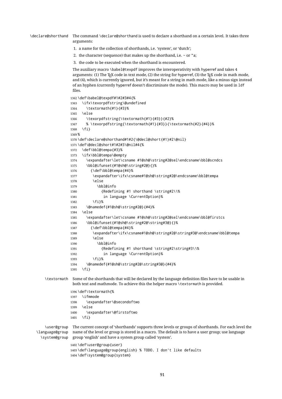\declare@shorthand The command \declare@shorthand is used to declare a shorthand on a certain level. It takes three arguments:

- 1. a name for the collection of shorthands, i.e. 'system', or 'dutch';
- 2. the character (sequence) that makes up the shorthand, i.e.  $\sim$  or "a;
- 3. the code to be executed when the shorthand is encountered.

The auxiliary macro \babel@texpdf improves the interoperativity with hyperref and takes 4 arguments: (1) The T<sub>E</sub>X code in text mode, (2) the string for hyperref, (3) the T<sub>E</sub>X code in math mode, and (4), which is currently ignored, but it's meant for a string in math mode, like a minus sign instead of an hyphen (currently hyperref doesn't discriminate the mode). This macro may be used in ldf files.

\def\babel@texpdf#1#2#3#4{%

```
1363 \ifx\texorpdfstring\@undefined
1364 \textormath{#1}{#3}%
1365 \else
1366 \texorpdfstring{\textormath{#1}{#3}}{#2}%
1367 % \texorpdfstring{\textormath{#1}{#3}}{\textormath{#2}{#4}}%
1368 \fi}
1369 %
1370 \def\declare@shorthand#1#2{\@decl@short{#1}#2\@nil}
1371 \def\@decl@short#1#2#3\@nil#4{%
1372 \def\bbl@tempa{#3}%
1373 \ifx\bbl@tempa\@empty
1374 \expandafter\let\csname #1@sh@\string#2@sel\endcsname\bbl@scndcs
1375 \bbl@ifunset{#1@sh@\string#2@}{}%
1376 {\def\bbl@tempa{#4}%
1377 \expandafter\ifx\csname#1@sh@\string#2@\endcsname\bbl@tempa
1378 \else
1379 \bbl@info
1380 {Redefining #1 shorthand \string#2\\%
1381 in language \CurrentOption}%
1382 \fi}%
1383 \@namedef{#1@sh@\string#2@}{#4}%
1384 \else
1385 \expandafter\let\csname #1@sh@\string#2@sel\endcsname\bbl@firstcs
1386 \bbl@ifunset{#1@sh@\string#2@\string#3@}{}%
1387 {\def\bbl@tempa{#4}%
1388 \expandafter\ifx\csname#1@sh@\string#2@\string#3@\endcsname\bbl@tempa
1389 \else
1390 \bbl@info
1391 {Redefining #1 shorthand \string#2\string#3\\%
1392 in language \CurrentOption}%
1393 \fi}%
1394 \@namedef{#1@sh@\string#2@\string#3@}{#4}%
1395 \fi}
```
\textormath Some of the shorthands that will be declared by the language definition files have to be usable in both text and mathmode. To achieve this the helper macro \textormath is provided.

\def\textormath{%

- \ifmmode
- \expandafter\@secondoftwo
- \else
- \expandafter\@firstoftwo
- \fi}

\user@group The current concept of 'shorthands' supports three levels or groups of shorthands. For each level the \language@group name of the level or group is stored in a macro. The default is to have a user group; use language \system@group group 'english' and have a system group called 'system'.

```
1402 \def\user@group{user}
1403 \def\language@group{english} % TODO. I don't like defaults
1404 \def\system@group{system}
```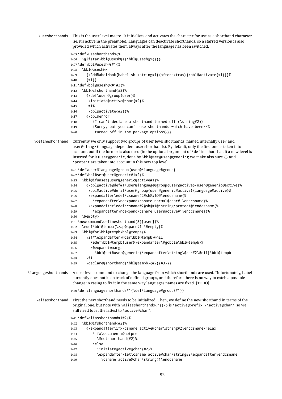\useshorthands This is the user level macro. It initializes and activates the character for use as a shorthand character (ie, it's active in the preamble). Languages can deactivate shorthands, so a starred version is also provided which activates them always after the language has been switched. \def\useshorthands{% \@ifstar\bbl@usesh@s{\bbl@usesh@x{}}} \def\bbl@usesh@s#1{% \bbl@usesh@x {\AddBabelHook{babel-sh-\string#1}{afterextras}{\bbl@activate{#1}}}% {#1}} \def\bbl@usesh@x#1#2{% \bbl@ifshorthand{#2}% {\def\user@group{user}% \initiate@active@char{#2}% #1% \bbl@activate{#2}}% {\bbl@error {I can't declare a shorthand turned off (\string#2)} {Sorry, but you can't use shorthands which have been\\% turned off in the package options}}} \defineshorthand Currently we only support two groups of user level shorthands, named internally user and user@<lang> (language-dependent user shorthands). By default, only the first one is taken into account, but if the former is also used (in the optional argument of \defineshorthand) a new level is inserted for it (user@generic, done by \bbl@set@user@generic); we make also sure {} and \protect are taken into account in this new top level. \def\user@language@group{user@\language@group} \def\bbl@set@user@generic#1#2{% \bbl@ifunset{user@generic@active#1}% {\bbl@active@def#1\user@language@group{user@active}{user@generic@active}% \bbl@active@def#1\user@group{user@generic@active}{language@active}% \expandafter\edef\csname#2@sh@#1@@\endcsname{% \expandafter\noexpand\csname normal@char#1\endcsname}% \expandafter\edef\csname#2@sh@#1@\string\protect@\endcsname{% \expandafter\noexpand\csname user@active#1\endcsname}}% \@empty} \newcommand\defineshorthand[3][user]{% \edef\bbl@tempa{\zap@space#1 \@empty}% \bbl@for\bbl@tempb\bbl@tempa{% \if\*\expandafter\@car\bbl@tempb\@nil \edef\bbl@tempb{user@\expandafter\@gobble\bbl@tempb}% \@expandtwoargs \bbl@set@user@generic{\expandafter\string\@car#2\@nil}\bbl@tempb \fi 1439 \declare@shorthand{\bbl@tempb}{#2}{#3}}} \languageshorthands A user level command to change the language from which shorthands are used. Unfortunately, babel currently does not keep track of defined groups, and therefore there is no way to catch a possible change in casing to fix it in the same way languages names are fixed. [TODO]. \def\languageshorthands#1{\def\language@group{#1}} \aliasshorthand First the new shorthand needs to be initialized. Then, we define the new shorthand in terms of the original one, but note with \aliasshorthands{"}{/} is \active@prefix /\active@char/, so we still need to let the lattest to \active@char". \def\aliasshorthand#1#2{% \bbl@ifshorthand{#2}% {\expandafter\ifx\csname active@char\string#2\endcsname\relax \ifx\document\@notprerr \@notshorthand{#2}% 1446 \else \initiate@active@char{#2}% \expandafter\let\csname active@char\string#2\expandafter\endcsname \csname active@char\string#1\endcsname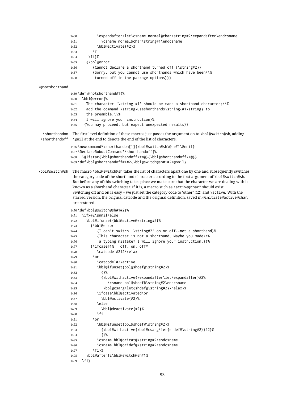|                               | \expandafter\let\csname normal@char\string#2\expandafter\endcsname<br>1450                                                                                        |
|-------------------------------|-------------------------------------------------------------------------------------------------------------------------------------------------------------------|
|                               | \csname normal@char\string#1\endcsname<br>1451                                                                                                                    |
|                               | \bbl@activate{#2}%<br>1452                                                                                                                                        |
|                               | ١fi                                                                                                                                                               |
|                               | 1453                                                                                                                                                              |
|                               | \fi}%<br>1454                                                                                                                                                     |
|                               | {\bbl@error<br>1455                                                                                                                                               |
|                               | {Cannot declare a shorthand turned off (\string#2)}<br>1456                                                                                                       |
|                               | {Sorry, but you cannot use shorthands which have been\\%<br>1457                                                                                                  |
|                               | turned off in the package options}}}<br>1458                                                                                                                      |
|                               |                                                                                                                                                                   |
| \@notshorthand                |                                                                                                                                                                   |
|                               |                                                                                                                                                                   |
|                               | 1459 \def\@notshorthand#1{%                                                                                                                                       |
|                               | \bbl@error{%<br>1460                                                                                                                                              |
|                               | The character '\string $#1'$ should be made a shorthand character;\\%<br>1461                                                                                     |
|                               | add the command \string\useshorthands\string{#1\string} to<br>1462                                                                                                |
|                               | the preamble.\\%<br>1463                                                                                                                                          |
|                               | I will ignore your instruction}%<br>1464                                                                                                                          |
|                               | {You may proceed, but expect unexpected results}}<br>1465                                                                                                         |
|                               |                                                                                                                                                                   |
| \shorthandon<br>\shorthandoff | The first level definition of these macros just passes the argument on to \bbl@switch@sh, adding<br>\@nil at the end to denote the end of the list of characters. |
|                               | 1466\newcommand*\shorthandon[1]{\bbl@switch@sh\@ne#1\@nnil}                                                                                                       |
|                               |                                                                                                                                                                   |
|                               | 1467\DeclareRobustCommand*\shorthandoff{%                                                                                                                         |
|                               | \@ifstar{\bbl@shorthandoff\tw@}{\bbl@shorthandoff\z@}}<br>1468                                                                                                    |
|                               | 1469\def\bbl@shorthandoff#1#2{\bbl@switch@sh#1#2\@nnil}                                                                                                           |
|                               |                                                                                                                                                                   |
| \bbl@switch@sh                | The macro \bbl@switch@sh takes the list of characters apart one by one and subsequently switches                                                                  |
|                               | the category code of the shorthand character according to the first argument of \bbl@switch@sh.                                                                   |
|                               | But before any of this switching takes place we make sure that the character we are dealing with is                                                               |
|                               | known as a shorthand character. If it is, a macro such as \active@char" should exist.                                                                             |
|                               | Switching off and on is easy - we just set the category code to 'other' (12) and \active. With the                                                                |
|                               | starred version, the original catcode and the original definition, saved in @initiate@active@char,                                                                |
|                               |                                                                                                                                                                   |
|                               | are restored.                                                                                                                                                     |
|                               | 1470\def\bbl@switch@sh#1#2{%                                                                                                                                      |
|                               | \ifx#2\@nnil\else<br>1471                                                                                                                                         |
|                               | \bbl@ifunset{bbl@active@\string#2}%                                                                                                                               |
|                               | 1472                                                                                                                                                              |
|                               | {\bbl@error<br>1473                                                                                                                                               |
|                               | {I can't switch '\string#2' on or off--not a shorthand}%<br>1474                                                                                                  |
|                               | {This character is not a shorthand. Maybe you made\\%<br>1475                                                                                                     |
|                               | a typing mistake? I will ignore your instruction.}}%<br>1476                                                                                                      |
|                               | off, on, off*<br>{\ifcase#1%<br>1477                                                                                                                              |
|                               | \catcode`#212\relax<br>1478                                                                                                                                       |
|                               | \or<br>1479                                                                                                                                                       |
|                               | \catcode`#2\active                                                                                                                                                |
|                               | 1480                                                                                                                                                              |
|                               | \bbl@ifunset{bbl@shdef@\string#2}%<br>1481                                                                                                                        |
|                               | {}%<br>1482                                                                                                                                                       |
|                               | {\bbl@withactive{\expandafter\let\expandafter}#2%<br>1483                                                                                                         |
|                               | \csname bbl@shdef@\string#2\endcsname<br>1484                                                                                                                     |
|                               | \bbl@csarg\let{shdef@\string#2}\relax}%<br>1485                                                                                                                   |
|                               | \ifcase\bbl@activated\or<br>1486                                                                                                                                  |
|                               | \bbl@activate{#2}%<br>1487                                                                                                                                        |
|                               |                                                                                                                                                                   |
|                               | \else<br>1488                                                                                                                                                     |
|                               | \bbl@deactivate{#2}%<br>1489                                                                                                                                      |
|                               | ۱fi<br>1490                                                                                                                                                       |
|                               | \or<br>1491                                                                                                                                                       |
|                               | \bbl@ifunset{bbl@shdef@\string#2}%<br>1492                                                                                                                        |
|                               | {\bbl@withactive{\bbl@csarg\let{shdef@\string#2}}#2}%<br>1493                                                                                                     |
|                               | $\{ \}$ %<br>1494                                                                                                                                                 |
|                               |                                                                                                                                                                   |
|                               | \csname bbl@oricat@\string#2\endcsname<br>1495                                                                                                                    |
|                               | \csname bbl@oridef@\string#2\endcsname<br>1496                                                                                                                    |
|                               | $\{f_i\}$ %<br>1497                                                                                                                                               |
|                               | \bbl@afterfi\bbl@switch@sh#1%<br>1498                                                                                                                             |
|                               | \fi}<br>1499                                                                                                                                                      |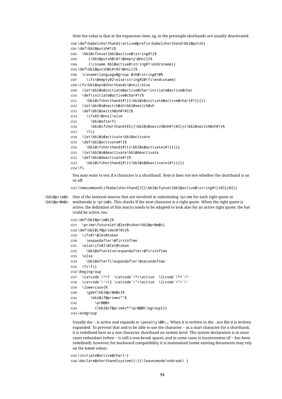Note the value is that at the expansion time; eg, in the preample shorhands are usually deactivated.

```
1500 \def\babelshorthand{\active@prefix\babelshorthand\bbl@putsh}
            1501 \def\bbl@putsh#1{%
            1502 \bbl@ifunset{bbl@active@\string#1}%
            1503 {\bbl@putsh@i#1\@empty\@nnil}%
            1504 {\csname bbl@active@\string#1\endcsname}}
            1505 \def\bbl@putsh@i#1#2\@nnil{%
            1506 \csname\language@group @sh@\string#1@%
            1507 \ifx\@empty#2\else\string#2@\fi\endcsname}
            1508 \ifx\bbl@opt@shorthands\@nnil\else
            1509 \let\bbl@s@initiate@active@char\initiate@active@char
            1510 \def\initiate@active@char#1{%
            1511 \bbl@ifshorthand{#1}{\bbl@s@initiate@active@char{#1}}{}}
            1512 \let\bbl@s@switch@sh\bbl@switch@sh
            1513 \def\bbl@switch@sh#1#2{%
            1514 \ifx#2\@nnil\else
            1515 \bbl@afterfi
            1516 \bbl@ifshorthand{#2}{\bbl@s@switch@sh#1{#2}}{\bbl@switch@sh#1}%
            1517 \fi}
            1518 \let\bbl@s@activate\bbl@activate
            1519 \def\bbl@activate#1{%
            1520 \bbl@ifshorthand{#1}{\bbl@s@activate{#1}}{}}
            1521 \let\bbl@s@deactivate\bbl@deactivate
            1522 \def\bbl@deactivate#1{%
            1523 \bbl@ifshorthand{#1}{\bbl@s@deactivate{#1}}{}}
            1524 \fi
             You may want to test if a character is a shorthand. Note it does not test whether the shorthand is on
             or off.
            1525 \newcommand\ifbabelshorthand[3]{\bbl@ifunset{bbl@active@\string#1}{#3}{#2}}
\bbl@prim@s
One of the internal macros that are involved in substituting \prime for each right quote in
\bbl@pr@m@s
             mathmode is \prim@s. This checks if the next character is a right quote. When the right quote is
             active, the definition of this macro needs to be adapted to look also for an active right quote; the hat
             could be active, too.
            1526 \def\bbl@prim@s{%
            1527 \prime\futurelet\@let@token\bbl@pr@m@s}
            1528 \def\bbl@if@primes#1#2{%
            1529 \ifx#1\@let@token
            1530 \expandafter\@firstoftwo
            1531 \else\ifx#2\@let@token
            1532 \bbl@afterelse\expandafter\@firstoftwo
            1533 \else
            1534 \bbl@afterfi\expandafter\@secondoftwo
            1535 \fi\fi}
            1536 \begingroup
            1537 \catcode`\^=7 \catcode`\*=\active \lccode`\*=`\^
            1538 \catcode`\'=12 \catcode`\"=\active \lccode`\"=`\'
            1539 \lowercase{%
            1540 \gdef\bbl@pr@m@s{%
            1541 \bbl@if@primes"'%
            1542 \pr@@@s
            1543 {\bbl@if@primes*^\pr@@@t\egroup}}}
            1544 \endgroup
```
Usually the ~ is active and expands to \penalty\@M\ $_{\sqcup}$ . When it is written to the .aux file it is written expanded. To prevent that and to be able to use the character  $\sim$  as a start character for a shorthand, it is redefined here as a one character shorthand on system level. The system declaration is in most cases redundant (when  $\sim$  is still a non-break space), and in some cases is inconvenient (if  $\sim$  has been redefined); however, for backward compatibility it is maintained (some existing documents may rely on the babel value).

```
1545 \initiate@active@char{~}
1546 \declare@shorthand{system}{~}{\leavevmode\nobreak\ }
```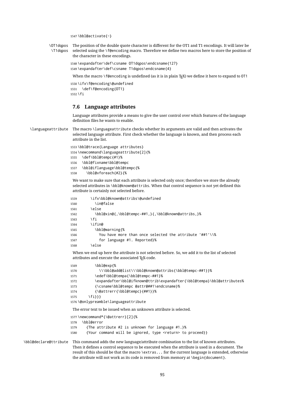1547 \bbl@activate{~}

\OT1dqpos \T1dqpos The position of the double quote character is different for the OT1 and T1 encodings. It will later be selected using the \f@encoding macro. Therefore we define two macros here to store the position of the character in these encodings.

1548 \expandafter\def\csname OT1dqpos\endcsname{127} 1549 \expandafter\def\csname T1dqpos\endcsname{4}

When the macro \f@encoding is undefined (as it is in plain T<sub>EX</sub>) we define it here to expand to 0T1

```
1550 \ifx\f@encoding\@undefined
1551 \def\f@encoding{OT1}
1552 \fi
```
#### **7.6 Language attributes**

Language attributes provide a means to give the user control over which features of the language definition files he wants to enable.

\languageattribute The macro \languageattribute checks whether its arguments are valid and then activates the selected language attribute. First check whether the language is known, and then process each attribute in the list.

```
1553 \bbl@trace{Language attributes}
1554 \newcommand\languageattribute[2]{%
1555 \def\bbl@tempc{#1}%
1556 \bbl@fixname\bbl@tempc
1557 \bbl@iflanguage\bbl@tempc{%
1558 \bbl@vforeach{#2}{%
```
 $1559 \text{ h}$ 

We want to make sure that each attribute is selected only once; therefore we store the already selected attributes in \bbl@known@attribs. When that control sequence is not yet defined this attribute is certainly not selected before.

| 1559 | \ITX\DDI@KNOWN@attriDS\@UNQeTiNed                       |
|------|---------------------------------------------------------|
| 1560 | \in@false                                               |
| 1561 | \else                                                   |
| 1562 | \bbl@xin@{,\bbl@tempc-##1,}{,\bbl@known@attribs,}%      |
| 1563 | ۱fi                                                     |
| 1564 | \ifin@                                                  |
| 1565 | \bbl@warning{%                                          |
| 1566 | You have more than once selected the attribute '##1'\\% |
| 1567 | for language #1. Reported}%                             |
| 1568 | \else                                                   |
|      |                                                         |

When we end up here the attribute is not selected before. So, we add it to the list of selected attributes and execute the associated TFX-code.

```
1569 \bbl@exp{%
1570 \\\bbl@add@list\\\bbl@known@attribs{\bbl@tempc-##1}}%
1571 \edef\bbl@tempa{\bbl@tempc-##1}%
1572 \expandafter\bbl@ifknown@ttrib\expandafter{\bbl@tempa}\bbl@attributes%
1573 {\csname\bbl@tempc @attr@##1\endcsname}%
1574 {\@attrerr{\bbl@tempc}{##1}}%
1575 \fi}}}
1576 \@onlypreamble\languageattribute
```
The error text to be issued when an unknown attribute is selected.

1577 \newcommand\*{\@attrerr}[2]{% 1578 \bbl@error 1579 {The attribute #2 is unknown for language #1.}%

- 
- 1580 {Your command will be ignored, type <return> to proceed}}

\bbl@declare@ttribute This command adds the new language/attribute combination to the list of known attributes. Then it defines a control sequence to be executed when the attribute is used in a document. The result of this should be that the macro \extras... for the current language is extended, otherwise the attribute will not work as its code is removed from memory at \begin{document}.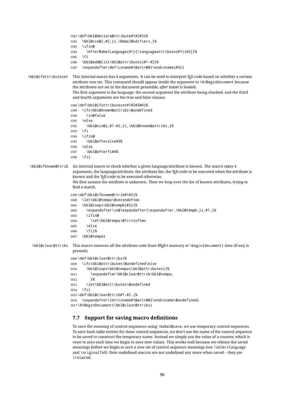```
1581 \def\bbl@declare@ttribute#1#2#3{%
                     1582 \bbl@xin@{,#2,}{,\BabelModifiers,}%
                     1583 \ifin@
                     1584 \AfterBabelLanguage{#1}{\languageattribute{#1}{#2}}%
                     1585 \fi
                     1586 \bbl@add@list\bbl@attributes{#1-#2}%
                     1587 \expandafter\def\csname#1@attr@#2\endcsname{#3}}
\bbl@ifattributeset This internal macro has 4 arguments. It can be used to interpret TFX code based on whether a certain
                      attribute was set. This command should appear inside the argument to \AtBeginDocument because
                      the attributes are set in the document preamble, after babel is loaded.
                      The first argument is the language, the second argument the attribute being checked, and the third
                      and fourth arguments are the true and false clauses.
                     1588 \def\bbl@ifattributeset#1#2#3#4{%
                     1589 \ifx\bbl@known@attribs\@undefined
                     1590 \in@false
                     1591 \else
                     1592 \bbl@xin@{,#1-#2,}{,\bbl@known@attribs,}%
                     1593 \fi
                     1594 \ifin@
                     1595 \bbl@afterelse#3%
                     1596 \else
                     1597 \bbl@afterfi#4%
                     1598 \fi}
 \bbl@ifknown@ttrib An internal macro to check whether a given language/attribute is known. The macro takes 4
                      arguments, the language/attribute, the attribute list, the TFX-code to be executed when the attribute is
                      known and the TFX-code to be executed otherwise.
                      We first assume the attribute is unknown. Then we loop over the list of known attributes, trying to
                      find a match.
                     1599 \def\bbl@ifknown@ttrib#1#2{%
                     1600 \let\bbl@tempa\@secondoftwo
                     1601 \bbl@loopx\bbl@tempb{#2}{%
                     1602 \expandafter\in@\expandafter{\expandafter,\bbl@tempb,}{,#1,}%
                     1603 \ifin@
                     1604 \let\bbl@tempa\@firstoftwo
                     1605 \else
                     1606 \fi}%
                     1607 \bbl@tempa}
 \bbl@clear@ttribs This macro removes all the attribute code from LTFX's memory at \begin{document} time (if any is
                      present).
                     1608 \def\bbl@clear@ttribs{%
                     1609 \ifx\bbl@attributes\@undefined\else
                     1610 \bbl@loopx\bbl@tempa{\bbl@attributes}{%
                     1611 \expandafter\bbl@clear@ttrib\bbl@tempa.
                     1612 }%
                     1613 \let\bbl@attributes\@undefined
                     1614 \fi}
                     1615 \def\bbl@clear@ttrib#1-#2.{%
                     1616 \expandafter\let\csname#1@attr@#2\endcsname\@undefined}
                     1617 \AtBeginDocument{\bbl@clear@ttribs}
```
## **7.7 Support for saving macro definitions**

To save the meaning of control sequences using \babel@save, we use temporary control sequences. To save hash table entries for these control sequences, we don't use the name of the control sequence to be saved to construct the temporary name. Instead we simply use the value of a counter, which is reset to zero each time we begin to save new values. This works well because we release the saved meanings before we begin to save a new set of control sequence meanings (see \selectlanguage and \originalTeX). Note undefined macros are not undefined any more when saved – they are \relax'ed.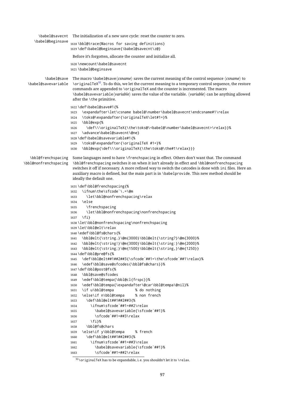```
\babel@savecnt
The initialization of a new save cycle: reset the counter to zero.
     \babel@beginsave
                      1618 \bbl@trace{Macros for saving definitions}
                      1619 \def\babel@beginsave{\babel@savecnt\z@}
                       Before it's forgotten, allocate the counter and initialize all.
                      1620 \newcount\babel@savecnt
                      1621 \babel@beginsave
          \babel@save The macro \babel@save\csname} saves the current meaning of the control sequence \csname} to
  \babel@savevariable \originalTeX32. To do this, we let the current meaning to a temporary control sequence, the restore
                       commands are appended to \originalTeX and the counter is incremented. The macro
                       \babel@savevariable/variable) saves the value of the variable. (variable) can be anything allowed
                       after the \the primitive.
                      1622 \def\babel@save#1{%
                      1623 \expandafter\let\csname babel@\number\babel@savecnt\endcsname#1\relax
                      1624 \toks@\expandafter{\originalTeX\let#1=}%
                      1625 \bbl@exp{%
                      1626 \def\\\originalTeX{\the\toks@\<babel@\number\babel@savecnt>\relax}}%
                      1627 \advance\babel@savecnt\@ne}
                      1628 \def\babel@savevariable#1{%
                      1629 \toks@\expandafter{\originalTeX #1=}%
                      1630 \bbl@exp{\def\\\originalTeX{\the\toks@\the#1\relax}}}
   \bbl@frenchspacing
Some languages need to have \frenchspacing in effect. Others don't want that. The command
\bbl@nonfrenchspacing
                       \bbl@frenchspacing switches it on when it isn't already in effect and \bbl@nonfrenchspacing
                       switches it off if necessary. A more refined way to switch the catcodes is done with ini files. Here an
                       auxiliary macro is defined, but the main part is in \babelprovide. This new method should be
                       ideally the default one.
                      1631 \def\bbl@frenchspacing{%
                      1632 \ifnum\the\sfcode`\.=\@m
                      1633 \let\bbl@nonfrenchspacing\relax
                      1634 \else
                      1635 \frenchspacing
                      1636 \let\bbl@nonfrenchspacing\nonfrenchspacing
                      1637 \fi}
                      1638 \let\bbl@nonfrenchspacing\nonfrenchspacing
                      1639 \let\bbl@elt\relax
                      1640 \edef\bbl@fs@chars{%
                      1641 \bbl@elt{\string.}\@m{3000}\bbl@elt{\string?}\@m{3000}%
                      1642 \bbl@elt{\string!}\@m{3000}\bbl@elt{\string:}\@m{2000}%
                      1643 \bbl@elt{\string;}\@m{1500}\bbl@elt{\string,}\@m{1250}}
                      1644 \def\bbl@pre@fs{%
                      1645 \def\bbl@elt##1##2##3{\sfcode`##1=\the\sfcode`##1\relax}%
                      1646 \edef\bbl@save@sfcodes{\bbl@fs@chars}}%
                      1647 \def\bbl@post@fs{%
                      1648 \bbl@save@sfcodes
                      1649 \edef\bbl@tempa{\bbl@cl{frspc}}%
                      1650 \edef\bbl@tempa{\expandafter\@car\bbl@tempa\@nil}%
                      1651 \if u\bbl@tempa % do nothing
                      1652 \else\if n\bbl@tempa % non french
                      1653 \def\bbl@elt##1##2##3{%
                      1654 \ifnum\sfcode`##1=##2\relax
                      1655 \babel@savevariable{\sfcode`##1}%
                      1656 \sfcode`##1=##3\relax
                      1657 \fi}%
                      1658 \bbl@fs@chars
                      1659 \else\if y\bbl@tempa % french
                      1660 \def\bbl@elt##1##2##3{%
                      1661 \ifnum\sfcode`##1=##3\relax
                      1662 \babel@savevariable{\sfcode`##1}%
                      1663 \sfcode`##1=##2\relax
```
<span id="page-97-0"></span> $32\overline{\prime}$  originalTeX has to be expandable, i.e. you shouldn't let it to  $\overline{\phantom{a}}$  relax.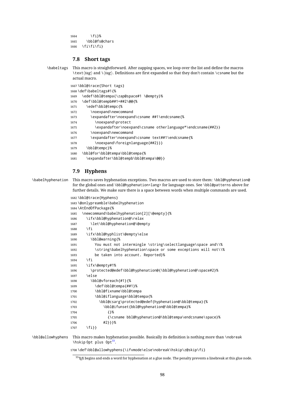```
1664 \fi}%
1665 \bbl@fs@chars
1666 \fi\fi\fi}
```
## **7.8 Short tags**

\babeltags This macro is straightforward. After zapping spaces, we loop over the list and define the macros  $\text{text}(tag)$  and  $\langle tag \rangle$ . Definitions are first expanded so that they don't contain  $\lambda$  csname but the actual macro.

> \bbl@trace{Short tags} \def\babeltags#1{% \edef\bbl@tempa{\zap@space#1 \@empty}% \def\bbl@tempb##1=##2\@@{% \edef\bbl@tempc{% 1672 \noexpand\newcommand \expandafter\noexpand\csname ##1\endcsname{% 1674 \noexpand\protect \expandafter\noexpand\csname otherlanguage\*\endcsname{##2}} \noexpand\newcommand \expandafter\noexpand\csname text##1\endcsname{% 1678 \noexpand\foreignlanguage{##2}}} \bbl@tempc}% \bbl@for\bbl@tempa\bbl@tempa{% \expandafter\bbl@tempb\bbl@tempa\@@}}

## **7.9 Hyphens**

\babelhyphenation This macro saves hyphenation exceptions. Two macros are used to store them: \bbl@hyphenation@ for the global ones and \bbl@hyphenation<lang> for language ones. See \bbl@patterns above for further details. We make sure there is a space between words when multiple commands are used.

```
1682 \bbl@trace{Hyphens}
1683 \@onlypreamble\babelhyphenation
1684 \AtEndOfPackage{%
1685 \newcommand\babelhyphenation[2][\@empty]{%
1686 \ifx\bbl@hyphenation@\relax
1687 \let\bbl@hyphenation@\@empty
1688 \fi
1689 \ifx\bbl@hyphlist\@empty\else
1690 \bbl@warning{%
1691 You must not intermingle \string\selectlanguage\space and\\%
1692 \string\babelhyphenation\space or some exceptions will not\\%
1693 be taken into account. Reported}%
1694 \fi
1695 \ifx\@empty#1%
1696 \protected@edef\bbl@hyphenation@{\bbl@hyphenation@\space#2}%
1697 \else
1698 \bbl@vforeach{#1}{%
1699 \def\bbl@tempa{##1}%
1700 \bbl@fixname\bbl@tempa
1701 \bbl@iflanguage\bbl@tempa{%
1702 \bbl@csarg\protected@edef{hyphenation@\bbl@tempa}{%
1703 \bbl@ifunset{bbl@hyphenation@\bbl@tempa}%
1704 {}%
1705 {\csname bbl@hyphenation@\bbl@tempa\endcsname\space}%
1706 #2}}}%
1707 \fi}}
```
\bbl@allowhyphens This macro makes hyphenation possible. Basically its definition is nothing more than \nobreak  $\hbar$ skip Opt plus Opt $^{33}$  $^{33}$  $^{33}$ .

\def\bbl@allowhyphens{\ifvmode\else\nobreak\hskip\z@skip\fi}

<span id="page-98-0"></span>T<sub>E</sub>X begins and ends a word for hyphenation at a glue node. The penalty prevents a linebreak at this glue node.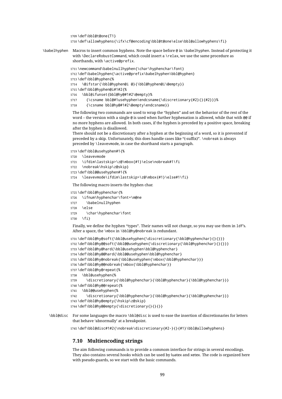```
1709 \def\bbl@t@one{T1}
              1710 \def\allowhyphens{\ifx\cf@encoding\bbl@t@one\else\bbl@allowhyphens\fi}
\babelhyphen Macros to insert common hyphens. Note the space before @ in \babelhyphen. Instead of protecting it
               with \DeclareRobustCommand, which could insert a \relax, we use the same procedure as
```

```
shorthands, with \active@prefix.
1711 \newcommand\babelnullhyphen{\char\hyphenchar\font}
```

```
1712 \def\babelhyphen{\active@prefix\babelhyphen\bbl@hyphen}
```

```
1713 \def\bbl@hyphen{%
```

```
1714 \@ifstar{\bbl@hyphen@i @}{\bbl@hyphen@i\@empty}}
```

```
1715 \def\bbl@hyphen@i#1#2{%
```

```
1716 \bbl@ifunset{bbl@hy@#1#2\@empty}%
```
- {\csname bbl@#1usehyphen\endcsname{\discretionary{#2}{}{#2}}}%
- {\csname bbl@hy@#1#2\@empty\endcsname}}

The following two commands are used to wrap the "hyphen" and set the behavior of the rest of the word – the version with a single @ is used when further hyphenation is allowed, while that with @@ if no more hyphens are allowed. In both cases, if the hyphen is preceded by a positive space, breaking after the hyphen is disallowed.

There should not be a discretionary after a hyphen at the beginning of a word, so it is prevented if preceded by a skip. Unfortunately, this does handle cases like "(-suffix)". \nobreak is always preceded by \leavevmode, in case the shorthand starts a paragraph.

```
1719 \def\bbl@usehyphen#1{%
1720 \leavevmode
1721 \ifdim\lastskip>\z@\mbox{#1}\else\nobreak#1\fi
1722 \nobreak\hskip\z@skip}
1723 \def\bbl@@usehyphen#1{%
1724 \leavevmode\ifdim\lastskip>\z@\mbox{#1}\else#1\fi}
```
The following macro inserts the hyphen char.

```
1725 \def\bbl@hyphenchar{%
```

```
1726 \ifnum\hyphenchar\font=\m@ne
```

```
1727 \babelnullhyphen
```

```
1728 \else
```

```
1729 \char\hyphenchar\font
```

```
1730 \fi}
```
Finally, we define the hyphen "types". Their names will not change, so you may use them in ldf's. After a space, the \mbox in \bbl@hy@nobreak is redundant.

```
1731 \def\bbl@hy@soft{\bbl@usehyphen{\discretionary{\bbl@hyphenchar}{}{}}}
1732 \def\bbl@hy@@soft{\bbl@@usehyphen{\discretionary{\bbl@hyphenchar}{}{}}}
1733 \def\bbl@hy@hard{\bbl@usehyphen\bbl@hyphenchar}
1734 \def\bbl@hy@@hard{\bbl@@usehyphen\bbl@hyphenchar}
1735 \def\bbl@hy@nobreak{\bbl@usehyphen{\mbox{\bbl@hyphenchar}}}
1736\def\bbl@hy@@nobreak{\mbox{\bbl@hyphenchar}}
1737 \def\bbl@hy@repeat{%
1738 \bbl@usehyphen{%
1739 \discretionary{\bbl@hyphenchar}{\bbl@hyphenchar}{\bbl@hyphenchar}}}
1740 \def\bbl@hy@@repeat{%
1741 \bbl@@usehyphen{%
1742 \discretionary{\bbl@hyphenchar}{\bbl@hyphenchar}{\bbl@hyphenchar}}}
1743 \def\bbl@hy@empty{\hskip\z@skip}
1744 \def\bbl@hy@@empty{\discretionary{}{}{}}
```

```
\bbl@disc For some languages the macro \bbl@disc is used to ease the insertion of discretionaries for letters
             that behave 'abnormally' at a breakpoint.
```
\def\bbl@disc#1#2{\nobreak\discretionary{#2-}{}{#1}\bbl@allowhyphens}

# **7.10 Multiencoding strings**

The aim following commands is to provide a commom interface for strings in several encodings. They also contains several hooks which can be used by luatex and xetex. The code is organized here with pseudo-guards, so we start with the basic commands.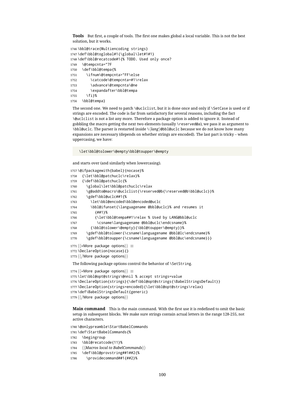**Tools** But first, a couple of tools. The first one makes global a local variable. This is not the best solution, but it works.

```
1746 \bbl@trace{Multiencoding strings}
1747 \def\bbl@toglobal#1{\global\let#1#1}
1748 \def\bbl@recatcode#1{% TODO. Used only once?
1749 \@tempcnta="7F
1750 \def\bbl@tempa{%
1751 \ifnum\@tempcnta>"FF\else
1752 \catcode\@tempcnta=#1\relax
1753 \advance\@tempcnta\@ne
1754 \expandafter\bbl@tempa
1755 \fi}%
1756 \bbl@tempa}
```
The second one. We need to patch \@uclclist, but it is done once and only if \SetCase is used or if strings are encoded. The code is far from satisfactory for several reasons, including the fact \@uclclist is not a list any more. Therefore a package option is added to ignore it. Instead of gobbling the macro getting the next two elements (usually \reserved@a), we pass it as argument to \bbl@uclc. The parser is restarted inside \h*lang*i@bbl@uclc because we do not know how many expansions are necessary (depends on whether strings are encoded). The last part is tricky – when uppercasing, we have:

\let\bbl@tolower\@empty\bbl@toupper\@empty

and starts over (and similarly when lowercasing).

```
1757 \@ifpackagewith{babel}{nocase}%
1758 {\let\bbl@patchuclc\relax}%
1759 {\def\bbl@patchuclc{%
1760 \global\let\bbl@patchuclc\relax
1761 \g@addto@macro\@uclclist{\reserved@b{\reserved@b\bbl@uclc}}%
1762 \gdef\bbl@uclc##1{%
1763 \let\bbl@encoded\bbl@encoded@uclc
1764 \bbl@ifunset{\languagename @bbl@uclc}% and resumes it
1765 {##1}%
1766 {\let\bbl@tempa##1\relax % Used by LANG@bbl@uclc
1767 \csname\languagename @bbl@uclc\endcsname}%
1768 {\bbl@tolower\@empty}{\bbl@toupper\@empty}}%
1769 \gdef\bbl@tolower{\csname\languagename @bbl@lc\endcsname}%
1770 \gdef\bbl@toupper{\csname\languagename @bbl@uc\endcsname}}}
1771 \langle ∗More package options}} ≡
1772 \DeclareOption{nocase}{}
1773 \langle \langle/More package options\rangle \rangleThe following package options control the behavior of \SetString.
1774 \langle *More package options}} \equiv1775 \let\bbl@opt@strings\@nnil % accept strings=value
```

```
1776 \DeclareOption{strings}{\def\bbl@opt@strings{\BabelStringsDefault}}
1777 \DeclareOption{strings=encoded}{\let\bbl@opt@strings\relax}
1778 \def\BabelStringsDefault{generic}
1779 \langle \langle/More package options\rangle \rangle
```
**Main command** This is the main command. With the first use it is redefined to omit the basic setup in subsequent blocks. We make sure strings contain actual letters in the range 128-255, not active characters.

```
1780 \@onlypreamble\StartBabelCommands
1781 \def\StartBabelCommands{%
1782 \begingroup
1783 \bbl@recatcode{11}%
1784 (Macros local to BabelCommands))
1785 \def\bbl@provstring##1##2{%
```

```
1786 \providecommand##1{##2}%
```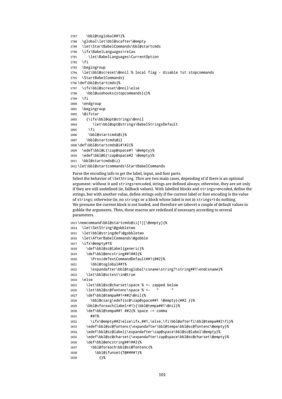```
1787 \bbl@toglobal##1}%
1788 \global\let\bbl@scafter\@empty
1789 \let\StartBabelCommands\bbl@startcmds
1790 \ifx\BabelLanguages\relax
1791 \let\BabelLanguages\CurrentOption
1792 \fi
1793 \begingroup
1794 \let\bbl@screset\@nnil % local flag - disable 1st stopcommands
1795 \StartBabelCommands}
1796 \def\bbl@startcmds{%
1797 \ifx\bbl@screset\@nnil\else
1798 \bbl@usehooks{stopcommands}{}%
1799 \fi
1800 \endgroup
1801 \begingroup
1802 \@ifstar
1803 {\ifx\bbl@opt@strings\@nnil
1804 \let\bbl@opt@strings\BabelStringsDefault
1805 \fi
1806 \bbl@startcmds@i}%
1807 \bbl@startcmds@i}
1808 \def\bbl@startcmds@i#1#2{%
1809 \edef\bbl@L{\zap@space#1 \@empty}%
1810 \edef\bbl@G{\zap@space#2 \@empty}%
1811 \bbl@startcmds@ii}
1812 \let\bbl@startcommands\StartBabelCommands
```
Parse the encoding info to get the label, input, and font parts. Select the behavior of \SetString. Thre are two main cases, depending of if there is an optional argument: without it and strings=encoded, strings are defined always; otherwise, they are set only if they are still undefined (ie, fallback values). With labelled blocks and strings=encoded, define the strings, but with another value, define strings only if the current label or font encoding is the value of strings; otherwise (ie, no strings or a block whose label is not in strings=) do nothing. We presume the current block is not loaded, and therefore set (above) a couple of default values to gobble the arguments. Then, these macros are redefined if necessary according to several parameters.

```
1813 \newcommand\bbl@startcmds@ii[1][\@empty]{%
1814 \let\SetString\@gobbletwo
1815 \let\bbl@stringdef\@gobbletwo
1816 \let\AfterBabelCommands\@gobble
1817 \ifx\@empty#1%
1818 \def\bbl@sc@label{generic}%
1819 \def\bbl@encstring##1##2{%
1820 \ProvideTextCommandDefault##1{##2}%
1821 \bbl@toglobal##1%
1822 \expandafter\bbl@toglobal\csname\string?\string##1\endcsname}%
1823 \let\bbl@sctest\in@true
1824 \else
1825 \let\bbl@sc@charset\space % <- zapped below
1826 \let\bbl@sc@fontenc\space % <-
1827 \def\bbl@tempa##1=##2\@nil{%
1828 \bbl@csarg\edef{sc@\zap@space##1 \@empty}{##2 }}%
1829 \bbl@vforeach{label=#1}{\bbl@tempa##1\@nil}%
1830 \def\bbl@tempa##1 ##2{% space -> comma
1831 ##1%
1832 \ifx\@empty##2\else\ifx,##1,\else,\fi\bbl@afterfi\bbl@tempa##2\fi}%
1833 \edef\bbl@sc@fontenc{\expandafter\bbl@tempa\bbl@sc@fontenc\@empty}%
1834 \edef\bbl@sc@label{\expandafter\zap@space\bbl@sc@label\@empty}%
1835 \edef\bbl@sc@charset{\expandafter\zap@space\bbl@sc@charset\@empty}%
1836 \def\bbl@encstring##1##2{%
1837 \bbl@foreach\bbl@sc@fontenc{%
1838 \bbl@ifunset{T@####1}%
1839 {}%
```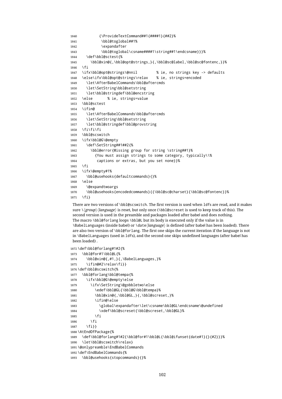```
1840 {\ProvideTextCommand##1{####1}{##2}%
1841 \bbl@toglobal##1%
1842 \expandafter
1843 \bbl@toglobal\csname####1\string##1\endcsname}}}%
1844 \def\bbl@sctest{%
1845 \bbl@xin@{,\bbl@opt@strings,}{,\bbl@sc@label,\bbl@sc@fontenc,}}%
1846 \fi
1847 \ifx\bbl@opt@strings\@nnil % ie, no strings key -> defaults
1848 \else\ifx\bbl@opt@strings\relax % ie, strings=encoded
1849 \let\AfterBabelCommands\bbl@aftercmds
1850 \let\SetString\bbl@setstring
1851 \let\bbl@stringdef\bbl@encstring
1852 \else % ie, strings=value
1853 \bbl@sctest
1854 \ifin@
1855 \let\AfterBabelCommands\bbl@aftercmds
1856 \let\SetString\bbl@setstring
1857 \let\bbl@stringdef\bbl@provstring
1858 \fi\fi\fi
1859 \bbl@scswitch
1860 \ifx\bbl@G\@empty
1861 \def\SetString##1##2{%
1862 \bbl@error{Missing group for string \string##1}%
1863 {You must assign strings to some category, typically\\%
1864 captions or extras, but you set none}}%
1865 \fi
1866 \ifx\@empty#1%
1867 \bbl@usehooks{defaultcommands}{}%
1868 \else
1869 \@expandtwoargs
1870 \bbl@usehooks{encodedcommands}{{\bbl@sc@charset}{\bbl@sc@fontenc}}%
1871 \fi}
```
There are two versions of \bbl@scswitch. The first version is used when ldfs are read, and it makes sure  $\langle group \rangle$ *(language)* is reset, but only once (\bbl@screset is used to keep track of this). The second version is used in the preamble and packages loaded after babel and does nothing. The macro \bbl@forlang loops \bbl@L but its body is executed only if the value is in \BabelLanguages (inside babel) or \date/language) is defined (after babel has been loaded). There are also two version of \bbl@forlang. The first one skips the current iteration if the language is not in \BabelLanguages (used in ldfs), and the second one skips undefined languages (after babel has been loaded) .

```
1872 \def\bbl@forlang#1#2{%
1873 \bbl@for#1\bbl@L{%
1874 \bbl@xin@{,#1,}{,\BabelLanguages,}%
1875 \ifin@#2\relax\fi}}
1876 \def\bbl@scswitch{%
1877 \bbl@forlang\bbl@tempa{%
1878 \ifx\bbl@G\@empty\else
1879 \ifx\SetString\@gobbletwo\else
1880 \edef\bbl@GL{\bbl@G\bbl@tempa}%
1881 \bbl@xin@{,\bbl@GL,}{,\bbl@screset,}%
1882 \ifin@\else
1883 \global\expandafter\let\csname\bbl@GL\endcsname\@undefined
1884 \xdef\bbl@screset{\bbl@screset,\bbl@GL}%
1885 \fi
1886 \fi
1887 \fi}}
1888 \AtEndOfPackage{%
1889 \def\bbl@forlang#1#2{\bbl@for#1\bbl@L{\bbl@ifunset{date#1}{}{#2}}}%
1890 \let\bbl@scswitch\relax}
1891 \@onlypreamble\EndBabelCommands
1892 \def\EndBabelCommands{%
1893 \bbl@usehooks{stopcommands}{}%
```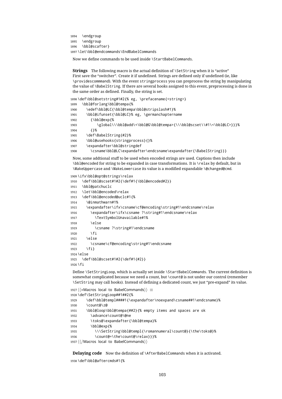```
1894 \endgroup
1895 \endgroup
1896 \bbl@scafter}
1897 \let\bbl@endcommands\EndBabelCommands
```
Now we define commands to be used inside \StartBabelCommands.

**Strings** The following macro is the actual definition of \SetString when it is "active" First save the "switcher". Create it if undefined. Strings are defined only if undefined (ie, like \providescommmand). With the event stringprocess you can preprocess the string by manipulating the value of \BabelString. If there are several hooks assigned to this event, preprocessing is done in the same order as defined. Finally, the string is set.

```
1898 \def\bbl@setstring#1#2{% eg, \prefacename{<string>}
1899 \bbl@forlang\bbl@tempa{%
1900 \edef\bbl@LC{\bbl@tempa\bbl@stripslash#1}%
1901 \bbl@ifunset{\bbl@LC}% eg, \germanchaptername
1902 {\bbl@exp{%
1903 \global\\\bbl@add\<\bbl@G\bbl@tempa>{\\\bbl@scset\\#1\<\bbl@LC>}}}%
1904 {}%
1905 \def\BabelString{#2}%
1906 \bbl@usehooks{stringprocess}{}%
1907 \expandafter\bbl@stringdef
1908 \csname\bbl@LC\expandafter\endcsname\expandafter{\BabelString}}}
```
Now, some addtional stuff to be used when encoded strings are used. Captions then include \bbl@encoded for string to be expanded in case transformations. It is \relax by default, but in \MakeUppercase and \MakeLowercase its value is a modified expandable \@changed@cmd.

```
1909 \ifx\bbl@opt@strings\relax
1910 \def\bbl@scset#1#2{\def#1{\bbl@encoded#2}}
1911 \bbl@patchuclc
1912 \let\bbl@encoded\relax
1913 \def\bbl@encoded@uclc#1{%
1914 \@inmathwarn#1%
1915 \expandafter\ifx\csname\cf@encoding\string#1\endcsname\relax
1916 \expandafter\ifx\csname ?\string#1\endcsname\relax
1917 \TextSymbolUnavailable#1%
1918 \else
1919 \csname ?\string#1\endcsname
1920 \quad \text{If}1921 \else
1922 \csname\cf@encoding\string#1\endcsname
1923 \fi}
1924 \else
1925 \def\bbl@scset#1#2{\def#1{#2}}
1926 \fi
```
Define \SetStringLoop, which is actually set inside \StartBabelCommands. The current definition is somewhat complicated because we need a count, but \count@ is not under our control (remember \SetString may call hooks). Instead of defining a dedicated count, we just "pre-expand" its value.

```
1927 \langle ∗Macros local to BabelCommands\rangle ≡
1928 \def\SetStringLoop##1##2{%
1929 \def\bbl@templ####1{\expandafter\noexpand\csname##1\endcsname}%
1930 \count@\z@
1931 \bbl@loop\bbl@tempa{##2}{% empty items and spaces are ok
1932 \advance\count@\@ne
1933 \toks@\expandafter{\bbl@tempa}%
1934 \bbl@exp{%
1935 \\\SetString\bbl@templ{\romannumeral\count@}{\the\toks@}%
1936 \count@=\the\count@\relax}}}%
1937 ((/Macros local to BabelCommands))
```
**Delaying code** Now the definition of \AfterBabelCommands when it is activated.

```
1938 \def\bbl@aftercmds#1{%
```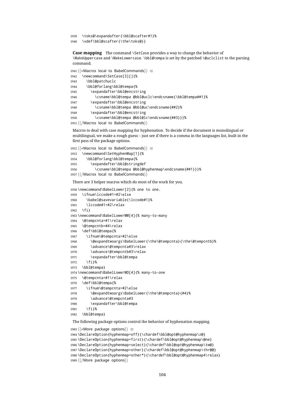```
1939 \toks@\expandafter{\bbl@scafter#1}%
```
\xdef\bbl@scafter{\the\toks@}}

**Case mapping** The command \SetCase provides a way to change the behavior of \MakeUppercase and \MakeLowercase. \bbl@tempa is set by the patched \@uclclist to the parsing command.

```
1941 \langle ∗Macros local to BabelCommands\rangle \equiv1942 \newcommand\SetCase[3][]{%
1943 \bbl@patchuclc
1944 \bbl@forlang\bbl@tempa{%
1945 \expandafter\bbl@encstring
1946 \csname\bbl@tempa @bbl@uclc\endcsname{\bbl@tempa##1}%
1947 \expandafter\bbl@encstring
1948 \csname\bbl@tempa @bbl@uc\endcsname{##2}%
1949 \expandafter\bbl@encstring
1950 \csname\bbl@tempa @bbl@lc\endcsname{##3}}}%
```
1951  $\langle \langle$ /Macros local to BabelCommands $\rangle$ )

Macros to deal with case mapping for hyphenation. To decide if the document is monolingual or multilingual, we make a rough guess – just see if there is a comma in the languages list, built in the first pass of the package options.

```
1952 (<sup>/</sup>∗Macros local to BabelCommands)) ≡
1953 \newcommand\SetHyphenMap[1]{%
1954 \bbl@forlang\bbl@tempa{%
1955 \expandafter\bbl@stringdef
1956 \csname\bbl@tempa @bbl@hyphenmap\endcsname{##1}}}%
1957 ((/Macros local to BabelCommands))
```
There are 3 helper macros which do most of the work for you.

```
1958 \newcommand\BabelLower[2]{% one to one.
1959 \ifnum\lccode#1=#2\else
1960 \babel@savevariable{\lccode#1}%
1961 \lccode#1=#2\relax
1962 \fi}
1963 \newcommand\BabelLowerMM[4]{% many-to-many
1964 \@tempcnta=#1\relax
1965 \@tempcntb=#4\relax
1966 \def\bbl@tempa{%
1967 \ifnum\@tempcnta>#2\else
1968 \@expandtwoargs\BabelLower{\the\@tempcnta}{\the\@tempcntb}%
1969 \advance\@tempcnta#3\relax
1970 \advance\@tempcntb#3\relax
1971 \expandafter\bbl@tempa
1972 \fi}%
1973 \bbl@tempa}
1974 \newcommand\BabelLowerMO[4]{% many-to-one
1975 \@tempcnta=#1\relax
1976 \def\bbl@tempa{%
1977 \ifnum\@tempcnta>#2\else
1978 \@expandtwoargs\BabelLower{\the\@tempcnta}{#4}%
1979 \advance\@tempcnta#3
1980 \expandafter\bbl@tempa
1981 \fi}%
1982 \bbl@tempa}
```
The following package options control the behavior of hyphenation mapping.

```
1983 \langle\langle *More~package~options\rangle\rangle \equiv1984 \DeclareOption{hyphenmap=off}{\chardef\bbl@opt@hyphenmap\z@}
1985 \DeclareOption{hyphenmap=first}{\chardef\bbl@opt@hyphenmap\@ne}
1986 \DeclareOption{hyphenmap=select}{\chardef\bbl@opt@hyphenmap\tw@}
1987 \DeclareOption{hyphenmap=other}{\chardef\bbl@opt@hyphenmap\thr@@}
1988 \DeclareOption{hyphenmap=other*}{\chardef\bbl@opt@hyphenmap4\relax}
1989 \langle\langle/More package options\rangle
```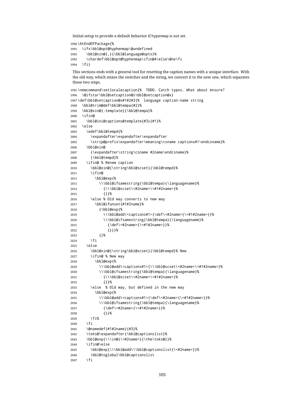```
Initial setup to provide a default behavior if hypenmap is not set.
1990 \AtEndOfPackage{%
1991 \ifx\bbl@opt@hyphenmap\@undefined
1992 \bbl@xin@{,}{\bbl@language@opts}%
1993 \chardef\bbl@opt@hyphenmap\ifin@4\else\@ne\fi
1994 \fi}
 This sections ends with a general tool for resetting the caption names with a unique interface. With
 the old way, which mixes the switcher and the string, we convert it to the new one, which separates
 these two steps.
1995 \newcommand\setlocalecaption{% TODO. Catch typos. What about ensure?
1996 \@ifstar\bbl@setcaption@s\bbl@setcaption@x}
1997 \def\bbl@setcaption@x#1#2#3{% language caption-name string
1998 \bbl@trim@def\bbl@tempa{#2}%
1999 \bbl@xin@{.template}{\bbl@tempa}%
2000 \ifin@
2001 \bbl@ini@captions@template{#3}{#1}%
2002 \else
2003 \edef\bbl@tempd{%
2004 \expandafter\expandafter\expandafter
2005 \strip@prefix\expandafter\meaning\csname captions#1\endcsname}%
2006 \bbl@xin@
2007 {\expandafter\string\csname #2name\endcsname}%
2008 {\bbl@tempd}%
2009 \ifin@ % Renew caption
2010 \bbl@xin@{\string\bbl@scset}{\bbl@tempd}%
2011 \ifin@
2012 \bbl@exp{%
2013 \\\bbl@ifsamestring{\bbl@tempa}{\languagename}%
2014 {\\\bbl@scset\<#2name>\<#1#2name>}%
2015 {}}%
2016 \else % Old way converts to new way
2017 \bbl@ifunset{#1#2name}%
2018 {\bbl@exp{%
2019 \\\bbl@add\<captions#1>{\def\<#2name>{\<#1#2name>}}%
2020 \\\bbl@ifsamestring{\bbl@tempa}{\languagename}%
2021 {\def\<#2name>{\<#1#2name>}}%
2022 {}}}%
2023 {}%
2024 \fi
2025 \else
2026 \bbl@xin@{\string\bbl@scset}{\bbl@tempd}% New
2027 \ifin@ % New way
2028 \bbl@exp{%
2029 \\\bbl@add\<captions#1>{\\\bbl@scset\<#2name>\<#1#2name>}%
2030 \\\bbl@ifsamestring{\bbl@tempa}{\languagename}%
2031 {\\\bbl@scset\<#2name>\<#1#2name>}%
```
 {}}% \else % Old way, but defined in the new way \bbl@exp{% \\\bbl@add\<captions#1>{\def\<#2name>{\<#1#2name>}}% \\\bbl@ifsamestring{\bbl@tempa}{\languagename}% {\def\<#2name>{\<#1#2name>}}% {}}% 2039 \fi%  $2040 \t\t \text{Yfi}$ \@namedef{#1#2name}{#3}%

```
2042 \toks@\expandafter{\bbl@captionslist}%
2043 \bbl@exp{\\\in@{\<#2name>}{\the\toks@}}%
2044 \ifin@\else
2045 \bbl@exp{\\\bbl@add\\\bbl@captionslist{\<#2name>}}%
2046 \bbl@toglobal\bbl@captionslist
2047 \fi
```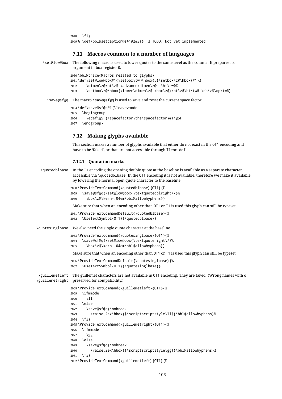```
2048 \fi}
2049 % \def\bbl@setcaption@s#1#2#3{} % TODO. Not yet implemented
```
#### **7.11 Macros common to a number of languages**

```
\set@low@box The following macro is used to lower quotes to the same level as the comma. It prepares its
                argument in box register 0.
```
\bbl@trace{Macros related to glyphs}

\def\set@low@box#1{\setbox\tw@\hbox{,}\setbox\z@\hbox{#1}%

- \dimen\z@\ht\z@ \advance\dimen\z@ -\ht\tw@%
- 2053 \setbox\z@\hbox{\lower\dimen\z@ \box\z@}\ht\z@\ht\tw@ \dp\z@\dp\tw@}

\save@sf@q The macro \save@sf@q is used to save and reset the current space factor.

```
2054 \def\save@sf@q#1{\leavevmode
2055 \begingroup
2056 \edef\@SF{\spacefactor\the\spacefactor}#1\@SF
2057 \endgroup}
```
## **7.12 Making glyphs available**

This section makes a number of glyphs available that either do not exist in the OT1 encoding and have to be 'faked', or that are not accessible through T1enc.def.

#### **7.12.1 Quotation marks**

```
\quotedblbase In the T1 encoding the opening double quote at the baseline is available as a separate character,
                  accessible via \quotedblbase. In the OT1 encoding it is not available, therefore we make it available
                  by lowering the normal open quote character to the baseline.
                 2058 \ProvideTextCommand{\quotedblbase}{OT1}{%
                 2059 \save@sf@q{\set@low@box{\textquotedblright\/}%
                 2060 \box\z@\kern-.04em\bbl@allowhyphens}}
                  Make sure that when an encoding other than OT1 or T1 is used this glyph can still be typeset.
                 2061 \ProvideTextCommandDefault{\quotedblbase}{%
                 2062 \UseTextSymbol{OT1}{\quotedblbase}}
\quotesinglbase We also need the single quote character at the baseline.
                 2063 \ProvideTextCommand{\quotesinglbase}{OT1}{%
                 2064 \save@sf@q{\set@low@box{\textquoteright\/}%
                 2065 \box\z@\kern-.04em\bbl@allowhyphens}}
                  Make sure that when an encoding other than OT1 or T1 is used this glyph can still be typeset.
                 2066 \ProvideTextCommandDefault{\quotesinglbase}{%
                 2067 \UseTextSymbol{OT1}{\quotesinglbase}}
 \guillemetleft The guillemet characters are not available in 0T1 encoding. They are faked. (Wrong names with o
\guillemetright
preserved for compatibility.)
                 2068 \ProvideTextCommand{\guillemetleft}{OT1}{%
                2069 \ifmmode
                 2070 \ll
                 2071 \else
                 2072 \save@sf@q{\nobreak
                 2073 \raise.2ex\hbox{$\scriptscriptstyle\ll$}\bbl@allowhyphens}%
                 2074 \fi}
                 2075 \ProvideTextCommand{\guillemetright}{OT1}{%
                 2076 \ifmmode
                 2077 \gg
                 2078 \else
                 2079 \save@sf@q{\nobreak
                 2080 \raise.2ex\hbox{$\scriptscriptstyle\gg$}\bbl@allowhyphens}%
                 2081 \fi}
                 2082\ProvideTextCommand{\guillemotleft}{OT1}{%
```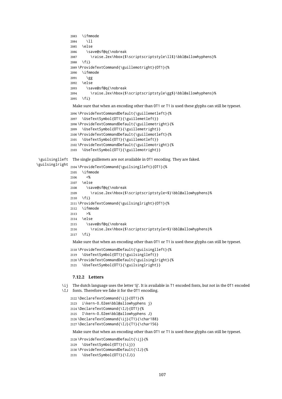```
2083 \ifmmode
2084 \ll
2085 \else
2086 \save@sf@q{\nobreak
2087 \raise.2ex\hbox{$\scriptscriptstyle\ll$}\bbl@allowhyphens}%
2088 \fi}
2089 \ProvideTextCommand{\guillemotright}{OT1}{%
2090 \ifmmode
2091 \gg
2092 \else
2093 \save@sf@q{\nobreak
2094 \raise.2ex\hbox{$\scriptscriptstyle\gg$}\bbl@allowhyphens}%
2095 \fi}
```
Make sure that when an encoding other than OT1 or T1 is used these glyphs can still be typeset.

```
2096\ProvideTextCommandDefault{\guillemetleft}{%
2097 \UseTextSymbol{OT1}{\guillemetleft}}
2098 \ProvideTextCommandDefault{\guillemetright}{%
2099 \UseTextSymbol{OT1}{\guillemetright}}
2100 \ProvideTextCommandDefault{\guillemotleft}{%
2101 \UseTextSymbol{OT1}{\guillemotleft}}
2102 \ProvideTextCommandDefault{\guillemotright}{%
2103 \UseTextSymbol{OT1}{\guillemotright}}
```
\guilsinglleft The single guillemets are not available in OT1 encoding. They are faked.

```
\guilsinglright
               2104 \ProvideTextCommand{\guilsinglleft}{OT1}{%
               2105 \ifmmode
               2106 \leq%
               2107 \else
               2108 \save@sf@q{\nobreak
               2109 \raise.2ex\hbox{$\scriptscriptstyle<$}\bbl@allowhyphens}%
               2110 \fi}
               2111 \ProvideTextCommand{\guilsinglright}{OT1}{%
               2112 \ifmmode
               2113 >%
               2114 \else
               2115 \save@sf@q{\nobreak
               2116 \raise.2ex\hbox{$\scriptscriptstyle>$}\bbl@allowhyphens}%
               2117 \fi}
```
Make sure that when an encoding other than OT1 or T1 is used these glyphs can still be typeset.

```
2118 \ProvideTextCommandDefault{\guilsinglleft}{%
2119 \UseTextSymbol{OT1}{\guilsinglleft}}
2120 \ProvideTextCommandDefault{\guilsinglright}{%
2121 \UseTextSymbol{OT1}{\guilsinglright}}
```
#### **7.12.2 Letters**

\ij The dutch language uses the letter 'ij'. It is available in T1 encoded fonts, but not in the OT1 encoded \IJ fonts. Therefore we fake it for the OT1 encoding.

```
2122 \DeclareTextCommand{\ij}{OT1}{%
2123 i\kern-0.02em\bbl@allowhyphens j}
2124 \DeclareTextCommand{\IJ}{OT1}{%
2125 I\kern-0.02em\bbl@allowhyphens J}
2126 \DeclareTextCommand{\ij}{T1}{\char188}
2127 \DeclareTextCommand{\IJ}{T1}{\char156}
```
Make sure that when an encoding other than OT1 or T1 is used these glyphs can still be typeset.

```
2128 \ProvideTextCommandDefault{\ij}{%
2129 \UseTextSymbol{OT1}{\ij}}
2130 \ProvideTextCommandDefault{\IJ}{%
2131 \UseTextSymbol{OT1}{\IJ}}
```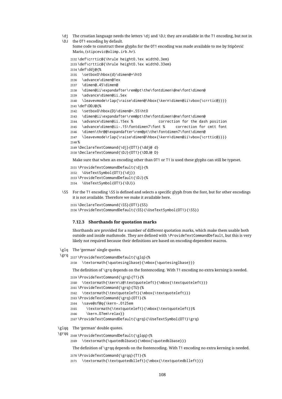\dj The croatian language needs the letters \dj and \DJ; they are available in the T1 encoding, but not in \DJ the OT1 encoding by default.

```
Some code to construct these glyphs for the OT1 encoding was made available to me by Stipčević
Mario, (stipcevic@olimp.irb.hr).
```

```
2132 \def\crrtic@{\hrule height0.1ex width0.3em}
2133 \def\crttic@{\hrule height0.1ex width0.33em}
2134 \def\ddj@{%
```
2135 \setbox0\hbox{d}\dimen@=\ht0

```
2136 \advance\dimen@1ex
```

```
2137 \dimen@.45\dimen@
```

```
2138 \dimen@ii\expandafter\rem@pt\the\fontdimen\@ne\font\dimen@
```

```
2139 \advance\dimen@ii.5ex
```

```
2140 \leavevmode\rlap{\raise\dimen@\hbox{\kern\dimen@ii\vbox{\crrtic@}}}}
```

```
2141 \def\DDJ@{%
```

```
2142 \setbox0\hbox{D}\dimen@=.55\ht0
```

```
2143 \dimen@ii\expandafter\rem@pt\the\fontdimen\@ne\font\dimen@
```

```
2144 \advance\dimen@ii.15ex % correction for the dash position
```

```
2145 \advance\dimen@ii-.15\fontdimen7\font % correction for cmtt font
```
2146 \dimen\thr@@\expandafter\rem@pt\the\fontdimen7\font\dimen@

```
2147 \leavevmode\rlap{\raise\dimen@\hbox{\kern\dimen@ii\vbox{\crttic@}}}}
```

```
2148 %
```

```
2149 \DeclareTextCommand{\dj}{OT1}{\ddj@ d}
2150 \DeclareTextCommand{\DJ}{OT1}{\DDJ@ D}
```
Make sure that when an encoding other than OT1 or T1 is used these glyphs can still be typeset.

```
2151 \ProvideTextCommandDefault{\dj}{%
2152 \UseTextSymbol{OT1}{\dj}}
2153 \ProvideTextCommandDefault{\DJ}{%
2154 \UseTextSymbol{OT1}{\DJ}}
```
\SS For the T1 encoding \SS is defined and selects a specific glyph from the font, but for other encodings it is not available. Therefore we make it available here.

```
2155 \DeclareTextCommand{\SS}{OT1}{SS}
2156 \ProvideTextCommandDefault{\SS}{\UseTextSymbol{OT1}{\SS}}
```
#### **7.12.3 Shorthands for quotation marks**

Shorthands are provided for a number of different quotation marks, which make them usable both outside and inside mathmode. They are defined with \ProvideTextCommandDefault, but this is very likely not required because their definitions are based on encoding-dependent macros.

- \glq The 'german' single quotes.
- \grq 2157 \ProvideTextCommandDefault{\glq}{%

```
2158 \textormath{\quotesinglbase}{\mbox{\quotesinglbase}}}
```
The definition of  $\gtrsim$  depends on the fontencoding. With T1 encoding no extra kerning is needed.

```
2159 \ProvideTextCommand{\grq}{T1}{%
2160 \textormath{\kern\z@\textquoteleft}{\mbox{\textquoteleft}}}
2161 \ProvideTextCommand{\grq}{TU}{%
2162 \textormath{\textquoteleft}{\mbox{\textquoteleft}}}
2163 \ProvideTextCommand{\grq}{OT1}{%
2164 \save@sf@q{\kern-.0125em
2165 \textormath{\textquoteleft}{\mbox{\textquoteleft}}%
2166 \kern.07em\relax}}
```
2167 \ProvideTextCommandDefault{\grq}{\UseTextSymbol{OT1}\grq}

\glqq The 'german' double quotes.

```
\grqq
2168 \ProvideTextCommandDefault{\glqq}{%
```
2169 \textormath{\quotedblbase}{\mbox{\quotedblbase}}}

The definition of \grqq depends on the fontencoding. With T1 encoding no extra kerning is needed.

```
2170 \ProvideTextCommand{\grqq}{T1}{%
```
2171 \textormath{\textquotedblleft}{\mbox{\textquotedblleft}}}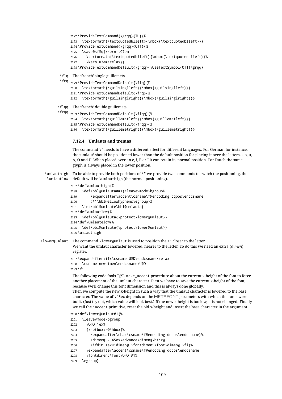```
2172 \ProvideTextCommand{\grqq}{TU}{%
2173 \textormath{\textquotedblleft}{\mbox{\textquotedblleft}}}
2174 \ProvideTextCommand{\grqq}{OT1}{%
2175 \save@sf@q{\kern-.07em
2176 \textormath{\textquotedblleft}{\mbox{\textquotedblleft}}%
2177 \kern.07em\relax}}
```
- \ProvideTextCommandDefault{\grqq}{\UseTextSymbol{OT1}\grqq}
- \flq The 'french' single guillemets.

```
\frq
2179 \ProvideTextCommandDefault{\flq}{%
    2180 \textormath{\guilsinglleft}{\mbox{\guilsinglleft}}}
    2181 \ProvideTextCommandDefault{\frq}{%
    2182 \textormath{\guilsinglright}{\mbox{\guilsinglright}}}
```
\flqq The 'french' double guillemets.

```
\frqq
2183 \ProvideTextCommandDefault{\flqq}{%
      2184 \textormath{\guillemetleft}{\mbox{\guillemetleft}}}
      2185 \ProvideTextCommandDefault{\frqq}{%
      2186 \textormath{\guillemetright}{\mbox{\guillemetright}}}
```
#### **7.12.4 Umlauts and tremas**

The command \" needs to have a different effect for different languages. For German for instance, the 'umlaut' should be positioned lower than the default position for placing it over the letters a, o, u, A, O and U. When placed over an e, i, E or I it can retain its normal position. For Dutch the same glyph is always placed in the lower position.

\umlauthigh To be able to provide both positions of \" we provide two commands to switch the positioning, the \umlautlow default will be \umlauthigh (the normal positioning).

```
2187 \def\umlauthigh{%
2188 \def\bbl@umlauta##1{\leavevmode\bgroup%
2189 \expandafter\accent\csname\f@encoding dqpos\endcsname
2190 ##1\bbl@allowhyphens\egroup}%
2191 \let\bbl@umlaute\bbl@umlauta}
2192 \def\umlautlow{%
2193 \def\bbl@umlauta{\protect\lower@umlaut}}
2194 \def\umlautelow{%
2195 \def\bbl@umlaute{\protect\lower@umlaut}}
2196 \umlauthigh
```
\lower@umlaut The command \lower@umlaut is used to position the \" closer to the letter.

We want the umlaut character lowered, nearer to the letter. To do this we need an extra  $\langle$  dimen $\rangle$ register.

```
2197 \expandafter\ifx\csname U@D\endcsname\relax
2198 \csname newdimen\endcsname\U@D
2199 \fi
```
The following code fools TEX's make\_accent procedure about the current x-height of the font to force another placement of the umlaut character. First we have to save the current x-height of the font, because we'll change this font dimension and this is always done globally.

Then we compute the new x-height in such a way that the umlaut character is lowered to the base character. The value of .45ex depends on the METAFONT parameters with which the fonts were built. (Just try out, which value will look best.) If the new x-height is too low, it is not changed. Finally we call the \accent primitive, reset the old x-height and insert the base character in the argument.

\def\lower@umlaut#1{%

\leavevmode\bgroup

- \U@D 1ex%
- {\setbox\z@\hbox{%
- \expandafter\char\csname\f@encoding dqpos\endcsname}%
- \dimen@ -.45ex\advance\dimen@\ht\z@
- \ifdim 1ex<\dimen@ \fontdimen5\font\dimen@ \fi}%
- \expandafter\accent\csname\f@encoding dqpos\endcsname
- \fontdimen5\font\U@D #1%
- \egroup}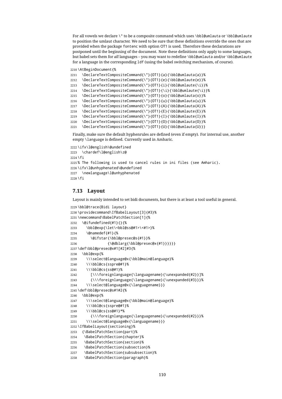For all vowels we declare \" to be a composite command which uses \bbl@umlauta or \bbl@umlaute to position the umlaut character. We need to be sure that these definitions override the ones that are provided when the package fontenc with option OT1 is used. Therefore these declarations are postponed until the beginning of the document. Note these definitions only apply to some languages, but babel sets them for *all* languages – you may want to redefine \bbl@umlauta and/or \bbl@umlaute for a language in the corresponding ldf (using the babel switching mechanism, of course).

\AtBeginDocument{%

```
2211 \DeclareTextCompositeCommand{\"}{OT1}{a}{\bbl@umlauta{a}}%
```

```
2212 \DeclareTextCompositeCommand{\"}{OT1}{e}{\bbl@umlaute{e}}%
```

```
2213 \DeclareTextCompositeCommand{\"}{OT1}{i}{\bbl@umlaute{\i}}%
```
\DeclareTextCompositeCommand{\"}{OT1}{\i}{\bbl@umlaute{\i}}%

```
2215 \DeclareTextCompositeCommand{\"}{OT1}{o}{\bbl@umlauta{o}}%
```

```
2216 \DeclareTextCompositeCommand{\"}{OT1}{u}{\bbl@umlauta{u}}%
```

```
2217 \DeclareTextCompositeCommand{\"}{OT1}{A}{\bbl@umlauta{A}}%
```

```
2218 \DeclareTextCompositeCommand{\"}{OT1}{E}{\bbl@umlaute{E}}%
```

```
2219 \DeclareTextCompositeCommand{\"}{OT1}{I}{\bbl@umlaute{I}}%
```

```
2220 \DeclareTextCompositeCommand{\"}{OT1}{O}{\bbl@umlauta{O}}%
```

```
2221 \DeclareTextCompositeCommand{\"}{OT1}{U}{\bbl@umlauta{U}}}
```
Finally, make sure the default hyphenrules are defined (even if empty). For internal use, another empty \language is defined. Currently used in Amharic.

```
2222 \ifx\l@english\@undefined
2223 \chardef\l@english\z@
2224 \fi
2225 % The following is used to cancel rules in ini files (see Amharic).
2226 \ifx\l@unhyphenated\@undefined
2227 \newlanguage\l@unhyphenated
2228 \fi
```
# **7.13 Layout**

Layout is mainly intended to set bidi documents, but there is at least a tool useful in general.

```
2229 \bbl@trace{Bidi layout}
2230 \providecommand\IfBabelLayout[3]{#3}%
2231 \newcommand\BabelPatchSection[1]{%
2232 \@ifundefined{#1}{}{%
2233 \bbl@exp{\let\<bbl@ss@#1>\<#1>}%
2234 \@namedef{#1}{%
2235 \@ifstar{\bbl@presec@s{#1}}%
2236 {\@dblarg{\bbl@presec@x{#1}}}}}}
2237 \def\bbl@presec@x#1[#2]#3{%
2238 \bbl@exp{%
2239 \\\select@language@x{\bbl@main@language}%
2240 \\\bbl@cs{sspre@#1}%
2241 \\\bbl@cs{ss@#1}%
2242 [\\\foreignlanguage{\languagename}{\unexpanded{#2}}]%
2243 {\\\foreignlanguage{\languagename}{\unexpanded{#3}}}%
2244 \\\select@language@x{\languagename}}}
2245 \def\bbl@presec@s#1#2{%
2246 \bbl@exp{%
2247 \\\select@language@x{\bbl@main@language}%
2248 \\\bbl@cs{sspre@#1}%
2249 \\\bbl@cs{ss@#1}*%
2250 {\\\foreignlanguage{\languagename}{\unexpanded{#2}}}%
2251 \\\select@language@x{\languagename}}}
2252 \IfBabelLayout{sectioning}%
2253 {\BabelPatchSection{part}%
2254 \BabelPatchSection{chapter}%
2255 \BabelPatchSection{section}%
2256 \BabelPatchSection{subsection}%
2257 \BabelPatchSection{subsubsection}%
2258 \BabelPatchSection{paragraph}%
```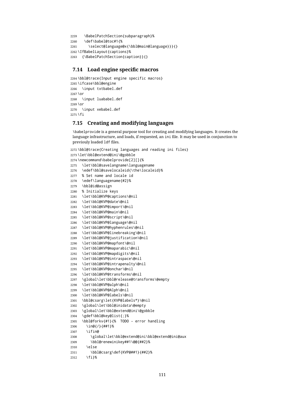```
2259 \BabelPatchSection{subparagraph}%
2260 \def\babel@toc#1{%
2261 \select@language@x{\bbl@main@language}}}{}
2262 \IfBabelLayout{captions}%
2263 {\BabelPatchSection{caption}}{}
```
### **7.14 Load engine specific macros**

```
2264 \bbl@trace{Input engine specific macros}
2265 \ifcase\bbl@engine
2266 \input txtbabel.def
2267 \or
2268 \input luababel.def
2269 \or
2270 \input xebabel.def
2271 \fi
```
# **7.15 Creating and modifying languages**

\babelprovide is a general purpose tool for creating and modifying languages. It creates the language infrastructure, and loads, if requested, an ini file. It may be used in conjunction to previouly loaded ldf files.

```
2272 \bbl@trace{Creating languages and reading ini files}
2273 \let\bbl@extend@ini\@gobble
2274 \newcommand\babelprovide[2][]{%
2275 \let\bbl@savelangname\languagename
2276 \edef\bbl@savelocaleid{\the\localeid}%
2277 % Set name and locale id
2278 \edef\languagename{#2}%
2279 \bbl@id@assign
2280 % Initialize keys
2281 \let\bbl@KVP@captions\@nil
2282 \let\bbl@KVP@date\@nil
2283 \let\bbl@KVP@import\@nil
2284 \let\bbl@KVP@main\@nil
2285 \let\bbl@KVP@script\@nil
2286 \let\bbl@KVP@language\@nil
2287 \let\bbl@KVP@hyphenrules\@nil
2288 \let\bbl@KVP@linebreaking\@nil
2289 \let\bbl@KVP@justification\@nil
2290 \let\bbl@KVP@mapfont\@nil
2291 \let\bbl@KVP@maparabic\@nil
2292 \let\bbl@KVP@mapdigits\@nil
2293 \let\bbl@KVP@intraspace\@nil
2294 \let\bbl@KVP@intrapenalty\@nil
2295 \let\bbl@KVP@onchar\@nil
2296 \let\bbl@KVP@transforms\@nil
2297 \global\let\bbl@release@transforms\@empty
2298 \let\bbl@KVP@alph\@nil
2299 \let\bbl@KVP@Alph\@nil
2300 \let\bbl@KVP@labels\@nil
2301 \bbl@csarg\let{KVP@labels*}\@nil
2302 \global\let\bbl@inidata\@empty
2303 \global\let\bbl@extend@ini\@gobble
2304 \gdef\bbl@key@list{;}%
2305 \bbl@forkv{#1}{% TODO - error handling
2306 \in@{/}{##1}%
2307 \ifin@
2308 \global\let\bbl@extend@ini\bbl@extend@ini@aux
2309 \bbl@renewinikey##1\@@{##2}%
2310 \else
2311 \bbl@csarg\def{KVP@##1}{##2}%
2312 \fi}%
```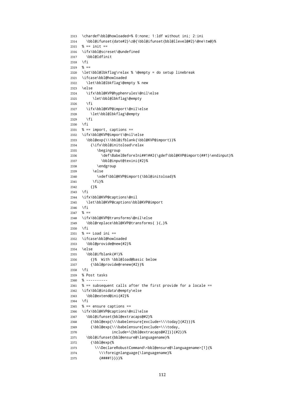```
2313 \chardef\bbl@howloaded=% 0:none; 1:ldf without ini; 2:ini
2314 \bbl@ifunset{date#2}\z@{\bbl@ifunset{bbl@llevel@#2}\@ne\tw@}%
2315 % == init ==
2316 \ifx\bbl@screset\@undefined
2317 \bbl@ldfinit
2318 \fi
2319 % ==
2320 \let\bbl@lbkflag\relax % \@empty = do setup linebreak
2321 \ifcase\bbl@howloaded
2322 \let\bbl@lbkflag\@empty % new
2323 \else
2324 \ifx\bbl@KVP@hyphenrules\@nil\else
2325 \let\bbl@lbkflag\@empty
2326 \fi
2327 \ifx\bbl@KVP@import\@nil\else
2328 \let\bbl@lbkflag\@empty
2329 \fi
2330 \fi
2331 % == import, captions ==
2332 \ifx\bbl@KVP@import\@nil\else
2333 \bbl@exp{\\\bbl@ifblank{\bbl@KVP@import}}%
2334 {\ifx\bbl@initoload\relax
2335 \begingroup
2336 \def\BabelBeforeIni##1##2{\gdef\bbl@KVP@import{##1}\endinput}%
2337 \bbl@input@texini{#2}%
2338 \endgroup
2339 \else
2340 \xdef\bbl@KVP@import{\bbl@initoload}%
2341 \fi}%
2342 {}%
2343 \fi
2344 \ifx\bbl@KVP@captions\@nil
2345 \let\bbl@KVP@captions\bbl@KVP@import
2346 \fi
2347 % ==
2348 \ifx\bbl@KVP@transforms\@nil\else
2349 \bbl@replace\bbl@KVP@transforms{ }{,}%
2350 \fi
2351 \, % = Load ini ==
2352 \ifcase\bbl@howloaded
2353 \bbl@provide@new{#2}%
2354 \left[\text{e}\right]se
2355 \bbl@ifblank{#1}%
2356 {}% With \bbl@load@basic below
2357 {\bbl@provide@renew{#2}}%
2358 \fi
2359 % Post tasks
2360 % ----------
2361 % == subsequent calls after the first provide for a locale ==
2362 \ifx\bbl@inidata\@empty\else
2363 \bbl@extend@ini{#2}%
2364 \fi
2365 % == ensure captions ==
2366 \ifx\bbl@KVP@captions\@nil\else
2367 \bbl@ifunset{bbl@extracaps@#2}%
2368 {\bbl@exp{\\\babelensure[exclude=\\\today]{#2}}}%
2369 {\bbl@exp{\\\babelensure[exclude=\\\today,
2370 include=\[bbl@extracaps@#2]}]{#2}}%
2371 \bbl@ifunset{bbl@ensure@\languagename}%
2372 {\bbl@exp{%
2373 \\\DeclareRobustCommand\<bbl@ensure@\languagename>[1]{%
2374 \\\foreignlanguage{\languagename}%
2375 {####1}}}}%
```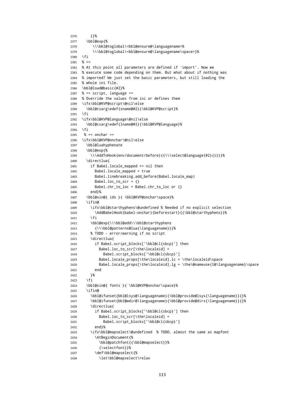```
2376 {}%
2377 \bbl@exp{%
2378 \\\bbl@toglobal\<bbl@ensure@\languagename>%
2379 \\\bbl@toglobal\<bbl@ensure@\languagename\space>}%
2380 \fi
2381 % ==
2382 % At this point all parameters are defined if 'import'. Now we
2383 % execute some code depending on them. But what about if nothing was
2384 % imported? We just set the basic parameters, but still loading the
2385 % whole ini file.
2386 \bbl@load@basic{#2}%
2387 % == script, language ==
2388 % Override the values from ini or defines them
2389 \ifx\bbl@KVP@script\@nil\else
2390 \bbl@csarg\edef{sname@#2}{\bbl@KVP@script}%
2391 \fi
2392 \ifx\bbl@KVP@language\@nil\else
2393 \bbl@csarg\edef{lname@#2}{\bbl@KVP@language}%
2394 \fi
2395 % == onchar ==
2396 \ifx\bbl@KVP@onchar\@nil\else
2397 \bbl@luahyphenate
2398 \bbl@exp{%
2399 \\\AddToHook{env/document/before}{{\\\select@language{#2}{}}}}%
2400 \directlua{
2401 if Babel.locale_mapped == nil then
2402 Babel.locale_mapped = true
2403 Babel.linebreaking.add_before(Babel.locale_map)
2404 Babel.loc_to_scr = {}
2405 Babel.chr_to_loc = Babel.chr_to_loc or {}
2406 end}%
2407 \bbl@xin@{ ids }{ \bbl@KVP@onchar\space}%
2408 \ifin@
2409 \ifx\bbl@starthyphens\@undefined % Needed if no explicit selection
2410 \AddBabelHook{babel-onchar}{beforestart}{{\bbl@starthyphens}}%
2411 \fi
2412 \bbl@exp{\\\bbl@add\\\bbl@starthyphens
2413 {\\\bbl@patterns@lua{\languagename}}}%
2414 % TODO - error/warning if no script
2415 \directlua{
2416 if Babel.script_blocks['\bbl@cl{sbcp}'] then
2417 Babel.loc_to_scr[\the\localeid] =
2418 Babel.script_blocks['\bbl@cl{sbcp}']
2419 Babel.locale_props[\the\localeid].lc = \the\localeid\space
2420 Babel.locale_props[\the\localeid].lg = \the\@nameuse{l@\languagename}\space
2421 end
2422 }%
2423 \fi
2424 \bbl@xin@{ fonts }{ \bbl@KVP@onchar\space}%
2425 \ifin@
2426 \bbl@ifunset{bbl@lsys@\languagename}{\bbl@provide@lsys{\languagename}}{}%
2427 \bbl@ifunset{bbl@wdir@\languagename}{\bbl@provide@dirs{\languagename}}{}%
2428 \ddot{\text{d}r} ectlua\ddot{\text{d}}2429 if Babel.script_blocks['\bbl@cl{sbcp}'] then
2430 Babel.loc to scr[\the\localeid] =
2431 Babel.script_blocks['\bbl@cl{sbcp}']
2432 end}%
2433 \ifx\bbl@mapselect\@undefined % TODO. almost the same as mapfont
2434 \AtBeginDocument{%
2435 \bbl@patchfont{{\bbl@mapselect}}%
2436 {\selectfont}}%
2437 \def\bbl@mapselect{%
2438 \let\bbl@mapselect\relax
```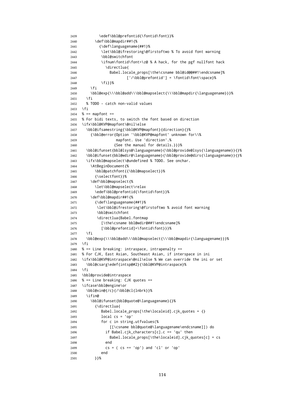```
2439 \edef\bbl@prefontid{\fontid\font}}%
2440 \def\bbl@mapdir##1{%
2441 {\def\languagename{##1}%
2442 \let\bbl@ifrestoring\@firstoftwo % To avoid font warning
2443 \bbl@switchfont
2444 \ifnum\fontid\font>\z@ % A hack, for the pgf nullfont hack
2445 \directlua{
2446 Babel.locale_props[\the\csname bbl@id@@##1\endcsname]%
2447 ['/\bbl@prefontid'] = \fontid\font\space}%
2448 \fi}}%
2449 \fi
2450 \bbl@exp{\\\bbl@add\\\bbl@mapselect{\\\bbl@mapdir{\languagename}}}%
2451 \fi
2452 % TODO - catch non-valid values
2453 \fi
2454 % == mapfont ==
2455 % For bidi texts, to switch the font based on direction
2456 \ifx\bbl@KVP@mapfont\@nil\else
2457 \bbl@ifsamestring{\bbl@KVP@mapfont}{direction}{}%
2458 {\bbl@error{Option '\bbl@KVP@mapfont' unknown for\\%
2459 mapfont. Use 'direction'.%
2460 {See the manual for details.}}}%
2461 \bbl@ifunset{bbl@lsys@\languagename}{\bbl@provide@lsys{\languagename}}{}%
2462 \bbl@ifunset{bbl@wdir@\languagename}{\bbl@provide@dirs{\languagename}}{}%
2463 \ifx\bbl@mapselect\@undefined % TODO. See onchar.
2464 \AtBeginDocument{%
2465 \bbl@patchfont{{\bbl@mapselect}}%
2466 {\selectfont}}%
2467 \def\bbl@mapselect{%
2468 \let\bbl@mapselect\relax
2469 \edef\bbl@prefontid{\fontid\font}}%
2470 \def\bbl@mapdir##1{%
2471 {\def\languagename{##1}%
2472 \let\bbl@ifrestoring\@firstoftwo % avoid font warning
2473 \bbl@switchfont
2474 \directlua{Babel.fontmap
2475 [\the\csname bbl@wdir@##1\endcsname]%
2476 [\bbl@prefontid]=\fontid\font}}}%
2477 \fi
2478 \bbl@exp{\\\bbl@add\\\bbl@mapselect{\\\bbl@mapdir{\languagename}}}%
2479 \fi
2480 % == Line breaking: intraspace, intrapenalty ==
2481 % For CJK, East Asian, Southeast Asian, if interspace in ini
2482 \ifx\bbl@KVP@intraspace\@nil\else % We can override the ini or set
2483 \bbl@csarg\edef{intsp@#2}{\bbl@KVP@intraspace}%
2484 \fi
2485 \bbl@provide@intraspace
2486 % == Line breaking: CJK quotes ==
2487 \ifcase\bbl@engine\or
2488 \bbl@xin@{/c}{/\bbl@cl{lnbrk}}%
2489 \sqrt{ifin\omega}2490 \bbl@ifunset{bbl@quote@\languagename}{}%
2491 {\directlua{
2492 Babel.locale_props[\the\localeid].cjk_quotes = {}
2493 local cs = 'op'
2494 for c in string.utfvalues(%
2495 [[\csname bbl@quote@\languagename\endcsname]]) do
2496 if Babel.cjk_characters[c].c == 'qu' then
2497 Babel.locale props[\the\localeid].cjk quotes[c] = cs
2498 end
2499 cs = ( cs == 'op') and 'cl' or 'op'
2500 end
2501 }}%
```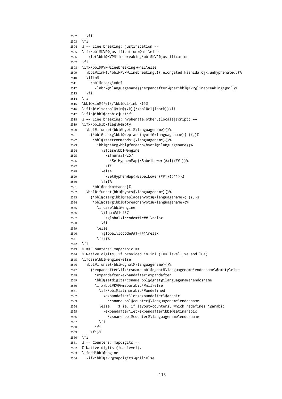```
2502 \fi
2503 \fi
2504 % == Line breaking: justification ==
2505 \ifx\bbl@KVP@justification\@nil\else
2506 \let\bbl@KVP@linebreaking\bbl@KVP@justification
2507 \fi
2508 \ifx\bbl@KVP@linebreaking\@nil\else
2509 \bbl@xin@{,\bbl@KVP@linebreaking,}{,elongated,kashida,cjk,unhyphenated,}%
2510 \ifin@
2511 \bbl@csarg\xdef
2512 {lnbrk@\languagename}{\expandafter\@car\bbl@KVP@linebreaking\@nil}%
2513 \fi
2514 \fi
2515 \bbl@xin@{/e}{/\bbl@cl{lnbrk}}%
2516 \ifin@\else\bbl@xin@{/k}{/\bbl@cl{lnbrk}}\fi
2517 \ifin@\bbl@arabicjust\fi
2518 % == Line breaking: hyphenate.other.(locale|script) ==
2519 \ifx\bbl@lbkflag\@empty
2520 \bbl@ifunset{bbl@hyotl@\languagename}{}%
2521 {\bbl@csarg\bbl@replace{hyotl@\languagename}{ }{,}%
2522 \bbl@startcommands*{\languagename}{}%
2523 \bbl@csarg\bbl@foreach{hyotl@\languagename}{%
2524 \ifcase\bbl@engine
2525 \ifnum##1<257
2526 \SetHyphenMap{\BabelLower{##1}{##1}}%
2527 \fi
2528 \else
2529 \SetHyphenMap{\BabelLower{##1}{##1}}%
2530 \fi}%
2531 \bbl@endcommands}%
2532 \bbl@ifunset{bbl@hyots@\languagename}{}%
2533 {\bbl@csarg\bbl@replace{hyots@\languagename}{ }{,}%
2534 \bbl@csarg\bbl@foreach{hyots@\languagename}{%
2535 \ifcase\bbl@engine
2536 \ifnum##1<257
2537 \global\lccode##1=##1\relax
2538 \fi
2539 \text{e}2540 \global\lccode##1=##1\relax
2541 \fi}}%
2542 \text{ } \text{ } 2512543 % == Counters: maparabic ==
2544 % Native digits, if provided in ini (TeX level, xe and lua)
2545 \ifcase\bbl@engine\else
2546 \bbl@ifunset{bbl@dgnat@\languagename}{}%
2547 {\expandafter\ifx\csname bbl@dgnat@\languagename\endcsname\@empty\else
2548 \expandafter\expandafter\expandafter
2549 \bbl@setdigits\csname bbl@dgnat@\languagename\endcsname
2550 \ifx\bbl@KVP@maparabic\@nil\else
2551 \ifx\bbl@latinarabic\@undefined
2552 \expandafter\let\expandafter\@arabic
2553 \csname bbl@counter@\languagename\endcsname
2554 \else % ie, if layout=counters, which redefines \@arabic
2555 \expandafter\let\expandafter\bbl@latinarabic
2556 \csname bbl@counter@\languagename\endcsname
2557 \fi
2558 \fi
2559 \fi}%
2560 \fi
2561 % == Counters: mapdigits ==
2562 % Native digits (lua level).
2563 \ifodd\bbl@engine
2564 \ifx\bbl@KVP@mapdigits\@nil\else
```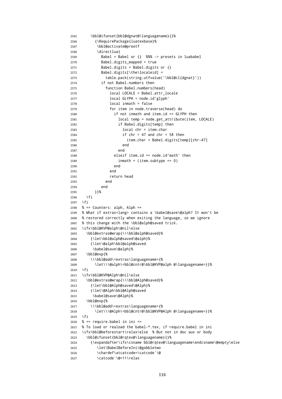```
2565 \bbl@ifunset{bbl@dgnat@\languagename}{}%
2566 {\RequirePackage{luatexbase}%
2567 \bbl@activate@preotf
2568 \directlua{
2569 Babel = Babel or {} %%% -> presets in luababel
2570 Babel.digits_mapped = true
2571 Babel.digits = Babel.digits or {}
2572 Babel.digits[\the\localeid] =
2573 table.pack(string.utfvalue('\bbl@cl{dgnat}'))
2574 if not Babel.numbers then
2575 function Babel.numbers(head)
2576 local LOCALE = Babel.attr_locale
2577 local GLYPH = node.id'glyph'
2578 local inmath = false
2579 for item in node.traverse(head) do
2580 if not inmath and item.id == GLYPH then
2581 local temp = node.get_attribute(item, LOCALE)
2582 if Babel.digits[temp] then
2583 local chr = item.char
2584 if chr > 47 and chr < 58 then
2585 item.char = Babel.digits[temp][chr-47]
2586 end
2587 end
2588 elseif item.id == node.id'math' then
2589 inmath = (item.subtype == 0)
2590 end
2591 end
2592 return head
2593 end
2594 end
2595 }}%
2596 \fi
2597 \fi
2598 % == Counters: alph, Alph ==
2599 % What if extras<lang> contains a \babel@save\@alph? It won't be
2600 % restored correctly when exiting the language, so we ignore
2601 % this change with the \bbl@alph@saved trick.
2602 \ifx\bbl@KVP@alph\@nil\else
2603 \bbl@extras@wrap{\\\bbl@alph@saved}%
2604 {\let\bbl@alph@saved\@alph}%
2605 {\let\@alph\bbl@alph@saved
2606 \babel@save\@alph}%
2607 \bbl@exp{%
2608 \\\bbl@add\<extras\languagename>{%
2609 \let\\\@alph\<bbl@cntr@\bbl@KVP@alph @\languagename>}}%
2610 \fi
2611 \ifx\bbl@KVP@Alph\@nil\else
2612 \bbl@extras@wrap{\\\bbl@Alph@saved}%
2613 {\let\bbl@Alph@saved\@Alph}%
2614 {\let\@Alph\bbl@Alph@saved
2615 \babel@save\@Alph}%
2616 \bbl@exp{%
2617 \\\bbl@add\<extras\languagename>{%
2618 \let\\\@Alph\<bbl@cntr@\bbl@KVP@Alph @\languagename>}}%
2619 \fi
2620 % == require.babel in ini ==
2621 % To load or reaload the babel-*.tex, if require.babel in ini
2622 \ifx\bbl@beforestart\relax\else % But not in doc aux or body
2623 \bbl@ifunset{bbl@rqtex@\languagename}{}%
2624 {\expandafter\ifx\csname bbl@rqtex@\languagename\endcsname\@empty\else
2625 \let\BabelBeforeIni\@gobbletwo
2626 \chardef\atcatcode=\catcode`\@
2627 \catcode`\@=11\relax
```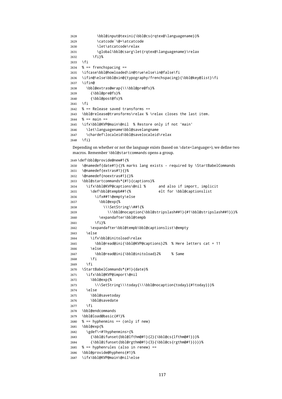```
2628 \bbl@input@texini{\bbl@cs{rqtex@\languagename}}%
2629 \catcode`\@=\atcatcode
2630 \let\atcatcode\relax
2631 \global\bbl@csarg\let{rqtex@\languagename}\relax
2632 \fi}%
2633 \fi
2634 % == frenchspacing ==
2635 \ifcase\bbl@howloaded\in@true\else\in@false\fi
2636 \ifin@\else\bbl@xin@{typography/frenchspacing}{\bbl@key@list}\fi
2637 \ifin@
2638 \bbl@extras@wrap{\\\bbl@pre@fs}%
2639 {\bbl@pre@fs}%
2640 {\bbl@post@fs}%
2641 \fi
2642 % == Release saved transforms ==
2643 \bbl@release@transforms\relax % \relax closes the last item.
2644 \quad % = \text{main} =2645 \ifx\bbl@KVP@main\@nil % Restore only if not 'main'
2646 \let\languagename\bbl@savelangname
2647 \chardef\localeid\bbl@savelocaleid\relax
2648 \fi}
```
Depending on whether or not the language exists (based on \date<language>), we define two macros. Remember \bbl@startcommands opens a group.

```
2649 \def\bbl@provide@new#1{%
2650 \@namedef{date#1}{}% marks lang exists - required by \StartBabelCommands
2651 \@namedef{extras#1}{}%
2652 \@namedef{noextras#1}{}%
2653 \bbl@startcommands*{#1}{captions}%
2654 \ifx\bbl@KVP@captions\@nil % and also if import, implicit
2655 \def\bbl@tempb##1{% elt for \bbl@captionslist
2656 \ifx##1\@empty\else
2657 \bbl@exp{%
2658 \\\SetString\\##1{%
2659 \\\bbl@nocaption{\bbl@stripslash##1}{#1\bbl@stripslash##1}}}%
2660 \expandafter\bbl@tempb
2661 \fi}%
2662 \expandafter\bbl@tempb\bbl@captionslist\@empty
2663 \else
2664 \ifx\bbl@initoload\relax
2665 \bbl@read@ini{\bbl@KVP@captions}2% % Here letters cat = 11
2666 \else
2667 \bbl@read@ini{\bbl@initoload}2% % Same
2668 \fi
2669 \fi
2670 \StartBabelCommands*{#1}{date}%
2671 \ifx\bbl@KVP@import\@nil
2672 \bbl@exp{%
2673 \\\SetString\\\today{\\\bbl@nocaption{today}{#1today}}}%
2674 \else
2675 \bbl@savetoday
2676 \bbl@savedate
2677 \fi
2678 \bbl@endcommands
2679 \bbl@load@basic{#1}%
2680 % == hyphenmins == (only if new)
2681 \bbl@exp{%
2682 \gdef\<#1hyphenmins>{%
2683 {\bbl@ifunset{bbl@lfthm@#1}{2}{\bbl@cs{lfthm@#1}}}%
2684 {\bbl@ifunset{bbl@rgthm@#1}{3}{\bbl@cs{rgthm@#1}}}}}%
2685 % == hyphenrules (also in renew) ==
2686 \bbl@provide@hyphens{#1}%
2687 \ifx\bbl@KVP@main\@nil\else
```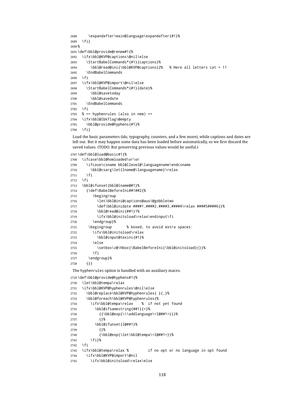```
2688 \expandafter\main@language\expandafter{#1}%
2689 \fi}
2690 %
2691 \def\bbl@provide@renew#1{%
2692 \ifx\bbl@KVP@captions\@nil\else
2693 \StartBabelCommands*{#1}{captions}%
2694 \bbl@read@ini{\bbl@KVP@captions}2% % Here all letters cat = 11
2695 \EndBabelCommands
2696 \fi
2697 \ifx\bbl@KVP@import\@nil\else
2698 \StartBabelCommands*{#1}{date}%
2699 \bbl@savetoday
2700 \bbl@savedate
2701 \EndBabelCommands
2702 \fi
2703 % == hyphenrules (also in new) ==
2704 \ifx\bbl@lbkflag\@empty
2705 \bbl@provide@hyphens{#1}%
2706 \fi}
```
Load the basic parameters (ids, typography, counters, and a few more), while captions and dates are left out. But it may happen some data has been loaded before automatically, so we first discard the saved values. (TODO. But preserving previous values would be useful.)

```
2707 \def\bbl@load@basic#1{%
```

```
2708 \ifcase\bbl@howloaded\or\or
2709 \ifcase\csname bbl@llevel@\languagename\endcsname
2710 \bbl@csarg\let{lname@\languagename}\relax
2711 \fi
2712 \text{ } \text{ } \text{ } \text{ } 2712713 \bbl@ifunset{bbl@lname@#1}%
2714 {\def\BabelBeforeIni##1##2{%
2715 \begingroup
2716 \let\bbl@ini@captions@aux\@gobbletwo
2717 \def\bbl@inidate ####1.####2.####3.####4\relax ####5####6{}%
2718 \bbl@read@ini{##1}1%
2719 \ifx\bbl@initoload\relax\endinput\fi
2720 \endgroup}%
2721 \begingroup % boxed, to avoid extra spaces:
2722 \ify\bbl@initoload\relax
2723 \bbl@input@texini{#1}%
2724 \sqrt{a}2725 \setbox\z@\hbox{\BabelBeforeIni{\bbl@initoload}{}}%
2726 \fi
2727 \endgroup}%
2728 {}}
The hyphenrules option is handled with an auxiliary macro.
2729 \def\bbl@provide@hyphens#1{%
2730 \let\bbl@tempa\relax
2731 \ifx\bbl@KVP@hyphenrules\@nil\else
2732 \bbl@replace\bbl@KVP@hyphenrules{ }{,}%
2733 \bbl@foreach\bbl@KVP@hyphenrules{%
2734 \ifx\bbl@tempa\relax % if not yet found
2735 \bbl@ifsamestring{##1}{+}%
2736 {{\bbl@exp{\\\addlanguage\<l@##1>}}}%
2737 {}%
2738 \bbl@ifunset{l@##1}%
2739 {}%
2740 {\bbl@exp{\let\bbl@tempa\<l@##1>}}%
2741 \fi}%
2742 \sqrt{fi}2743 \ifx\bbl@tempa\relax % if no opt or no language in opt found
2744 \ifx\bbl@KVP@import\@nil
2745 \ifx\bbl@initoload\relax\else
```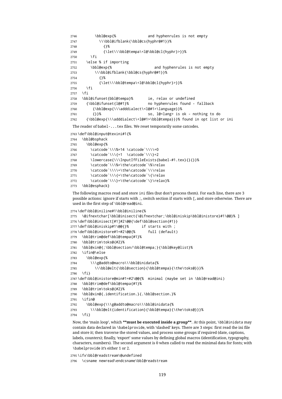```
2746 \bbl@exp{% and hyphenrules is not empty
2747 \\\bbl@ifblank{\bbl@cs{hyphr@#1}}%
2748 {}%
2749 {\let\\\bbl@tempa\<l@\bbl@cl{hyphr}>}}%
2750 \fi
2751 \else % if importing
2752 \bbl@exp{% and hyphenrules is not empty
2753 \\\bbl@ifblank{\bbl@cs{hyphr@#1}}%
2754 {}%
2755 {\let\\\bbl@tempa\<l@\bbl@cl{hyphr}>}}%
2756 \fi
2757 \fi
2758 \bbl@ifunset{bbl@tempa}% ie, relax or undefined
2759 {\bbl@ifunset{l@#1}% no hyphenrules found - fallback
2760 {\bbl@exp{\\\adddialect\<l@#1>\language}}%
2761 {}}% so, l@<lang> is ok - nothing to do
2762 {\bbl@exp{\\\adddialect\<l@#1>\bbl@tempa}}}% found in opt list or ini
```
The reader of babel-...tex files. We reset temporarily some catcodes.

```
2763 \def\bbl@input@texini#1{%
```

```
2764 \bbl@bsphack
2765 \bbl@exp{%
2766 \catcode`\\\%=14 \catcode`\\\\=0
2767 \catcode`\\\{=1 \catcode`\\\}=2
2768 \lowercase{\\\InputIfFileExists{babel-#1.tex}{}{}}%
2769 \catcode`\\\%=\the\catcode`\%\relax
2770 \catcode`\\\\=\the\catcode`\\\relax
2771 \catcode`\\\{=\the\catcode`\{\relax
2772 \catcode`\\\}=\the\catcode`\}\relax}%
2773 \bbl@esphack}
```
The following macros read and store ini files (but don't process them). For each line, there are 3 possible actions: ignore if starts with ;, switch section if starts with [, and store otherwise. There are used in the first step of \bbl@read@ini.

```
2774 \def\bbl@iniline#1\bbl@iniline{%
2775 \@ifnextchar[\bbl@inisect{\@ifnextchar;\bbl@iniskip\bbl@inistore}#1\@@}% ]
2776 \def\bbl@inisect[#1]#2\@@{\def\bbl@section{#1}}
2777 \def\bbl@iniskip#1\@@{}% if starts with ;
2778 \def\bbl@inistore#1=#2\@@{% full (default)
2779 \bbl@trim@def\bbl@tempa{#1}%
2780 \bbl@trim\toks@{#2}%
2781 \bbl@xin@{;\bbl@section/\bbl@tempa;}{\bbl@key@list}%
2782 \ifin@\else
2783 \bbl@exp{%
2784 \\\g@addto@macro\\\bbl@inidata{%
2785 \\\bbl@elt{\bbl@section}{\bbl@tempa}{\the\toks@}}}%
2786 \fi}
2787 \def\bbl@inistore@min#1=#2\@@{% minimal (maybe set in \bbl@read@ini)
2788 \bbl@trim@def\bbl@tempa{#1}%
2789 \bbl@trim\toks@{#2}%
2790 \bbl@xin@{.identification.}{.\bbl@section.}%
2791 \ifin@
2792 \bbl@exp{\\\g@addto@macro\\\bbl@inidata{%
2793 \\\bbl@elt{identification}{\bbl@tempa}{\the\toks@}}}%
2794 \fi}
```
Now, the 'main loop', which **\*\*must be executed inside a group\*\***. At this point, \bbl@inidata may contain data declared in \babelprovide, with 'slashed' keys. There are 3 steps: first read the ini file and store it; then traverse the stored values, and process some groups if required (date, captions, labels, counters); finally, 'export' some values by defining global macros (identification, typography, characters, numbers). The second argument is 0 when called to read the minimal data for fonts; with \babelprovide it's either 1 or 2.

 \ifx\bbl@readstream\@undefined \csname newread\endcsname\bbl@readstream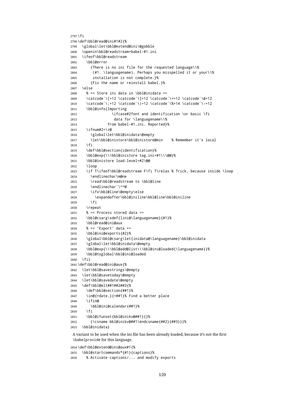```
2797 \fi
2798 \def\bbl@read@ini#1#2{%
2799 \global\let\bbl@extend@ini\@gobble
2800 \openin\bbl@readstream=babel-#1.ini
2801 \ifeof\bbl@readstream
2802 \bbl@error
2803 {There is no ini file for the requested language\\%
2804 (#1: \languagename). Perhaps you misspelled it or your\\%
2805 installation is not complete.}%
2806 {Fix the name or reinstall babel.}%
2807 \else
2808 % == Store ini data in \bbl@inidata ==
2809 \catcode`\[=12 \catcode`\]=12 \catcode`\==12 \catcode`\&=12
2810 \catcode`\;=12 \catcode`\|=12 \catcode`\%=14 \catcode`\-=12
2811 \bbl@info{Importing
2812 \ifcase#2font and identification \or basic \fi
2813 data for \languagename\\%
2814 from babel-#1.ini. Reported}%
2815 \ifnum#2=\z@
2816 \global\let\bbl@inidata\@empty
2817 \let\bbl@inistore\bbl@inistore@min % Remember it's local
2818 \fi
2819 \def\bbl@section{identification}%
2820 \bbl@exp{\\\bbl@inistore tag.ini=#1\\\@@}%
2821 \bbl@inistore load.level=#2\@@
2822 \loop
2823 \if T\ifeof\bbl@readstream F\fi T\relax % Trick, because inside \loop
2824 \endlinechar\m@ne
2825 \read\bbl@readstream to \bbl@line
2826 \endlinechar`\^^M
2827 \ifx\bbl@line\@empty\else
2828 \expandafter\bbl@iniline\bbl@line\bbl@iniline
2829 \fi
2830 \repeat
2831 % == Process stored data ==
2832 \bbl@csarg\xdef{lini@\languagename}{#1}%
2833 \bbl@read@ini@aux
2834 % == 'Export' data ==
2835 \bbl@ini@exports{#2}%
2836 \global\bbl@csarg\let{inidata@\languagename}\bbl@inidata
2837 \global\let\bbl@inidata\@empty
2838 \bbl@exp{\\\bbl@add@list\\\bbl@ini@loaded{\languagename}}%
2839 \bbl@toglobal\bbl@ini@loaded
2840 \fi}
2841 \def\bbl@read@ini@aux{%
2842 \let\bbl@savestrings\@empty
2843 \let\bbl@savetoday\@empty
2844 \let\bbl@savedate\@empty
2845 \def\bbl@elt##1##2##3{%
2846 \def\bbl@section{##1}%
2847 \in@{=date.}{=##1}% Find a better place
2848 \ifin@
2849 \bbl@ini@calendar{##1}%
2850 \fi
2851 \bbl@ifunset{bbl@inikv@##1}{}%
2852 {\csname bbl@inikv@##1\endcsname{##2}{##3}}}%
2853 \bbl@inidata}
 A variant to be used when the ini file has been already loaded, because it's not the first
 \babelprovide for this language.
```
 \def\bbl@extend@ini@aux#1{% \bbl@startcommands\*{#1}{captions}% % Activate captions/... and modify exports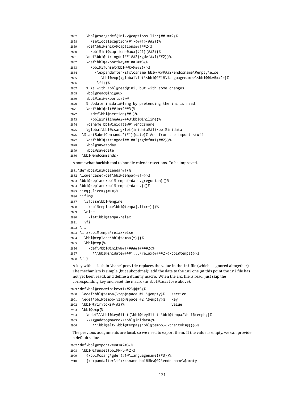```
2857 \bbl@csarg\def{inikv@captions.licr}##1##2{%
2858 \setlocalecaption{#1}{##1}{##2}}%
2859 \def\bbl@inikv@captions##1##2{%
2860 \bbl@ini@captions@aux{##1}{##2}}%
2861 \def\bbl@stringdef##1##2{\gdef##1{##2}}%
2862 \def\bbl@exportkey##1##2##3{%
2863 \bbl@ifunset{bbl@@kv@##2}{}%
2864 {\expandafter\ifx\csname bbl@@kv@##2\endcsname\@empty\else
2865 \bbl@exp{\global\let\<bbl@##1@\languagename>\<bbl@@kv@##2>}%
2866 \fi}}%
2867 % As with \bbl@read@ini, but with some changes
2868 \bbl@read@ini@aux
2869 \bbl@ini@exports\tw@
2870 % Update inidata@lang by pretending the ini is read.
2871 \def\bbl@elt##1##2##3{%
2872 \def\bbl@section{##1}%
2873 \bbl@iniline##2=##3\bbl@iniline}%
2874 \csname bbl@inidata@#1\endcsname
2875 \global\bbl@csarg\let{inidata@#1}\bbl@inidata
2876 \StartBabelCommands*{#1}{date}% And from the import stuff
2877 \def\bbl@stringdef##1##2{\gdef##1{##2}}%
2878 \bbl@savetoday
2879 \bbl@savedate
2880 \bbl@endcommands}
```
A somewhat hackish tool to handle calendar sections. To be improved.

```
2881 \def\bbl@ini@calendar#1{%
2882 \lowercase{\def\bbl@tempa{=#1=}}%
2883 \bbl@replace\bbl@tempa{=date.gregorian}{}%
2884 \bbl@replace\bbl@tempa{=date.}{}%
2885 \in@{.licr=}{#1=}%
2886 \ifin@
2887 \ifcase\bbl@engine
2888 \bbl@replace\bbl@tempa{.licr=}{}%
2889 \else
2890 \let\bbl@tempa\relax
2891 \fi
2892 \fi
2893 \ifx\bbl@tempa\relax\else
2894 \bbl@replace\bbl@tempa{=}{}%
2895 \bbl@exp{%
2896 \def\<bbl@inikv@#1>####1####2{%
2897 \\\bbl@inidate####1...\relax{####2}{\bbl@tempa}}}%
2898 \fi}
```
A key with a slash in \babelprovide replaces the value in the ini file (which is ignored altogether). The mechanism is simple (but suboptimal): add the data to the ini one (at this point the ini file has not yet been read), and define a dummy macro. When the ini file is read, just skip the corresponding key and reset the macro (in \bbl@inistore above).

```
2899 \def\bbl@renewinikey#1/#2\@@#3{%
2900 \edef\bbl@tempa{\zap@space #1 \@empty}% section
2901 \edef\bbl@tempb{\zap@space #2 \@empty}% key
2902 \bbl@trim\toks@{#3}% value
2903 \bbl@exp{%
2904 \edef\\\bbl@key@list{\bbl@key@list \bbl@tempa/\bbl@tempb;}%
2905 \\\g@addto@macro\\\bbl@inidata{%
2906 \\\bbl@elt{\bbl@tempa}{\bbl@tempb}{\the\toks@}}}}%
```
The previous assignments are local, so we need to export them. If the value is empty, we can provide a default value.

```
2907 \def\bbl@exportkey#1#2#3{%
2908 \bbl@ifunset{bbl@@kv@#2}%
2909 {\bbl@csarg\gdef{#1@\languagename}{#3}}%
2910 {\expandafter\ifx\csname bbl@@kv@#2\endcsname\@empty
```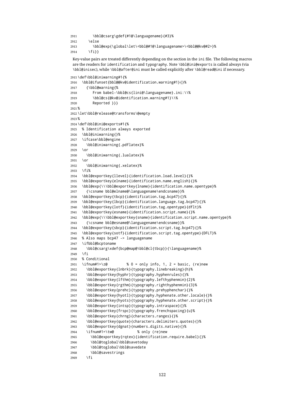\bbl@csarg\gdef{#1@\languagename}{#3}% \else \bbl@exp{\global\let\<bbl@#1@\languagename>\<bbl@@kv@#2>}% \fi}}

Key-value pairs are treated differently depending on the section in the ini file. The following macros are the readers for identification and typography. Note \bbl@ini@exports is called always (via \bbl@inisec), while \bbl@after@ini must be called explicitly after \bbl@read@ini if necessary.

```
2915 \def\bbl@iniwarning#1{%
2916 \bbl@ifunset{bbl@@kv@identification.warning#1}{}%
2917 {\bbl@warning{%
2918 From babel-\bbl@cs{lini@\languagename}.ini:\\%
2919 \bbl@cs{@kv@identification.warning#1}\\%
2920 Reported }}}
2921 %
2922 \let\bbl@release@transforms\@empty
2923 %
2924 \def\bbl@ini@exports#1{%
2925 % Identification always exported
2926 \bbl@iniwarning{}%
2927 \ifcase\bbl@engine
2928 \bbl@iniwarning{.pdflatex}%
2929 \or
2930 \bbl@iniwarning{.lualatex}%
2031 \cdot \text{Ar}2932 \bbl@iniwarning{.xelatex}%
2933 \fi%
2934 \bbl@exportkey{llevel}{identification.load.level}{}%
2935 \bbl@exportkey{elname}{identification.name.english}{}%
2936 \bbl@exp{\\\bbl@exportkey{lname}{identification.name.opentype}%
2937 {\csname bbl@elname@\languagename\endcsname}}%
2938 \bbl@exportkey{tbcp}{identification.tag.bcp47}{}%
2939 \bbl@exportkey{lbcp}{identification.language.tag.bcp47}{}%
2940 \bbl@exportkey{lotf}{identification.tag.opentype}{dflt}%
2941 \bbl@exportkey{esname}{identification.script.name}{}%
2942 \bbl@exp{\\\bbl@exportkey{sname}{identification.script.name.opentype}%
2943 {\csname bbl@esname@\languagename\endcsname}}%
2944 \bbl@exportkey{sbcp}{identification.script.tag.bcp47}{}%
2945 \bbl@exportkey{sotf}{identification.script.tag.opentype}{DFLT}%
2946 % Also maps bcp47 -> languagename
2947 \ifbbl@bcptoname
2948 \bbl@csarg\xdef{bcp@map@\bbl@cl{tbcp}}{\languagename}%
2949 \fi
2950 % Conditional
2951 \ifnum#1>\z@ % 0 = only info, 1, 2 = basic, (re)new
2952 \bbl@exportkey{lnbrk}{typography.linebreaking}{h}%
2953 \bbl@exportkey{hyphr}{typography.hyphenrules}{}%
2954 \bbl@exportkey{lfthm}{typography.lefthyphenmin}{2}%
2955 \bbl@exportkey{rgthm}{typography.righthyphenmin}{3}%
2956 \bbl@exportkey{prehc}{typography.prehyphenchar}{}%
2957 \bbl@exportkey{hyotl}{typography.hyphenate.other.locale}{}%
2958 \bbl@exportkey{hyots}{typography.hyphenate.other.script}{}%
2959 \bbl@exportkey{intsp}{typography.intraspace}{}%
2960 \bbl@exportkey{frspc}{typography.frenchspacing}{u}%
2961 \bbl@exportkey{chrng}{characters.ranges}{}%
2962 \bbl@exportkey{quote}{characters.delimiters.quotes}{}%
2963 \bbl@exportkey{dgnat}{numbers.digits.native}{}%
2964 \ifnum#1=\tw@ % only (re)new
2965 \bbl@exportkey{rqtex}{identification.require.babel}{}%
2966 \bbl@toglobal\bbl@savetoday
2967 \bbl@toglobal\bbl@savedate
2968 \bbl@savestrings
2969 \fi
```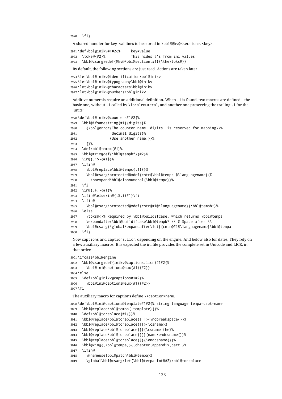\fi}

A shared handler for key=val lines to be stored in \bbl@@kv@<section>.<key>.

```
2971 \def\bbl@inikv#1#2{% key=value
2972 \toks@{#2}% This hides #'s from ini values
2973 \bbl@csarg\edef{@kv@\bbl@section.#1}{\the\toks@}}
```
By default, the following sections are just read. Actions are taken later.

```
2974 \let\bbl@inikv@identification\bbl@inikv
2975 \let\bbl@inikv@typography\bbl@inikv
2976 \let\bbl@inikv@characters\bbl@inikv
2977 \let\bbl@inikv@numbers\bbl@inikv
```
Additive numerals require an additional definition. When .1 is found, two macros are defined – the basic one, without .1 called by \localenumeral, and another one preserving the trailing .1 for the 'units'.

```
2978 \def\bbl@inikv@counters#1#2{%
2979 \bbl@ifsamestring{#1}{digits}%
2980 {\bbl@error{The counter name 'digits' is reserved for mapping\\%
2981 decimal digits}%
2982 {Use another name.}}%
2983 {}%
2984 \def\bbl@tempc{#1}%
2985 \bbl@trim@def{\bbl@tempb*}{#2}%
2986 \in@{.1$}{#1$}%
2987 \ifin@
2988 \bbl@replace\bbl@tempc{.1}{}%
2989 \bbl@csarg\protected@xdef{cntr@\bbl@tempc @\languagename}{%
2990 \noexpand\bbl@alphnumeral{\bbl@tempc}}%
2991 \fi
2992 \in@{.F.}{#1}%
2993 \ifin@\else\in@{.S.}{#1}\fi
2994 \ifin@
2995 \bbl@csarg\protected@xdef{cntr@#1@\languagename}{\bbl@tempb*}%
2996 \else
2997 \toks@{}% Required by \bbl@buildifcase, which returns \bbl@tempa
2998 \expandafter\bbl@buildifcase\bbl@tempb* \\ % Space after \\
2999 \bbl@csarg{\global\expandafter\let}{cntr@#1@\languagename}\bbl@tempa
3000 \fi}
```
Now captions and captions.licr, depending on the engine. And below also for dates. They rely on a few auxiliary macros. It is expected the ini file provides the complete set in Unicode and LICR, in that order.

```
3001 \ifcase\bbl@engine
3002 \bbl@csarg\def{inikv@captions.licr}#1#2{%
3003 \bbl@ini@captions@aux{#1}{#2}}
3004 \else
3005 \def\bbl@inikv@captions#1#2{%
3006 \bbl@ini@captions@aux{#1}{#2}}
3007 \fi
```
The auxiliary macro for captions define \<caption>name.

```
3008 \def\bbl@ini@captions@template#1#2{% string language tempa=capt-name
3009 \bbl@replace\bbl@tempa{.template}{}%
3010 \def\bbl@toreplace{#1{}}%
3011 \bbl@replace\bbl@toreplace{[ ]}{\nobreakspace{}}%
3012 \bbl@replace\bbl@toreplace{[[}{\csname}%
3013 \bbl@replace\bbl@toreplace{[}{\csname the}%
3014 \bbl@replace\bbl@toreplace{]]}{name\endcsname{}}%
3015 \bbl@replace\bbl@toreplace{]}{\endcsname{}}%
3016 \bbl@xin@{,\bbl@tempa,}{,chapter,appendix,part,}%
3017 \ifin@
3018 \@nameuse{bbl@patch\bbl@tempa}%
```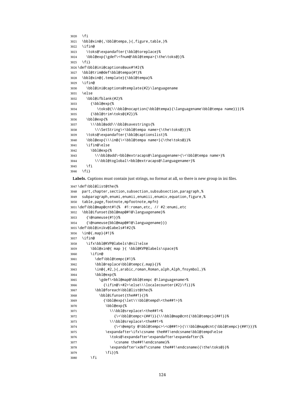```
3020 \fi
3021 \bbl@xin@{,\bbl@tempa,}{,figure,table,}%
3022 \ifin@
3023 \toks@\expandafter{\bbl@toreplace}%
3024 \bbl@exp{\gdef\<fnum@\bbl@tempa>{\the\toks@}}%
3025 \fi}
3026 \def\bbl@ini@captions@aux#1#2{%
3027 \bbl@trim@def\bbl@tempa{#1}%
3028 \bbl@xin@{.template}{\bbl@tempa}%
3029 \ifin@
3030 \bbl@ini@captions@template{#2}\languagename
3031 \else
3032 \bbl@ifblank{#2}%
3033 {\bbl@exp{%
3034 \toks@{\\\bbl@nocaption{\bbl@tempa}{\languagename\bbl@tempa name}}}}%
3035 {\bbl@trim\toks@{#2}}%
3036 \bbl@exp{%
3037 \\\bbl@add\\\bbl@savestrings{%
3038 \\\SetString\<\bbl@tempa name>{\the\toks@}}}%
3039 \toks@\expandafter{\bbl@captionslist}%
3040 \bbl@exp{\\\in@{\<\bbl@tempa name>}{\the\toks@}}%
3041 \ifin@\else
3042 \bbl@exp{%
3043 \\\bbl@add\<bbl@extracaps@\languagename>{\<\bbl@tempa name>}%
3044 \\\bbl@toglobal\<bbl@extracaps@\languagename>}%
3045 \fi
3046 \fi}
```
**Labels.** Captions must contain just strings, no format at all, so there is new group in ini files.

```
3047 \def\bbl@list@the{%
3048 part,chapter,section,subsection,subsubsection,paragraph,%
3049 subparagraph,enumi,enumii,enumiii,enumiv,equation,figure,%
3050 table,page,footnote,mpfootnote,mpfn}
3051 \def\bbl@map@cnt#1{% #1:roman,etc, // #2:enumi,etc
3052 \bbl@ifunset{bbl@map@#1@\languagename}%
3053 {\@nameuse{#1}}%
3054 {\@nameuse{bbl@map@#1@\languagename}}}
3055 \def\bbl@inikv@labels#1#2{%
3056 \in@{.map}{#1}%
3057 \ifin@
3058 \ifx\bbl@KVP@labels\@nil\else
3059 \bbl@xin@{ map }{ \bbl@KVP@labels\space}%
3060 \ifin@
3061 \def\bbl@tempc{#1}%
3062 \bbl@replace\bbl@tempc{.map}{}%
3063 \in@{,#2,}{,arabic,roman,Roman,alph,Alph,fnsymbol,}%
3064 \bbl@exp{%
3065 \gdef\<bbl@map@\bbl@tempc @\languagename>%
3066 {\ifin@\<#2>\else\\\localecounter{#2}\fi}}%
3067 \bbl@foreach\bbl@list@the{%
3068 \bbl@ifunset{the##1}{}%
3069 {\bbl@exp{\let\\\bbl@tempd\<the##1>}%
3070 \bbl@exp{%
3071 \\\bbl@sreplace\<the##1>%
3072 {\<\bbl@tempc>{##1}}{\\\bbl@map@cnt{\bbl@tempc}{##1}}%
3073 \\\bbl@sreplace\<the##1>%
3074 {\<\@empty @\bbl@tempc>\<c@##1>}{\\\bbl@map@cnt{\bbl@tempc}{##1}}}%
3075 \expandafter\ifx\csname the##1\endcsname\bbl@tempd\else
3076 \toks@\expandafter\expandafter\expandafter{%
3077 \csname the##1\endcsname}%
3078 \expandafter\xdef\csname the##1\endcsname{{\the\toks@}}%
3079 \fi}}%
3080 \fi
```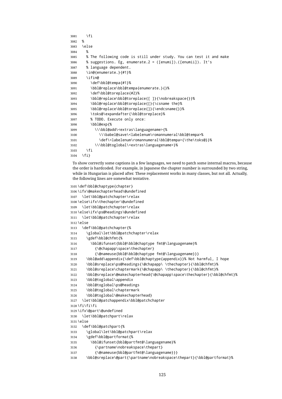```
3081 \fi
3082 %
3083 \else
3084 %
3085 % The following code is still under study. You can test it and make
3086 % suggestions. Eg, enumerate.2 = ([enumi]).([enumii]). It's
3087 % language dependent.
3088 \in@{enumerate.}{#1}%
3089 \ifin@
3090 \def\bbl@tempa{#1}%
3091 \bbl@replace\bbl@tempa{enumerate.}{}%
3092 \def\bbl@toreplace{#2}%
3093 \bbl@replace\bbl@toreplace{[ ]}{\nobreakspace{}}%
3094 \bbl@replace\bbl@toreplace{[}{\csname the}%
3095 \bbl@replace\bbl@toreplace{]}{\endcsname{}}%
3096 \toks@\expandafter{\bbl@toreplace}%
3097 % TODO. Execute only once:
3098 \bbl@exp{%
3099 \\\bbl@add\<extras\languagename>{%
3100 \\\babel@save\<labelenum\romannumeral\bbl@tempa>%
3101 \def\<labelenum\romannumeral\bbl@tempa>{\the\toks@}}%
3102 \\\bbl@toglobal\<extras\languagename>}%
3103 \fi
3104 \fi}
```
To show correctly some captions in a few languages, we need to patch some internal macros, because the order is hardcoded. For example, in Japanese the chapter number is surrounded by two string, while in Hungarian is placed after. These replacement works in many classes, but not all. Actually, the following lines are somewhat tentative.

```
3105 \def\bbl@chaptype{chapter}
3106 \ifx\@makechapterhead\@undefined
3107 \let\bbl@patchchapter\relax
3108 \else\ifx\thechapter\@undefined
3109 \let\bbl@patchchapter\relax
3110 \else\ifx\ps@headings\@undefined
3111 \let\bbl@patchchapter\relax
3112 93113 \def\bbl@patchchapter{%
3114 \global\let\bbl@patchchapter\relax
3115 \gdef\bbl@chfmt{%
3116 \bbl@ifunset{bbl@\bbl@chaptype fmt@\languagename}%
3117 {\@chapapp\space\thechapter}
3118 {\@nameuse{bbl@\bbl@chaptype fmt@\languagename}}}
3119 \bbl@add\appendix{\def\bbl@chaptype{appendix}}% Not harmful, I hope
3120 \bbl@sreplace\ps@headings{\@chapapp\ \thechapter}{\bbl@chfmt}%
3121 \bbl@sreplace\chaptermark{\@chapapp\ \thechapter}{\bbl@chfmt}%
3122 \bbl@sreplace\@makechapterhead{\@chapapp\space\thechapter}{\bbl@chfmt}%
3123 \bbl@toglobal\appendix
3124 \bbl@toglobal\ps@headings
3125 \bbl@toglobal\chaptermark
3126 \bbl@toglobal\@makechapterhead}
3127 \let\bbl@patchappendix\bbl@patchchapter
3128 \fi\fi\fi
3129 \ifx\@part\@undefined
3130 \let\bbl@patchpart\relax
3131 \else
3132 \def\bbl@patchpart{%
3133 \global\let\bbl@patchpart\relax
3134 \gdef\bbl@partformat{%
3135 \bbl@ifunset{bbl@partfmt@\languagename}%
3136 {\partname\nobreakspace\thepart}
3137 {\@nameuse{bbl@partfmt@\languagename}}}
3138 \bbl@sreplace\@part{\partname\nobreakspace\thepart}{\bbl@partformat}%
```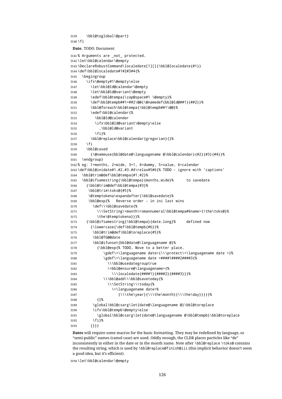```
3139 \bbl@toglobal\@part}
3140 \fi
 Date. TODO. Document
3141% Arguments are not protected.
3142 \let\bbl@calendar\@empty
3143 \DeclareRobustCommand\localedate[1][]{\bbl@localedate{#1}}
3144 \def\bbl@localedate#1#2#3#4{%
3145 \begingroup
3146 \ifx\@empty#1\@empty\else
3147 \let\bbl@ld@calendar\@empty
3148 \let\bbl@ld@variant\@empty
3149 \edef\bbl@tempa{\zap@space#1 \@empty}%
3150 \def\bbl@tempb##1=##2\@@{\@namedef{bbl@ld@##1}{##2}}%
3151 \bbl@foreach\bbl@tempa{\bbl@tempb##1\@@}%
3152 \edef\bbl@calendar{%
3153 \bbl@ld@calendar
3154 \ifx\bbl@ld@variant\@empty\else
3155 .\bbl@ld@variant
3156 \fi}%
3157 \bbl@replace\bbl@calendar{gregorian}{}%
3158 \fi
3159 \bbl@cased
3160 {\@nameuse{bbl@date@\languagename @\bbl@calendar}{#2}{#3}{#4}}%
3161 \endgroup}
3162 % eg: 1=months, 2=wide, 3=1, 4=dummy, 5=value, 6=calendar
3163 \def\bbl@inidate#1.#2.#3.#4\relax#5#6{% TODO - ignore with 'captions'
3164 \bbl@trim@def\bbl@tempa{#1.#2}%
3165 \bbl@ifsamestring{\bbl@tempa}{months.wide}% to savedate
3166 {\bbl@trim@def\bbl@tempa{#3}%
3167 \bbl@trim\toks@{#5}%
3168 \@temptokena\expandafter{\bbl@savedate}%
3169 \bbl@exp{% Reverse order - in ini last wins
3170 \def\\\bbl@savedate{%
3171 \\\SetString\<month\romannumeral\bbl@tempa#6name>{\the\toks@}%
3172 \the\@temptokena}}}%
3173 {\bbl@ifsamestring{\bbl@tempa}{date.long}% defined now
3174 {\lowercase{\def\bbl@tempb{#6}}%
3175 \bbl@trim@def\bbl@toreplace{#5}%
3176 \bbl@TG@@date
3177 \bbl@ifunset{bbl@date@\languagename @}%
3178 {\bbl@exp{% TODO. Move to a better place.
3179 \gdef\<\languagename date>{\\\protect\<\languagename date >}%
3180 \gdef\<\languagename date >####1####2####3{%
3181 \\\bbl@usedategrouptrue
3182 \<bbl@ensure@\languagename>{%
3183 \\\localedate{####1}{####2}{####3}}}%
3184 \\\bbl@add\\\bbl@savetoday{%
3185 \\\SetString\\\today{%
3186 \\languagename date>%
3187 {\\\the\year}{\\\the\month}{\\\the\day}}}}}%
3188 {}%
3189 \global\bbl@csarg\let{date@\languagename @}\bbl@toreplace
3190 \ifx\bbl@tempb\@empty\else
3191 \global\bbl@csarg\let{date@\languagename @\bbl@tempb}\bbl@toreplace
3192 \fi}%
3193 {}}}
```
**Dates** will require some macros for the basic formatting. They may be redefined by language, so "semi-public" names (camel case) are used. Oddly enough, the CLDR places particles like "de" inconsistently in either in the date or in the month name. Note after \bbl@replace \toks@ contains the resulting string, which is used by \bbl@replace@finish@iii (this implicit behavior doesn't seem a good idea, but it's efficient).

\let\bbl@calendar\@empty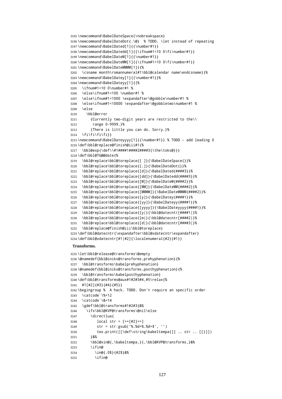```
3195 \newcommand\BabelDateSpace{\nobreakspace}
3196 \newcommand\BabelDateDot{.\@} % TODO. \let instead of repeating
3197\newcommand\BabelDated[1]{{\number#1}}
3198 \newcommand\BabelDatedd[1]{{\ifnum#1<10 0\fi\number#1}}
3199\newcommand\BabelDateM[1]{{\number#1}}
3200 \newcommand\BabelDateMM[1]{{\ifnum#1<10 0\fi\number#1}}
3201 \newcommand\BabelDateMMMM[1]{{%
3202 \csname month\romannumeral#1\bbl@calendar name\endcsname}}%
3203 \newcommand\BabelDatey[1]{{\number#1}}%
3204 \newcommand\BabelDateyy[1]{{%
3205 \ifnum#1<10 0\number#1 %
3206 \else\ifnum#1<100 \number#1 %
3207 \else\ifnum#1<1000 \expandafter\@gobble\number#1 %
3208 \else\ifnum#1<10000 \expandafter\@gobbletwo\number#1 %
3209 \else
3210 \bbl@error
3211 {Currently two-digit years are restricted to the\\
3212 range 0-9999.}%
3213 {There is little you can do. Sorry.}%
3214 \fi\fi\fi\fi}}
3215 \newcommand\BabelDateyyyy[1]{{\number#1}} % TODO - add leading 0
3216 \def\bbl@replace@finish@iii#1{%
3217 \bbl@exp{\def\\#1####1####2####3{\the\toks@}}}
3218 \def\bbl@TG@@date{%
3219 \bbl@replace\bbl@toreplace{[ ]}{\BabelDateSpace{}}%
3220 \bbl@replace\bbl@toreplace{[.]}{\BabelDateDot{}}%
3221 \bbl@replace\bbl@toreplace{[d]}{\BabelDated{####3}}%
3222 \bbl@replace\bbl@toreplace{[dd]}{\BabelDatedd{####3}}%
3223 \bbl@replace\bbl@toreplace{[M]}{\BabelDateM{####2}}%
3224 \bbl@replace\bbl@toreplace{[MM]}{\BabelDateMM{####2}}%
3225 \bbl@replace\bbl@toreplace{[MMMM]}{\BabelDateMMMM{####2}}%
3226 \bbl@replace\bbl@toreplace{[y]}{\BabelDatey{####1}}%
3227 \bbl@replace\bbl@toreplace{[yy]}{\BabelDateyy{####1}}%
3228 \bbl@replace\bbl@toreplace{[yyyy]}{\BabelDateyyyy{####1}}%
3229 \bbl@replace\bbl@toreplace{[y|}{\bbl@datecntr[####1|}%
3230 \bbl@replace\bbl@toreplace{[m|}{\bbl@datecntr[####2|}%
3231 \bbl@replace\bbl@toreplace{[d|}{\bbl@datecntr[####3|}%
3232 \bbl@replace@finish@iii\bbl@toreplace}
3233 \def\bbl@datecntr{\expandafter\bbl@xdatecntr\expandafter}
3234 \def\bbl@xdatecntr[#1|#2]{\localenumeral{#2}{#1}}
 Transforms.
3235 \let\bbl@release@transforms\@empty
3236 \@namedef{bbl@inikv@transforms.prehyphenation}{%
3237 \bbl@transforms\babelprehyphenation}
3238 \@namedef{bbl@inikv@transforms.posthyphenation}{%
3239 \bbl@transforms\babelposthyphenation}
3240 \def\bbl@transforms@aux#1#2#3#4,#5\relax{%
3241 #1[#2]{#3}{#4}{#5}}
3242 \begingroup % A hack. TODO. Don't require an specific order
3243 \catcode`\%=12
3244 \catcode`\&=14
3245 \gdef\bbl@transforms#1#2#3{&%
3246 \ifx\bbl@KVP@transforms\@nil\else
3247 \directlua{
3248 local str = [==[#2]==]
3249 str = str:gsub('%.%d+%.%d+$', '')
3250 tex.print([[\def\string\babeltempa{]] .. str .. [[}]])
3251 }&%
3252 \bbl@xin@{,\babeltempa,}{,\bbl@KVP@transforms,}&%
3253 \ifin@
3254 \in@{.0$}{#2$}&%
3255 \ifin@
```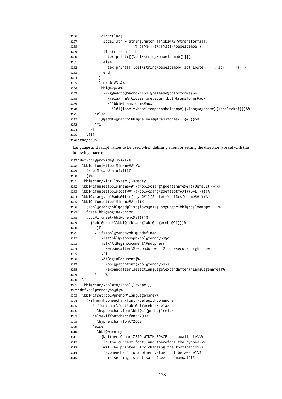```
3256 \directlua{
3257 local str = string.match([[\bbl@KVP@transforms]],
3258 '%(([^%(]-)%)[^%)]-\babeltempa')
3259 if str == nil then
3260 tex.print([[\def\string\babeltempb{}]])
3261 else
3262 tex.print([[\def\string\babeltempb{,attribute=]] .. str .. [[}]])
3263 end
3264 }
3265 \toks@{#3}&%
3266 \bbl@exp{&%
3267 \\\g@addto@macro\\\bbl@release@transforms{&%
3268 \relax &% Closes previous \bbl@transforms@aux
3269 \\\bbl@transforms@aux
3270 \\#1{label=\babeltempa\babeltempb}{\languagename}{\the\toks@}}}&%
3271 \else
3272 \g@addto@macro\bbl@release@transforms{, {#3}}&%
3273 \fi
3274 \fi
3275 \fi}
3276 \endgroup
```
Language and Script values to be used when defining a font or setting the direction are set with the following macros.

```
3277 \def\bbl@provide@lsys#1{%
3278 \bbl@ifunset{bbl@lname@#1}%
3279 {\bbl@load@info{#1}}%
3280 {}%
3281 \bbl@csarg\let{lsys@#1}\@empty
3282 \bbl@ifunset{bbl@sname@#1}{\bbl@csarg\gdef{sname@#1}{Default}}{}%
3283 \bbl@ifunset{bbl@sotf@#1}{\bbl@csarg\gdef{sotf@#1}{DFLT}}{}%
3284 \bbl@csarg\bbl@add@list{lsys@#1}{Script=\bbl@cs{sname@#1}}%
3285 \bbl@ifunset{bbl@lname@#1}{}%
3286 {\bbl@csarg\bbl@add@list{lsys@#1}{Language=\bbl@cs{lname@#1}}}%
3287 \ifcase\bbl@engine\or\or
3288 \bbl@ifunset{bbl@prehc@#1}{}%
3289 {\bbl@exp{\\\bbl@ifblank{\bbl@cs{prehc@#1}}}%
3290 {}%
3291 {\ifx\bbl@xenohyph\@undefined
3292 \let\bbl@xenohyph\bbl@xenohyph@d
3293 \ifx\AtBeginDocument\@notprerr
3294 \expandafter\@secondoftwo % to execute right now
3295 \fi
3296 \AtBeginDocument{%
3297 \bbl@patchfont{\bbl@xenohyph}%
3298 \expandafter\selectlanguage\expandafter{\languagename}}%
3299 \fi}}%
3300 \fi
3301 \bbl@csarg\bbl@toglobal{lsys@#1}}
3302 \def\bbl@xenohyph@d{%
3303 \bbl@ifset{bbl@prehc@\languagename}%
3304 {\ifnum\hyphenchar\font=\defaulthyphenchar
3305 \iffontchar\font\bbl@cl{prehc}\relax
3306 \hyphenchar\font\bbl@cl{prehc}\relax
3307 \else\iffontchar\font"200B
3308 \hyphenchar\font"200B
3309 \leq \leq \leq \leq \leq \leq \leq \leq \leq \leq \leq \leq \leq \leq \leq \leq \leq \leq \leq \leq \leq \leq \leq \leq \leq \leq \leq \leq \leq \leq \leq \leq \leq \leq \leq \leq3310 \bbl@warning
3311 {Neither 0 nor ZERO WIDTH SPACE are available\\%
3312 in the current font, and therefore the hyphen\\%
3313 will be printed. Try changing the fontspec's\\%
3314 'HyphenChar' to another value, but be aware\\%
3315 this setting is not safe (see the manual)}%
```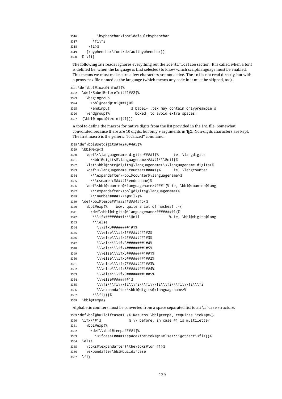```
3316 \hyphenchar\font\defaulthyphenchar
3317 \fi\fi
3318 \fi}%
3319 {\hyphenchar\font\defaulthyphenchar}}
3320 % \fi}
```
The following ini reader ignores everything but the identification section. It is called when a font is defined (ie, when the language is first selected) to know which script/language must be enabled. This means we must make sure a few characters are not active. The ini is not read directly, but with a proxy tex file named as the language (which means any code in it must be skipped, too).

```
3321 \def\bbl@load@info#1{%
3322 \def\BabelBeforeIni##1##2{%
3323 \begingroup
3324 \bbl@read@ini{##1}0%
3325 \endinput % babel- .tex may contain onlypreamble's
3326 \endgroup}% boxed, to avoid extra spaces:
3327 {\bbl@input@texini{#1}}}
```
A tool to define the macros for native digits from the list provided in the ini file. Somewhat convoluted because there are 10 digits, but only 9 arguments in TEX. Non-digits characters are kept. The first macro is the generic "localized" command.

```
3328 \def\bbl@setdigits#1#2#3#4#5{%
3329 \bbl@exp{%
3330 \def\<\languagename digits>####1{% ie, \langdigits
3331 \<bbl@digits@\languagename>####1\\\@nil}%
3332 \let\<bbl@cntr@digits@\languagename>\<\languagename digits>%
3333 \def\<\languagename counter>####1{% ie, \langcounter
3334 \\\expandafter\<bbl@counter@\languagename>%
3335 \\\csname c@####1\endcsname}%
3336 \def\<bbl@counter@\languagename>####1{% ie, \bbl@counter@lang
3337 \\\expandafter\<bbl@digits@\languagename>%
3338 \\\number####1\\\@nil}}%
3339 \def\bbl@tempa##1##2##3##4##5{%
3340 \bbl@exp{% Wow, quite a lot of hashes! :-(
3341 \def\<bbl@digits@\languagename>########1{%
3342 \\\ifx########1\\\@nil % ie, \bbl@digits@lang
3343 \\\else
3344 \\\ifx0########1#1%
3345 \\\else\\\ifx1########1#2%
3346 \\\else\\\ifx2########1#3%
3347 \\\else\\\ifx3########1#4%
3348 \\\else\\\ifx4########1#5%
3349 \\\else\\\ifx5########1##1%
3350 \\\else\\\ifx6########1##2%
3351 \\\else\\\ifx7########1##3%
3352 \\\else\\\ifx8########1##4%
3353 \\\else\\\ifx9########1##5%
3354 \\\else########1%
3355 \\\fi\\\fi\\\fi\\\fi\\\fi\\\fi\\\fi\\\fi\\\fi\\\fi
3356 \\\expandafter\<bbl@digits@\languagename>%
3357 \\\fi}}}%
3358 \bbl@tempa}
```
Alphabetic counters must be converted from a space separated list to an \ifcase structure.

```
3359 \def\bbl@buildifcase#1 {% Returns \bbl@tempa, requires \toks@={}
3360 \ifx\\#1% % \\ before, in case #1 is multiletter
3361 \bbl@exp{%
3362 \def\\\bbl@tempa####1{%
3363 \<ifcase>####1\space\the\toks@\<else>\\\@ctrerr\<fi>}}%
3364 \else
3365 \toks@\expandafter{\the\toks@\or #1}%
3366 \expandafter\bbl@buildifcase
3367 \fi}
```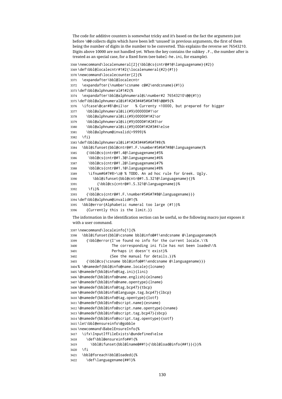The code for additive counters is somewhat tricky and it's based on the fact the arguments just before \@@ collects digits which have been left 'unused' in previous arguments, the first of them being the number of digits in the number to be converted. This explains the reverse set 76543210. Digits above 10000 are not handled yet. When the key contains the subkey .F., the number after is treated as an special case, for a fixed form (see babel-he.ini, for example).

```
3368 \newcommand\localenumeral[2]{\bbl@cs{cntr@#1@\languagename}{#2}}
3369 \def\bbl@localecntr#1#2{\localenumeral{#2}{#1}}
3370 \newcommand\localecounter[2]{%
3371 \expandafter\bbl@localecntr
3372 \expandafter{\number\csname c@#2\endcsname}{#1}}
3373 \def\bbl@alphnumeral#1#2{%
3374 \expandafter\bbl@alphnumeral@i\number#2 76543210\@@{#1}}
3375 \def\bbl@alphnumeral@i#1#2#3#4#5#6#7#8\@@#9{%
3376 \ifcase\@car#8\@nil\or % Currenty <10000, but prepared for bigger
3377 \bbl@alphnumeral@ii{#9}000000#1\or
3378 \bbl@alphnumeral@ii{#9}00000#1#2\or
3379 \bbl@alphnumeral@ii{#9}0000#1#2#3\or
3380 \bbl@alphnumeral@ii{#9}000#1#2#3#4\else
3381 \bbl@alphnum@invalid{>9999}%
3382 \fi}
3383 \def\bbl@alphnumeral@ii#1#2#3#4#5#6#7#8{%
3384 \bbl@ifunset{bbl@cntr@#1.F.\number#5#6#7#8@\languagename}%
3385 {\bbl@cs{cntr@#1.4@\languagename}#5%
3386 \bbl@cs{cntr@#1.3@\languagename}#6%
3387 \bbl@cs{cntr@#1.2@\languagename}#7%
3388 \bbl@cs{cntr@#1.1@\languagename}#8%
3389 \ifnum#6#7#8>\z@ % TODO. An ad hoc rule for Greek. Ugly.
3390 \bbl@ifunset{bbl@cntr@#1.S.321@\languagename}{}%
3391 {\bbl@cs{cntr@#1.S.321@\languagename}}%
3392 \fi}%
3393 {\bbl@cs{cntr@#1.F.\number#5#6#7#8@\languagename}}}
3394 \def\bbl@alphnum@invalid#1{%
3395 \bbl@error{Alphabetic numeral too large (#1)}%
3396 {Currently this is the limit.}}
 The information in the identification section can be useful, so the following macro just exposes it
 with a user command.
3397 \newcommand\localeinfo[1]{%
3398 \bbl@ifunset{bbl@\csname bbl@info@#1\endcsname @\languagename}%
3399 {\bbl@error{I've found no info for the current locale.\\%
3400 The corresponding ini file has not been loaded\\%
3401 Perhaps it doesn't exist}%
3402 {See the manual for details.}}%
3403 {\bbl@cs{\csname bbl@info@#1\endcsname @\languagename}}}
3404 % \@namedef{bbl@info@name.locale}{lcname}
3405 \@namedef{bbl@info@tag.ini}{lini}
3406 \@namedef{bbl@info@name.english}{elname}
3407 \@namedef{bbl@info@name.opentype}{lname}
3408 \@namedef{bbl@info@tag.bcp47}{tbcp}
3409 \@namedef{bbl@info@language.tag.bcp47}{lbcp}
3410 \@namedef{bbl@info@tag.opentype}{lotf}
3411 \@namedef{bbl@info@script.name}{esname}
3412 \@namedef{bbl@info@script.name.opentype}{sname}
3413 \@namedef{bbl@info@script.tag.bcp47}{sbcp}
3414 \@namedef{bbl@info@script.tag.opentype}{sotf}
3415 \let\bbl@ensureinfo\@gobble
3416 \newcommand\BabelEnsureInfo{%
3417 \ifx\InputIfFileExists\@undefined\else
3418 \def\bbl@ensureinfo##1{%
3419 \bbl@ifunset{bbl@lname@##1}{\bbl@load@info{##1}}{}}%
3420 \fi
3421 \bbl@foreach\bbl@loaded{{%
```

```
3422 \def\languagename{##1}%
```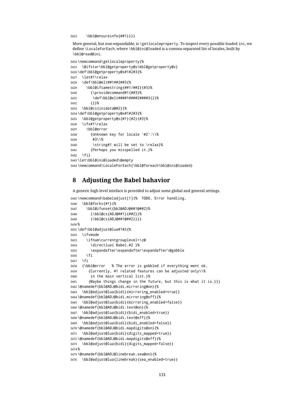\bbl@ensureinfo{##1}}}}

More general, but non-expandable, is \getlocaleproperty. To inspect every possible loaded ini, we define \LocaleForEach, where \bbl@ini@loaded is a comma-separated list of locales, built by \bbl@read@ini.

```
3424 \newcommand\getlocaleproperty{%
3425 \@ifstar\bbl@getproperty@s\bbl@getproperty@x}
3426 \def\bbl@getproperty@s#1#2#3{%
3427 \let#1\relax
3428 \def\bbl@elt##1##2##3{%
3429 \bbl@ifsamestring{##1/##2}{#3}%
3430 {\providecommand#1{##3}%
3431 \def\bbl@elt####1####2####3{}}%
3432 {}}%
3433 \bbl@cs{inidata@#2}}%
3434 \def\bbl@getproperty@x#1#2#3{%
3435 \bbl@getproperty@s{#1}{#2}{#3}%
3436 \ifx#1\relax
3437 \bbl@error
3438 {Unknown key for locale '#2':\\%
3439 #3\\%
3440 \string#1 will be set to \relax}%
3441 {Perhaps you misspelled it.}%
3442 \fi}
3443 \let\bbl@ini@loaded\@empty
3444 \newcommand\LocaleForEach{\bbl@foreach\bbl@ini@loaded}
```
# **8 Adjusting the Babel bahavior**

A generic high level inteface is provided to adjust some global and general settings.

```
3445 \newcommand\babeladjust[1]{% TODO. Error handling.
3446 \bbl@forkv{#1}{%
3447 \bbl@ifunset{bbl@ADJ@##1@##2}%
3448 {\bbl@cs{ADJ@##1}{##2}}%
3449 {\bbl@cs{ADJ@##1@##2}}}}
3450 %
3451 \def\bbl@adjust@lua#1#2{%
3452 \ifvmode
3453 \ifnum\currentgrouplevel=\z@
3454 \directlua{ Babel.#2 }%
3455 \expandafter\expandafter\expandafter\@gobble
3456 \fi
3457 \fi
3458 {\bbl@error % The error is gobbled if everything went ok.
3459 {Currently, #1 related features can be adjusted only\\%
3460 in the main vertical list.}%
3461 {Maybe things change in the future, but this is what it is.}}}
3462 \@namedef{bbl@ADJ@bidi.mirroring@on}{%
3463 \bbl@adjust@lua{bidi}{mirroring_enabled=true}}
3464 \@namedef{bbl@ADJ@bidi.mirroring@off}{%
3465 \bbl@adjust@lua{bidi}{mirroring_enabled=false}}
3466 \@namedef{bbl@ADJ@bidi.text@on}{%
3467 \bbl@adjust@lua{bidi}{bidi_enabled=true}}
3468 \@namedef{bbl@ADJ@bidi.text@off}{%
3469 \bbl@adjust@lua{bidi}{bidi_enabled=false}}
3470 \@namedef{bbl@ADJ@bidi.mapdigits@on}{%
3471 \bbl@adjust@lua{bidi}{digits_mapped=true}}
3472 \@namedef{bbl@ADJ@bidi.mapdigits@off}{%
3473 \bbl@adjust@lua{bidi}{digits_mapped=false}}
3474 %
3475 \@namedef{bbl@ADJ@linebreak.sea@on}{%
3476 \bbl@adjust@lua{linebreak}{sea_enabled=true}}
```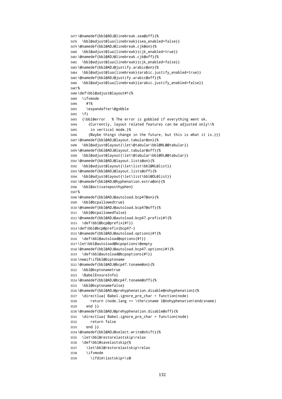```
3477 \@namedef{bbl@ADJ@linebreak.sea@off}{%
3478 \bbl@adjust@lua{linebreak}{sea_enabled=false}}
3479 \@namedef{bbl@ADJ@linebreak.cjk@on}{%
3480 \bbl@adjust@lua{linebreak}{cjk_enabled=true}}
3481 \@namedef{bbl@ADJ@linebreak.cjk@off}{%
3482 \bbl@adjust@lua{linebreak}{cjk_enabled=false}}
3483 \@namedef{bbl@ADJ@justify.arabic@on}{%
3484 \bbl@adjust@lua{linebreak}{arabic.justify_enabled=true}}
3485 \@namedef{bbl@ADJ@justify.arabic@off}{%
3486 \bbl@adjust@lua{linebreak}{arabic.justify_enabled=false}}
3487 %
3488 \def\bbl@adjust@layout#1{%
3489 \ifvmode
3490 #1%
3491 \expandafter\@gobble
3492 \fi
3493 {\bbl@error % The error is gobbled if everything went ok.
3494 {Currently, layout related features can be adjusted only\\%
3495 in vertical mode.}%
3496 {Maybe things change in the future, but this is what it is.}}}
3497 \@namedef{bbl@ADJ@layout.tabular@on}{%
3498 \bbl@adjust@layout{\let\@tabular\bbl@NL@@tabular}}
3499 \@namedef{bbl@ADJ@layout.tabular@off}{%
3500 \bbl@adjust@layout{\let\@tabular\bbl@OL@@tabular}}
3501 \@namedef{bbl@ADJ@layout.lists@on}{%
3502 \bbl@adjust@layout{\let\list\bbl@NL@list}}
3503 \@namedef{bbl@ADJ@layout.lists@off}{%
3504 \bbl@adjust@layout{\let\list\bbl@OL@list}}
3505 \@namedef{bbl@ADJ@hyphenation.extra@on}{%
3506 \bbl@activateposthyphen}
3507 %
3508 \@namedef{bbl@ADJ@autoload.bcp47@on}{%
3509 \bbl@bcpallowedtrue}
3510 \@namedef{bbl@ADJ@autoload.bcp47@off}{%
3511 \bbl@bcpallowedfalse}
3512 \@namedef{bbl@ADJ@autoload.bcp47.prefix}#1{%
3513 \def\bbl@bcp@prefix{#1}}
3514 \def\bbl@bcp@prefix{bcp47-}
3515 \@namedef{bbl@ADJ@autoload.options}#1{%
3516 \def\bbl@autoload@options{#1}}
3517 \let\bbl@autoload@bcpoptions\@empty
3518 \@namedef{bbl@ADJ@autoload.bcp47.options}#1{%
3519 \def\bbl@autoload@bcpoptions{#1}}
3520 \newif\ifbbl@bcptoname
3521 \@namedef{bbl@ADJ@bcp47.toname@on}{%
3522 \bbl@bcptonametrue
3523 \BabelEnsureInfo}
3524 \@namedef{bbl@ADJ@bcp47.toname@off}{%
3525 \bbl@bcptonamefalse}
3526 \@namedef{bbl@ADJ@prehyphenation.disable@nohyphenation}{%
3527 \directlua{ Babel.ignore_pre_char = function(node)
3528 return (node.lang == \the\csname l@nohyphenation\endcsname)
3529 end }}
3530 \@namedef{bbl@ADJ@prehyphenation.disable@off}{%
3531 \directlua{ Babel.ignore_pre_char = function(node)
3532 return false
3533 end }}
3534 \@namedef{bbl@ADJ@select.write@shift}{%
3535 \let\bbl@restorelastskip\relax
3536 \def\bbl@savelastskip{%
3537 \let\bbl@restorelastskip\relax
3538 \ifvmode
3539 \ifdim\lastskip=\z@
```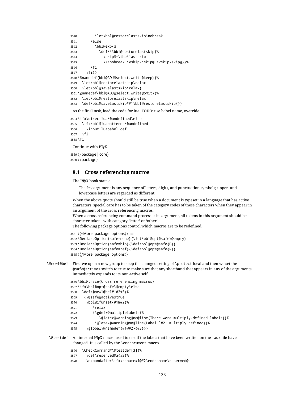```
3540 \let\bbl@restorelastskip\nobreak
3541 \else
3542 \bbl@exp{%
3543 \def\\\bbl@restorelastskip{%
3544 \skip@=\the\lastskip
3545 \\\nobreak \vskip-\skip@ \vskip\skip@}}%
3546 \fi
3547 \fi}}
3548 \@namedef{bbl@ADJ@select.write@keep}{%
3549 \let\bbl@restorelastskip\relax
3550 \let\bbl@savelastskip\relax}
3551 \@namedef{bbl@ADJ@select.write@omit}{%
3552 \let\bbl@restorelastskip\relax
3553 \def\bbl@savelastskip##1\bbl@restorelastskip{}}
```
As the final task, load the code for lua. TODO: use babel name, override

```
3554 \ifx\directlua\@undefined\else
3555 \ifx\bbl@luapatterns\@undefined
3556 \input luababel.def
3557 \fi
3558 \fi
```
Continue with LHEX.

3559 (/package | core) 3560 (\*package)

### **8.1 Cross referencing macros**

The LATEX book states:

The *key* argument is any sequence of letters, digits, and punctuation symbols; upper- and lowercase letters are regarded as different.

When the above quote should still be true when a document is typeset in a language that has active characters, special care has to be taken of the category codes of these characters when they appear in an argument of the cross referencing macros.

When a cross referencing command processes its argument, all tokens in this argument should be character tokens with category 'letter' or 'other'.

The following package options control which macros are to be redefined.

```
3561 \langle *More package options}} \equiv3562 \DeclareOption{safe=none}{\let\bbl@opt@safe\@empty}
3563 \DeclareOption{safe=bib}{\def\bbl@opt@safe{B}}
3564 \DeclareOption{safe=ref}{\def\bbl@opt@safe{R}}
3565 \langle\langle/More package options\rangle\rangle
```

```
\@newl@bel First we open a new group to keep the changed setting of \protect local and then we set the
              @safe@actives switch to true to make sure that any shorthand that appears in any of the arguments
              immediately expands to its non-active self.
```

```
3566 \bbl@trace{Cross referencing macros}
3567 \ifx\bbl@opt@safe\@empty\else
3568 \def\@newl@bel#1#2#3{%
```
- {\@safe@activestrue
- \bbl@ifunset{#1@#2}%
- \relax
- {\gdef\@multiplelabels{%
- \@latex@warning@no@line{There were multiply-defined labels}}%
- \@latex@warning@no@line{Label `#2' multiply defined}}%
- \global\@namedef{#1@#2}{#3}}}

#### \@testdef An internal LATEX macro used to test if the labels that have been written on the .aux file have changed. It is called by the \enddocument macro.

- \CheckCommand\*\@testdef[3]{%
- \def\reserved@a{#3}%
- \expandafter\ifx\csname#1@#2\endcsname\reserved@a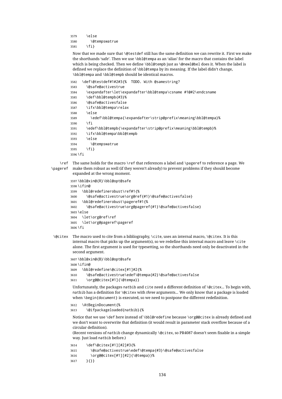\else \@tempswatrue \fi}

Now that we made sure that \@testdef still has the same definition we can rewrite it. First we make the shorthands 'safe'. Then we use \bbl@tempa as an 'alias' for the macro that contains the label which is being checked. Then we define \bbl@tempb just as \@newl@bel does it. When the label is defined we replace the definition of \bbl@tempa by its meaning. If the label didn't change, \bbl@tempa and \bbl@tempb should be identical macros.

```
3582 \def\@testdef#1#2#3{% TODO. With @samestring?
```

```
3583 \@safe@activestrue
```

```
3584 \expandafter\let\expandafter\bbl@tempa\csname #1@#2\endcsname
3585 \def\bbl@tempb{#3}%
3586 \@safe@activesfalse
3587 \ifx\bbl@tempa\relax
3588 \else
3589 \edef\bbl@tempa{\expandafter\strip@prefix\meaning\bbl@tempa}%
3590 \fi
3591 \edef\bbl@tempb{\expandafter\strip@prefix\meaning\bbl@tempb}%
3592 \ifx\bbl@tempa\bbl@tempb
3593 \else
3594 \@tempswatrue
3595 \fi}
3596 \fi
```
\ref The same holds for the macro \ref that references a label and \pageref to reference a page. We \pageref make them robust as well (if they weren't already) to prevent problems if they should become

```
expanded at the wrong moment.
3597 \bbl@xin@{R}\bbl@opt@safe
3598 \ifin@
3599 \bbl@redefinerobust\ref#1{%
3600 \@safe@activestrue\org@ref{#1}\@safe@activesfalse}
3601 \bbl@redefinerobust\pageref#1{%
3602 \@safe@activestrue\org@pageref{#1}\@safe@activesfalse}
3603 \else
3604 \let\org@ref\ref
3605 \let\org@pageref\pageref
3606 \fi
```
\@citex The macro used to cite from a bibliography, \cite, uses an internal macro, \@citex. It is this internal macro that picks up the argument(s), so we redefine this internal macro and leave  $\setminus$ cite alone. The first argument is used for typesetting, so the shorthands need only be deactivated in the second argument.

```
3607 \bbl@xin@{B}\bbl@opt@safe
3608 \ifin@
3609 \bbl@redefine\@citex[#1]#2{%
```

```
3610 \@safe@activestrue\edef\@tempa{#2}\@safe@activesfalse
```

```
3611 \org@@citex[#1]{\@tempa}}
```
Unfortunately, the packages natbib and cite need a different definition of \@citex... To begin with, natbib has a definition for \@citex with *three* arguments... We only know that a package is loaded when \begin{document} is executed, so we need to postpone the different redefinition.

```
3612 \AtBeginDocument{%
```

```
3613 \@ifpackageloaded{natbib}{%
```
Notice that we use \def here instead of \bbl@redefine because \org@@citex is already defined and we don't want to overwrite that definition (it would result in parameter stack overflow because of a circular definition).

(Recent versions of natbib change dynamically \@citex, so PR4087 doesn't seem fixable in a simple way. Just load natbib before.)

```
3614 \def\@citex[#1][#2]#3{%
3615 \@safe@activestrue\edef\@tempa{#3}\@safe@activesfalse
3616 \org@@citex[#1][#2]{\@tempa}}%
3617 }{}}
```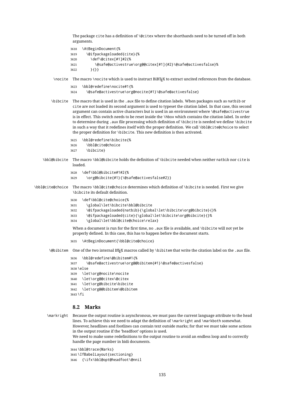The package cite has a definition of \@citex where the shorthands need to be turned off in both arguments.

```
3618 \AtBeginDocument{%
                  3619 \@ifpackageloaded{cite}{%
                  3620 \def\@citex[#1]#2{%
                  3621 \@safe@activestrue\org@@citex[#1]{#2}\@safe@activesfalse}%
                  3622 }{}}
         \nocite The macro \nocite which is used to instruct BiBTEX to extract uncited references from the database.
                  3623 \bbl@redefine\nocite#1{%
                  3624 \@safe@activestrue\org@nocite{#1}\@safe@activesfalse}
        \bibcite The macro that is used in the .aux file to define citation labels. When packages such as natbib or
                   cite are not loaded its second argument is used to typeset the citation label. In that case, this second
                   argument can contain active characters but is used in an environment where \@safe@activestrue
                   is in effect. This switch needs to be reset inside the \hbox which contains the citation label. In order
                   to determine during .aux file processing which definition of \bibcite is needed we define \bibcite
                   in such a way that it redefines itself with the proper definition. We call \bbl@cite@choice to select
                   the proper definition for \bibcite. This new definition is then activated.
                  3625 \bbl@redefine\bibcite{%
                  3626 \bbl@cite@choice
                  3627 \bibcite}
    \bbl@bibcite The macro \bbl@bibcite holds the definition of \bibcite needed when neither natbib nor cite is
                   loaded.
                  3628 \def\bbl@bibcite#1#2{%
                  3629 \org@bibcite{#1}{\@safe@activesfalse#2}}
\bbl@cite@choice The macro \bbl@cite@choice determines which definition of \bibcite is needed. First we give
                   \bibcite its default definition.
                  3630 \def\bbl@cite@choice{%
                  3631 \global\let\bibcite\bbl@bibcite
                  3632 \@ifpackageloaded{natbib}{\global\let\bibcite\org@bibcite}{}%
                  3633 \@ifpackageloaded{cite}{\global\let\bibcite\org@bibcite}{}%
                  3634 \global\let\bbl@cite@choice\relax}
                   When a document is run for the first time, no . aux file is available, and \bibcite will not yet be
                   properly defined. In this case, this has to happen before the document starts.
                  3635 \AtBeginDocument{\bbl@cite@choice}
       \@bibitem One of the two internal LATEX macros called by \bibitem that write the citation label on the .aux file.
                  3636 \bbl@redefine\@bibitem#1{%
                  3637 \@safe@activestrue\org@@bibitem{#1}\@safe@activesfalse}
                  3638 \else
                  3639 \let\org@nocite\nocite
                  3640 \let\org@@citex\@citex
                  3641 \let\org@bibcite\bibcite
```
3642 \let\org@@bibitem\@bibitem

```
3643 \fi
```
#### **8.2 Marks**

\markright Because the output routine is asynchronous, we must pass the current language attribute to the head lines. To achieve this we need to adapt the definition of \markright and \markboth somewhat. However, headlines and footlines can contain text outside marks; for that we must take some actions in the output routine if the 'headfoot' options is used.

> We need to make some redefinitions to the output routine to avoid an endless loop and to correctly handle the page number in bidi documents.

3644 \bbl@trace{Marks}

3645 \IfBabelLayout{sectioning} 3646 {\ifx\bbl@opt@headfoot\@nnil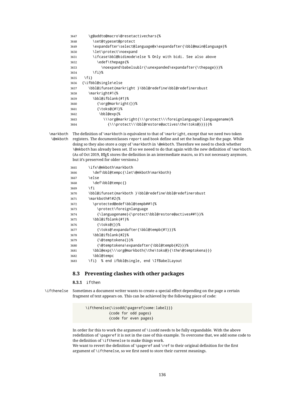```
3647 \g@addto@macro\@resetactivechars{%
3648 \set@typeset@protect
3649 \expandafter\select@language@x\expandafter{\bbl@main@language}%
3650 \let\protect\noexpand
3651 \ifcase\bbl@bidimode\else % Only with bidi. See also above
3652 \edef\thepage{%
3653 \noexpand\babelsublr{\unexpanded\expandafter{\thepage}}}%
3654 \fi}%
3655 \fi}
3656 {\ifbbl@single\else
3657 \bbl@ifunset{markright }\bbl@redefine\bbl@redefinerobust
3658 \markright#1{%
3659 \bbl@ifblank{#1}%
3660 {\org@markright{}}%
3661 {\toks@{#1}%
3662 \bbl@exp{%
3663 \\\org@markright{\\\protect\\\foreignlanguage{\languagename}%
3664 {\\\protect\\\bbl@restore@actives\the\toks@}}}}}%
```
\markboth The definition of \markboth is equivalent to that of \markright, except that we need two token \@mkboth registers. The documentclasses report and book define and set the headings for the page. While doing so they also store a copy of \markboth in \@mkboth. Therefore we need to check whether \@mkboth has already been set. If so we neeed to do that again with the new definition of \markboth. (As of Oct 2019, LATEX stores the definition in an intermediate macro, so it's not necessary anymore, but it's preserved for older versions.)

| 3665 | \ifx\@mkboth\markboth                                    |
|------|----------------------------------------------------------|
| 3666 | \def\bbl@tempc{\let\@mkboth\markboth}                    |
| 3667 | \else                                                    |
| 3668 | \def\bbl@tempc{}                                         |
| 3669 | ١fi                                                      |
| 3670 | \bbl@ifunset{markboth }\bbl@redefine\bbl@redefinerobust  |
| 3671 | \markboth#1#2{%                                          |
| 3672 | \protected@edef\bbl@tempb##1{%                           |
| 3673 | \protect\foreignlanguage                                 |
| 3674 | {\languagename}{\protect\bbl@restore@actives##1}}%       |
| 3675 | \bbl@ifblank{#1}%                                        |
| 3676 | {\toks@{}}%                                              |
| 3677 | {\toks@\expandafter{\bbl@tempb{#1}}}%                    |
| 3678 | \bbl@ifblank{#2}%                                        |
| 3679 | {\@temptokena{}}%                                        |
| 3680 | {\@temptokena\expandafter{\bbl@tempb{#2}}}%              |
| 3681 | \bbl@exp{\\\org@markboth{\the\toks@}{\the\@temptokena}}} |
| 3682 | \bbl@tempc                                               |
| 3683 | \fi} % end ifbbl@single, end \IfBabelLayout              |

### **8.3 Preventing clashes with other packages**

**8.3.1** ifthen

\ifthenelse Sometimes a document writer wants to create a special effect depending on the page a certain fragment of text appears on. This can be achieved by the following piece of code:

> \ifthenelse{\isodd{\pageref{some:label}}} {code for odd pages} {code for even pages}

In order for this to work the argument of \isodd needs to be fully expandable. With the above redefinition of \pageref it is not in the case of this example. To overcome that, we add some code to the definition of \ifthenelse to make things work.

We want to revert the definition of  $\pmod{ref}$  to their original definition for the first argument of \ifthenelse, so we first need to store their current meanings.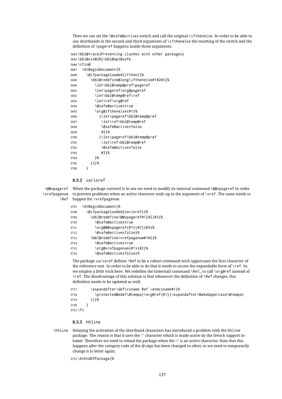Then we can set the \@safe@actives switch and call the original \ifthenelse. In order to be able to use shorthands in the second and third arguments of \ifthenelse the resetting of the switch *and* the definition of \pageref happens inside those arguments.

```
3684 \bbl@trace{Preventing clashes with other packages}
3685 \bbl@xin@{R}\bbl@opt@safe
3686 \ifin@
3687 \AtBeginDocument{%
3688 \@ifpackageloaded{ifthen}{%
3689 \bbl@redefine@long\ifthenelse#1#2#3{%
3690 \let\bbl@temp@pref\pageref
3691 \let\pageref\org@pageref
3692 \let\bbl@temp@ref\ref
3693 \let\ref\org@ref
3694 \@safe@activestrue
3695 \org@ifthenelse{#1}%
3696 {\let\pageref\bbl@temp@pref
3697 \let\ref\bbl@temp@ref
3698 \@safe@activesfalse
3699 #2}%
3700 {\let\pageref\bbl@temp@pref
3701 \let\ref\bbl@temp@ref
3702 \@safe@activesfalse
3703 #3}%
3704 }%
3705 }{}%
3706 }
```
#### **8.3.2** varioref

\@@vpageref \vrefpagenum \Ref When the package varioref is in use we need to modify its internal command \@@vpageref in order to prevent problems when an active character ends up in the argument of \vref. The same needs to happen for \vrefpagenum.

| 3707 | \AtBeginDocument{%                 |
|------|------------------------------------|
| 3708 | \@ifpackageloaded{varioref}{%      |
| 3709 | \bbl@redefine\@@vpageref#1[#2]#3{% |
| 3710 | <b>\@safe@activestrue</b>          |
| 3711 | \org@@@vpageref{#1}[#2]{#3}%       |
| 3712 | \@safe@activesfalse}%              |
| 3713 | \bbl@redefine\vrefpagenum#1#2{%    |
| 3714 | <b>\@safe@activestrue</b>          |
| 3715 | \org@vrefpagenum{#1}{#2}%          |
| 3716 | \@safe@activesfalse}%              |

The package varioref defines \Ref to be a robust command wich uppercases the first character of the reference text. In order to be able to do that it needs to access the expandable form of \ref. So we employ a little trick here. We redefine the (internal) command  $\Re f_{\perp}$  to call  $\oreq$  instead of \ref. The disadvantage of this solution is that whenever the definition of \Ref changes, this definition needs to be updated as well.

```
3717 \expandafter\def\csname Ref \endcsname#1{%
3718 \protected@edef\@tempa{\org@ref{#1}}\expandafter\MakeUppercase\@tempa}
3719 }{}%
3720 }
3721 \fi
```
#### **8.3.3** hhline

\hhline Delaying the activation of the shorthand characters has introduced a problem with the hhline package. The reason is that it uses the ':' character which is made active by the french support in babel. Therefore we need to *reload* the package when the ":' is an active character. Note that this happens *after* the category code of the @-sign has been changed to other, so we need to temporarily change it to letter again.

\AtEndOfPackage{%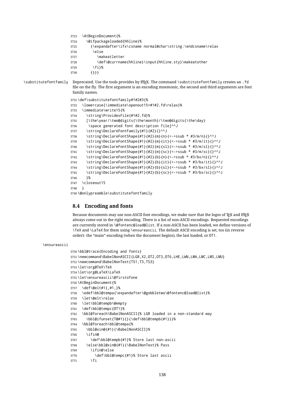\AtBeginDocument{%

- \@ifpackageloaded{hhline}%
- {\expandafter\ifx\csname normal@char\string:\endcsname\relax
- \else
- \makeatletter
- \def\@currname{hhline}\input{hhline.sty}\makeatother
- \fi}%
- {}}}

\substitutefontfamily Deprecated. Use the tools provides by LATEX. The command \substitutefontfamily creates an .fd file on the fly. The first argument is an encoding mnemonic, the second and third arguments are font family names.

```
3731 \def\substitutefontfamily#1#2#3{%
3732 \lowercase{\immediate\openout15=#1#2.fd\relax}%
3733 \immediate\write15{%
3734 \string\ProvidesFile{#1#2.fd}%
3735 [\the\year/\two@digits{\the\month}/\two@digits{\the\day}
3736 \space generated font description file]^^J
3737 \string\DeclareFontFamily{#1}{#2}{}^^J
3738 \string\DeclareFontShape{#1}{#2}{m}{n}{<->ssub * #3/m/n}{}^^J
3739 \string\DeclareFontShape{#1}{#2}{m}{it}{<->ssub * #3/m/it}{}^^J
3740 \string\DeclareFontShape{#1}{#2}{m}{sl}{<->ssub * #3/m/sl}{}^^J
3741 \string\DeclareFontShape{#1}{#2}{m}{sc}{<->ssub * #3/m/sc}{}^^J
3742 \string\DeclareFontShape{#1}{#2}{b}{n}{<->ssub * #3/bx/n}{}^^J
3743 \string\DeclareFontShape{#1}{#2}{b}{it}{<->ssub * #3/bx/it}{}^^J
3744 \string\DeclareFontShape{#1}{#2}{b}{sl}{<->ssub * #3/bx/sl}{}^^J
3745 \string\DeclareFontShape{#1}{#2}{b}{sc}{<->ssub * #3/bx/sc}{}^^J
3746 }%
3747 \closeout15
3748 }
3749 \@onlypreamble\substitutefontfamily
```
# **8.4 Encoding and fonts**

Because documents may use non-ASCII font encodings, we make sure that the logos of T<sub>E</sub>X and LATEX always come out in the right encoding. There is a list of non-ASCII encodings. Requested encodings are currently stored in \@fontenc@load@list. If a non-ASCII has been loaded, we define versions of \TeX and \LaTeX for them using \ensureascii. The default ASCII encoding is set, too (in reverse order): the "main" encoding (when the document begins), the last loaded, or OT1.

```
\ensureascii
```

```
3750 \bbl@trace{Encoding and fonts}
3751 \newcommand\BabelNonASCII{LGR,X2,OT2,OT3,OT6,LHE,LWN,LMA,LMC,LMS,LMU}
3752 \newcommand\BabelNonText{TS1,T3,TS3}
3753 \let\org@TeX\TeX
3754 \let\org@LaTeX\LaTeX
3755 \let\ensureascii\@firstofone
3756 \AtBeginDocument{%
3757 \def\@elt#1{,#1,}%
3758 \edef\bbl@tempa{\expandafter\@gobbletwo\@fontenc@load@list}%
3759 \let\@elt\relax
3760 \let\bbl@tempb\@empty
3761 \def\bbl@tempc{OT1}%
3762 \bbl@foreach\BabelNonASCII{% LGR loaded in a non-standard way
3763 \bbl@ifunset{T@#1}{}{\def\bbl@tempb{#1}}}%
3764 \bbl@foreach\bbl@tempa{%
3765 \bbl@xin@{#1}{\BabelNonASCII}%
3766 \ifin@
3767 \def\bbl@tempb{#1}% Store last non-ascii
3768 \else\bbl@xin@{#1}{\BabelNonText}% Pass
3769 \ifin@\else
3770 \def\bbl@tempc{#1}% Store last ascii
3771 \fi
```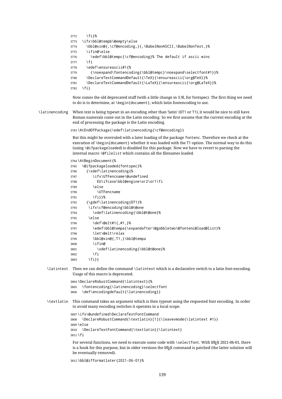```
3772 \fi}%
3773 \ifx\bbl@tempb\@empty\else
3774 \bbl@xin@{,\cf@encoding,}{,\BabelNonASCII,\BabelNonText,}%
3775 \ifin@\else
3776 \edef\bbl@tempc{\cf@encoding}% The default if ascii wins
3777 \fi
3778 \edef\ensureascii#1{%
3779 {\noexpand\fontencoding{\bbl@tempc}\noexpand\selectfont#1}}%
3780 \DeclareTextCommandDefault{\TeX}{\ensureascii{\org@TeX}}%
3781 \DeclareTextCommandDefault{\LaTeX}{\ensureascii{\org@LaTeX}}%
3782 \fi}
```
Now comes the old deprecated stuff (with a little change in 3.9l, for fontspec). The first thing we need to do is to determine, at \begin{document}, which latin fontencoding to use.

\latinencoding When text is being typeset in an encoding other than 'latin' (OT1 or T1), it would be nice to still have Roman numerals come out in the Latin encoding. So we first assume that the current encoding at the end of processing the package is the Latin encoding.

\AtEndOfPackage{\edef\latinencoding{\cf@encoding}}

But this might be overruled with a later loading of the package fontenc. Therefore we check at the execution of \begin{document} whether it was loaded with the T1 option. The normal way to do this (using \@ifpackageloaded) is disabled for this package. Now we have to revert to parsing the internal macro \@filelist which contains all the filenames loaded.

\AtBeginDocument{%

| 3785 | \@ifpackageloaded{fontspec}%                                 |
|------|--------------------------------------------------------------|
| 3786 | {\xdef\latinencoding{%}                                      |
| 3787 | \ifx\UTFencname\@undefined                                   |
| 3788 | EU\ifcase\bbl@engine\or2\or1\fi                              |
| 3789 | \else                                                        |
| 3790 | <b>\UTFencname</b>                                           |
| 3791 | \fi}}%                                                       |
| 3792 | {\gdef\latinencoding{0T1}%                                   |
| 3793 | \ifx\cf@encoding\bbl@t@one                                   |
| 3794 | \xdef\latinencoding{\bbl@t@one}%                             |
| 3795 | \else                                                        |
| 3796 | \def\@elt#1{,#1,}%                                           |
| 3797 | \edef\bbl@tempa{\expandafter\@gobbletwo\@fontenc@load@list}% |
| 3798 | \let\@elt\relax                                              |
| 3799 | \bbl@xin@{,T1,}\bbl@tempa                                    |
| 3800 | \ifin@                                                       |
| 3801 | \xdef\latinencoding{\bbl@t@one}%                             |
| 3802 | ١fi                                                          |
| 3803 | \fi}}                                                        |

- \latintext Then we can define the command \latintext which is a declarative switch to a latin font-encoding. Usage of this macro is deprecated.
	- \DeclareRobustCommand{\latintext}{%
	- \fontencoding{\latinencoding}\selectfont
	- \def\encodingdefault{\latinencoding}}
- \textlatin This command takes an argument which is then typeset using the requested font encoding. In order to avoid many encoding switches it operates in a local scope.

```
3807 \ifx\@undefined\DeclareTextFontCommand
3808 \DeclareRobustCommand{\textlatin}[1]{\leavevmode{\latintext #1}}
3809 \else
3810 \DeclareTextFontCommand{\textlatin}{\latintext}
3811 \fi
```
For several functions, we need to execute some code with \selectfont. With ETEX 2021-06-01, there is a hook for this purpose, but in older versions the LHFX command is patched (the latter solution will be eventually removed).

```
3812 \bbl@ifformatlater{2021-06-01}%
```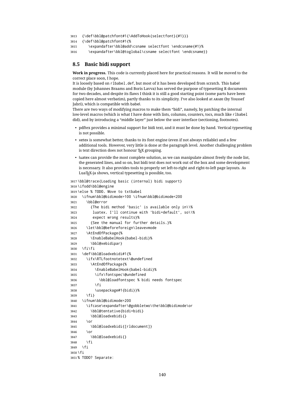- {\def\bbl@patchfont#1{\AddToHook{selectfont}{#1}}}
- {\def\bbl@patchfont#1{%
- \expandafter\bbl@add\csname selectfont \endcsname{#1}%
- \expandafter\bbl@toglobal\csname selectfont \endcsname}}

### **8.5 Basic bidi support**

**Work in progress.** This code is currently placed here for practical reasons. It will be moved to the correct place soon, I hope.

It is loosely based on r1babel.def, but most of it has been developed from scratch. This babel module (by Johannes Braams and Boris Lavva) has served the purpose of typesetting R documents for two decades, and despite its flaws I think it is still a good starting point (some parts have been copied here almost verbatim), partly thanks to its simplicity. I've also looked at arabi (by Youssef Jabri), which is compatible with babel.

There are two ways of modifying macros to make them "bidi", namely, by patching the internal low-level macros (which is what I have done with lists, columns, counters, tocs, much like rlbabel did), and by introducing a "middle layer" just below the user interface (sectioning, footnotes).

- pdftex provides a minimal support for bidi text, and it must be done by hand. Vertical typesetting is not possible.
- xetex is somewhat better, thanks to its font engine (even if not always reliable) and a few additional tools. However, very little is done at the paragraph level. Another challenging problem is text direction does not honour T<sub>EX</sub> grouping.
- luatex can provide the most complete solution, as we can manipulate almost freely the node list, the generated lines, and so on, but bidi text does not work out of the box and some development is necessary. It also provides tools to properly set left-to-right and right-to-left page layouts. As LuaT<sub>E</sub>X-ja shows, vertical typesetting is possible, too.

```
3817 \bbl@trace{Loading basic (internal) bidi support}
3818 \ifodd\bbl@engine
3819 \else % TODO. Move to txtbabel
3820 \ifnum\bbl@bidimode>100 \ifnum\bbl@bidimode<200
3821 \bbl@error
3822 {The bidi method 'basic' is available only in\\%
3823 luatex. I'll continue with 'bidi=default', so\\%
3824 expect wrong results}%
3825 {See the manual for further details.}%
3826 \let\bbl@beforeforeign\leavevmode
3827 \AtEndOfPackage{%
3828 \EnableBabelHook{babel-bidi}%
3829 \bbl@xebidipar}
3830 \fi\fi
3831 \def\bbl@loadxebidi#1{%
3832 \ifx\RTLfootnotetext\@undefined
3833 \AtEndOfPackage{%
3834 \EnableBabelHook{babel-bidi}%
3835 \ifx\fontspec\@undefined
3836 \bbl@loadfontspec % bidi needs fontspec
3837 \fi
3838 \usepackage#1{bidi}}%
3839 \fi}
3840 \ifnum\bbl@bidimode>200
3841 \ifcase\expandafter\@gobbletwo\the\bbl@bidimode\or
3842 \bbl@tentative{bidi=bidi}
3843 \bbl@loadxebidi{}
3844 \or
3845 \bbl@loadxebidi{[rldocument]}
3846 \or
3847 \bbl@loadxebidi{}
3848 \fi
3849 \fi
3850 \fi
3851 % TODO? Separate:
```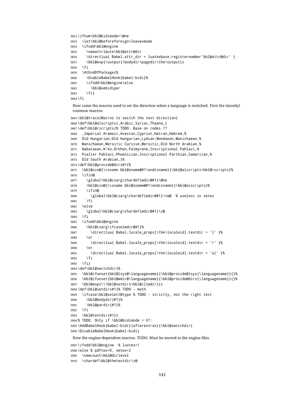```
3852 \ifnum\bbl@bidimode=\@ne
3853 \let\bbl@beforeforeign\leavevmode
3854 \ifodd\bbl@engine
3855 \newattribute\bbl@attr@dir
3856 \directlua{ Babel.attr_dir = luatexbase.registernumber'bbl@attr@dir' }
3857 \bbl@exp{\output{\bodydir\pagedir\the\output}}
3858 \fi
3859 \AtEndOfPackage{%
3860 \EnableBabelHook{babel-bidi}%
3861 \ifodd\bbl@engine\else
3862 \bbl@xebidipar
3863 \fi}
3864 \fi
```
Now come the macros used to set the direction when a language is switched. First the (mostly) common macros.

```
3865 \bbl@trace{Macros to switch the text direction}
3866 \def\bbl@alscripts{,Arabic,Syriac,Thaana,}
3867 \def\bbl@rscripts{% TODO. Base on codes ??
3868 ,Imperial Aramaic,Avestan,Cypriot,Hatran,Hebrew,%
3869 Old Hungarian,Old Hungarian,Lydian,Mandaean,Manichaean,%
3870 Manichaean,Meroitic Cursive,Meroitic,Old North Arabian,%
3871 Nabataean,N'Ko,Orkhon,Palmyrene,Inscriptional Pahlavi,%
3872 Psalter Pahlavi,Phoenician,Inscriptional Parthian,Samaritan,%
3873 Old South Arabian,}%
3874 \def\bbl@provide@dirs#1{%
3875 \bbl@xin@{\csname bbl@sname@#1\endcsname}{\bbl@alscripts\bbl@rscripts}%
3876 \ifin@
3877 \global\bbl@csarg\chardef{wdir@#1}\@ne
3878 \bbl@xin@{\csname bbl@sname@#1\endcsname}{\bbl@alscripts}%
3879 \ifin@
3880 \global\bbl@csarg\chardef{wdir@#1}\tw@ % useless in xetex
3881 \fi
3882 \else
3883 \global\bbl@csarg\chardef{wdir@#1}\z@
3884 \fi
3885 \ifodd\bbl@engine
3886 \bbl@csarg\ifcase{wdir@#1}%
3887 \directlua{ Babel.locale_props[\the\localeid].textdir = 'l' }%
3888 \or
3889 \directlua{ Babel.locale_props[\the\localeid].textdir = 'r' }%
3890 \, \text{hr}3891 \directlua{ Babel.locale_props[\the\localeid].textdir = 'al' }%
3892 \fi
3893 \fi}
3894 \def\bbl@switchdir{%
3895 \bbl@ifunset{bbl@lsys@\languagename}{\bbl@provide@lsys{\languagename}}{}%
3896 \bbl@ifunset{bbl@wdir@\languagename}{\bbl@provide@dirs{\languagename}}{}%
3897 \bbl@exp{\\\bbl@setdirs\bbl@cl{wdir}}}
3898 \def\bbl@setdirs#1{% TODO - math
3899 \ifcase\bbl@select@type % TODO - strictly, not the right test
3900 \bbl@bodydir{#1}%
3901 \bbl@pardir{#1}%
3902 \fi
3903 \bbl@textdir{#1}}
3904 % TODO. Only if \bbl@bidimode > 0?:
3905 \AddBabelHook{babel-bidi}{afterextras}{\bbl@switchdir}
3906 \DisableBabelHook{babel-bidi}
Now the engine-dependent macros. TODO. Must be moved to the engine files.
3907 \ifodd\bbl@engine % luatex=1
```
 \else % pdftex=0, xetex=2 \newcount\bbl@dirlevel \chardef\bbl@thetextdir\z@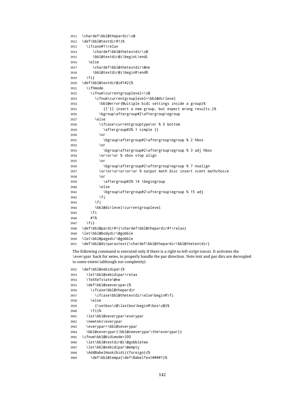```
3911 \chardef\bbl@thepardir\z@
3912 \def\bbl@textdir#1{%
3913 \ifcase#1\relax
3914 \chardef\bbl@thetextdir\z@
3915 \bbl@textdir@i\beginL\endL
3916 \else
3917 \chardef\bbl@thetextdir\@ne
3918 \bbl@textdir@i\beginR\endR
3919 \fi}
3920 \def\bbl@textdir@i#1#2{%
3921 \ifhmode
3922 \ifnum\currentgrouplevel>\z@
3923 \ifnum\currentgrouplevel=\bbl@dirlevel
3924 \bbl@error{Multiple bidi settings inside a group}%
3925 {I'll insert a new group, but expect wrong results.}%
3926 \bgroup\aftergroup#2\aftergroup\egroup
3927 \else
3928 \ifcase\currentgrouptype\or % 0 bottom
3929 \aftergroup#2% 1 simple {}
3930 \or
3931 \bgroup\aftergroup#2\aftergroup\egroup % 2 hbox
3932 \or
3933 \bgroup\aftergroup#2\aftergroup\egroup % 3 adj hbox
3934 \or\or\or % vbox vtop align
3935 \or
3936 \bgroup\aftergroup#2\aftergroup\egroup % 7 noalign
3937 \or\or\or\or\or\or % output math disc insert vcent mathchoice
3938 \or
3939 \aftergroup#2% 14 \begingroup
3940 \leq \leq \leq \leq \leq \leq \leq \leq \leq \leq \leq \leq \leq \leq \leq \leq \leq \leq \leq \leq \leq \leq \leq \leq \leq \leq \leq \leq \leq \leq \leq \leq \leq \leq \leq \leq3941 \bgroup\aftergroup#2\aftergroup\egroup % 15 adj
3942 \quad \text{If}3943 \fi
3944 \bbl@dirlevel\currentgrouplevel
3945 \fi
3946 #1%
3947 \fi}
3948 \def\bbl@pardir#1{\chardef\bbl@thepardir#1\relax}
3949 \let\bbl@bodydir\@gobble
3950 \let\bbl@pagedir\@gobble
3951 \def\bbl@dirparastext{\chardef\bbl@thepardir\bbl@thetextdir}
```
The following command is executed only if there is a right-to-left script (once). It activates the \everypar hack for xetex, to properly handle the par direction. Note text and par dirs are decoupled to some extent (although not completely).

```
3952 \def\bbl@xebidipar{%
3953 \let\bbl@xebidipar\relax
3954 \TeXXeTstate\@ne
3955 \def\bbl@xeeverypar{%
3956 \ifcase\bbl@thepardir
3957 \ifcase\bbl@thetextdir\else\beginR\fi
3958 \else
3959 {\setbox\z@\lastbox\beginR\box\z@}%
3960 \fi}%
3961 \let\bbl@severypar\everypar
3962 \newtoks\everypar
3963 \everypar=\bbl@severypar
3964 \bbl@severypar{\bbl@xeeverypar\the\everypar}}
3965 \ifnum\bbl@bidimode>200
3966 \let\bbl@textdir@i\@gobbletwo
3967 \let\bbl@xebidipar\@empty
3968 \AddBabelHook{bidi}{foreign}{%
3969 \def\bbl@tempa{\def\BabelText####1}%
```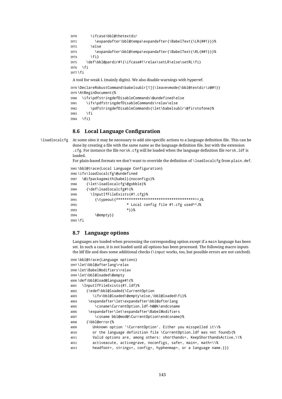\ifcase\bbl@thetextdir \expandafter\bbl@tempa\expandafter{\BabelText{\LR{##1}}}% \else \expandafter\bbl@tempa\expandafter{\BabelText{\RL{##1}}}% \fi} \def\bbl@pardir#1{\ifcase#1\relax\setLR\else\setRL\fi} \fi \fi

A tool for weak L (mainly digits). We also disable warnings with hyperref.

```
3978 \DeclareRobustCommand\babelsublr[1]{\leavevmode{\bbl@textdir\z@#1}}
3979 \AtBeginDocument{%
3980 \ifx\pdfstringdefDisableCommands\@undefined\else
3981 \ifx\pdfstringdefDisableCommands\relax\else
3982 \pdfstringdefDisableCommands{\let\babelsublr\@firstofone}%
3983 \fi
3984 \fi}
```
### **8.6 Local Language Configuration**

\loadlocalcfg At some sites it may be necessary to add site-specific actions to a language definition file. This can be done by creating a file with the same name as the language definition file, but with the extension .cfg. For instance the file norsk.cfg will be loaded when the language definition file norsk.ldf is loaded.

For plain-based formats we don't want to override the definition of \loadlocalcfg from plain.def.

```
3985 \bbl@trace{Local Language Configuration}
3986 \ifx\loadlocalcfg\@undefined
3987 \@ifpackagewith{babel}{noconfigs}%
3988 {\let\loadlocalcfg\@gobble}%
3989 {\def\loadlocalcfg#1{%
3990 \InputIfFileExists{#1.cfg}%
3991 {\typeout{*************************************^^J%
3992 * Local config file #1.cfg used^^J%
3993 *}}%
3994 \@empty}}
3995 \fi
```
# **8.7 Language options**

Languages are loaded when processing the corresponding option *except* if a main language has been set. In such a case, it is not loaded until all options has been processed. The following macro inputs the ldf file and does some additional checks (\input works, too, but possible errors are not catched).

```
3996 \bbl@trace{Language options}
3997 \let\bbl@afterlang\relax
3998 \let\BabelModifiers\relax
3999 \let\bbl@loaded\@empty
4000 \def\bbl@load@language#1{%
4001 \InputIfFileExists{#1.ldf}%
4002 {\edef\bbl@loaded{\CurrentOption
4003 \ifx\bbl@loaded\@empty\else,\bbl@loaded\fi}%
4004 \expandafter\let\expandafter\bbl@afterlang
4005 \csname\CurrentOption.ldf-h@@k\endcsname
4006 \expandafter\let\expandafter\BabelModifiers
4007 \csname bbl@mod@\CurrentOption\endcsname}%
4008 {\bbl@error{%
4009 Unknown option '\CurrentOption'. Either you misspelled it\\%
4010 or the language definition file \CurrentOption.ldf was not found}{%
4011 Valid options are, among others: shorthands=, KeepShorthandsActive,\\%
4012 activeacute, activegrave, noconfigs, safe=, main=, math=\\%
4013 headfoot=, strings=, config=, hyphenmap=, or a language name.}}}
```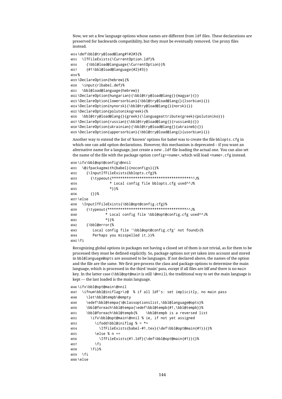Now, we set a few language options whose names are different from ldf files. These declarations are preserved for backwards compatibility, but they must be eventually removed. Use proxy files instead.

```
4014 \def\bbl@try@load@lang#1#2#3{%
4015 \IfFileExists{\CurrentOption.ldf}%
4016 {\bbl@load@language{\CurrentOption}}%
4017 {#1\bbl@load@language{#2}#3}}
4018 %
4019 \DeclareOption{hebrew}{%
4020 \input{rlbabel.def}%
4021 \bbl@load@language{hebrew}}
4022 \DeclareOption{hungarian}{\bbl@try@load@lang{}{magyar}{}}
4023 \DeclareOption{lowersorbian}{\bbl@try@load@lang{}{lsorbian}{}}
4024 \DeclareOption{nynorsk}{\bbl@try@load@lang{}{norsk}{}}
4025 \DeclareOption{polutonikogreek}{%
4026 \bbl@try@load@lang{}{greek}{\languageattribute{greek}{polutoniko}}}
4027 \DeclareOption{russian}{\bbl@try@load@lang{}{russianb}{}}
4028 \DeclareOption{ukrainian}{\bbl@try@load@lang{}{ukraineb}{}}
4029 \DeclareOption{uppersorbian}{\bbl@try@load@lang{}{usorbian}{}}
```
Another way to extend the list of 'known' options for babel was to create the file bblopts.cfg in which one can add option declarations. However, this mechanism is deprecated – if you want an alternative name for a language, just create a new .ldf file loading the actual one. You can also set the name of the file with the package option config=<name>, which will load <name>.cfg instead.

```
4030 \ifx\bbl@opt@config\@nnil
4031 \@ifpackagewith{babel}{noconfigs}{}%
4032 {\InputIfFileExists{bblopts.cfg}%
4033 {\typeout{*************************************^^J%
4034 * Local config file bblopts.cfg used^^J%
4035 *}}%
4036 {}}%
4037 \else
4038 \InputIfFileExists{\bbl@opt@config.cfg}%
4039 {\typeout{*************************************^^J%
4040 * Local config file \bbl@opt@config.cfg used^^J%
4041 *}}%
4042 {\bbl@error{%
4043 Local config file '\bbl@opt@config.cfg' not found}{%
4044 Perhaps you misspelled it.}}%
4045 \fi
```
Recognizing global options in packages not having a closed set of them is not trivial, as for them to be processed they must be defined explicitly. So, package options not yet taken into account and stored in bbl@language@opts are assumed to be languages. If not declared above, the names of the option and the file are the same. We first pre-process the class and package options to determine the main language, which is processed in the third 'main' pass, *except* if all files are ldf *and* there is no main key. In the latter case (\bbl@opt@main is still \@nnil), the traditional way to set the main language is kept — the last loaded is the main language.

```
4046 \ifx\bbl@opt@main\@nnil
```

```
4047 \ifnum\bbl@iniflag>\z@ % if all ldf's: set implicitly, no main pass
4048 \let\bbl@tempb\@empty
4049 \edef\bbl@tempa{\@classoptionslist,\bbl@language@opts}%
4050 \bbl@foreach\bbl@tempa{\edef\bbl@tempb{#1,\bbl@tempb}}%
4051 \bbl@foreach\bbl@tempb{% \bbl@tempb is a reversed list
4052 \ifx\bbl@opt@main\@nnil % ie, if not yet assigned
4053 \ifodd\bbl@iniflag % = *=
4054 \IfFileExists{babel-#1.tex}{\def\bbl@opt@main{#1}}{}%
4055 \else % n +=
4056 \IfFileExists{#1.ldf}{\def\bbl@opt@main{#1}}{}%
4057 \fi
4058 \fi}%
4059 \fi
4060 \else
```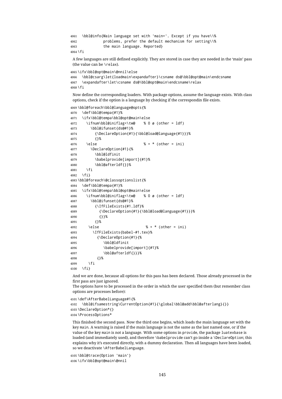\bbl@info{Main language set with 'main='. Except if you have\\% problems, prefer the default mechanism for setting\\% the main language. Reported} \fi

A few languages are still defined explicitly. They are stored in case they are needed in the 'main' pass (the value can be \relax).

```
4065 \ifx\bbl@opt@main\@nnil\else
4066 \bbl@csarg\let{loadmain\expandafter}\csname ds@\bbl@opt@main\endcsname
4067 \expandafter\let\csname ds@\bbl@opt@main\endcsname\relax
4068 \fi
```
Now define the corresponding loaders. With package options, assume the language exists. With class options, check if the option is a language by checking if the correspondin file exists.

```
4069 \bbl@foreach\bbl@language@opts{%
4070 \def\bbl@tempa{#1}%
4071 \ifx\bbl@tempa\bbl@opt@main\else
4072 \ifnum\bbl@iniflag<\tw@ % 0 ø (other = ldf)
4073 \bbl@ifunset{ds@#1}%
4074 {\DeclareOption{#1}{\bbl@load@language{#1}}}%
4075 {}%
4076 \else \% + * (other = ini)4077 \DeclareOption{#1}{%
4078 \bbl@ldfinit
4079 \babelprovide[import]{#1}%
4080 \bbl@afterldf{}}%
4081 \fi
4082 \fi}
4083 \bbl@foreach\@classoptionslist{%
4084 \def\bbl@tempa{#1}%
4085 \ifx\bbl@tempa\bbl@opt@main\else
4086 \ifnum\bbl@iniflag<\tw@ % 0 ø (other = ldf)
4087 \bbl@ifunset{ds@#1}%
4088 {\IfFileExists{#1.ldf}%
4089 {\DeclareOption{#1}{\bbl@load@language{#1}}}%
4090 {}}%
4091 {}%
4092 \else % + * (other = ini)
4093 \IfFileExists{babel-#1.tex}%
4094 {\DeclareOption{#1}{%
4095 \bbl@ldfinit
4096 \babelprovide[import]{#1}%
4097 \bbl@afterldf{}}}%
4098 {}%
4099 \fi
4100 \fi}
```
And we are done, because all options for this pass has been declared. Those already processed in the first pass are just ignored.

The options have to be processed in the order in which the user specified them (but remember class options are processes before):

```
4101 \def\AfterBabelLanguage#1{%
4102 \bbl@ifsamestring\CurrentOption{#1}{\global\bbl@add\bbl@afterlang}{}}
4103 \DeclareOption*{}
4104 \ProcessOptions*
```
This finished the second pass. Now the third one begins, which loads the main language set with the key main. A warning is raised if the main language is not the same as the last named one, or if the value of the key main is not a language. With some options in provide, the package luatexbase is loaded (and immediately used), and therefore \babelprovide can't go inside a \DeclareOption; this explains why it's executed directly, with a dummy declaration. Then all languages have been loaded, so we deactivate \AfterBabelLanguage.

```
4105 \bbl@trace{Option 'main'}
4106 \ifx\bbl@opt@main\@nnil
```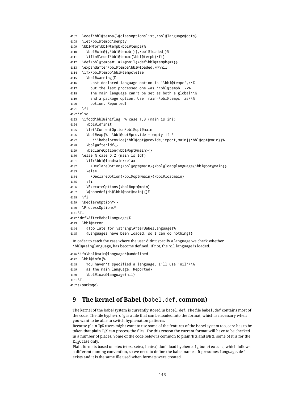```
4107 \edef\bbl@tempa{\@classoptionslist,\bbl@language@opts}
4108 \let\bbl@tempc\@empty
4109 \bbl@for\bbl@tempb\bbl@tempa{%
4110 \bbl@xin@{,\bbl@tempb,}{,\bbl@loaded,}%
4111 \ifin@\edef\bbl@tempc{\bbl@tempb}\fi}
4112 \def\bbl@tempa#1,#2\@nnil{\def\bbl@tempb{#1}}
4113 \expandafter\bbl@tempa\bbl@loaded,\@nnil
4114 \ifx\bbl@tempb\bbl@tempc\else
4115 \bbl@warning{%
4116 Last declared language option is '\bbl@tempc',\\%
4117 but the last processed one was '\bbl@tempb'.\\%
4118 The main language can't be set as both a global\\%
4119 and a package option. Use 'main=\bbl@tempc' as\\%
4120 option. Reported}
4121 \fi
4122 \else
4123 \ifodd\bbl@iniflag % case 1,3 (main is ini)
4124 \bbl@ldfinit
4125 \let\CurrentOption\bbl@opt@main
4126 \bbl@exp{% \bbl@opt@provide = empty if *
4127 \\\babelprovide[\bbl@opt@provide,import,main]{\bbl@opt@main}}%
4128 \bbl@afterldf{}
4129 \DeclareOption{\bbl@opt@main}{}
4130 \else % case 0,2 (main is ldf)
4131 \ifx\bbl@loadmain\relax
4132 \DeclareOption{\bbl@opt@main}{\bbl@load@language{\bbl@opt@main}}
4133 \else
4134 \DeclareOption{\bbl@opt@main}{\bbl@loadmain}
4135 \fi
4136 \ExecuteOptions{\bbl@opt@main}
4137 \@namedef{ds@\bbl@opt@main}{}%
4138 \fi
4139 \DeclareOption*{}
4140 \ProcessOptions*
4141 \fi
4142 \def\AfterBabelLanguage{%
4143 \bbl@error
4144 {Too late for \string\AfterBabelLanguage}%
4145 {Languages have been loaded, so I can do nothing}}
 In order to catch the case where the user didn't specify a language we check whether
 \bbl@main@language, has become defined. If not, the nil language is loaded.
4146 \ifx\bbl@main@language\@undefined
```

```
4147 \bbl@info{%
4148 You haven't specified a language. I'll use 'nil'\\%
4149 as the main language. Reported}
4150 \bbl@load@language{nil}
4151 \fi
4152 \langle /package \rangle
```
# **9 The kernel of Babel (**babel.def**, common)**

The kernel of the babel system is currently stored in babel.def. The file babel.def contains most of the code. The file hyphen.cfg is a file that can be loaded into the format, which is necessary when you want to be able to switch hyphenation patterns.

Because plain TFX users might want to use some of the features of the babel system too, care has to be taken that plain T<sub>E</sub>X can process the files. For this reason the current format will have to be checked in a number of places. Some of the code below is common to plain T<sub>F</sub>X and ET<sub>F</sub>X, some of it is for the LATEX case only.

Plain formats based on etex (etex, xetex, luatex) don't load hyphen.cfg but etex.src, which follows a different naming convention, so we need to define the babel names. It presumes language.def exists and it is the same file used when formats were created.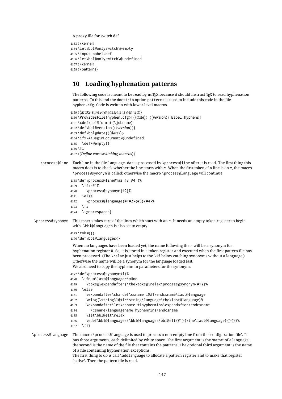A proxy file for switch.def

```
4153 (*kernel)
4154 \let\bbl@onlyswitch\@empty
4155 \input babel.def
4156 \let\bbl@onlyswitch\@undefined
4157 (/kernel)
4158 (*patterns)
```
# **10 Loading hyphenation patterns**

The following code is meant to be read by iniT<sub>E</sub>X because it should instruct T<sub>E</sub>X to read hyphenation patterns. To this end the docstrip option patterns is used to include this code in the file hyphen.cfg. Code is written with lower level macros.

```
4159 \langle Make sure ProvidesFile is defined\rangle4160 \ProvidesFile{hyphen.cfg}[\langle \langle date \rangle \rangle \langle \langle version \rangle \rangle Babel hyphens]
4161\xdef\bbl@format{\jobname}
4162 \def\bbl@version{\langle \langle version \rangle}
4163\def\bbl@date{({date}}}
4164 \ifx\AtBeginDocument\@undefined
4165 \def\@empty{}
4166 \fi
4167 \langleDefine core switching macros\rangle
```
\process@line Each line in the file language.dat is processed by \process@line after it is read. The first thing this macro does is to check whether the line starts with =. When the first token of a line is an =, the macro \process@synonym is called; otherwise the macro \process@language will continue.

```
4168 \def\process@line#1#2 #3 #4 {%
4169 \ifx=#1%
4170 \process@synonym{#2}%
4171 \else
4172 \process@language{#1#2}{#3}{#4}%
4173 \fi
4174 \ignorespaces}
```
\process@synonym This macro takes care of the lines which start with an =. It needs an empty token register to begin with. \bbl@languages is also set to empty.

```
4175 \toks@{}
4176 \def\bbl@languages{}
```
When no languages have been loaded yet, the name following the = will be a synonym for hyphenation register 0. So, it is stored in a token register and executed when the first pattern file has been processed. (The \relax just helps to the \if below catching synonyms without a language.) Otherwise the name will be a synonym for the language loaded last.

We also need to copy the hyphenmin parameters for the synonym.

```
4177 \def\process@synonym#1{%
```

```
4178 \ifnum\last@language=\m@ne
```

```
4179 \toks@\expandafter{\the\toks@\relax\process@synonym{#1}}%
```

```
4180 \quad \text{MeV}
```

```
4181 \expandafter\chardef\csname l@#1\endcsname\last@language
```
- 4182 \wlog{\string\l@#1=\string\language\the\last@language}%
- 4183 \expandafter\let\csname #1hyphenmins\expandafter\endcsname
- 4184 \csname\languagename hyphenmins\endcsname
- 4185 \let\bbl@elt\relax
- 4186 \edef\bbl@languages{\bbl@languages\bbl@elt{#1}{\the\last@language}{}{}}%
- 4187 \fi}

```
\process@language The macro \process@language is used to process a non-empty line from the 'configuration file'. It
                      has three arguments, each delimited by white space. The first argument is the 'name' of a language;
                      the second is the name of the file that contains the patterns. The optional third argument is the name
                      of a file containing hyphenation exceptions.
```

```
The first thing to do is call \addlanguage to allocate a pattern register and to make that register
'active'. Then the pattern file is read.
```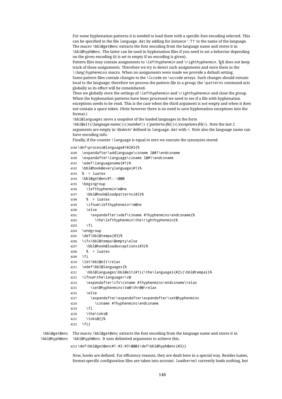For some hyphenation patterns it is needed to load them with a specific font encoding selected. This can be specified in the file language.dat by adding for instance ': T1' to the name of the language. The macro \bbl@get@enc extracts the font encoding from the language name and stores it in \bbl@hyph@enc. The latter can be used in hyphenation files if you need to set a behavior depending on the given encoding (it is set to empty if no encoding is given).

Pattern files may contain assignments to \lefthyphenmin and \righthyphenmin. TEX does not keep track of these assignments. Therefore we try to detect such assignments and store them in the \h*lang*ihyphenmins macro. When no assignments were made we provide a default setting. Some pattern files contain changes to the \lccode en \uccode arrays. Such changes should remain local to the language; therefore we process the pattern file in a group; the \patterns command acts globally so its effect will be remembered.

Then we globally store the settings of \lefthyphenmin and \righthyphenmin and close the group. When the hyphenation patterns have been processed we need to see if a file with hyphenation exceptions needs to be read. This is the case when the third argument is not empty and when it does not contain a space token. (Note however there is no need to save hyphenation exceptions into the format.)

\bbl@languages saves a snapshot of the loaded languages in the form

\bbl@elt{*{language-name}*} {*{number}}* {*{patterns-file}}* {*{exceptions-file}}*. Note the last 2 arguments are empty in 'dialects' defined in language.dat with =. Note also the language name can have encoding info.

```
Finally, if the counter \language is equal to zero we execute the synonyms stored.
            4188 \def\process@language#1#2#3{%
            4189 \expandafter\addlanguage\csname l@#1\endcsname
            4190 \expandafter\language\csname l@#1\endcsname
            4191 \edef\languagename{#1}%
            4192 \bbl@hook@everylanguage{#1}%
            4193 % > luatex
            4194 \bbl@get@enc#1::\@@@
            4195 \begingroup
            4196 \lefthyphenmin\m@ne
            4197 \bbl@hook@loadpatterns{#2}%
            4198 % > luatex
            4199 \ifnum\lefthyphenmin=\m@ne
            4200 \else
            4201 \expandafter\xdef\csname #1hyphenmins\endcsname{%
            4202 \the\lefthyphenmin\the\righthyphenmin}%
            4203 \fi
            4204 \endgroup
            4205 \def\bbl@tempa{#3}%
            4206 \ifx\bbl@tempa\@empty\else
            4207 \bbl@hook@loadexceptions{#3}%
            4208 % > luatex
            4209 \fi
            4210 \let\bbl@elt\relax
            4211 \edef\bbl@languages{%
            4212 \bbl@languages\bbl@elt{#1}{\the\language}{#2}{\bbl@tempa}}%
            4213 \ifnum\the\language=\z@
            4214 \expandafter\ifx\csname #1hyphenmins\endcsname\relax
            4215 \set@hyphenmins\tw@\thr@@\relax
            4216 \leq \leq \leq \leq \leq4217 \expandafter\expandafter\expandafter\set@hyphenmins
            4218 \csname #1hyphenmins\endcsname
            4219 \fi
            4220 \the\toks@
            4221 \toks@{}%
            4222 \fi}
\bbl@get@enc
The macro \bbl@get@enc extracts the font encoding from the language name and stores it in
```
\bbl@hyph@enc \bbl@hyph@enc. It uses delimited arguments to achieve this. 4223 \def\bbl@get@enc#1:#2:#3\@@@{\def\bbl@hyph@enc{#2}}

> Now, hooks are defined. For efficiency reasons, they are dealt here in a special way. Besides luatex, format-specific configuration files are taken into account. loadkernel currently loads nothing, but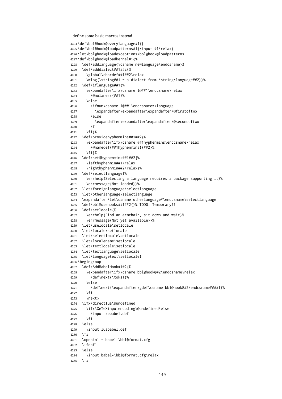define some basic macros instead.

```
4224 \def\bbl@hook@everylanguage#1{}
4225 \def\bbl@hook@loadpatterns#1{\input #1\relax}
4226 \let\bbl@hook@loadexceptions\bbl@hook@loadpatterns
4227 \def\bbl@hook@loadkernel#1{%
4228 \def\addlanguage{\csname newlanguage\endcsname}%
4229 \def\adddialect##1##2{%
4230 \global\chardef##1##2\relax
4231 \wlog{\string##1 = a dialect from \string\language##2}}%
4232 \def\iflanguage##1{%
4233 \expandafter\ifx\csname l@##1\endcsname\relax
4234 \@nolanerr{##1}%
4235 \else
4236 \ifnum\csname l@##1\endcsname=\language
4237 \expandafter\expandafter\expandafter\@firstoftwo
4238 \else
4239 \expandafter\expandafter\expandafter\@secondoftwo
4240 \fi
4241 \fi}%
4242 \def\providehyphenmins##1##2{%
4243 \expandafter\ifx\csname ##1hyphenmins\endcsname\relax
4244 \@namedef{##1hyphenmins}{##2}%
4245 \fi}%
4246 \def\set@hyphenmins##1##2{%
4247 \lefthyphenmin##1\relax
4248 \righthyphenmin##2\relax}%
4249 \def\selectlanguage{%
4250 \errhelp{Selecting a language requires a package supporting it}%
4251 \errmessage{Not loaded}}%
4252 \let\foreignlanguage\selectlanguage
4253 \let\otherlanguage\selectlanguage
4254 \expandafter\let\csname otherlanguage*\endcsname\selectlanguage
4255 \def\bbl@usehooks##1##2{}% TODO. Temporary!!
4256 \def\setlocale{%
4257 \errhelp{Find an armchair, sit down and wait}%
4258 \errmessage{Not yet available}}%
4259 \let\uselocale\setlocale
4260 \let\locale\setlocale
4261 \let\selectlocale\setlocale
4262 \let\localename\setlocale
4263 \let\textlocale\setlocale
4264 \let\textlanguage\setlocale
4265 \let\languagetext\setlocale}
4266 \begingroup
4267 \def\AddBabelHook#1#2{%
4268 \expandafter\ifx\csname bbl@hook@#2\endcsname\relax
4269 \def\next{\toks1}%
4270 \leq \leq \leq4271 \def\next{\expandafter\gdef\csname bbl@hook@#2\endcsname####1}%
4272 \fi
4273 \next}
4274 \ifx\directlua\@undefined
4275 \ifx\XeTeXinputencoding\@undefined\else
4276 \input xebabel.def
4277 \fi
4278 \else
4279 \input luababel.def
4280 \fi
4281 \openin1 = babel-\bbl@format.cfg
4282 \ifeof1
4283 \else
4284 \input babel-\bbl@format.cfg\relax
4285 \fi
```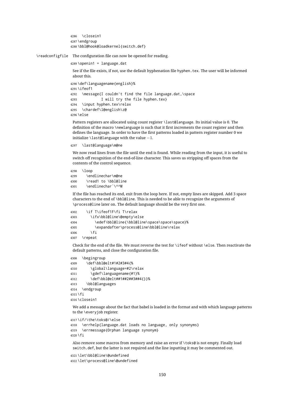\closein1 \endgroup \bbl@hook@loadkernel{switch.def}

\readconfigfile The configuration file can now be opened for reading.

```
4289 \rightarrow
```
See if the file exists, if not, use the default hyphenation file hyphen.tex. The user will be informed about this.

```
4290 \def\languagename{english}%
4291 \ifeof1
4292 \message{I couldn't find the file language.dat,\space
4293 I will try the file hyphen.tex}
4294 \input hyphen.tex\relax
4295 \chardef\l@english\z@
4296 \else
```
Pattern registers are allocated using count register \last@language. Its initial value is 0. The definition of the macro \newlanguage is such that it first increments the count register and then defines the language. In order to have the first patterns loaded in pattern register number 0 we initialize \last@language with the value  $-1$ .

```
4297 \last@language\m@ne
```
We now read lines from the file until the end is found. While reading from the input, it is useful to switch off recognition of the end-of-line character. This saves us stripping off spaces from the contents of the control sequence.

 \loop \endlinechar\m@ne \read1 to \bbl@line \endlinechar`\^^M

If the file has reached its end, exit from the loop here. If not, empty lines are skipped. Add 3 space characters to the end of \bbl@line. This is needed to be able to recognize the arguments of \process@line later on. The default language should be the very first one.

| 4302 | \if T\ifeof1F\fi T\relax                     |
|------|----------------------------------------------|
| 4303 | \ifx\bbl@line\@empty\else                    |
| 4304 | \edef\bbl@line{\bbl@line\space\space\space}% |
| 4305 | \expandafter\process@line\bbl@line\relax     |
| 4306 | \fi                                          |
| 4307 | \repeat                                      |

Check for the end of the file. We must reverse the test for \ifeof without \else. Then reactivate the default patterns, and close the configuration file.

```
4308 \begingroup
4309 \def\bbl@elt#1#2#3#4{%
4310 \global\language=#2\relax
4311 \gdef\languagename{#1}%
4312 \def\bbl@elt##1##2##3##4{}}%
4313 \bbl@languages
4314 \endgroup
4315 \fi
4316 \closein1
```
We add a message about the fact that babel is loaded in the format and with which language patterns to the \everyjob register.

```
4317 \if/\the\toks@/\else
4318 \errhelp{language.dat loads no language, only synonyms}
4319 \errmessage{Orphan language synonym}
4320 \fi
```
Also remove some macros from memory and raise an error if \toks@ is not empty. Finally load switch.def, but the latter is not required and the line inputting it may be commented out.

```
4321 \let\bbl@line\@undefined
4322 \let\process@line\@undefined
```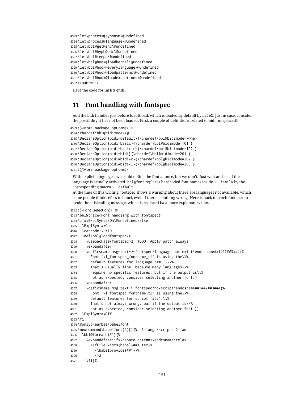```
4323 \let\process@synonym\@undefined
4324 \let\process@language\@undefined
4325 \let\bbl@get@enc\@undefined
4326 \let\bbl@hyph@enc\@undefined
4327 \let\bbl@tempa\@undefined
4328 \let\bbl@hook@loadkernel\@undefined
4329 \let\bbl@hook@everylanguage\@undefined
4330 \let\bbl@hook@loadpatterns\@undefined
4331 \let\bbl@hook@loadexceptions\@undefined
4332 \langle /patters \rangle
```
Here the code for iniTEX ends.

## **11 Font handling with fontspec**

Add the bidi handler just before luaoftload, which is loaded by default by LaTeX. Just in case, consider the possibility it has not been loaded. First, a couple of definitions related to bidi [misplaced].

```
4333 \langle *More package options}} \equiv4334 \chardef\bbl@bidimode\z@
4335 \DeclareOption{bidi=default}{\chardef\bbl@bidimode=\@ne}
4336 \DeclareOption{bidi=basic}{\chardef\bbl@bidimode=101 }
4337 \DeclareOption{bidi=basic-r}{\chardef\bbl@bidimode=102 }
4338 \DeclareOption{bidi=bidi}{\chardef\bbl@bidimode=201 }
4339 \DeclareOption{bidi=bidi-r}{\chardef\bbl@bidimode=202 }
4340 \DeclareOption{bidi=bidi-l}{\chardef\bbl@bidimode=203 }
4341 \langle \langle/More package options\rangle \rangle
```
With explicit languages, we could define the font at once, but we don't. Just wait and see if the language is actually activated. bbl@font replaces hardcoded font names inside \. . family by the corresponding macro \..default.

At the time of this writing, fontspec shows a warning about there are languages not available, which some people think refers to babel, even if there is nothing wrong. Here is hack to patch fontspec to avoid the misleading message, which is replaced ba a more explanatory one.

```
4342 \langle \∗Font selection}} ≡
4343 \bbl@trace{Font handling with fontspec}
4344 \ifx\ExplSyntaxOn\@undefined\else
4345 \ExplSyntaxOn
4346 \catcode`\ =10
4347 \def\bbl@loadfontspec{%
4348 \usepackage{fontspec}% TODO. Apply patch always
4349 \expandafter
4350 \def\csname msg~text~>~fontspec/language-not-exist\endcsname##1##2##3##4{%
4351 Font '\l_fontspec_fontname_tl' is using the\\%
4352 default features for language '##1'.\\%
4353 That's usually fine, because many languages\\%
4354 require no specific features, but if the output is\\%
4355 not as expected, consider selecting another font.}
4356 \expandafter
4357 \def\csname msg~text~>~fontspec/no-script\endcsname##1##2##3##4{%
4358 Font '\l_fontspec_fontname_tl' is using the\\%
4359 default features for script '##2'.\\%
4360 That's not always wrong, but if the output is\\%
4361 not as expected, consider selecting another font.}}
4362 \ExplSyntaxOff
4363 \fi
4364 \@onlypreamble\babelfont
4365 \newcommand\babelfont[2][]{% 1=langs/scripts 2=fam
4366 \bbl@foreach{#1}{%
4367 \expandafter\ifx\csname date##1\endcsname\relax
4368 \IfFileExists{babel-##1.tex}%
4369 {\babelprovide{##1}}%
4370 {}%
4371 \fi}%
```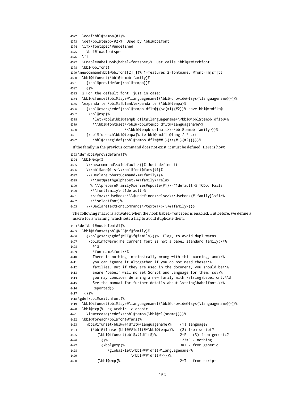```
4372 \edef\bbl@tempa{#1}%
4373 \def\bbl@tempb{#2}% Used by \bbl@bblfont
4374 \ifx\fontspec\@undefined
4375 \bbl@loadfontspec
4376 \fi
4377 \EnableBabelHook{babel-fontspec}% Just calls \bbl@switchfont
4378 \bbl@bblfont}
4379 \newcommand\bbl@bblfont[2][]{% 1=features 2=fontname, @font=rm|sf|tt
4380 \bbl@ifunset{\bbl@tempb family}%
4381 {\bbl@providefam{\bbl@tempb}}%
4382 {}%
4383 % For the default font, just in case:
4384 \bbl@ifunset{bbl@lsys@\languagename}{\bbl@provide@lsys{\languagename}}{}%
4385 \expandafter\bbl@ifblank\expandafter{\bbl@tempa}%
4386 {\bbl@csarg\edef{\bbl@tempb dflt@}{<>{#1}{#2}}% save bbl@rmdflt@
4387 \bbl@exp{%
4388 \let\<bbl@\bbl@tempb dflt@\languagename>\<bbl@\bbl@tempb dflt@>%
4389 \\\bbl@font@set\<bbl@\bbl@tempb dflt@\languagename>%
4390 \<\bbl@tempb default>\<\bbl@tempb family>}}%
4391 {\bbl@foreach\bbl@tempa{% ie bbl@rmdflt@lang / *scrt
4392 \bbl@csarg\def{\bbl@tempb dflt@##1}{<>{#1}{#2}}}}}%
```
If the family in the previous command does not exist, it must be defined. Here is how:

\def\bbl@providefam#1{%

 \bbl@exp{% \\\newcommand\<#1default>{}% Just define it \\\bbl@add@list\\\bbl@font@fams{#1}% \\\DeclareRobustCommand\<#1family>{% \\\not@math@alphabet\<#1family>\relax % \\\prepare@family@series@update{#1}\<#1default>% TODO. Fails \\\fontfamily\<#1default>% \<ifx>\\\UseHooks\\\@undefined\<else>\\\UseHook{#1family}\<fi>% \\\selectfont}% \\\DeclareTextFontCommand{\<text#1>}{\<#1family>}}}

The following macro is activated when the hook babel-fontspec is enabled. But before, we define a macro for a warning, which sets a flag to avoid duplicate them.

\def\bbl@nostdfont#1{%

```
4405 \bbl@ifunset{bbl@WFF@\f@family}%
4406 {\bbl@csarg\gdef{WFF@\f@family}{}% Flag, to avoid dupl warns
4407 \bbl@infowarn{The current font is not a babel standard family:\\%
4408 #1%
4409 \fontname\font\\%
4410 There is nothing intrinsically wrong with this warning, and\\%
4411 you can ignore it altogether if you do not need these\\%
4412 families. But if they are used in the document, you should be\\%
4413 aware 'babel' will no set Script and Language for them, so\\%
4414 you may consider defining a new family with \string\babelfont.\\%
4415 See the manual for further details about \string\babelfont.\\%
4416 Reported}}
4417 {}}%
4418 \gdef\bbl@switchfont{%
4419 \bbl@ifunset{bbl@lsys@\languagename}{\bbl@provide@lsys{\languagename}}{}%
4420 \bbl@exp{% eg Arabic -> arabic
4421 \lowercase{\edef\\\bbl@tempa{\bbl@cl{sname}}}}%
4422 \bbl@foreach\bbl@font@fams{%
4423 \bbl@ifunset{bbl@##1dflt@\languagename}% (1) language?
4424 {\bbl@ifunset{bbl@##1dflt@*\bbl@tempa}% (2) from script?
4425 {\bbl@ifunset{bbl@##1dflt@}% 2=F - (3) from generic?
4426 {}% 123=F - nothing!
4427 {\bbl@exp{% 3=T - from generic
4428 \global\let\<bbl@##1dflt@\languagename>%
4429 \<bbl@##1dflt@>}}}%
4430 {\bbl@exp{% 2=T - from script
```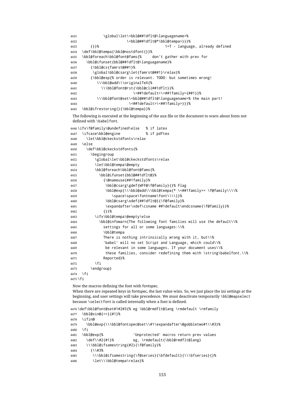```
4431 \global\let\<bbl@##1dflt@\languagename>%
4432 \<bbl@##1dflt@*\bbl@tempa>}}}%
4433 {}}% 1=T - language, already defined
4434 \def\bbl@tempa{\bbl@nostdfont{}}%
4435 \bbl@foreach\bbl@font@fams{% don't gather with prev for
4436 \bbl@ifunset{bbl@##1dflt@\languagename}%
4437 {\bbl@cs{famrst@##1}%
4438 \global\bbl@csarg\let{famrst@##1}\relax}%
4439 {\bbl@exp{% order is relevant. TODO: but sometimes wrong!
4440 \\\bbl@add\\\originalTeX{%
4441 \\\bbl@font@rst{\bbl@cl{##1dflt}}%
4442 \<##1default>\<##1family>{##1}}%
4443 \\\bbl@font@set\<bbl@##1dflt@\languagename>% the main part!
4444 \<##1default>\<##1family>}}}%
4445 \bbl@ifrestoring{}{\bbl@tempa}}%
```
The following is executed at the beginning of the aux file or the document to warn about fonts not defined with \babelfont.

```
4446 \ifx\f@family\@undefined\else % if latex
4447 \ifcase\bbl@engine % if pdftex
4448 \let\bbl@ckeckstdfonts\relax
4449 \else
4450 \def\bbl@ckeckstdfonts{%
4451 \begingroup
4452 \global\let\bbl@ckeckstdfonts\relax
4453 \let\bbl@tempa\@empty
4454 \bbl@foreach\bbl@font@fams{%
4455 \bbl@ifunset{bbl@##1dflt@}%
4456 {\@nameuse{##1family}%
4457 \bbl@csarg\gdef{WFF@\f@family}{}% Flag
4458 \bbl@exp{\\\bbl@add\\\bbl@tempa{* \<##1family>= \f@family\\\\%
4459 \space\space\fontname\font\\\\}}%
4460 \bbl@csarg\xdef{##1dflt@}{\f@family}%
4461 \expandafter\xdef\csname ##1default\endcsname{\f@family}}%
4462 {}}%
4463 \ifx\bbl@tempa\@empty\else
4464 \bbl@infowarn{The following font families will use the default\\%
4465 settings for all or some languages:\\%
4466 \bbl@tempa
4467 There is nothing intrinsically wrong with it, but\\%
4468 'babel' will no set Script and Language, which could\\%
4469 be relevant in some languages. If your document uses\\%
4470 these families, consider redefining them with \string\babelfont.\\%
4471 Reported}%
4472 \fi
4473 \endgroup}
4474 \fi
4475 \fi
Now the macros defining the font with fontspec.
When there are repeated keys in fontspec, the last value wins. So, we just place the ini settings at the
beginning, and user settings will take precedence. We must deactivate temporarily \bbl@mapselect
because \selectfont is called internally when a font is defined.
4476 \def\bbl@font@set#1#2#3{% eg \bbl@rmdflt@lang \rmdefault \rmfamily
4477 \bbl@xin@{<>}{#1}%
4478 \ifin@
4479 \bbl@exp{\\\bbl@fontspec@set\\#1\expandafter\@gobbletwo#1\\#3}%
4480 \fi
4481 \bbl@exp{% 'Unprotected' macros return prev values
4482 \def\\#2{#1}% eg, \rmdefault{\bbl@rmdflt@lang}
```

```
4483 \\\bbl@ifsamestring{#2}{\f@family}%
```

```
4484 {\\#3%
```

```
4485 \\\bbl@ifsamestring{\f@series}{\bfdefault}{\\\bfseries}{}%
4486 \let\\\bbl@tempa\relax}%
```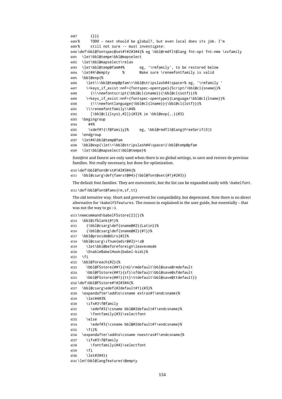```
4487 {}}}
4488 % TODO - next should be global?, but even local does its job. I'm
4489 % still not sure -- must investigate:
4490 \def\bbl@fontspec@set#1#2#3#4{% eg \bbl@rmdflt@lang fnt-opt fnt-nme \xxfamily
4491 \let\bbl@tempe\bbl@mapselect
4492 \let\bbl@mapselect\relax
4493 \let\bbl@temp@fam#4% eg, '\rmfamily', to be restored below
4494 \let#4\@empty % Make sure \renewfontfamily is valid
4495 \bbl@exp{%
4496 \let\\\bbl@temp@pfam\<\bbl@stripslash#4\space>% eg, '\rmfamily '
4497 \<keys_if_exist:nnF>{fontspec-opentype}{Script/\bbl@cl{sname}}%
4498 {\\\newfontscript{\bbl@cl{sname}}{\bbl@cl{sotf}}}%
4499 \<keys_if_exist:nnF>{fontspec-opentype}{Language/\bbl@cl{lname}}%
4500 {\\\newfontlanguage{\bbl@cl{lname}}{\bbl@cl{lotf}}}%
4501 \\\renewfontfamily\\#4%
4502 [\bbl@cl{lsys},#2]}{#3}% ie \bbl@exp{..}{#3}
4503 \begingroup
4504 #4%
4505 \xdef#1{\f@family}% eg, \bbl@rmdflt@lang{FreeSerif(0)}
4506 \endgroup
4507 \let#4\bbl@temp@fam
4508 \bbl@exp{\let\<\bbl@stripslash#4\space>}\bbl@temp@pfam
4509 \let\bbl@mapselect\bbl@tempe}%
```
font@rst and famrst are only used when there is no global settings, to save and restore de previous families. Not really necessary, but done for optimization.

```
4510 \def\bbl@font@rst#1#2#3#4{%
```
\bbl@csarg\def{famrst@#4}{\bbl@font@set{#1}#2#3}}

The default font families. They are eurocentric, but the list can be expanded easily with \babelfont.

```
4512 \def\bbl@font@fams{rm,sf,tt}
```
The old tentative way. Short and preverved for compatibility, but deprecated. Note there is no direct alternative for \babelFSfeatures. The reason in explained in the user guide, but essentially – that was not the way to go :-).

```
4513 \newcommand\babelFSstore[2][]{%
4514 \bbl@ifblank{#1}%
4515 {\bbl@csarg\def{sname@#2}{Latin}}%
4516 {\bbl@csarg\def{sname@#2}{#1}}%
4517 \bbl@provide@dirs{#2}%
4518 \bbl@csarg\ifnum{wdir@#2}>\z@
4519 \let\bbl@beforeforeign\leavevmode
4520 \EnableBabelHook{babel-bidi}%
4521 \fi
4522 \bbl@foreach{#2}{%
4523 \bbl@FSstore{##1}{rm}\rmdefault\bbl@save@rmdefault
4524 \bbl@FSstore{##1}{sf}\sfdefault\bbl@save@sfdefault
4525 \bbl@FSstore{##1}{tt}\ttdefault\bbl@save@ttdefault}}
4526 \def\bbl@FSstore#1#2#3#4{%
4527 \bbl@csarg\edef{#2default#1}{#3}%
4528 \expandafter\addto\csname extras#1\endcsname{%
4529 \let#4#3%
4530 \ifx#3\f@family
4531 \edef#3{\csname bbl@#2default#1\endcsname}%
4532 \fontfamily{#3}\selectfont
4533 \leq \leq \leq \leq4534 \edef#3{\csname bbl@#2default#1\endcsname}%
4535 \fi}%
4536 \expandafter\addto\csname noextras#1\endcsname{%
4537 \ifx#3\f@family
4538 \fontfamily{#4}\selectfont
4539 \fi
4540 \let#3#4}}
4541 \let\bbl@langfeatures\@empty
```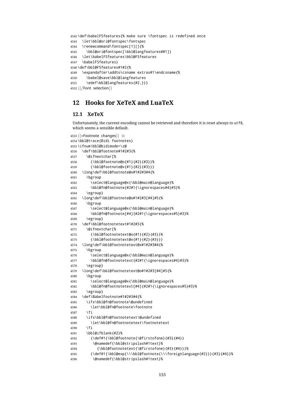```
4542 \def\babelFSfeatures{% make sure \fontspec is redefined once
4543 \let\bbl@ori@fontspec\fontspec
4544 \renewcommand\fontspec[1][]{%
4545 \bbl@ori@fontspec[\bbl@langfeatures##1]}
4546 \let\babelFSfeatures\bbl@FSfeatures
4547 \babelFSfeatures}
4548 \def\bbl@FSfeatures#1#2{%
4549 \expandafter\addto\csname extras#1\endcsname{%
4550 \babel@save\bbl@langfeatures
4551 \edef\bbl@langfeatures{#2,}}}
4552 \langle \langle /Font selection\rangle)
```
# **12 Hooks for XeTeX and LuaTeX**

### **12.1 XeTeX**

Unfortunately, the current encoding cannot be retrieved and therefore it is reset always to utf8, which seems a sensible default.

```
4553 (\langle*Footnote changes)) ≡
4554 \bbl@trace{Bidi footnotes}
4555 \ifnum\bbl@bidimode>\z@
4556 \def\bbl@footnote#1#2#3{%
4557 \@ifnextchar[%
4558 {\bbl@footnote@o{#1}{#2}{#3}}%
4559 {\bbl@footnote@x{#1}{#2}{#3}}}
4560 \long\def\bbl@footnote@x#1#2#3#4{%
4561 \bgroup
4562 \select@language@x{\bbl@main@language}%
4563 \bbl@fn@footnote{#2#1{\ignorespaces#4}#3}%
4564 \egroup}
4565 \long\def\bbl@footnote@o#1#2#3[#4]#5{%
4566 \bgroup
4567 \select@language@x{\bbl@main@language}%
4568 \bbl@fn@footnote[#4]{#2#1{\ignorespaces#5}#3}%
4569 \egroup}
4570 \def\bbl@footnotetext#1#2#3{%
4571 \@ifnextchar[%
4572 {\bbl@footnotetext@o{#1}{#2}{#3}}%
4573 {\bbl@footnotetext@x{#1}{#2}{#3}}}
4574 \long\def\bbl@footnotetext@x#1#2#3#4{%
4575 \bgroup
4576 \select@language@x{\bbl@main@language}%
4577 \bbl@fn@footnotetext{#2#1{\ignorespaces#4}#3}%
4578 \egroup}
4579 \long\def\bbl@footnotetext@o#1#2#3[#4]#5{%
4580 \bgroup
4581 \select@language@x{\bbl@main@language}%
4582 \bbl@fn@footnotetext[#4]{#2#1{\ignorespaces#5}#3}%
4583 \egroup}
4584 \def\BabelFootnote#1#2#3#4{%
4585 \ifx\bbl@fn@footnote\@undefined
4586 \let\bbl@fn@footnote\footnote
4587 \fi
4588 \ifx\bbl@fn@footnotetext\@undefined
4589 \let\bbl@fn@footnotetext\footnotetext
4590 \fi
4591 \bbl@ifblank\{42\}\%4592 {\def#1{\bbl@footnote{\@firstofone}{#3}{#4}}
4593 \@namedef{\bbl@stripslash#1text}%
4594 {\bbl@footnotetext{\@firstofone}{#3}{#4}}}%
4595 {\def#1{\bbl@exp{\\\bbl@footnote{\\\foreignlanguage{#2}}}{#3}{#4}}%
4596 \@namedef{\bbl@stripslash#1text}%
```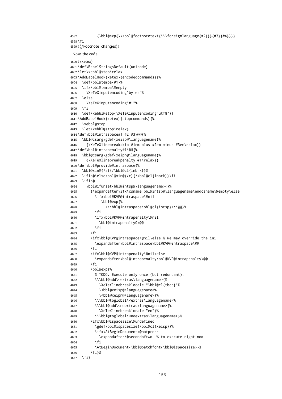```
4597 {\bbl@exp{\\\bbl@footnotetext{\\\foreignlanguage{#2}}}{#3}{#4}}}}
4598 \fi
4599 \langle \langle/Footnote changes\rangle)
 Now, the code.
4600 (*×etex)
4601 \def\BabelStringsDefault{unicode}
4602 \let\xebbl@stop\relax
4603 \AddBabelHook{xetex}{encodedcommands}{%
4604 \def\bbl@tempa{#1}%
4605 \ifx\bbl@tempa\@empty
4606 \XeTeXinputencoding"bytes"%
4607 \else
4608 \XeTeXinputencoding"#1"%
4609 \fi
4610 \def\xebbl@stop{\XeTeXinputencoding"utf8"}}
4611 \AddBabelHook{xetex}{stopcommands}{%
4612 \xebbl@stop
4613 \let\xebbl@stop\relax}
4614 \def\bbl@intraspace#1 #2 #3\@@{%
4615 \bbl@csarg\gdef{xeisp@\languagename}%
4616 {\XeTeXlinebreakskip #1em plus #2em minus #3em\relax}}
4617 \def\bbl@intrapenalty#1\@@{%
4618 \bbl@csarg\gdef{xeipn@\languagename}%
4619 {\XeTeXlinebreakpenalty #1\relax}}
4620 \def\bbl@provide@intraspace{%
4621 \bbl@xin@{/s}{/\bbl@cl{lnbrk}}%
4622 \ifin@\else\bbl@xin@{/c}{/\bbl@cl{lnbrk}}\fi
4623 \quad \text{light}4624 \bbl@ifunset{bbl@intsp@\languagename}{}%
4625 {\expandafter\ifx\csname bbl@intsp@\languagename\endcsname\@empty\else
4626 \ifx\bbl@KVP@intraspace\@nil
4627 \bbl@exp{%
4628 \\\bbl@intraspace\bbl@cl{intsp}\\\@@}%
4629 \fi
4630 \ifx\bbl@KVP@intrapenalty\@nil
4631 \bbl@intrapenalty0\@@
4632 \fi
4633 \fi
4634 \ifx\bbl@KVP@intraspace\@nil\else % We may override the ini
4635 \expandafter\bbl@intraspace\bbl@KVP@intraspace\@@
4636 \fi
4637 \ifx\bbl@KVP@intrapenalty\@nil\else
4638 \expandafter\bbl@intrapenalty\bbl@KVP@intrapenalty\@@
4639 \fi
4640 \bbl@exp{%
4641 % TODO. Execute only once (but redundant):
4642 \\\bbl@add\<extras\languagename>{%
4643 \XeTeXlinebreaklocale "\bbl@cl{tbcp}"%
4644 \<bbl@xeisp@\languagename>%
4645 \<bbl@xeipn@\languagename>}%
4646 \\\bbl@toglobal\<extras\languagename>%
4647 \\\bbl@add\<noextras\languagename>{%
4648 \XeTeXlinebreaklocale "en"}%
4649 \\\bbl@toglobal\<noextras\languagename>}%
4650 \ifx\bbl@ispacesize\@undefined
4651 \gdef\bbl@ispacesize{\bbl@cl{xeisp}}%
4652 \ifx\AtBeginDocument\@notprerr
4653 \expandafter\@secondoftwo % to execute right now
4654 \fi
4655 \AtBeginDocument{\bbl@patchfont{\bbl@ispacesize}}%
4656 \fi}%
4657 \fi}
```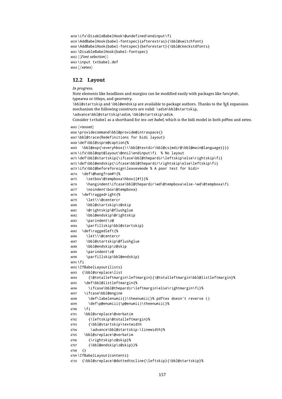```
4658 \ifx\DisableBabelHook\@undefined\endinput\fi
4659 \AddBabelHook{babel-fontspec}{afterextras}{\bbl@switchfont}
4660 \AddBabelHook{babel-fontspec}{beforestart}{\bbl@ckeckstdfonts}
4661 \DisableBabelHook{babel-fontspec}
4662 \langle {Font selection}}
4663 \input txtbabel.def
4664 \langle xetex\rangle
```
#### **12.2 Layout**

#### *In progress.*

```
Note elements like headlines and margins can be modified easily with packages like fancyhdr,
 typearea or titleps, and geometry.
 \bbl@startskip and \bbl@endskip are available to package authors. Thanks to the T<sub>EX</sub> expansion
 mechanism the following constructs are valid: \adim\bbl@startskip,
 \advance\bbl@startskip\adim, \bbl@startskip\adim.
 Consider txtbabel as a shorthand for tex–xet babel, which is the bidi model in both pdftex and xetex.
4665 (*texxet)
4666 \providecommand\bbl@provide@intraspace{}
4667 \bbl@trace{Redefinitions for bidi layout}
4668 \def\bbl@sspre@caption{%
4669 \bbl@exp{\everyhbox{\\\bbl@textdir\bbl@cs{wdir@\bbl@main@language}}}}
4670 \ifx\bbl@opt@layout\@nnil\endinput\fi % No layout
4671 \def\bbl@startskip{\ifcase\bbl@thepardir\leftskip\else\rightskip\fi}
4672 \def\bbl@endskip{\ifcase\bbl@thepardir\rightskip\else\leftskip\fi}
4673 \ifx\bbl@beforeforeign\leavevmode % A poor test for bidi=
4674 \def\@hangfrom#1{%
4675 \setbox\@tempboxa\hbox{{#1}}%
4676 \hangindent\ifcase\bbl@thepardir\wd\@tempboxa\else-\wd\@tempboxa\fi
4677 \noindent\box\@tempboxa}
4678 \def\raggedright{%
4679 \let\\\@centercr
4680 \bbl@startskip\z@skip
4681 \@rightskip\@flushglue
4682 \bbl@endskip\@rightskip
4683 \parindent\z@
4684 \parfillskip\bbl@startskip}
4685 \def\raggedleft{%
4686 \let\\\@centercr
4687 \bbl@startskip\@flushglue
4688 \bbl@endskip\z@skip
4689 \parindent\z@
4690 \parfillskip\bbl@endskip}
4691 \fi
4692 \IfBabelLayout{lists}
4693 {\bbl@sreplace\list
4694 {\@totalleftmargin\leftmargin}{\@totalleftmargin\bbl@listleftmargin}%
4695 \def\bbl@listleftmargin{%
4696 \ifcase\bbl@thepardir\leftmargin\else\rightmargin\fi}%
4697 \ifcase\bbl@engine
4698 \def\labelenumii{)\theenumii(}% pdftex doesn't reverse ()
4699 \def\p@enumiii{\p@enumii)\theenumii(}%
4700 \fi
4701 \bbl@sreplace\@verbatim
4702 {\leftskip\@totalleftmargin}%
4703 {\bbl@startskip\textwidth
4704 \advance\bbl@startskip-\linewidth}%
4705 \bbl@sreplace\@verbatim
4706 {\rightskip\z@skip}%
4707 {\bbl@endskip\z@skip}}%
4708 {}
4709 \IfBabelLayout{contents}
4710 {\bbl@sreplace\@dottedtocline{\leftskip}{\bbl@startskip}%
```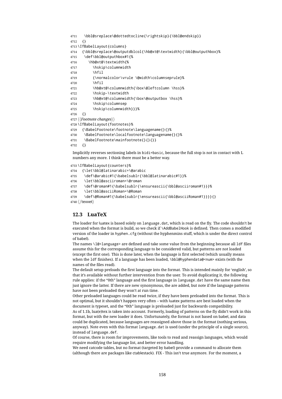```
4711 \bbl@sreplace\@dottedtocline{\rightskip}{\bbl@endskip}}
4712 {}
4713 \IfBabelLayout{columns}
4714 {\bbl@sreplace\@outputdblcol{\hb@xt@\textwidth}{\bbl@outputhbox}%
4715 \def\bbl@outputhbox#1{%
4716 \hb@xt@\textwidth{%
4717 \hskip\columnwidth
4718 \hfil
4719 {\normalcolor\vrule \@width\columnseprule}%
4720 \hfil
4721 \hb@xt@\columnwidth{\box\@leftcolumn \hss}%
4722 \hskip-\textwidth
4723 \hb@xt@\columnwidth{\box\@outputbox \hss}%
4724 \hskip\columnsep
4725 \hskip\columnwidth}}}%
4726 {}
4727 \langleFootnote changes\rangle4728 \IfBabelLayout{footnotes}%
4729 {\BabelFootnote\footnote\languagename{}{}%
4730 \BabelFootnote\localfootnote\languagename{}{}%
4731 \BabelFootnote\mainfootnote{}{}{}}
4732 {}
```
Implicitly reverses sectioning labels in bidi=basic, because the full stop is not in contact with L numbers any more. I think there must be a better way.

```
4733 \IfBabelLayout{counters}%
```

```
4734 {\let\bbl@latinarabic=\@arabic
4735 \def\@arabic#1{\babelsublr{\bbl@latinarabic#1}}%
4736 \let\bbl@asciiroman=\@roman
4737 \def\@roman#1{\babelsublr{\ensureascii{\bbl@asciiroman#1}}}%
4738 \let\bbl@asciiRoman=\@Roman
4739 \def\@Roman#1{\babelsublr{\ensureascii{\bbl@asciiRoman#1}}}}{}
4740 \langle /texxet)
```
### **12.3 LuaTeX**

The loader for luatex is based solely on language.dat, which is read on the fly. The code shouldn't be executed when the format is build, so we check if \AddBabelHook is defined. Then comes a modified version of the loader in hyphen.cfg (without the hyphenmins stuff, which is under the direct control of babel).

The names \l@<language> are defined and take some value from the beginning because all ldf files assume this for the corresponding language to be considered valid, but patterns are not loaded (except the first one). This is done later, when the language is first selected (which usually means when the 1df finishes). If a language has been loaded, \bb1@hyphendata@<num> exists (with the names of the files read).

The default setup preloads the first language into the format. This is intended mainly for 'english', so that it's available without further intervention from the user. To avoid duplicating it, the following rule applies: if the "0th" language and the first language in language.dat have the same name then just ignore the latter. If there are new synonymous, the are added, but note if the language patterns have not been preloaded they won't at run time.

Other preloaded languages could be read twice, if they have been preloaded into the format. This is not optimal, but it shouldn't happen very often – with luatex patterns are best loaded when the document is typeset, and the "0th" language is preloaded just for backwards compatibility. As of 1.1b, lua(e)tex is taken into account. Formerly, loading of patterns on the fly didn't work in this format, but with the new loader it does. Unfortunately, the format is not based on babel, and data

could be duplicated, because languages are reassigned above those in the format (nothing serious, anyway). Note even with this format language.dat is used (under the principle of a single source), instead of language.def.

Of course, there is room for improvements, like tools to read and reassign languages, which would require modifying the language list, and better error handling.

We need catcode tables, but no format (targeted by babel) provide a command to allocate them (although there are packages like ctablestack). FIX - This isn't true anymore. For the moment, a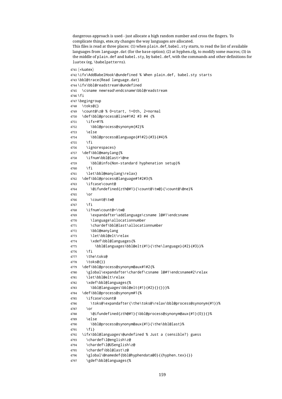```
dangerous approach is used - just allocate a high random number and cross the fingers. To
 complicate things, etex.sty changes the way languages are allocated.
 This files is read at three places: (1) when plain.def, babel.sty starts, to read the list of available
 languages from language.dat (for the base option); (2) at hyphen.cfg, to modify some macros; (3) in
 the middle of plain.def and babel.sty, by babel.def, with the commands and other definitions for
 luatex (eg, \babelpatterns).
4741 \langle *|uatex\rangle4742 \ifx\AddBabelHook\@undefined % When plain.def, babel.sty starts
4743 \bbl@trace{Read language.dat}
4744 \ifx\bbl@readstream\@undefined
4745 \csname newread\endcsname\bbl@readstream
4746 \fi
4747 \begingroup
4748 \toks@{}
4749 \count@\z@ % 0=start, 1=0th, 2=normal
4750 \def\bbl@process@line#1#2 #3 #4 {%
4751 \ifx=#1%
4752 \bbl@process@synonym{#2}%
4753 \else
4754 \bbl@process@language{#1#2}{#3}{#4}%
4755 \fi
4756 \ignorespaces}
4757 \def\bbl@manylang{%
4758 \ifnum\bbl@last>\@ne
4759 \bbl@info{Non-standard hyphenation setup}%
4760 \fi
4761 \let\bbl@manylang\relax}
4762 \def\bbl@process@language#1#2#3{%
4763 \ifcase\count@
4764 \@ifundefined{zth@#1}{\count@\tw@}{\count@\@ne}%
4765 \or
4766 \count@\tw@
4767 \fi
4768 \ifnum\count@=\tw@
4769 \expandafter\addlanguage\csname l@#1\endcsname
4770 \language\allocationnumber
4771 \chardef\bbl@last\allocationnumber
4772 \bbl@manylang
4773 \let\bbl@elt\relax
4774 \xdef\bbl@languages{%
4775 \bbl@languages\bbl@elt{#1}{\the\language}{#2}{#3}}%
4776 \fi
4777 \the\toks@
4778 \toks@{}}
4779 \def\bbl@process@synonym@aux#1#2{%
4780 \global\expandafter\chardef\csname l@#1\endcsname#2\relax
4781 \let\bbl@elt\relax
4782 \xdef\bbl@languages{%
4783 \bbl@languages\bbl@elt{#1}{#2}{}{}}}%
4784 \def\bbl@process@synonym#1{%
4785 \ifcase\count@
4786 \toks@\expandafter{\the\toks@\relax\bbl@process@synonym{#1}}%
4787 \or
4788 \@ifundefined{zth@#1}{\bbl@process@synonym@aux{#1}{0}}{}%
4789 \else
4790 \bbl@process@synonym@aux{#1}{\the\bbl@last}%
4791 \fi}
4792 \ifx\bbl@languages\@undefined % Just a (sensible?) guess
4793 \chardef\l@english\z@
4794 \chardef\l@USenglish\z@
4795 \chardef\bbl@last\z@
4796 \global\@namedef{bbl@hyphendata@0}{{hyphen.tex}{}}
4797 \gdef\bbl@languages{%
```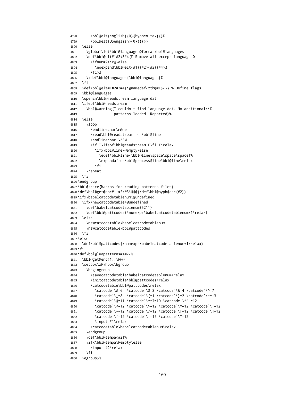```
4798 \bbl@elt{english}{0}{hyphen.tex}{}%
4799 \bbl@elt{USenglish}{0}{}{}}
4800 \else
4801 \global\let\bbl@languages@format\bbl@languages
4802 \def\bbl@elt#1#2#3#4{% Remove all except language 0
4803 \ifnum#2>\z@\else
4804 \noexpand\bbl@elt{#1}{#2}{#3}{#4}%
4805 \fi}%
4806 \xdef\bbl@languages{\bbl@languages}%
4807 \fi
4808 \def\bbl@elt#1#2#3#4{\@namedef{zth@#1}{}} % Define flags
4809 \bbl@languages
4810 \openin\bbl@readstream=language.dat
4811 \ifeof\bbl@readstream
4812 \bbl@warning{I couldn't find language.dat. No additional\\%
4813 patterns loaded. Reported}%
4814 \else
4815 \lambdaloop
4816 \endlinechar\m@ne
4817 \read\bbl@readstream to \bbl@line
4818 \endlinechar`\^^M
4819 \if T\ifeof\bbl@readstream F\fi T\relax
4820 \ifx\bbl@line\@empty\else
4821 \edef\bbl@line{\bbl@line\space\space\space}%
4822 \expandafter\bbl@process@line\bbl@line\relax
4823 \fi
4824 \repeat
4825 \fi
4826 \endgroup
4827 \bbl@trace{Macros for reading patterns files}
4828 \def\bbl@get@enc#1:#2:#3\@@@{\def\bbl@hyph@enc{#2}}
4829 \ifx\babelcatcodetablenum\@undefined
4830 \ifx\newcatcodetable\@undefined
4831 \def\babelcatcodetablenum{5211}
4832 \def\bbl@pattcodes{\numexpr\babelcatcodetablenum+1\relax}
4833 \else
4834 \newcatcodetable\babelcatcodetablenum
4835 \newcatcodetable\bbl@pattcodes
4836 \fi
4837 \else
4838 \def\bbl@pattcodes{\numexpr\babelcatcodetablenum+1\relax}
4839 \fi
4840 \def\bbl@luapatterns#1#2{%
4841 \bbl@get@enc#1::\@@@
4842 \setbox\z@\hbox\bgroup
4843 \begingroup
4844 \savecatcodetable\babelcatcodetablenum\relax
4845 \initcatcodetable\bbl@pattcodes\relax
4846 \catcodetable\bbl@pattcodes\relax
4847 \catcode`\#=6 \catcode`\$=3 \catcode`\&=4 \catcode`\^=7
4848 \catcode`\ =8 \catcode`\{=1 \catcode`\}=2 \catcode`\~=13
4849 \catcode`\@=11 \catcode`\^^I=10 \catcode`\^^J=12
4850 \catcode`\<=12 \catcode`\>=12 \catcode`\*=12 \catcode`\.=12
4851 \catcode`\-=12 \catcode`\/=12 \catcode`\[=12 \catcode`\]=12
4852 \catcode`\`=12 \catcode`\'=12 \catcode`\"=12
4853 \input #1\relax
4854 \catcodetable\babelcatcodetablenum\relax
4855 \endgroup
4856 \def\bbl@tempa{#2}%
4857 \ifx\bbl@tempa\@empty\else
4858 \input #2\relax
4859 \fi
4860 \egroup}%
```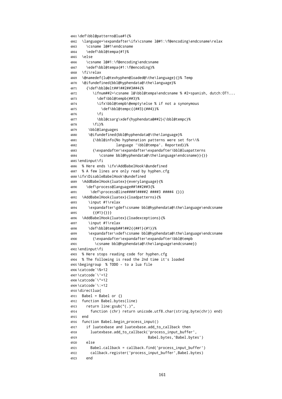```
4861 \def\bbl@patterns@lua#1{%
4862 \language=\expandafter\ifx\csname l@#1:\f@encoding\endcsname\relax
4863 \csname l@#1\endcsname
4864 \edef\bbl@tempa{#1}%
4865 \else
4866 \csname l@#1:\f@encoding\endcsname
4867 \edef\bbl@tempa{#1:\f@encoding}%
4868 \fi\relax
4869 \@namedef{lu@texhyphen@loaded@\the\language}{}% Temp
4870 \@ifundefined{bbl@hyphendata@\the\language}%
4871 {\def\bbl@elt##1##2##3##4{%
4872 \ifnum##2=\csname l@\bbl@tempa\endcsname % #2=spanish, dutch:OT1...
4873 \def\bbl@tempb{##3}%
4874 \ifx\bbl@tempb\@empty\else % if not a synonymous
4875 \def\bbl@tempc{{##3}{##4}}%
4876 \fi
4877 \bbl@csarg\xdef{hyphendata@##2}{\bbl@tempc}%
4878 \fi}%
4879 \bbl@languages
4880 \@ifundefined{bbl@hyphendata@\the\language}%
4881 {\bbl@info{No hyphenation patterns were set for\\%
4882 language '\bbl@tempa'. Reported}}%
4883 {\expandafter\expandafter\expandafter\bbl@luapatterns
4884 \csname bbl@hyphendata@\the\language\endcsname}}{}}
4885 \endinput\fi
4886 % Here ends \ifx\AddBabelHook\@undefined
4887 % A few lines are only read by hyphen.cfg
4888 \ifx\DisableBabelHook\@undefined
4889 \AddBabelHook{luatex}{everylanguage}{%
4890 \def\process@language##1##2##3{%
4891 \def\process@line####1####2 ####3 ####4 {}}}
4892 \AddBabelHook{luatex}{loadpatterns}{%
4893 \input #1\relax
4894 \expandafter\gdef\csname bbl@hyphendata@\the\language\endcsname
4895 {{#1}{}}}
4896 \AddBabelHook{luatex}{loadexceptions}{%
4897 \input #1\relax
4898 \def\bbl@tempb##1##2{{##1}{#1}}%
4899 \expandafter\xdef\csname bbl@hyphendata@\the\language\endcsname
4900 {\expandafter\expandafter\expandafter\bbl@tempb
4901 \csname bbl@hyphendata@\the\language\endcsname}}
4902 \endinput\fi
4903 % Here stops reading code for hyphen.cfg
4904 % The following is read the 2nd time it's loaded
4905 \begingroup % TODO - to a lua file
4906 \catcode`\%=12
4907 \catcode`\'=12
4908 \catcode`\"=12
4909 \catcode`\:=12
4910 \directlua{
4911 Babel = Babel or \{ \}4912 function Babel.bytes(line)
4913 return line:gsub("(.)",
4914 function (chr) return unicode.utf8.char(string.byte(chr)) end)
4915 end
4916 function Babel.begin process_input()
4917 if luatexbase and luatexbase.add_to_callback then
4918 luatexbase.add_to_callback('process_input_buffer',
4919 Babel.bytes,'Babel.bytes')
4920 else
4921 Babel.callback = callback.find('process_input_buffer')
4922 callback.register('process_input_buffer',Babel.bytes)
4923 end
```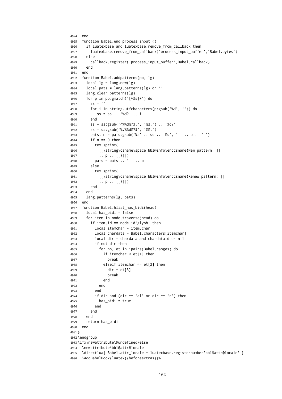```
4924 end
4925 function Babel.end process input ()
4926 if luatexbase and luatexbase.remove_from_callback then
4927 luatexbase.remove_from_callback('process_input_buffer','Babel.bytes')
4928 else
4929 callback.register('process_input_buffer',Babel.callback)
4930 end
4931 end
4932 function Babel.addpatterns(pp, lg)
4933 \log 1 local \log 2 = lang.new(lg)
4934 local pats = lang.patterns(lg) or ''
4935 lang.clear_patterns(lg)
4936 for p in pp:gmatch('[^%s]+') do
4937 ss = ''
4938 for i in string.utfcharacters(p:gsub('%d', '')) do
4939 ss = ss .. '%d?' .. i
4940 end
4941 ss = ss:gsub('^%%d%?%.', '%%.') .. '%d?'
4942 ss = ss:gsub('%.%%d%?$', '%%.')
4943 pats, n = pats:gsub('%s' .. ss .. '%s', ' ' .. p .. ' ')
4944 if n == 0 then
4945 tex.sprint(
4946 [[\string\csname\space bbl@info\endcsname{New pattern: ]]
4947 .. p .. [[}]])
4948 pats = pats .. ' ' .. p
4949 else
4950 tex.sprint(
4951 [[\string\csname\space bbl@info\endcsname{Renew pattern: ]]
4952 .. p .. [[}]])
4953 end
4954 end
4955 lang.patterns(lg, pats)
4956 end
4957 function Babel.hlist has bidi(head)
4958 local has_bidi = false
4959 for item in node.traverse(head) do
4960 if item.id == node.id'glyph' then
4961 local itemchar = item.char
4962 local chardata = Babel.characters[itemchar]
4963 local dir = chardata and chardata.d or nil
4964 if not dir then
4965 for nn, et in ipairs(Babel.ranges) do
4966 if itemchar < et[1] then
4967 break
4968 elseif itemchar <= et[2] then
4969 dir = et[3]
4970 break
4971 end
4972 end
4973 end
4974 if dir and (dir == 'al' or dir == 'r') then
4975 has_bidi = true
4976 end
4977 end
4978 end
4979 return has_bidi
4980 end
4981 }
4982 \endgroup
4983 \ifx\newattribute\@undefined\else
4984 \newattribute\bbl@attr@locale
4985 \directlua{ Babel.attr_locale = luatexbase.registernumber'bbl@attr@locale' }
4986 \AddBabelHook{luatex}{beforeextras}{%
```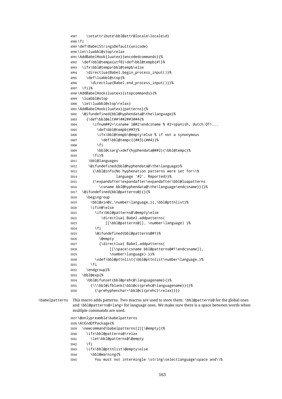```
4987 \setattribute\bbl@attr@locale\localeid}
             4988 \fi
             4989 \def\BabelStringsDefault{unicode}
             4990 \let\luabbl@stop\relax
             4991 \AddBabelHook{luatex}{encodedcommands}{%
             4992 \def\bbl@tempa{utf8}\def\bbl@tempb{#1}%
             4993 \ifx\bbl@tempa\bbl@tempb\else
             4994 \directlua{Babel.begin_process_input()}%
             4995 \def\luabbl@stop{%
             4996 \directlua{Babel.end_process_input()}}%
             4997 \fi}%
             4998 \AddBabelHook{luatex}{stopcommands}{%
             4999 \luabbl@stop
             5000 \let\luabbl@stop\relax}
             5001 \AddBabelHook{luatex}{patterns}{%
             5002 \@ifundefined{bbl@hyphendata@\the\language}%
             5003 {\def\bbl@elt##1##2##3##4{%
             5004 \ifnum##2=\csname l@#2\endcsname % #2=spanish, dutch:OT1...
             5005 \def\bbl@tempb{##3}%
             5006 \ifx\bbl@tempb\@empty\else % if not a synonymous
             5007 \def\bbl@tempc{{##3}{##4}}%
             5008 \fi
             5009 \bbl@csarg\xdef{hyphendata@##2}{\bbl@tempc}%
             5010 \fi}%
             5011 \bbl@languages
             5012 \@ifundefined{bbl@hyphendata@\the\language}%
             5013 {\bbl@info{No hyphenation patterns were set for\\%
             5014 language '#2'. Reported}}%
             5015 {\expandafter\expandafter\expandafter\bbl@luapatterns
             5016 \csname bbl@hyphendata@\the\language\endcsname}}{}%
             5017 \@ifundefined{bbl@patterns@}{}{%
             5018 \begingroup
             5019 \bbl@xin@{,\number\language,}{,\bbl@pttnlist}%
             5020 \ifin@\else
             5021 \ifx\bbl@patterns@\@empty\else
             5022 \directlua{ Babel.addpatterns(
             5023 [[\bbl@patterns@]], \number\language) }%
             5024 \fi
             5025 \@ifundefined{bbl@patterns@#1}%
             5026 \@empty
             5027 {\directlua{ Babel.addpatterns(
             5028 [[\space\csname bbl@patterns@#1\endcsname]],
             5029 \number\language) }}%
             5030 \xdef\bbl@pttnlist{\bbl@pttnlist\number\language,}%
             5031 \fi
             5032 \endgroup}%
             5033 \bbl@exp{%
             5034 \bbl@ifunset{bbl@prehc@\languagename}{}%
             5035 {\\\bbl@ifblank{\bbl@cs{prehc@\languagename}}{}%
             5036 {\prehyphenchar=\bbl@cl{prehc}\relax}}}}
\babelpatterns This macro adds patterns. Two macros are used to store them: \bbl@patterns@ for the global ones
              and \bbl@patterns@<lang> for language ones. We make sure there is a space between words when
              multiple commands are used.
             5037 \@onlypreamble\babelpatterns
             5038 \AtEndOfPackage{%
             5039 \newcommand\babelpatterns[2][\@empty]{%
             5040 \ifx\bbl@patterns@\relax
             5041 \let\bbl@patterns@\@empty
             5042 \fi
             5043 \ifx\bbl@pttnlist\@empty\else
```

```
5044 \bbl@warning{%
```
You must not intermingle \string\selectlanguage\space and\\%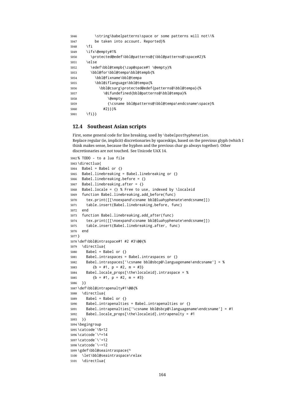| 5046 | \string\babelpatterns\space or some patterns will not\\% |
|------|----------------------------------------------------------|
| 5047 | be taken into account. Reported}%                        |
| 5048 | ١fi                                                      |
| 5049 | \ifx\@empty#1%                                           |
| 5050 | \protected@edef\bbl@patterns@{\bbl@patterns@\space#2}%   |
| 5051 | \else                                                    |
| 5052 | \edef\bbl@tempb{\zap@space#1 \@empty}%                   |
| 5053 | \bbl@for\bbl@tempa\bbl@tempb{%                           |
| 5054 | \bbl@fixname\bbl@tempa                                   |
| 5055 | \bbl@iflanguage\bbl@tempa{%                              |
| 5056 | \bbl@csarg\protected@edef{patterns@\bbl@tempa}{%         |
| 5057 | \@ifundefined{bbl@patterns@\bbl@tempa}%                  |
| 5058 | \@empty                                                  |
| 5059 | {\csname bbl@patterns@\bbl@tempa\endcsname\space}%       |
| 5060 | #2}}}%                                                   |
| 5061 | \fi}}                                                    |

#### **12.4 Southeast Asian scripts**

First, some general code for line breaking, used by \babelposthyphenation. Replace regular (ie, implicit) discretionaries by spaceskips, based on the previous glyph (which I think makes sense, because the hyphen and the previous char go always together). Other discretionaries are not touched. See Unicode UAX 14.

```
5062 % TODO - to a lua file
5063 \directlua{
5064 Babel = Babel or \{ \}5065 Babel.linebreaking = Babel.linebreaking or {}
5066 Babel.linebreaking.before = {}
5067 Babel.linebreaking.after = {}
5068 Babel.locale = {} % Free to use, indexed by \localeid
5069 function Babel.linebreaking.add_before(func)
5070 tex.print([[\noexpand\csname bbl@luahyphenate\endcsname]])
5071 table.insert(Babel.linebreaking.before, func)
5072 end
5073 function Babel.linebreaking.add_after(func)
5074 tex.print([[\noexpand\csname bbl@luahyphenate\endcsname]])
5075 table.insert(Babel.linebreaking.after, func)
5076 end
5077 }
5078 \def\bbl@intraspace#1 #2 #3\@@{%
5079 \directlua{
5080 Babel = Babel or {}
5081 Babel.intraspaces = Babel.intraspaces or {}
5082 Babel.intraspaces['\csname bbl@sbcp@\languagename\endcsname'] = %
5083 {b = #1, p = #2, m = #3}5084 Babel.locale_props[\the\localeid].intraspace = %
5085 {b = #1, p = #2, m = #3}5086 }}
5087 \def\bbl@intrapenalty#1\@@{%
5088 \directlua{
5089 Babel = Babel or \{ \}5090 Babel.intrapenalties = Babel.intrapenalties or {}
5091 Babel.intrapenalties['\csname bbl@sbcp@\languagename\endcsname'] = #1
5092 Babel.locale props[\the\localeid].intrapenalty = #1
5093 }}
5094 \begingroup
5095 \catcode`\%=12
5096 \catcode`\^=14
5097 \catcode`\'=12
5098 \catcode`\~=12
5099 \gdef\bbl@seaintraspace{^
5100 \let\bbl@seaintraspace\relax
5101 \directlua{
```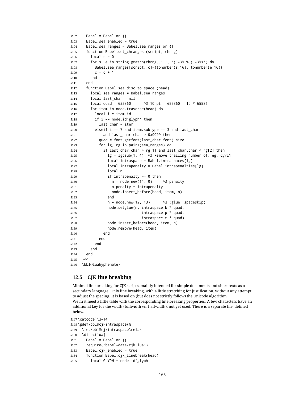```
5102 Babel = Babel or \{ \}5103 Babel.sea_enabled = true
5104 Babel.sea ranges = Babel.sea ranges or \{ \}5105 function Babel.set_chranges (script, chrng)
5106 local c = 0
5107 for s, e in string.gmatch(chrng..' ', '(.-)%.%.(.-)%s') do
5108 Babel.sea_ranges[script..c]={tonumber(s,16), tonumber(e,16)}
5109 C = C + 15110 end
5111 end
5112 function Babel.sea_disc_to_space (head)
5113 local sea_ranges = Babel.sea_ranges
5114 local last_char = nil
5115 local quad = 655360 \frac{8}{10} pt = 655360 = 10 * 65536
5116 for item in node.traverse(head) do
5117 local i = item.id
5118 if i == node.id'glyph' then5119 last_char = item
5120 elseif i == 7 and item.subtype == 3 and last_char
5121 and last_char.char > 0x0C99 then
5122 quad = font.getfont(last_char.font).size
5123 for lg, rg in pairs(sea_ranges) do
5124 if last_char.char > rg[1] and last_char.char < rg[2] then
5125 lg = lg[:sub(1, 4) \wedge% Remove trailing number of, eg, Cyrl1
5126 local intraspace = Babel.intraspaces[lg]
5127 local intrapenalty = Babel.intrapenalties[lg]
5128 local n
5129 if intrapenalty ~= 0 then
5130 n = node.new(14, 0) ^% penalty
5131 n.penalty = intrapenalty
5132 node.insert_before(head, item, n)
5133 end
5134 n = node.new(12, 13) \frac{8}{3} (glue, spaceskip)
5135 node.setglue(n, intraspace.b * quad,
5136 intraspace.p * quad,
5137 intraspace.m * quad)
5138 node.insert_before(head, item, n)
5139 node.remove(head, item)
5140 end
5141 end
5142 end
5143 end
5144 end
5145 }^^
5146 \bbl@luahyphenate}
```
### **12.5 CJK line breaking**

Minimal line breaking for CJK scripts, mainly intended for simple documents and short texts as a secundary language. Only line breaking, with a little stretching for justification, without any attempt to adjust the spacing. It is based on (but does not strictly follow) the Unicode algorithm. We first need a little table with the corresponding line breaking properties. A few characters have an additional key for the width (fullwidth *vs.* halfwidth), not yet used. There is a separate file, defined below.

```
5147 \catcode`\%=14
5148 \gdef\bbl@cjkintraspace{%
5149 \let\bbl@cjkintraspace\relax
5150 \directlua{
5151 Babel = Babel or \{ \}5152 require('babel-data-cjk.lua')
5153 Babel.cjk_enabled = true
5154 function Babel.cjk_linebreak(head)
5155 local GLYPH = node.id'glyph'
```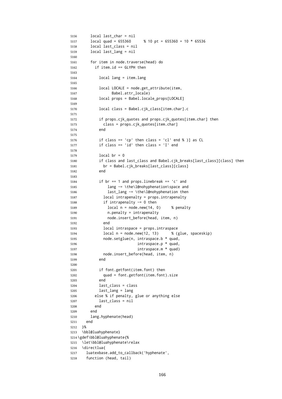```
5156 local last_char = nil
5157 local quad = 655360 % 10 pt = 655360 = 10 * 65536
5158 local last_class = nil
5159 local last_lang = nil
5160
5161 for item in node.traverse(head) do
5162 if item.id == GLYPH then
5163
5164 local lang = item.lang
5165
5166 local LOCALE = node.get_attribute(item,
5167 Babel.attr_locale)
5168 local props = Babel.locale_props[LOCALE]
5169
5170 local class = Babel.cjk_class[item.char].c
5171
5172 if props.cjk quotes and props.cjk quotes[item.char] then
5173 class = props.cjk_quotes[item.char]
5174 end
5175
5176 if class == 'cp' then class = 'cl' end % )] as CL
5177 if class == 'id' then class = 'I' end
5178
5179 local br = 0
5180 if class and last class and Babel.cjk breaks[last class][class] then
5181 br = Babel.cjk_breaks[last_class][class]
5182 end
5183
5184 if br == 1 and props.linebreak == 'c' and
5185 lang ~= \the\l@nohyphenation\space and
5186 last_lang ~= \the\l@nohyphenation then
5187 local intrapenalty = props.intrapenalty
5188 if intrapenalty ~= 0 then
5189 local n = node.new(14, 0) % penalty
5190 n.penalty = intrapenalty
5191 node.insert_before(head, item, n)
5192 end
5193 local intraspace = props.intraspace
5194 local n = node.new(12, 13) % (glue, spaceskip)
5195 node.setglue(n, intraspace.b * quad,
5196 intraspace.p * quad,
5197 intraspace.m * quad)
5198 node.insert_before(head, item, n)
5199 end
5200
5201 if font.getfont(item.font) then
5202 quad = font.getfont(item.font).size
5203 end
5204 last_class = class
5205 last_lang = lang
5206 else % if penalty, glue or anything else
5207 last_class = nil
5208 end
5209 end
5210 lang.hyphenate(head)
5211 end
5212 }%
5213 \bbl@luahyphenate}
5214 \gdef\bbl@luahyphenate{%
5215 \let\bbl@luahyphenate\relax
5216 \directlua{
5217 luatexbase.add_to_callback('hyphenate',
5218 function (head, tail)
```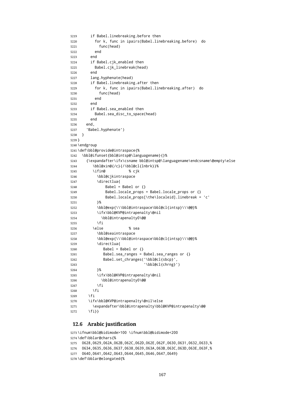```
5219 if Babel.linebreaking.before then
5220 for k, func in ipairs(Babel.linebreaking.before) do
5221 func(head)
5222 end
5223 end
5224 if Babel.cjk_enabled then
5225 Babel.cjk_linebreak(head)
5226 end
5227 lang.hyphenate(head)
5228 if Babel.linebreaking.after then
5229 for k, func in ipairs(Babel.linebreaking.after) do
5230 func(head)
5231 end
5232 end
5233 if Babel.sea_enabled then
5234 Babel.sea_disc_to_space(head)
5235 end
5236 end,
5237 'Babel.hyphenate')
5238 }
5239 }
5240 \endgroup
5241 \def\bbl@provide@intraspace{%
5242 \bbl@ifunset{bbl@intsp@\languagename}{}%
5243 {\expandafter\ifx\csname bbl@intsp@\languagename\endcsname\@empty\else
5244 \bbl@xin@{/c}{/\bbl@cl{lnbrk}}%
5245 \ifin@ % cjk
5246 \bbl@cjkintraspace
5247 \directlua{
5248 Babel = Babel or {}
5249 Babel.locale_props = Babel.locale_props or {}
5250 Babel.locale_props[\the\localeid].linebreak = 'c'
5251 }%
5252 \bbl@exp{\\\bbl@intraspace\bbl@cl{intsp}\\\@@}%
5253 \ifx\bbl@KVP@intrapenalty\@nil
5254 \bbl@intrapenalty0\@@
5255 \fi
5256 \leq \leq \leq \leq \leq \leq \leq \leq \leq \leq \leq \leq \leq \leq \leq \leq \leq \leq \leq \leq \leq \leq \leq \leq \leq \leq \leq \leq \leq \leq \leq \leq \leq \leq \leq \leq5257 \bbl@seaintraspace
5258 \bbl@exp{\\\bbl@intraspace\bbl@cl{intsp}\\\@@}%
5259 \directlua{
5260 Babel = Babel or {}
5261 Babel.sea_ranges = Babel.sea_ranges or {}
5262 Babel.set_chranges('\bbl@cl{sbcp}',
5263 '\bbl@cl{chrng}')
5264 }%
5265 \ifx\bbl@KVP@intrapenalty\@nil
5266 \bbl@intrapenalty0\@@
5267 \fi
5268 \fi
5269 \fi
5270 \ifx\bbl@KVP@intrapenalty\@nil\else
5271 \expandafter\bbl@intrapenalty\bbl@KVP@intrapenalty\@@
5272 \fi}}
```
### **12.6 Arabic justification**

```
5273 \ifnum\bbl@bidimode>100 \ifnum\bbl@bidimode<200
5274 \def\bblar@chars{%
5275 0628,0629,062A,062B,062C,062D,062E,062F,0630,0631,0632,0633,%
5276 0634,0635,0636,0637,0638,0639,063A,063B,063C,063D,063E,063F,%
5277 0640,0641,0642,0643,0644,0645,0646,0647,0649}
5278 \def\bblar@elongated{%
```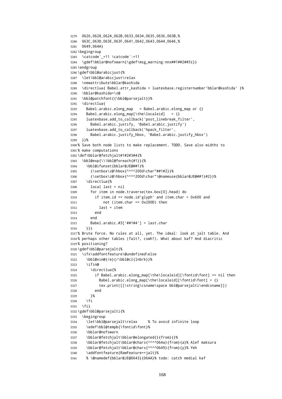```
5279 0626,0628,062A,062B,0633,0634,0635,0636,063B,%
5280 063C,063D,063E,063F,0641,0642,0643,0644,0646,%
5281 0649,064A}
5282 \begingroup
5283 \catcode`_=11 \catcode`:=11
5284 \gdef\bblar@nofswarn{\gdef\msg_warning:nnx##1##2##3{}}
5285 \endgroup
5286 \gdef\bbl@arabicjust{%
5287 \let\bbl@arabicjust\relax
5288 \newattribute\bblar@kashida
5289 \directlua{ Babel.attr_kashida = luatexbase.registernumber'bblar@kashida' }%
5290 \bblar@kashida=\z@
5291 \bbl@patchfont{{\bbl@parsejalt}}%
5292 \directlua{
5293 Babel.arabic.elong_map = Babel.arabic.elong_map or {}
5294 Babel.arabic.elong_map[\the\localeid] = {}
5295 luatexbase.add_to_callback('post_linebreak_filter',
5296 Babel.arabic.justify, 'Babel.arabic.justify')
5297 luatexbase.add_to_callback('hpack_filter',
5298 Babel.arabic.justify_hbox, 'Babel.arabic.justify_hbox')
5299 }}%
5300 % Save both node lists to make replacement. TODO. Save also widths to
5301 % make computations
5302 \def\bblar@fetchjalt#1#2#3#4{%
5303 \bbl@exp{\\\bbl@foreach{#1}}{%
5304 \bbl@ifunset{bblar@JE@##1}%
5305 {\setbox\z@\hbox{^^^^200d\char"##1#2}}%
5306 {\setbox\z@\hbox{^^^^200d\char"\@nameuse{bblar@JE@##1}#2}}%
5307 \directlua{%
5308 local last = nil
5309 for item in node.traverse(tex.box[0].head) do
5310 if item.id == node.id'glyph' and item.char > 0x600 and
5311 not (item.char == 0x200D) then
5312 last = item
5313 end
5314 end
5315 Babel.arabic.#3['##1#4'] = last.char
5316 }}}
5317 % Brute force. No rules at all, yet. The ideal: look at jalt table. And
5318 % perhaps other tables (falt?, cswh?). What about kaf? And diacritic
5319 % positioning?
5320 \gdef\bbl@parsejalt{%
5321 \ifx\addfontfeature\@undefined\else
5322 \bbl@xin@{/e}{/\bbl@cl{lnbrk}}%
5323 \ifin@
5324 \directlua{%
5325 if Babel.arabic.elong_map[\the\localeid][\fontid\font] == nil then
5326 Babel.arabic.elong_map[\the\localeid][\fontid\font] = {}
5327 tex.print([[\string\csname\space bbl@parsejalti\endcsname]])
5328 end
5329 }%
5330 \fi
5331 \fi}
5332 \gdef\bbl@parsejalti{%
5333 \begingroup
5334 \let\bbl@parsejalt\relax % To avoid infinite loop
5335 \edef\bbl@tempb{\fontid\font}%
5336 \bblar@nofswarn
5337 \bblar@fetchjalt\bblar@elongated{}{from}{}%
5338 \bblar@fetchjalt\bblar@chars{^^^^064a}{from}{a}% Alef maksura
5339 \bblar@fetchjalt\bblar@chars{^^^^0649}{from}{y}% Yeh
5340 \addfontfeature{RawFeature=+jalt}%
5341 % \@namedef{bblar@JE@0643}{06AA}% todo: catch medial kaf
```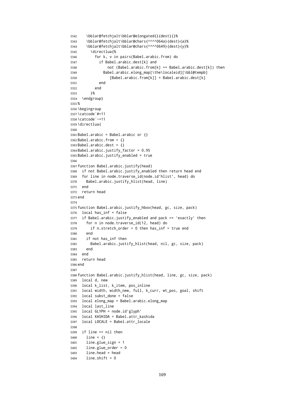```
5342 \bblar@fetchjalt\bblar@elongated{}{dest}{}%
5343 \bblar@fetchjalt\bblar@chars{^^^^064a}{dest}{a}%
5344 \bblar@fetchjalt\bblar@chars{^^^^0649}{dest}{y}%
5345 \directlua{%
5346 for k, v in pairs(Babel.arabic.from) do
5347 if Babel.arabic.dest[k] and
5348 not (Babel.arabic.from[k] == Babel.arabic.dest[k]) then
5349 Babel.arabic.elong_map[\the\localeid][\bbl@tempb]
5350 [Babel.arabic.from[k]] = Babel.arabic.dest[k]
5351 end
5352 end
5353 }%
5354 \endgroup}
5355 %
5356 \begingroup
5357 \catcode`#=11
5358 \catcode`~=11
5359 \directlua{
5360
5361 Babel.arabic = Babel.arabic or {}
5362 Babel.arabic.from = {}
5363 Babel.arabic.dest = \{ \}5364 Babel.arabic.justify_factor = 0.95
5365 Babel.arabic.justify_enabled = true
5366
5367 function Babel.arabic.justify(head)
5368 if not Babel.arabic.justify_enabled then return head end
5369 for line in node.traverse_id(node.id'hlist', head) do
5370 Babel.arabic.justify_hlist(head, line)
5371 end
5372 return head
5373 end
5374
5375 function Babel.arabic.justify_hbox(head, gc, size, pack)
5376 local has_inf = false
5377 if Babel.arabic.justify_enabled and pack == 'exactly' then
5378 for n in node.traverse_id(12, head) do
5379 if n.stretch_order > 0 then has_inf = true end
5380 end
5381 if not has_inf then
5382 Babel.arabic.justify_hlist(head, nil, gc, size, pack)
5383 end
5384 end
5385 return head
5386 end
5387
5388 function Babel.arabic.justify_hlist(head, line, gc, size, pack)
5389 local d, new
5390 local k_list, k_item, pos_inline
5391 local width, width_new, full, k_curr, wt_pos, goal, shift
5392 local subst_done = false
5393 local elong_map = Babel.arabic.elong_map
5394 local last_line
5395 local GLYPH = node.id'glyph'
5396 local KASHIDA = Babel.attr_kashida
5397 local LOCALE = Babel.attr_locale
5398
5399 if line == nil then
5400 line = {}
5401 line.glue_sign = 1
5402 line.glue_order = 0
5403 line.head = head
5404 line.shift = 0
```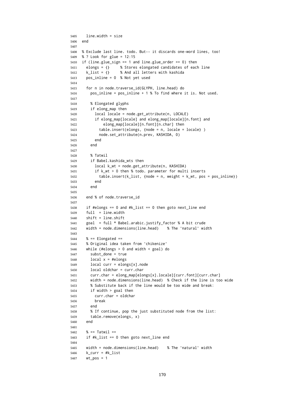```
5405 line.width = size
5406 end
5407
5408 % Exclude last line. todo. But-- it discards one-word lines, too!
5409 % ? Look for glue = 12:15
5410 if (line.glue_sign == 1 and line.glue_order == 0) then
5411 elongs = {} % Stores elongated candidates of each line
5412 k_list = {} % And all letters with kashida
5413 pos inline = 0 % Not yet used
5414
5415 for n in node.traverse_id(GLYPH, line.head) do
5416 pos_inline = pos_inline + 1 % To find where it is. Not used.
5417
5418 % Elongated glyphs
5419 if elong_map then
5420 local locale = node.get_attribute(n, LOCALE)
5421 if elong_map[locale] and elong_map[locale][n.font] and
5422 elong_map[locale][n.font][n.char] then
5423 table.insert(elongs, {node = n, locale = locale} )
5424 node.set_attribute(n.prev, KASHIDA, 0)
5425 end
5426 end
5427
5428 % Tatwil
5429 if Babel.kashida_wts then
5430 local k_wt = node.get_attribute(n, KASHIDA)
5431 if k_wt > 0 then % todo. parameter for multi inserts
5432 table.insert(k_list, {node = n, weight = k_wt, pos = pos_inline})
5433 end
5434 end
5435
5436 end % of node.traverse_id
5437
5438 if #elongs == 0 and #k_list == 0 then goto next_line end
5439 full = line.width
5440 shift = line.shift
5441 goal = full * Babel.arabic.justify_factor % A bit crude
5442 width = node.dimensions(line.head) % The 'natural' width
5443
5444 % == Elongated ==
5445 % Original idea taken from 'chikenize'
5446 while (#elongs > 0 and width < goal) do
5447 subst_done = true
5448 local x = #elongs5449 local curr = elongs[x].node
5450 local oldchar = curr.char
5451 curr.char = elong_map[elongs[x].locale][curr.font][curr.char]
5452 width = node.dimensions(line.head) % Check if the line is too wide
5453 % Substitute back if the line would be too wide and break:
5454 if width > goal then
5455 curr.char = oldchar
5456 break
5457 end
5458 % If continue, pop the just substituted node from the list:
5459 table.remove(elongs, x)
5460 end
5461
5462 % == Tatwil ==
5463 if #k_list == 0 then goto next_line end
5464
5465 width = node.dimensions(line.head) % The 'natural' width
5466 k_curr = #k_list
5467 wt_pos = 1
```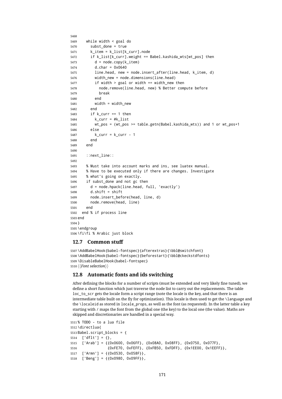```
5468
5469 while width < goal do
5470 subst_done = true
5471 k_item = k_list[k_curr].node
5472 if k_list[k_curr].weight == Babel.kashida_wts[wt_pos] then
5473 d = node.copy(k_item)
5474 d.char = 0x0640
5475 line.head, new = node.insert_after(line.head, k_item, d)
5476 width_new = node.dimensions(line.head)
5477 if width > goal or width == width_new then
5478 node.remove(line.head, new) % Better compute before
5479 break
5480 end
5481 width = width_new
5482 end
5483 if k_curr == 1 then
5484 k curr = #k list
5485 wt_pos = (wt_pos >= table.getn(Babel.kashida_wts)) and 1 or wt_pos+1
5486 else
5487 k curr = k curr - 1
5488 end
5489 end
5490
5491 ::next_line::
5492
5493 % Must take into account marks and ins, see luatex manual.
5494 % Have to be executed only if there are changes. Investigate
5495 % what's going on exactly.
5496 if subst_done and not gc then
5497 d = node.hpack(line.head, full, 'exactly')
5498 d.shift = shift
5499 node.insert_before(head, line, d)
5500 node.remove(head, line)
5501 end
5502 end % if process line
5503 end
5504 }
5505 \endgroup
5506 \fi\fi % Arabic just block
```
#### **12.7 Common stuff**

```
5507 \AddBabelHook{babel-fontspec}{afterextras}{\bbl@switchfont}
5508 \AddBabelHook{babel-fontspec}{beforestart}{\bbl@ckeckstdfonts}
5509 \DisableBabelHook{babel-fontspec}
5510 \langle {Font selection}}
```
#### **12.8 Automatic fonts and ids switching**

After defining the blocks for a number of scripts (must be extended and very likely fine tuned), we define a short function which just traverse the node list to carry out the replacements. The table loc to scr gets the locale form a script range (note the locale is the key, and that there is an intermediate table built on the fly for optimization). This locale is then used to get the \language and the \localeid as stored in locale\_props, as well as the font (as requested). In the latter table a key starting with / maps the font from the global one (the key) to the local one (the value). Maths are skipped and discretionaries are handled in a special way.

```
5511 % TODO - to a lua file
5512 \directlua{
5513 Babel.script blocks = {5514 [ 'dflt' ] = { }5515 ['Arab'] = {{0x0600, 0x06FF}, {0x08A0, 0x08FF}, {0x0750, 0x077F},
5516 {0xFE70, 0xFEFF}, {0xFB50, 0xFDFF}, {0x1EE00, 0x1EEFF}},
5517 ['Armn'] = {{0x0530, 0x058F}},
5518 ['Beng'] = {{0x0980, 0x09FF}},
```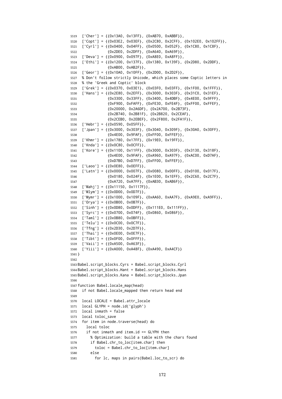```
5519 ['Cher'] = {{0x13A0, 0x13FF}, {0xAB70, 0xABBF}},
5520 ['Copt'] = {{0x03E2, 0x03EF}, {0x2C80, 0x2CFF}, {0x102E0, 0x102FF}},
5521 ['Cyrl'] = {{0x0400, 0x04FF}, {0x0500, 0x052F}, {0x1C80, 0x1C8F},
5522 {0x2DE0, 0x2DFF}, {0xA640, 0xA69F}},
5523 ['Deva'] = {{0x0900, 0x097F}, {0xA8E0, 0xA8FF}},
5524 ['Ethi'] = {{0x1200, 0x137F}, {0x1380, 0x139F}, {0x2D80, 0x2DDF},
5525 {0xAB00, 0xAB2F}},
5526 ['Geor'] = {{0x10A0, 0x10FF}, {0x2D00, 0x2D2F}},
5527 % Don't follow strictly Unicode, which places some Coptic letters in
5528 % the 'Greek and Coptic' block
5529 ['Grek'] = {{0x0370, 0x03E1}, {0x03F0, 0x03FF}, {0x1F00, 0x1FFF}},
5530 ['Hans'] = {{0x2E80, 0x2EFF}, {0x3000, 0x303F}, {0x31C0, 0x31EF},
5531 {0x3300, 0x33FF}, {0x3400, 0x4DBF}, {0x4E00, 0x9FFF},
5532 {0xF900, 0xFAFF}, {0xFE30, 0xFE4F}, {0xFF00, 0xFFEF},
5533 {0x20000, 0x2A6DF}, {0x2A700, 0x2B73F},
5534 {0x2B740, 0x2B81F}, {0x2B820, 0x2CEAF},
5535 {0x2CEB0, 0x2EBEF}, {0x2F800, 0x2FA1F}},
5536 ['Hebr'] = {{0x0590, 0x05FF}},
5537 ['Jpan'] = {{0x3000, 0x303F}, {0x3040, 0x309F}, {0x30A0, 0x30FF},
5538 {0x4E00, 0x9FAF}, {0xFF00, 0xFFEF}},
5539 ['Khmr'] = {{0x1780, 0x17FF}, {0x19E0, 0x19FF}},
5540 ['Knda'] = {{0x0C80, 0x0CFF}},
5541 ['Kore'] = {{0x1100, 0x11FF}, {0x3000, 0x303F}, {0x3130, 0x318F},
5542 {0x4E00, 0x9FAF}, {0xA960, 0xA97F}, {0xAC00, 0xD7AF},
5543 {0xD7B0, 0xD7FF}, {0xFF00, 0xFFEF}},
5544 ['Laoo'] = {{0x0E80, 0x0EFF}},
5545 ['Latn'] = {{0x0000, 0x007F}, {0x0080, 0x00FF}, {0x0100, 0x017F},
5546 {0x0180, 0x024F}, {0x1E00, 0x1EFF}, {0x2C60, 0x2C7F},
5547 {0xA720, 0xA7FF}, {0xAB30, 0xAB6F}},
5548 ['Mahj'] = {{0x11150, 0x1117F}},
5549 ['Mlym'] = {{0x0D00, 0x0D7F}},
5550 ['Mymr'] = {{0x1000, 0x109F}, {0xAA60, 0xAA7F}, {0xA9E0, 0xA9FF}},
5551 ['Orya'] = {{0x0B00, 0x0B7F}},
5552 ['Sinh'] = {{0x0D80, 0x0DFF}, {0x111E0, 0x111FF}},
5553 ['Syrc'] = {{0x0700, 0x074F}, {0x0860, 0x086F}},
5554 ['Taml'] = {{0x0B80, 0x0BFF}},
5555 ['Telu'] = {{0x0C00, 0x0C7F}},
5556 ['Tfng'] = {{0x2D30, 0x2D7F}},
5557 ['Thai'] = {{0x0E00, 0x0E7F}},
5558 ['Tibt'] = {{0x0F00, 0x0FFF}},
5559 ['Vaii'] = {{0xA500, 0xA63F}},
5560 ['Yiii'] = {{0xA000, 0xA48F}, {0xA490, 0xA4CF}}
5561 }
5562
5563 Babel.script_blocks.Cyrs = Babel.script_blocks.Cyrl
5564 Babel.script_blocks.Hant = Babel.script_blocks.Hans
5565 Babel.script_blocks.Kana = Babel.script_blocks.Jpan
5566
5567 function Babel.locale_map(head)
5568 if not Babel.locale_mapped then return head end
5569
5570 local LOCALE = Babel.attr_locale
5571 local GLYPH = node.id('glyph')
5572 local inmath = false
5573 local toloc_save
5574 for item in node.traverse(head) do
5575 local toloc
5576 if not inmath and item.id == GLYPH then
5577 % Optimization: build a table with the chars found
5578 if Babel.chr_to_loc[item.char] then
5579 toloc = Babel.chr_to_loc[item.char]
5580 else
5581 for lc, maps in pairs(Babel.loc_to_scr) do
```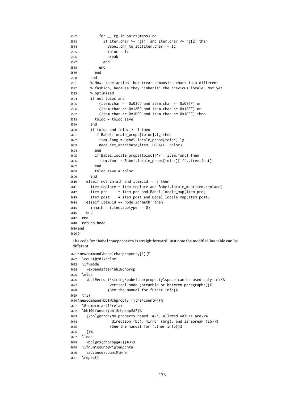```
5582 for _, rg in pairs(maps) do
5583 if item.char >= rg[1] and item.char <= rg[2] then
5584 Babel.chr_to_loc[item.char] = lc
5585 toloc = lc
5586 break
5587 end
5588 end
5589 end
5590 end
5591 % Now, take action, but treat composite chars in a different
5592 % fashion, because they 'inherit' the previous locale. Not yet
5593 % optimized.
5594 if not toloc and
5595 (item.char >= 0x0300 and item.char <= 0x036F) or
5596 (item.char >= 0x1AB0 and item.char <= 0x1AFF) or
5597 (item.char >= 0x1DC0 and item.char <= 0x1DFF) then
5598 toloc = toloc_save
5599 end
5600 if toloc and toloc > -1 then
5601 if Babel.locale_props[toloc].lg then
5602 item.lang = Babel.locale_props[toloc].lg
5603 node.set_attribute(item, LOCALE, toloc)
5604 end
5605 if Babel.locale_props[toloc]['/'..item.font] then
5606 item.font = Babel.locale_props[toloc]['/'..item.font]
5607 end
5608 toloc_save = toloc
5609 end
5610 elseif not inmath and item.id == 7 then
5611 item.replace = item.replace and Babel.locale_map(item.replace)
5612 item.pre = item.pre and Babel.locale_map(item.pre)
5613 item.post = item.post and Babel.locale_map(item.post)
5614 elseif item.id == node.id'math' then
5615 inmath = (item.subtype == 0)5616 end
5617 end
5618 return head
5619 end
5620 }
The code for \babelcharproperty is straightforward. Just note the modified lua table can be
different.
5621 \newcommand\babelcharproperty[1]{%
5622 \count@=#1\relax
5623 \ifvmode
5624 \expandafter\bbl@chprop
5625 \else
5626 \bbl@error{\string\babelcharproperty\space can be used only in\\%
5627 vertical mode (preamble or between paragraphs)}%
5628 {See the manual for futher info}%
5629 \fi}
5630 \newcommand\bbl@chprop[3][\the\count@]{%
5631 \@tempcnta=#1\relax
5632 \bbl@ifunset{bbl@chprop@#2}%
5633 {\bbl@error{No property named '#2'. Allowed values are\\%
5634 direction (bc), mirror (bmg), and linebreak (lb)}%
5635 {See the manual for futher info}}%
5636 {}%
5637 \loop
5638 \bbl@cs{chprop@#2}{#3}%
5639 \ifnum\count@<\@tempcnta
5640 \advance\count@\@ne
5641 \repeat}
```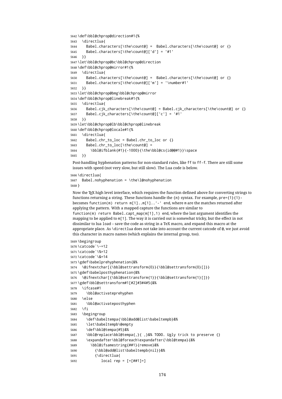```
5642 \def\bbl@chprop@direction#1{%
5643 \directlua{
5644 Babel.characters[\the\count@] = Babel.characters[\the\count@] or {}
5645 Babel.characters[\the\count@]['d'] = '#1'
5646 }}
5647 \let\bbl@chprop@bc\bbl@chprop@direction
5648 \def\bbl@chprop@mirror#1{%
5649 \directlua{
5650 Babel.characters[\the\count@] = Babel.characters[\the\count@] or {}
5651 Babel.characters[\the\count@]['m'] = '\number#1'
5652 }}
5653 \let\bbl@chprop@bmg\bbl@chprop@mirror
5654 \def\bbl@chprop@linebreak#1{%
5655 \directlua{
5656 Babel.cjk_characters[\the\count@] = Babel.cjk_characters[\the\count@] or {}
5657 Babel.cjk_characters[\the\count@]['c'] = '#1'
5658 }}
5659 \let\bbl@chprop@lb\bbl@chprop@linebreak
5660 \def\bbl@chprop@locale#1{%
5661 \directlua{
5662 Babel.chr to loc = Babel.chr to loc or \{ \}5663 Babel.chr to loc[\the\count@] =
5664 \bbl@ifblank{#1}{-1000}{\the\bbl@cs{id@@#1}}\space
5665 }}
```
Post-handling hyphenation patterns for non-standard rules, like ff to ff-f. There are still some issues with speed (not very slow, but still slow). The Lua code is below.

```
5666 \directlua{
5667 Babel.nohyphenation = \the\l@nohyphenation
5668 }
```
Now the TFX high level interface, which requires the function defined above for converting strings to functions returning a string. These functions handle the {*n*} syntax. For example, pre={1}{1} becomes function(m) return m[1]..m[1]..'-' end, where m are the matches returned after applying the pattern. With a mapped capture the functions are similar to

function(m) return Babel.capt\_map(m[1],1) end, where the last argument identifies the mapping to be applied to m[1]. The way it is carried out is somewhat tricky, but the effect in not dissimilar to lua load – save the code as string in a TeX macro, and expand this macro at the appropriate place. As \directlua does not take into account the current catcode of @, we just avoid this character in macro names (which explains the internal group, too).

```
5669 \begingroup
5670 \catcode`\~=12
5671 \catcode`\%=12
5672 \catcode`\&=14
5673 \gdef\babelprehyphenation{&%
5674 \@ifnextchar[{\bbl@settransform{0}}{\bbl@settransform{0}[]}}
5675 \gdef\babelposthyphenation{&%
5676 \@ifnextchar[{\bbl@settransform{1}}{\bbl@settransform{1}[]}}
5677 \gdef\bbl@settransform#1[#2]#3#4#5{&%
5678 \ifcase#1
5679 \bbl@activateprehyphen
5680 \else
5681 \bbl@activateposthyphen
5682 \fi
5683 \begingroup
5684 \def\babeltempa{\bbl@add@list\babeltempb}&%
5685 \let\babeltempb\@empty
5686 \def\bbl@tempa{#5}&%
5687 \bbl@replace\bbl@tempa{,}{ ,}&% TODO. Ugly trick to preserve {}
5688 \expandafter\bbl@foreach\expandafter{\bbl@tempa}{&%
5689 \bbl@ifsamestring{##1}{remove}&%
5690 {\bbl@add@list\babeltempb{nil}}&%
5691 {\directlua{
5692 local rep = [=[##1]=]
```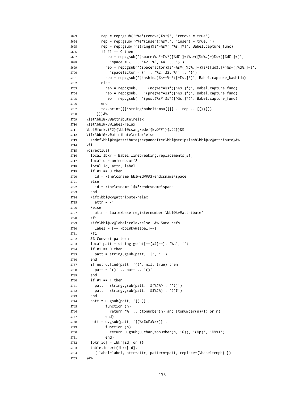```
5693 rep = rep:gsub('^%s*(remove)%s*$', 'remove = true')
5694 rep = rep:gsub('^%s*(insert)^*s^*,', 'insett = true,'')5695 rep = rep:gsub('(string)%s*=%s*([^%s,]*)', Babel.capture_func)
5696 if #1 == 0 then
5697 rep = rep:gsub('(space)%s*=%s*([%d%.]+)%s+([%d%.]+)%s+([%d%.]+)',
5698 'space = {' .. '%2, %3, %4' .. '}')
5699 rep = rep:gsub('(spacefactor)%s*=%s*([%d%.]+)%s+([%d%.]+)%s+([%d%.]+)',
5700 'spacefactor = {' .. '%2, %3, %4' .. '}')
5701 rep = rep:gsub('(kashida)%s*=%s*([^%s,]*)', Babel.capture kashida)
5702 else
5703 rep = rep:gsub( '(no)%s*=%s*([^%s,]*)', Babel.capture_func)
5704 rep = rep:gsub( '(pre)%s*=%s*([^%s,]*)', Babel.capture_func)
5705 rep = rep:gsub( '(post)%s*=%s*([^%s,]*)', Babel.capture_func)
5706 end
5707 tex.print([[\string\babeltempa{{]] .. rep .. [[}}]])
5708 }}}&%
5709 \let\bbl@kv@attribute\relax
5710 \let\bbl@kv@label\relax
5711 \bbl@forkv{#2}{\bbl@csarg\edef{kv@##1}{##2}}&%
5712 \ifx\bbl@kv@attribute\relax\else
5713 \edef\bbl@kv@attribute{\expandafter\bbl@stripslash\bbl@kv@attribute}&%
5714 \fi
5715 \directlua{
5716 local lbkr = Babel.linebreaking.replacements[#1]
5717 local u = unicode.utf8
5718 local id, attr, label
5719 if #1 == 0 then
5720 id = \the\csname bbl@id@@#3\endcsname\space
5721 else
5722 id = \the\csname l@#3\endcsname\space
5723 end
5724 \ifx\bbl@kv@attribute\relax
5725 attr = -1
5726 \else
5727 attr = luatexbase.registernumber'\bbl@kv@attribute'
5728 \fi
5729 \ifx\bbl@kv@label\relax\else &% Same refs:
5730 label = [==[\bbl@kv@label]==]
5731 \fi
5732 &% Convert pattern:
5733 local patt = string.gsub([==[#4]==], '%s', '')
5734 if #1 == 0 then
5735 patt = string.gsub(patt, '|', ' ')
5736 end
5737 if not u.find(patt, '()', nil, true) then
5738 patt = '()' .. patt .. '()'
5739 end
5740 if #1 == 1 then
5741 patt = string.gsub(patt, '%(%)%^', '^()')
5742 patt = string.gsub(patt, '%$%(%)', '()$')
5743 end
5744 patt = u.gsub(patt, '{((.))'},
5745 function (n)
5746 return '%' .. (tonumber(n) and (tonumber(n)+1) or n)
5747 end)
5748 patt = u.gsub(patt, '{({\%x}{\%x}{\%x}+{\}}',
5749 function (n)
5750 return u.gsub(u.char(tonumber(n, 16)), '(%p)', '%%%1')
5751 end)
5752 lbkr[id] = lbkr[id] or {}
5753 table.insert(lbkr[id],
5754 { label=label, attr=attr, pattern=patt, replace={\babeltempb} })
5755 }&%
```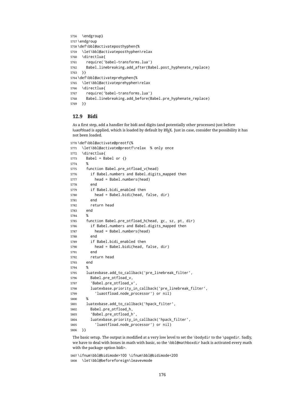```
5756 \endgroup}
5757 \endgroup
5758 \def\bbl@activateposthyphen{%
5759 \let\bbl@activateposthyphen\relax
5760 \directlua{
5761 require('babel-transforms.lua')
5762 Babel.linebreaking.add_after(Babel.post_hyphenate_replace)
5763 }}
5764 \def\bbl@activateprehyphen{%
5765 \let\bbl@activateprehyphen\relax
5766 \directlua{
5767 require('babel-transforms.lua')
5768 Babel.linebreaking.add_before(Babel.pre_hyphenate_replace)
5769 }}
```
#### **12.9 Bidi**

As a first step, add a handler for bidi and digits (and potentially other processes) just before luaoftload is applied, which is loaded by default by ET<sub>EX</sub>. Just in case, consider the possibility it has not been loaded.

```
5770 \def\bbl@activate@preotf{%
```

```
5771 \let\bbl@activate@preotf\relax % only once
5772 \directlua{
5773 Babel = Babel or \{\}5774 %
5775 function Babel.pre_otfload_v(head)
5776 if Babel.numbers and Babel.digits_mapped then
5777 head = Babel.numbers(head)
5778 end
5779 if Babel.bidi_enabled then
5780 head = Babel.bidi(head, false, dir)
5781 end
5782 return head
5783 end
5784
5785 function Babel.pre_otfload_h(head, gc, sz, pt, dir)
5786 if Babel.numbers and Babel.digits_mapped then
5787 head = Babel.numbers(head)
5788 end
5789 if Babel.bidi_enabled then
5790 head = Babel.bidi(head, false, dir)
5791 end
5792 return head
5793 end
5794
5795 luatexbase.add_to_callback('pre_linebreak_filter',
5796 Babel.pre_otfload_v,
5797 'Babel.pre_otfload_v',
5798 luatexbase.priority_in_callback('pre_linebreak_filter',
5799 'luaotfload.node_processor') or nil)
5800 %
5801 luatexbase.add_to_callback('hpack_filter',
5802 Babel.pre_otfload_h,
5803 'Babel.pre_otfload_h',
5804 luatexbase.priority_in_callback('hpack_filter',
5805 'luaotfload.node_processor') or nil)
5806 }}
```
The basic setup. The output is modified at a very low level to set the \bodydir to the \pagedir. Sadly, we have to deal with boxes in math with basic, so the \bbl@mathboxdir hack is activated every math with the package option bidi=.

 \ifnum\bbl@bidimode>100 \ifnum\bbl@bidimode<200 \let\bbl@beforeforeign\leavevmode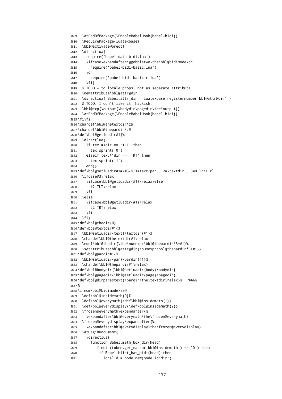```
5809 \AtEndOfPackage{\EnableBabelHook{babel-bidi}}
5810 \RequirePackage{luatexbase}
5811 \bbl@activate@preotf
5812 \directlua{
5813 require('babel-data-bidi.lua')
5814 \ifcase\expandafter\@gobbletwo\the\bbl@bidimode\or
5815 require('babel-bidi-basic.lua')
5816 \or
5817 require('babel-bidi-basic-r.lua')
5818 \fi}
5819 % TODO - to locale_props, not as separate attribute
5820 \newattribute\bbl@attr@dir
5821 \directlua{ Babel.attr_dir = luatexbase.registernumber'bbl@attr@dir' }
5822 % TODO. I don't like it, hackish:
5823 \bbl@exp{\output{\bodydir\pagedir\the\output}}
5824 \AtEndOfPackage{\EnableBabelHook{babel-bidi}}
5825 \fi\fi
5826 \chardef\bbl@thetextdir\z@
5827 \chardef\bbl@thepardir\z@
5828 \def\bbl@getluadir#1{%
5829 \directlua{
5830 if tex.#1dir == 'TLT' then
5831 tex.sprint('0')
5832 elseif tex.#1dir == 'TRT' then
5833 tex.sprint('1')
5834 end}}
5835 \def\bbl@setluadir#1#2#3{% 1=text/par.. 2=\textdir.. 3=0 lr/1 rl
5836 \ifcase#3\relax
5837 \ifcase\bbl@getluadir{#1}\relax\else
5838 #2 TLT\relax
5839 \fi
5840 \else
5841 \ifcase\bbl@getluadir{#1}\relax
5842 #2 TRT\relax
5843 \fi
5844 \fi}
5845 \def\bbl@thedir{0}
5846 \def\bbl@textdir#1{%
5847 \bbl@setluadir{text}\textdir{#1}%
5848 \chardef\bbl@thetextdir#1\relax
5849 \edef\bbl@thedir{\the\numexpr\bbl@thepardir*3+#1}%
5850 \setattribute\bbl@attr@dir{\numexpr\bbl@thepardir*3+#1}}
5851 \def\bbl@pardir#1{%
5852 \bbl@setluadir{par}\pardir{#1}%
5853 \chardef\bbl@thepardir#1\relax}
5854 \def\bbl@bodydir{\bbl@setluadir{body}\bodydir}
5855 \def\bbl@pagedir{\bbl@setluadir{page}\pagedir}
5856 \def\bbl@dirparastext{\pardir\the\textdir\relax}% %%%%
5857 %
5858 \ifnum\bbl@bidimode>\z@
5859 \def\bbl@insidemath{0}%
5860 \def\bbl@everymath{\def\bbl@insidemath{1}}
5861 \def\bbl@everydisplay{\def\bbl@insidemath{2}}
5862 \frozen@everymath\expandafter{%
5863 \expandafter\bbl@everymath\the\frozen@everymath}
5864 \frozen@everydisplay\expandafter{%
5865 \expandafter\bbl@everydisplay\the\frozen@everydisplay}
5866 \AtBeginDocument{
5867 \directlua{
5868 function Babel.math_box_dir(head)
5869 if not (token.get_macro('bbl@insidemath') == '0') then
5870 if Babel.hlist_has_bidi(head) then
5871 local d = node.new(node.id'dir')
```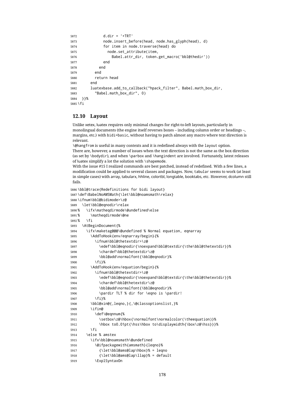```
5872 d.dir = '+TRT'
5873 node.insert_before(head, node.has_glyph(head), d)
5874 for item in node.traverse(head) do
5875 node.set_attribute(item,
5876 Babel.attr_dir, token.get_macro('bbl@thedir'))
5877 end
5878 end
5879 end
5880 return head
5881 end
5882 luatexbase.add_to_callback("hpack_filter", Babel.math_box_dir,
5883 "Babel.math_box_dir", 0)
5884 }}%
5885 \fi
```
#### **12.10 Layout**

Unlike xetex, luatex requires only minimal changes for right-to-left layouts, particularly in monolingual documents (the engine itself reverses boxes – including column order or headings –, margins, etc.) with bidi=basic, without having to patch almost any macro where text direction is relevant.

\@hangfrom is useful in many contexts and it is redefined always with the layout option. There are, however, a number of issues when the text direction is not the same as the box direction (as set by \bodydir), and when \parbox and \hangindent are involved. Fortunately, latest releases of luatex simplify a lot the solution with \shapemode.

With the issue #15 I realized commands are best patched, instead of redefined. With a few lines, a modification could be applied to several classes and packages. Now, tabular seems to work (at least in simple cases) with array, tabularx, hhline, colortbl, longtable, booktabs, etc. However, dcolumn still fails.

```
5886 \bbl@trace{Redefinitions for bidi layout}
5887 \def\BabelNoAMSMath{\let\bbl@noamsmath\relax}
5888 \ifnum\bbl@bidimode>\z@
5889 \let\bbl@eqnodir\relax
5890 % \ifx\matheqdirmode\@undefined\else
5891 % \matheqdirmode\@ne
5892 % \fi
5893 \AtBeginDocument{%
5894 \ifx\maketag@@@\@undefined % Normal equation, eqnarray
5895 \AddToHook{env/eqnarray/begin}{%
5896 \ifnum\bbl@thetextdir>\z@
5897 \edef\bbl@eqnodir{\noexpand\bbl@textdir{\the\bbl@thetextdir}}%
5898 \chardef\bbl@thetextdir\z@
5899 \bbl@add\normalfont{\bbl@eqnodir}%
5900 \fi}%
5901 \AddToHook{env/equation/begin}{%
5902 \ifnum\bbl@thetextdir>\z@
5903 \edef\bbl@eqnodir{\noexpand\bbl@textdir{\the\bbl@thetextdir}}%
5904 \chardef\bbl@thetextdir\z@
5905 \bbl@add\normalfont{\bbl@eqnodir}%
5906 \pardir TLT % dir for \eqno is \pardir!
5907 \fi}%
5908 \bbl@xin@{,leqno,}{,\@classoptionslist,}%
5909 \ifin@
5910 \def\@eqnnum{%
5911 \setbox\z@\hbox{\normalfont\normalcolor(\theequation)}%
5912 \hbox to0.01pt{\hss\hbox to\displaywidth{\box\z@\hss}}}%
5913 \fi
5914 \else % amstex
5915 \ifx\bbl@noamsmath\@undefined
5916 \@ifpackagewith{amsmath}{leqno}%
5917 {\let\bbl@ams@lap\hbox}% = leqno
5918 {\let\bbl@ams@lap\llap}% = default
5919 \ExplSyntaxOn
```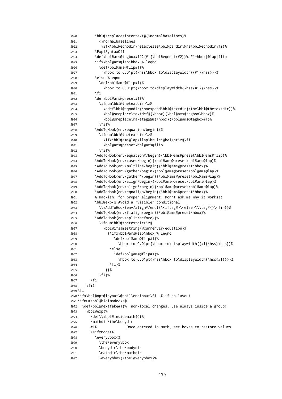```
5920 \bbl@sreplace\intertext@{\normalbaselines}%
5921 {\normalbaselines
5922 \ifx\bbl@eqnodir\relax\else\bbl@pardir\@ne\bbl@eqnodir\fi}%
5923 \ExplSyntaxOff
5924 \def\bbl@ams@tagbox#1#2{#1{\bbl@eqnodir#2}}% #1=hbox|@lap|flip
5925 \ifx\bbl@ams@lap\hbox % leqno
5926 \def\bbl@ams@flip#1{%
5927 \hbox to 0.01pt{\hss\hbox to\displaywidth{{#1}\hss}}}%
5928 \text{Velse } % eqno
5929 \def\bbl@ams@flip#1{%
5930 \hbox to 0.01pt{\hbox to\displaywidth{\hss{#1}}\hss}}%
5931 \fi
5932 \def\bbl@ams@preset#1{%
5933 \ifnum\bbl@thetextdir>\z@
5934 \edef\bbl@eqnodir{\noexpand\bbl@textdir{\the\bbl@thetextdir}}%
5935 \bbl@sreplace\textdef@{\hbox}{\bbl@ams@tagbox\hbox}%
5936 \bbl@sreplace\maketag@@@{\hbox}{\bbl@ams@tagbox#1}%
5937 \fi}%
5938 \AddToHook{env/equation/begin}{%
5939 \ifnum\bbl@thetextdir>\z@
5940 \ifx\bbl@ams@lap\llap\hrule\@height\z@\fi
5941 \bbl@ams@preset\bbl@ams@flip
5942 \fi}%
5943 \AddToHook{env/equation*/begin}{\bbl@ams@preset\bbl@ams@flip}%
5944 \AddToHook{env/cases/begin}{\bbl@ams@preset\bbl@ams@lap}%
5945 \AddToHook{env/multline/begin}{\bbl@ams@preset\hbox}%
5946 \AddToHook{env/gather/begin}{\bbl@ams@preset\bbl@ams@lap}%
5947 \AddToHook{env/gather*/begin}{\bbl@ams@preset\bbl@ams@lap}%
5948 \AddToHook{env/align/begin}{\bbl@ams@preset\bbl@ams@lap}%
5949 \AddToHook{env/align*/begin}{\bbl@ams@preset\bbl@ams@lap}%
5950 \AddToHook{env/eqnalign/begin}{\bbl@ams@preset\hbox}%
5951 % Hackish, for proper alignment. Don't ask me why it works!:
5952 \bbl@exp{% Avoid a 'visible' conditional
5953 \\\AddToHook{env/align*/end}{\<iftag@>\<else>\\\tag*{}\<fi>}}%
5954 \AddToHook{env/flalign/begin}{\bbl@ams@preset\hbox}%
5955 \AddToHook{env/split/before}{%
5956 \ifnum\bbl@thetextdir>\z@
5957 \bbl@ifsamestring\@currenvir{equation}%
5958 {\ifx\bbl@ams@lap\hbox % leqno
5959 \def\bbl@ams@flip#1{%
5960 \hbox to 0.01pt{\hbox to\displaywidth{{#1}\hss}\hss}}%
5961 \else
5962 \def\bbl@ams@flip#1{%
5963 \hbox to 0.01pt{\hss\hbox to\displaywidth{\hss{#1}}}}%
5964 \fi}%
5965 {}%
5966 \fi}%
5967 \fi
5968 \fi}
5969 \fi
5970 \ifx\bbl@opt@layout\@nnil\endinput\fi % if no layout
5971 \ifnum\bbl@bidimode>\z@
5972 \def\bbl@nextfake#1{% non-local changes, use always inside a group!
5973 \bbl@exp{%
5974 \def\\\bbl@insidemath{0}%
5975 \mathdir\the\bodydir
5976 #1% Once entered in math, set boxes to restore values
5977 \<ifmmode>%
5978 \everyvbox{%
5979 \the\everyvbox
5980 \bodydir\the\bodydir
5981 \mathdir\the\mathdir
5982 \everyhbox{\the\everyhbox}%
```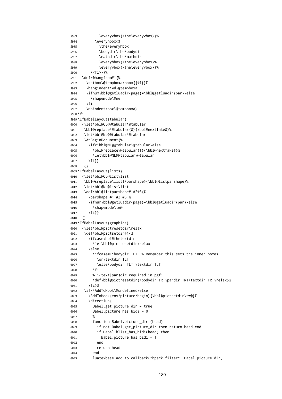```
5983 \everyvbox{\the\everyvbox}}%
5984 \everyhbox{%
5985 \the\everyhbox
5986 \bodydir\the\bodydir
5987 \mathdir\the\mathdir
5988 \everyhbox{\the\everyhbox}%
5989 \everyvbox{\the\everyvbox}}%
5990 \<fi>}}%
5991 \def\@hangfrom#1{%
5992 \setbox\@tempboxa\hbox{{#1}}%
5993 \hangindent\wd\@tempboxa
5994 \ifnum\bbl@getluadir{page}=\bbl@getluadir{par}\else
5995 \shapemode\@ne
5996 \fi
5997 \noindent\box\@tempboxa}
5998 \fi
5999 \IfBabelLayout{tabular}
6000 {\let\bbl@OL@@tabular\@tabular
6001 \bbl@replace\@tabular{$}{\bbl@nextfake$}%
6002 \let\bbl@NL@@tabular\@tabular
6003 \AtBeginDocument{%
6004 \ifx\bbl@NL@@tabular\@tabular\else
6005 \bbl@replace\@tabular{$}{\bbl@nextfake$}%
6006 \let\bbl@NL@@tabular\@tabular
6007 \fi}}
6008 {}
6009 \IfBabelLayout{lists}
6010 {\let\bbl@OL@list\list
6011 \bbl@sreplace\list{\parshape}{\bbl@listparshape}%
6012 \let\bbl@NL@list\list
6013 \def\bbl@listparshape#1#2#3{%
6014 \parshape #1 #2 #3 %
6015 \ifnum\bbl@getluadir{page}=\bbl@getluadir{par}\else
6016 \shapemode\tw@
6017 \fi}}
6018 {}
6019 \IfBabelLayout{graphics}
6020 {\let\bbl@pictresetdir\relax
6021 \def\bbl@pictsetdir#1{%
6022 \ifcase\bbl@thetextdir
6023 \let\bbl@pictresetdir\relax
6024 \leq \leq \leq \leq \leq6025 \ifcase#1\bodydir TLT % Remember this sets the inner boxes
6026 \or\textdir TLT
6027 \else\bodydir TLT \textdir TLT
6028 \fi
6029 % \(text|par)dir required in pgf:
6030 \def\bbl@pictresetdir{\bodydir TRT\pardir TRT\textdir TRT\relax}%
6031 \fi}%
6032 \ifx\AddToHook\@undefined\else
6033 \AddToHook{env/picture/begin}{\bbl@pictsetdir\tw@}%
6034 \directlua{
6035 Babel.get_picture_dir = true
6036 Babel.picture_has_bidi = 0
6037
6038 function Babel.picture_dir (head)
6039 if not Babel.get_picture_dir then return head end
6040 if Babel.hlist_has_bidi(head) then
6041 Babel.picture_has_bidi = 1
6042 end
6043 return head
6044 end
6045 luatexbase.add_to_callback("hpack_filter", Babel.picture_dir,
```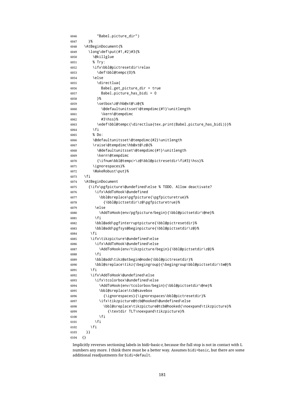```
6046 "Babel.picture_dir")
6047 }%
6048 \AtBeginDocument{%
6049 \long\def\put(#1,#2)#3{%
6050 \@killglue
6051 % Try:
6052 \ifx\bbl@pictresetdir\relax
6053 \def\bbl@tempc{0}%
6054 \leq \leq \leq \leq \leq \leq \leq \leq \leq \leq \leq \leq \leq \leq \leq \leq \leq \leq \leq \leq \leq \leq \leq \leq \leq \leq \leq \leq \leq \leq \leq \leq \leq \leq \leq \leq6055 \directlua{
6056 Babel.get_picture_dir = true
6057 Babel.picture_has_bidi = 0
6058 }%
6059 \setbox\z@\hb@xt@\z@{%
6060 \@defaultunitsset\@tempdimc{#1}\unitlength
6061 \kern\@tempdimc
6062 \#3\text{hcc}%
6063 \edef\bbl@tempc{\directlua{tex.print(Babel.picture_has_bidi)}}%
6064 \fi
6065 % Do:
6066 \@defaultunitsset\@tempdimc{#2}\unitlength
6067 \raise\@tempdimc\hb@xt@\z@{%
6068 \@defaultunitsset\@tempdimc{#1}\unitlength
6069 \kern\@tempdimc
6070 {\ifnum\bbl@tempc>\z@\bbl@pictresetdir\fi#3}\hss}%
6071 \ignorespaces}%
6072 \MakeRobust\put}%
6073 \fi
6074 \AtBeginDocument
6075 {\ifx\pgfpicture\@undefined\else % TODO. Allow deactivate?
6076 \ifx\AddToHook\@undefined
6077 \bbl@sreplace\pgfpicture{\pgfpicturetrue}%
6078 {\bbl@pictsetdir\z@\pgfpicturetrue}%
6079 \else
6080 \AddToHook{env/pgfpicture/begin}{\bbl@pictsetdir\@ne}%
6081 \fi
6082 \bbl@add\pgfinterruptpicture{\bbl@pictresetdir}%
6083 \bbl@add\pgfsys@beginpicture{\bbl@pictsetdir\z@}%
6084 \fi
6085 \ifx\tikzpicture\@undefined\else
6086 \ifx\AddToHook\@undefined\else
6087 \AddToHook{env/tikzpicture/begin}{\bbl@pictsetdir\z@}%
6088 \fi
6089 \bbl@add\tikz@atbegin@node{\bbl@pictresetdir}%
6090 \bbl@sreplace\tikz{\begingroup}{\begingroup\bbl@pictsetdir\tw@}%
6091 \fi
6092 \ifx\AddToHook\@undefined\else
6093 \ifx\tcolorbox\@undefined\else
6094 \AddToHook{env/tcolorbox/begin}{\bbl@pictsetdir\@ne}%
6095 \bbl@sreplace\tcb@savebox
6096 {\ignorespaces}{\ignorespaces\bbl@pictresetdir}%
6097 \ifx\tikzpicture@tcb@hooked\@undefined\else
6098 \bbl@sreplace\tikzpicture@tcb@hooked{\noexpand\tikzpicture}%
6099 {\textdir TLT\noexpand\tikzpicture}%
6100 \quad \text{Vfi}6101 \fi
6102 \fi
6103 }}
6104 {}
```
Implicitly reverses sectioning labels in bidi=basic-r, because the full stop is not in contact with L numbers any more. I think there must be a better way. Assumes bidi=basic, but there are some additional readjustments for bidi=default.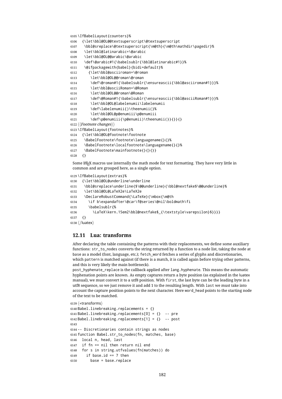```
6105 \IfBabelLayout{counters}%
6106 {\let\bbl@OL@@textsuperscript\@textsuperscript
6107 \bbl@sreplace\@textsuperscript{\m@th}{\m@th\mathdir\pagedir}%
6108 \let\bbl@latinarabic=\@arabic
6109 \let\bbl@OL@@arabic\@arabic
6110 \def\@arabic#1{\babelsublr{\bbl@latinarabic#1}}%
6111 \@ifpackagewith{babel}{bidi=default}%
6112 {\let\bbl@asciiroman=\@roman
6113 \let\bbl@OL@@roman\@roman
6114 \def\@roman#1{\babelsublr{\ensureascii{\bbl@asciiroman#1}}}%
6115 \let\bbl@asciiRoman=\@Roman
6116 \let\bbl@OL@@roman\@Roman
6117 \def\@Roman#1{\babelsublr{\ensureascii{\bbl@asciiRoman#1}}}%
6118 \let\bbl@OL@labelenumii\labelenumii
6119 \def\labelenumii{)\theenumii(}%
6120 \let\bbl@OL@p@enumiii\p@enumiii
6121 \def\p@enumiii{\p@enumii)\theenumii(}}{}}{}
6122 \langle{Footnote changes}}
6123 \IfBabelLayout{footnotes}%
6124 {\let\bbl@OL@footnote\footnote
6125 \BabelFootnote\footnote\languagename{}{}%
6126 \BabelFootnote\localfootnote\languagename{}{}%
6127 \BabelFootnote\mainfootnote{}{}{}}
```

```
6128 {}
```
Some ET<sub>F</sub>X macros use internally the math mode for text formatting. They have very little in common and are grouped here, as a single option.

```
6129 \IfBabelLayout{extras}%
```
{\let\bbl@OL@underline\underline

```
6131 \bbl@sreplace\underline{$\@@underline}{\bbl@nextfake$\@@underline}%
```

```
6132 \let\bbl@OL@LaTeX2e\LaTeX2e
```
\DeclareRobustCommand{\LaTeXe}{\mbox{\m@th

```
6134 \if b\expandafter\@car\f@series\@nil\boldmath\fi
```

```
6135 \babelsublr{%
```

```
6136 \LaTeX\kern.15em2\bbl@nextfake$_{\textstyle\varepsilon}$}}}}
```

```
6137 {}
```

```
6138 \langle /luatex)
```
#### **12.11 Lua: transforms**

After declaring the table containing the patterns with their replacements, we define some auxiliary functions: str\_to\_nodes converts the string returned by a function to a node list, taking the node at base as a model (font, language, etc.); fetch\_word fetches a series of glyphs and discretionaries, which pattern is matched against (if there is a match, it is called again before trying other patterns, and this is very likely the main bottleneck).

post hyphenate replace is the callback applied after lang.hyphenate. This means the automatic hyphenation points are known. As empty captures return a byte position (as explained in the luatex manual), we must convert it to a utf8 position. With first, the last byte can be the leading byte in a utf8 sequence, so we just remove it and add 1 to the resulting length. With last we must take into account the capture position points to the next character. Here word\_head points to the starting node of the text to be matched.

```
6139 (*transforms)
6140 Babel.linebreaking.replacements = {}
6141 Babel.linebreaking.replacements[0] = {} -- pre
6142 Babel.linebreaking.replacements[1] = {} -- post
6143
6144 -- Discretionaries contain strings as nodes
6145 function Babel.str_to_nodes(fn, matches, base)
6146 local n, head, last
6147 if fn == nil then return nil end
6148 for s in string.utfvalues(fn(matches)) do
6149 if base.id == 7 then
6150 base = base.replace
```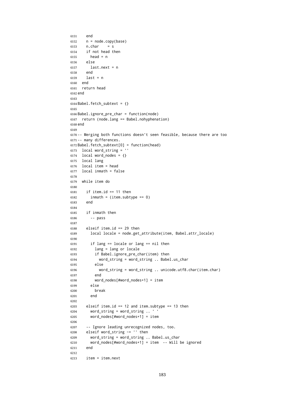```
6151 end
6152 n = node.copy(base)
6153 n.char = s
6154 if not head then
6155 head = n
6156 else
6157 last.next = n
6158 end
6159 last = n
6160 end
6161 return head
6162 end
6163
6164 Babel.fetch_subtext = {}
6165
6166 Babel.ignore_pre_char = function(node)
6167 return (node.lang == Babel.nohyphenation)
6168 end
6169
6170 -- Merging both functions doesn't seen feasible, because there are too
6171 -- many differences.
6172 Babel.fetch_subtext[0] = function(head)
6173 local word string = ''6174 local word nodes = \{\}6175 local lang
6176 local item = head
6177 local inmath = false
6178
6179 while item do
6180
6181 if item.id == 11 then
6182 inmath = (item.subtype == 0)
6183 end
6184
6185 if inmath then
6186 -- pass
6187
6188 elseif item.id == 29 then
6189 local locale = node.get_attribute(item, Babel.attr_locale)
6190
6191 if lang == locale or lang == nil then
6192 lang = lang or locale
6193 if Babel.ignore_pre_char(item) then
6194 word_string = word_string .. Babel.us_char
6195 else
6196 word_string = word_string .. unicode.utf8.char(item.char)
6197 end
6198 word_nodes[#word_nodes+1] = item
6199 else
6200 break
6201 end
6202
6203 elseif item.id == 12 and item.subtype == 13 then
6204 word_string = word_string .. ' '
6205 word_nodes[#word_nodes+1] = item
6206
6207 -- Ignore leading unrecognized nodes, too.
6208 elseif word_string ~= '' then
6209 word_string = word_string .. Babel.us_char
6210 word_nodes[#word_nodes+1] = item -- Will be ignored
6211 end
6212
6213 item = item.next
```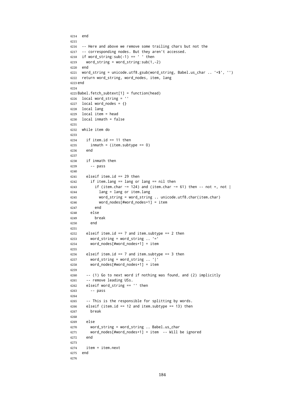```
6214 end
6215
6216 -- Here and above we remove some trailing chars but not the
6217 -- corresponding nodes. But they aren't accessed.
6218 if word_string:sub(-1) == ' ' then
6219 word_string = word_string:sub(1,-2)
6220 end
6221 word_string = unicode.utf8.gsub(word_string, Babel.us_char .. '+$', '')
6222 return word_string, word_nodes, item, lang
6223 end
6224
6225 Babel.fetch_subtext[1] = function(head)
6226 local word string = ''6227 local word nodes = \{\}6228 local lang
6229 local item = head
6230 local inmath = false
6231
6232 while item do
6233
6234 if item.id == 11 then
6235 inmath = (item.subtype == 0)
6236 end
6237
6238 if inmath then
6239 -- pass
6240
6241 elseif item.id == 29 then
6242 if item.lang == lang or lang == nil then
6243 if (item.char \sim= 124) and (item.char \sim= 61) then -- not =, not |
6244 lang = lang or item.lang
6245 word_string = word_string .. unicode.utf8.char(item.char)
6246 word_nodes[#word_nodes+1] = item
6247 end
6248 else
6249 break
6250 end
6251
6252 elseif item.id == 7 and item.subtype == 2 then
6253 word_string = word_string .. '='
6254 word_nodes[#word_nodes+1] = item
6255
6256 elseif item.id == 7 and item.subtype == 3 then
6257 word_string = word_string .. '|'
6258 word_nodes[#word_nodes+1] = item
6259
6260 -- (1) Go to next word if nothing was found, and (2) implicitly
6261 -- remove leading USs.
6262 elseif word_string == '' then
6263 -- pass
6264
6265 -- This is the responsible for splitting by words.
6266 elseif (item.id == 12 and item.subtype == 13) then
6267 break
6268
6269 else
6270 word_string = word_string .. Babel.us_char
6271 word_nodes[#word_nodes+1] = item -- Will be ignored
6272 end
6273
6274 item = item.next
6275 end
6276
```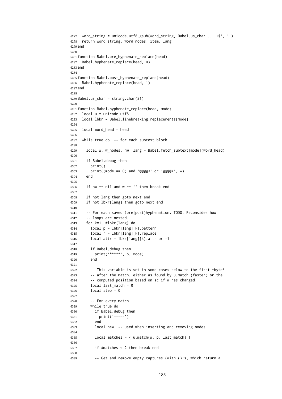```
6277 word string = unicode.utf8.gsub(word string, Babel.us char \ldots '+$', '')
6278 return word_string, word_nodes, item, lang
6279 end
6280
6281 function Babel.pre_hyphenate_replace(head)
6282 Babel.hyphenate_replace(head, 0)
6283 end
6284
6285 function Babel.post_hyphenate_replace(head)
6286 Babel.hyphenate_replace(head, 1)
6287 end
6288
6289 Babel.us char = string.char(31)
6290
6291 function Babel.hyphenate_replace(head, mode)
6292 local u = unicode.utf8
6293 local lbkr = Babel.linebreaking.replacements[mode]
6294
6295 local word_head = head
6296
6297 while true do -- for each subtext block
6298
6299 local w, w_nodes, nw, lang = Babel.fetch_subtext[mode](word_head)
6300
6301 if Babel.debug then
6302 print()
6303 print((mode == 0) and '@@@@<' or '@@@@>', w)
6304 end
6305
6306 if nw == nil and w == '' then break end
6307
6308 if not lang then goto next end
6309 if not lbkr[lang] then goto next end
6310
6311 -- For each saved (pre|post)hyphenation. TODO. Reconsider how
6312 -- loops are nested.
6313 for k=1, #lbkr[lang] do
6314 local p = lbkr[lang][k].pattern
6315 local r = lbkr[lang][k].replace
6316 local attr = lbkr[lang][k].attr or -1
6317
6318 if Babel.debug then
6319 print('*****', p, mode)
6320 end
6321
6322 -- This variable is set in some cases below to the first *byte*
6323 -- after the match, either as found by u.match (faster) or the
6324 -- computed position based on sc if w has changed.
6325 local last_match = 0
6326 local step = 0
6327
6328 -- For every match.
6329 while true do
6330 if Babel.debug then
6331 print('=====')
6332 end
6333 local new -- used when inserting and removing nodes
6334
6335 local matches = { u.\text{match}(w, p, \text{ last match}) }
6336
6337 if #matches < 2 then break end
6338
6339 -- Get and remove empty captures (with ()'s, which return a
```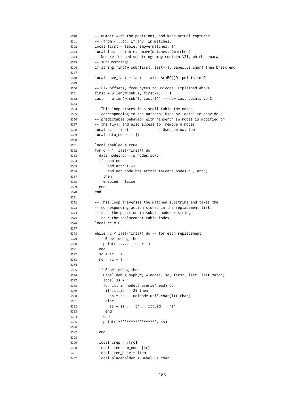```
6340 -- number with the position), and keep actual captures
6341 -- (from ( \ldots )), if any, in matches.
6342 local first = table.remove(matches, 1)
6343 local last = table.remove(matches, #matches)
6344 -- Non re-fetched substrings may contain \31, which separates
6345 -- subsubstrings.
6346 if string.find(w:sub(first, last-1), Babel.us_char) then break end
6347
6348 local save_last = last -- with A()BC()D, points to D
6349
6350 -- Fix offsets, from bytes to unicode. Explained above.
6351 first = u.length(w:sub(1, first-1)) + 16352 last = u.len(w:sub(1, last-1)) -- now last points to C
6353
6354 -- This loop stores in a small table the nodes
6355 -- corresponding to the pattern. Used by 'data' to provide a
6356 -- predictable behavior with 'insert' (w_nodes is modified on
6357 -- the fly), and also access to 'remove'd nodes.
6358 local sc = first-1 -- Used below, too
6359 local data_nodes = {}
6360
6361 local enabled = true
6362 for q = 1, last-first+1 do
6363 data_nodes[q] = w_nodes[sc+q]
6364 if enabled
6365 and attr > -1
6366 and not node.has_attribute(data_nodes[q], attr)
6367 then
6368 enabled = false
6369 end
6370 end
6371
6372 -- This loop traverses the matched substring and takes the
6373 -- corresponding action stored in the replacement list.
6374 -- sc = the position in substr nodes / string
6375 -- rc = the replacement table index
6376 local rc = 0
6377
6378 while rc < last-first+1 do -- for each replacement
6379 if Babel.debug then
6380 print('.....', rc + 1)
6381 end
6382 SC = SC + 16383 rc = rc + 1
6384
6385 if Babel.debug then
6386 Babel.debug_hyph(w, w_nodes, sc, first, last, last_match)
6387 local ss = ''
6388 for itt in node.traverse(head) do
6389 if itt.id == 29 then
6390 ss = ss .. unicode.utf8.char(itt.char)
6391 else
6392 ss = ss .. '{' .. itt.id .. '}'
6393 end
6394 end
6395 print('*****************', ss)
6396
6397 end
6398
6399 local crep = r[rc]
6400 local item = w_nodes[sc]
6401 local item_base = item
6402 local placeholder = Babel.us_char
```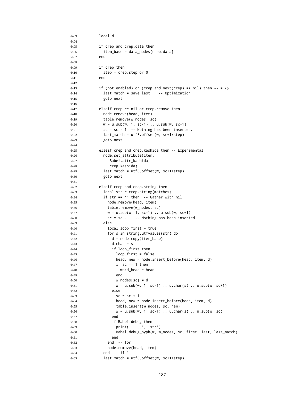```
6403 local d
6404
6405 if crep and crep.data then
6406 item_base = data_nodes[crep.data]
6407 end
6408
6409 if crep then
6410 step = crep.step or 0
6411 end
6412
6413 if (not enabled) or (crep and next(crep) == nil) then -- = {}
6414 last_match = save_last -- Optimization
6415 goto next
6416
6417 elseif crep == nil or crep.remove then
6418 node.remove(head, item)
6419 table.remove(w_nodes, sc)
6420 W = u \cdot sub(w, 1, sc-1) \cdot u \cdot sub(w, sc+1)6421 sc = sc - 1 -- Nothing has been inserted.
6422 last_match = utf8.offset(w, sc+1+step)
6423 goto next
6424
6425 elseif crep and crep.kashida then -- Experimental
6426 node.set_attribute(item,
6427 Babel.attr_kashida,
6428 crep.kashida)
6429 last_match = utf8.offset(w, sc+1+step)
6430 goto next
6431
6432 elseif crep and crep.string then
6433 local str = crep.string(matches)
6434 if str == '' then -- Gather with nil
6435 node.remove(head, item)
6436 table.remove(w_nodes, sc)
6437 w = u \cdot sub(w, 1, sc-1) \cdot u \cdot sub(w, sc+1)6438 sc = sc - 1 -- Nothing has been inserted.
6439 else
6440 local loop_first = true
6441 for s in string.utfvalues(str) do
6442 d = node.copy(item_base)
6443 d.char = s
6444 if loop_first then
6445 loop_first = false
6446 head, new = node.insert_before(head, item, d)
6447 if sc == 1 then
6448 word_head = head
6449 end
6450 w_nodes[sc] = d
6451 w = u.sub(w, 1, sc-1) .. u.char(s) .. u.sub(w, sc+1)
6452 else
6453 sc = sc + 1
6454 head, new = node.insert_before(head, item, d)
6455 table.insert(w_nodes, sc, new)
6456 w = u.sub(w, 1, sc-1) .. u.char(s) .. u.sub(w, sc)
6457 end
6458 if Babel.debug then
6459 print('.....', 'str')
6460 Babel.debug_hyph(w, w_nodes, sc, first, last, last_match)
6461 end
6462 end -- for
6463 node.remove(head, item)
6464 end -- if ''
6465 last_match = utf8.offset(w, sc+1+step)
```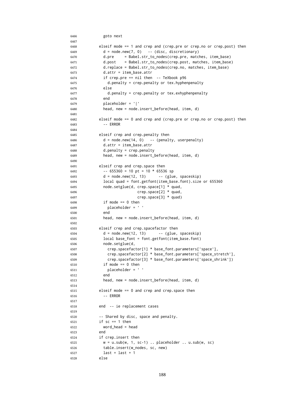```
6466 goto next
6467
6468 elseif mode == 1 and crep and (crep.pre or crep.no or crep.post) then
6469 d = node.new(7, 0) -- (disc, discretionary)
6470 d.pre = Babel.str_to_nodes(crep.pre, matches, item_base)
6471 d.post = Babel.str_to_nodes(crep.post, matches, item_base)
6472 d.replace = Babel.str_to_nodes(crep.no, matches, item_base)
6473 d.attr = item_base.attr
6474 if crep.pre == nil then -- TeXbook p96
6475 d.penalty = crep.penalty or tex.hyphenpenalty
6476 else
6477 d.penalty = crep.penalty or tex.exhyphenpenalty
6478 end
6479 placeholder = '|'
6480 head, new = node.insert_before(head, item, d)
6481
6482 elseif mode == 0 and crep and (crep.pre or crep.no or crep.post) then
6483 -- ERROR
6484
6485 elseif crep and crep.penalty then
6486 d = node.new(14, 0) -- (penalty, userpenalty)
6487 d.attr = item_base.attr
6488 d.penalty = crep.penalty
6489 head, new = node.insert_before(head, item, d)
6490
6491 elseif crep and crep.space then
6492 -- 655360 = 10 pt = 10 * 65536 sp
6493 d = node.new(12, 13) -- (glue, spaceskip)
6494 local quad = font.getfont(item_base.font).size or 655360
6495 node.setglue(d, crep.space[1] * quad,
6496 crep.space[2] * quad,
6497 crep.space[3] * quad)
6498 if mode == 0 then
6499 placeholder = ' '
6500 end
6501 head, new = node.insert_before(head, item, d)
6502
6503 elseif crep and crep.spacefactor then
6504 d = node.new(12, 13) -- (glue, spaceskip)
6505 local base_font = font.getfont(item_base.font)
6506 node.setglue(d,
6507 crep.spacefactor[1] * base_font.parameters['space'],
6508 crep.spacefactor[2] * base_font.parameters['space_stretch'],
6509 crep.spacefactor[3] * base_font.parameters['space_shrink'])
6510 if mode == 0 then
6511 placeholder = ' '
6512 end
6513 head, new = node.insert_before(head, item, d)
6514
6515 elseif mode == 0 and crep and crep.space then
6516 -- ERROR
6517
6518 end -- ie replacement cases
6519
6520 -- Shared by disc, space and penalty.
6521 if sc == 1 then
6522 word_head = head
6523 end
6524 if crep.insert then
6525 w = u.sub(w, 1, sc-1) .. placeholder .. u.sub(w, sc)
6526 table.insert(w_nodes, sc, new)
6527 last = last + 1
6528 else
```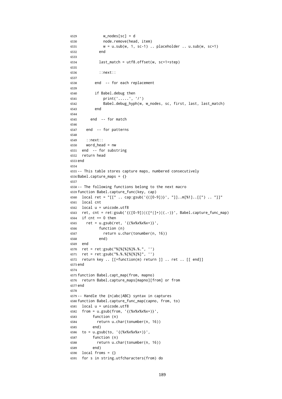```
6529 w nodes [sc] = d
6530 node.remove(head, item)
6531 w = u.sub(w, 1, sc-1) .. placeholder .. u.sub(w, sc+1)
6532 end
6533
6534 last_match = utf8.offset(w, sc+1+step)
6535
6536 ::next::
6537
6538 end -- for each replacement
6539
6540 if Babel.debug then
6541 print('.....', '/')
6542 Babel.debug_hyph(w, w_nodes, sc, first, last, last_match)
6543 end
6544
6545 end -- for match
6546
6547 end -- for patterns
6548
6549 \cdot n \cdot n+16550 word head = nw
6551 end -- for substring
6552 return head
6553 end
6554
6555 -- This table stores capture maps, numbered consecutively
6556 Babel.capture_maps = {}
6557
6558 -- The following functions belong to the next macro
6559 function Babel.capture_func(key, cap)
6560 local ret = "[[" .. cap:gsub('{([0-9])}', "]]..m[%1]..[[") .. "]]"
6561 local cnt
6562 local u = unicode.utf8
6563 ret, cnt = ret:gsub('{([0-9])|([^{\wedge}])+(.^{\wedge})'. Babel.capture_func_map)
6564 if cnt == 0 then
6565 ret = u.gsub(ret, '{(%x%x%x%x+)}',
6566 function (n)
6567 return u.char(tonumber(n, 16))
6568 end)
6569 end
6570 ret = ret:gsub("%[%[%]%]%.%.", '')
6571 ret = ret:gsub("%.%.%[%[%]%]", '')
6572 return key .. [[=function(m) return ]] .. ret .. [[ end]]
6573 end
6574
6575 function Babel.capt_map(from, mapno)
6576 return Babel.capture_maps[mapno][from] or from
6577 end
6578
6579 -- Handle the {n|abc|ABC} syntax in captures
6580 function Babel.capture_func_map(capno, from, to)
6581 local u = unicode.utf8
6582 from = u.gsub(from, '{(%x%x%x%x+)}',
6583 function (n)
6584 return u.char(tonumber(n, 16))
6585 end)
6586 to = u.gsub(to, '{(%x%x%x%x+)}',
6587 function (n)
6588 return u.char(tonumber(n, 16))
6589 end)
6590 local froms = {}
6591 for s in string.utfcharacters(from) do
```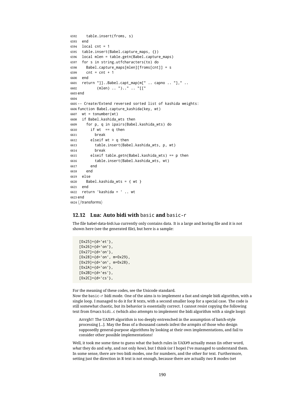```
6592 table.insert(froms, s)
6593 end
6594 local cnt = 1
6595 table.insert(Babel.capture maps, {})
6596 local mlen = table.getn(Babel.capture_maps)
6597 for s in string.utfcharacters(to) do
6598 Babel.capture_maps[mlen][froms[cnt]] = s
6599 cnt = cnt + 16600 end
6601 return "]]..Babel.capt_map(m[" .. capno .. "]," ..
6602 (mlen) .. ").." .. "[["
6603 end
6604
6605 -- Create/Extend reversed sorted list of kashida weights:
6606 function Babel.capture_kashida(key, wt)
6607 wt = tonumber(wt)
6608 if Babel.kashida_wts then
6609 for p, q in ipairs(Babel.kashida_wts) do
6610 if wt == q then
6611 break
6612 elseif wt > q then
6613 table.insert(Babel.kashida_wts, p, wt)
6614 break
6615 elseif table.getn(Babel.kashida_wts) == p then
6616 table.insert(Babel.kashida_wts, wt)
6617 end
6618 end
6619 else
6620 Babel.kashida_wts = { wt }
6621 end
6622 return 'kashida = ' .. wt
6623 end
6624 \langle/transforms\rangle
```
### **12.12 Lua: Auto bidi with** basic **and** basic-r

The file babel-data-bidi.lua currently only contains data. It is a large and boring file and it is not shown here (see the generated file), but here is a sample:

```
[0x25]=\{d='et'\}[0x26] = {d= 'on'},
[0x27] = {d= 'on'},
[0x28]={d='on', m=0x29},
[0x29]={d='on', m=0x28},
[0x2A]=\{d='on'\}\,[0x2B]=\{d='es'\},
[0x2C]=\{d='cs'\},
```
For the meaning of these codes, see the Unicode standard.

Now the basic-r bidi mode. One of the aims is to implement a fast and simple bidi algorithm, with a single loop. I managed to do it for R texts, with a second smaller loop for a special case. The code is still somewhat chaotic, but its behavior is essentially correct. I cannot resist copying the following text from Emacs bidi.c (which also attempts to implement the bidi algorithm with a single loop):

Arrrgh!! The UAX#9 algorithm is too deeply entrenched in the assumption of batch-style processing [...]. May the fleas of a thousand camels infest the armpits of those who design supposedly general-purpose algorithms by looking at their own implementations, and fail to consider other possible implementations!

Well, it took me some time to guess what the batch rules in UAX#9 actually mean (in other word, *what* they do and *why*, and not only *how*), but I think (or I hope) I've managed to understand them. In some sense, there are two bidi modes, one for numbers, and the other for text. Furthermore, setting just the direction in R text is not enough, because there are actually *two* R modes (set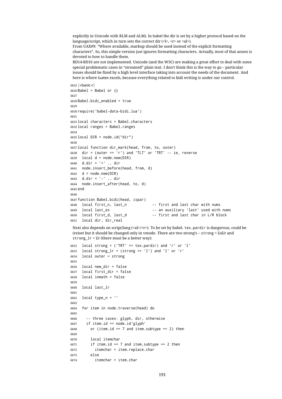explicitly in Unicode with RLM and ALM). In babel the dir is set by a higher protocol based on the language/script, which in turn sets the correct dir  $(\langle \cdot | \cdot \rangle, \langle r \rangle)$  or  $\langle a | \cdot \rangle$ .

From UAX#9: "Where available, markup should be used instead of the explicit formatting characters". So, this simple version just ignores formatting characters. Actually, most of that annex is devoted to how to handle them.

BD14-BD16 are not implemented. Unicode (and the W3C) are making a great effort to deal with some special problematic cases in "streamed" plain text. I don't think this is the way to go – particular issues should be fixed by a high level interface taking into account the needs of the document. And here is where luatex excels, because everything related to bidi writing is under our control.

```
6625 \langle *basic-r \rangle6626 Babel = Babel or \{\}6627
6628 Babel.bidi_enabled = true
6629
6630 require('babel-data-bidi.lua')
6631
6632 local characters = Babel.characters
6633 local ranges = Babel.ranges
6634
6635 local DIR = node.id("dir")
6636
6637 local function dir_mark(head, from, to, outer)
6638 dir = (outer == 'r') and 'TLT' or 'TRT' -- ie, reverse
6639 local d = node.new(DIR)
6640 d.dir = '+' .. dir
6641 node.insert_before(head, from, d)
6642 d = node.new(DIR)
6643 d.dir = '-' .. dir
6644 node.insert_after(head, to, d)
6645 end
6646
6647 function Babel.bidi(head, ispar)
6648 local first_n, last_n -- first and last char with nums
6649 local last_es -- an auxiliary 'last' used with nums
                                       -- first and last char in L/R block
6651 local dir, dir_real
```
Next also depends on script/lang (<al>/<r>><r>>>>>. To be set by babel. tex.pardir is dangerous, could be (re)set but it should be changed only in vmode. There are two strong's – strong = l/al/r and strong  $\ln = \frac{1}{r}$  (there must be a better way):

```
6652 local strong = ('TRT' == tex.pardir) and 'r' or 'l'
6653 local strong_lr = (strong == 'l') and 'l' or 'r'
6654 local outer = strong
6655
6656 local new_dir = false
6657 local first_dir = false
6658 local inmath = false
6659
6660 local last_lr
6661
6662 local type_n = ''
6663
6664 for item in node.traverse(head) do
6665
6666 -- three cases: glyph, dir, otherwise
6667 if item.id == node.id'glyph'
6668 or (item.id == 7 and item.subtype == 2) then
6669
6670 local itemchar
6671 if item.id == 7 and item.subtype == 2 then
6672 itemchar = item.replace.char
6673 else
6674 itemchar = item.char
```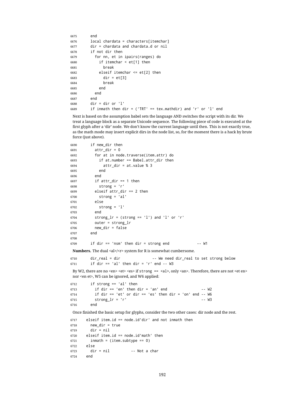```
6675 end
6676 local chardata = characters[itemchar]
6677 dir = chardata and chardata.d or nil
6678 if not dir then
6679 for nn, et in ipairs(ranges) do
6680 if itemchar < et[1] then
6681 break
6682 elseif itemchar <= et[2] then
6683 dir = et[3]
6684 break
6685 end
6686 end
6687 end
6688 dir = dir or 'l'
6689 if inmath then dir = ('TRT' == tex.mathdir) and 'r' or 'l' end
```
Next is based on the assumption babel sets the language AND switches the script with its dir. We treat a language block as a separate Unicode sequence. The following piece of code is executed at the first glyph after a 'dir' node. We don't know the current language until then. This is not exactly true, as the math mode may insert explicit dirs in the node list, so, for the moment there is a hack by brute force (just above).

```
6690 if new_dir then
6691 attr_dir = 0
6692 for at in node.traverse(item.attr) do
6693 if at.number == Babel.attr_dir then
6694 attr_dir = at.value % 3
6695 end
6696 end
6697 if attr dir == 1 then
6698 strong = 'r'
6699 elseif attr_dir == 2 then
6700 strong = 'al'
6701 else
6702 strong = 'l'
6703 end
6704 strong_lr = (strong == 'l') and 'l' or 'r'
6705 outer = strong_lr
6706 new_dir = false
6707 end
6708
6709 if dir == 'nsm' then dir = strong end -- W1
```
**Numbers.** The dual <al>/<r>>/<r> system for R is somewhat cumbersome.

```
6710 dir real = dir -- We need dir real to set strong below
6711 if dir == 'al' then dir = 'r' end -- W3
```
By W2, there are no <en> <et> <et> <es> if strong == <al>, only <an>. Therefore, there are not <et en> nor <en et>, W5 can be ignored, and W6 applied:

```
6712 if strong == 'al' then
6713 if dir == 'en' then dir = 'an' end -- W2
6714 if dir == 'et' or dir == 'es' then dir = 'on' end -- W6
6715 strong_lr = 'r' -- W3
6716 end
```
Once finished the basic setup for glyphs, consider the two other cases: dir node and the rest.

```
6717 elseif item.id == node.id'dir' and not inmath then
6718 new dir = true
6719 dir = nil
6720 elseif item.id == node.id'math' then
6721 inmath = (item.subtype == 0)
6722 else
6723 dir = nil - Not a char
6724 end
```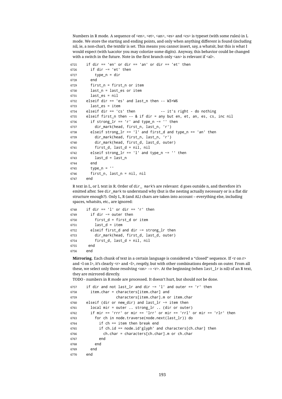Numbers in R mode. A sequence of <en>, <et>, <an>, <es> and <cs> is typeset (with some rules) in L mode. We store the starting and ending points, and only when anything different is found (including nil, ie, a non-char), the textdir is set. This means you cannot insert, say, a whatsit, but this is what I would expect (with luacolor you may colorize some digits). Anyway, this behavior could be changed with a switch in the future. Note in the first branch only <an> is relevant if <al>.

```
6725 if dir == 'en' or dir == 'an' or dir == 'et' then
6726 if dir \sim= 'et' then
6727 type n = dir6728 end
6729 first n = first n or item
6730 last_n = last_es or item
6731 last_es = nil
6732 elseif dir == 'es' and last_n then -- W3+W6
6733 last_es = item
6734 elseif dir == 'cs' then - it's right - do nothing
6735 elseif first_n then -- & if dir = any but en, et, an, es, cs, inc nil
6736 if strong_\bar{l}r == 'r' and type_n ~= '' then
6737 dir_mark(head, first_n, last_n, 'r')
6738 elseif strong_lr == 'l' and first_d and type_n == 'an' then
6739 dir_mark(head, first_n, last_n, 'r')
6740 dir_mark(head, first_d, last_d, outer)
6741 first_d, last_d = nil, nil
6742 elseif strong_lr == 'l' and type_n \sim= '' then
6743 last d = last n
6744 end
6745 type_n = ''
6746 first_n, last_n = nil, nil
6747 end
```
R text in L, or L text in R. Order of dir\_ mark's are relevant: d goes outside n, and therefore it's emitted after. See dir\_mark to understand why (but is the nesting actually necessary or is a flat dir structure enough?). Only L, R (and AL) chars are taken into account – everything else, including spaces, whatsits, etc., are ignored:

```
6748 if dir == 'l' or dir == 'r' then
6749 if dir \sim= outer then
6750 first_d = first_d or item
6751 last d = item6752 elseif first d and dir \sim= strong lr then
6753 dir_mark(head, first_d, last_d, outer)
6754 first_d, last_d = nil, nil
6755 end
6756 end
```
**Mirroring.** Each chunk of text in a certain language is considered a "closed" sequence. If <r on r> and <l on  $\vert$ >, it's clearly <r> and <l>, resptly, but with other combinations depends on outer. From all these, we select only those resolving <on>  $\rightarrow$  <r>  $\leftrightarrow$  At the beginning (when last\_lr is nil) of an R text, they are mirrored directly.

TODO - numbers in R mode are processed. It doesn't hurt, but should not be done.

```
6757 if dir and not last_lr and dir ~= 'l' and outer == 'r' then
6758 item.char = characters[item.char] and
6759 characters[item.char].m or item.char
6760 elseif (dir or new_dir) and last_lr ~= item then
6761 local mir = outer .. strong_lr .. (dir or outer)
6762 if mir == 'rrr' or mir == 'lrr' or mir == 'rrl' or mir == 'rlr' then
6763 for ch in node.traverse(node.next(last_lr)) do
6764 if ch == item then break end
6765 if ch.id == node.id'glyph' and characters[ch.char] then
6766 ch.char = characters[ch.char].m or ch.char
6767 end
6768 end
6769 end
6770 end
```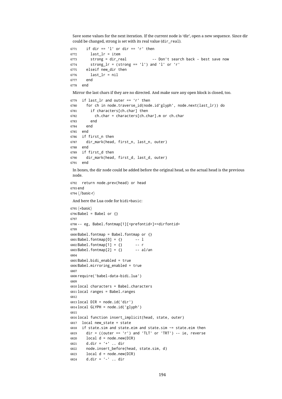Save some values for the next iteration. If the current node is 'dir', open a new sequence. Since dir could be changed, strong is set with its real value (dir\_real).

```
6771 if dir == 'l' or dir == 'r' then
6772 last_lr = item
6773 strong = dir_real -- Don't search back - best save now
6774 strong_lr = (strong == 'l') and 'l' or 'r'
6775 elseif new_dir then
6776 last lr = nil6777 end
6778 end
```
Mirror the last chars if they are no directed. And make sure any open block is closed, too.

```
6779 if last_lr and outer == 'r' then
6780 for ch in node.traverse_id(node.id'glyph', node.next(last_lr)) do
6781 if characters[ch.char] then
6782 ch.char = characters[ch.char].m or ch.char
6783 end
6784 end
6785 end
6786 if first_n then
6787 dir_mark(head, first_n, last_n, outer)
6788 end
6789 if first_d then
6790 dir_mark(head, first_d, last_d, outer)
6791 end
```
In boxes, the dir node could be added before the original head, so the actual head is the previous node.

```
6792 return node.prev(head) or head
6793 end
6794\langle/basic-r\rangle
```
And here the Lua code for bidi=basic:

```
6795 (*basic)
6796 Babel = Babel or \{\}6797
6798 -- eg, Babel.fontmap[1][<prefontid>]=<dirfontid>
6799
6800 Babel.fontmap = Babel.fontmap or {}
6801 Babel.fontmap[0] = {} -- l
6802 Babel.fontmap[1] = \{ \} -- r
6803 Babel.fontmap[2] = {} -- al/an
6804
6805 Babel.bidi_enabled = true
6806 Babel.mirroring_enabled = true
6807
6808 require('babel-data-bidi.lua')
6809
6810 local characters = Babel.characters
6811 local ranges = Babel.ranges
6812
6813 local DIR = node.id('dir')
6814 local GLYPH = node.id('glyph')
6815
6816 local function insert_implicit(head, state, outer)
6817 local new_state = state
6818 if state.sim and state.eim and state.sim ~= state.eim then
6819 dir = ((outer == 'r') and 'TLT' or 'TRT') -- ie, reverse
6820 local d = node.new(DIR)
6821 d.dir = '+' .. dir
6822 node.insert_before(head, state.sim, d)
6823 local d = node.new(DIR)
6824 d.dir = '-' .. dir
```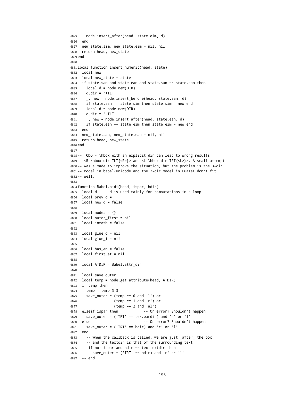```
6825 node.insert_after(head, state.eim, d)
6826 end
6827 new_state.sim, new_state.eim = nil, nil
6828 return head, new_state
6829 end
6830
6831 local function insert_numeric(head, state)
6832 local new
6833 local new_state = state
6834 if state.san and state.ean and state.san ~= state.ean then
6835 local d = node.new(DIR)
6836 d.dir = '+TLT'
6837 _, new = node.insert_before(head, state.san, d)
6838 if state.san == state.sim then state.sim = new end
6839 local d = node.new(DIR)
6840 d.dir = '-TLT'
6841 . new = node.insert after(head, state.ean, d)
6842 if state.ean == state.eim then state.eim = new end
6843 end
6844 new_state.san, new_state.ean = nil, nil
6845 return head, new_state
6846 end
6847
6848 -- TODO - \hbox with an explicit dir can lead to wrong results
6849 -- <R \hbox dir TLT{<R>}> and <L \hbox dir TRT{<L>}>. A small attempt
6850 -- was s made to improve the situation, but the problem is the 3-dir
6851 -- model in babel/Unicode and the 2-dir model in LuaTeX don't fit
6852 - w^26853
6854 function Babel.bidi(head, ispar, hdir)
6855 local d -- d is used mainly for computations in a loop
6856 local prev d = ''
6857 local new_d = false
6858
6859 local nodes = \{\}6860 local outer_first = nil
6861 local inmath = false
6862
6863 local glue_d = nil
6864 local glue_i = nil
6865
6866 local has_en = false
6867 local first_et = nil
6868
6869 local ATDIR = Babel.attr_dir
6870
6871 local save_outer
6872 local temp = node.get_attribute(head, ATDIR)
6873 if temp then
6874 temp = temp % 3
6875 save outer = (temp == 0 and 'l') or
6876 (temp == 1 and 'r') or
6877 (temp == 2 and 'al')
6878 elseif ispar then -- Or error? Shouldn't happen
6879 save_outer = ('TRT' == tex.pardir) and 'r' or 'l'
6880 else -- Or error? Shouldn't happen
6881 save_outer = ('TRT' == hdir) and 'r' or 'l'
6882 end
6883 -- when the callback is called, we are just after the box,
6884 -- and the textdir is that of the surrounding text
6885 -- if not ispar and hdir ~= tex.textdir then
6886 -- save_outer = ('TRT' == hdir) and 'r' or 'l'
6887 -- end
```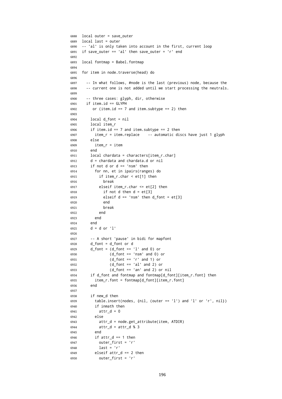```
6888 local outer = save_outer
6889 local last = outer
6890 -- 'al' is only taken into account in the first, current loop
6891 if save outer == 'al' then save outer = 'r' end
6892
6893 local fontmap = Babel.fontmap
6894
6895 for item in node.traverse(head) do
6896
6897 -- In what follows, #node is the last (previous) node, because the
6898 -- current one is not added until we start processing the neutrals.
6899
6900 -- three cases: glyph, dir, otherwise
6901 if item.id == GLYPH
6902 or (item.id == 7 and item.subtype == 2) then
6903
6904 local d_font = nil
6905 local item_r
6906 if item.id == 7 and item.subtype == 2 then
6907 item_r = item.replace -- automatic discs have just 1 glyph
6908 else
6909 item_r = item
6910 end
6911 local chardata = characters[item_r.char]
6912 d = chardata and chardata.d or nil
6913 if not d or d == 'nsm' then
6914 for nn, et in ipairs(ranges) do
6915 if item_r.char < et[1] then
6916 break
6917 elseif item_r.char <= et[2] then
6918 if not d then d = et[3]
6919 elseif d == 'nsm' then d_font = et[3]
6920 end
6921 break
6922 end
6923 end
6924 end
6925 d = d or 'l'
6926
6927 -- A short 'pause' in bidi for mapfont
6928 d_font = d_font or d
6929 d_font = (d_font == 'l' and 0) or
6930 (d_font == 'nsm' and 0) or
6931 (d_font == 'r' and 1) or
6932 (d_font == 'al' and 2) or
6933 (d_font == 'an' and 2) or nil
6934 if d_font and fontmap and fontmap[d_font][item_r.font] then
6935 item_r.font = fontmap[d_font][item_r.font]
6936 end
6937
6938 if new_d then
6939 table.insert(nodes, {nil, (outer == 'l') and 'l' or 'r', nil})
6940 if inmath then
6941 attr_d = 0
6942 else
6943 attr_d = node.get_attribute(item, ATDIR)
6944 attr_d = attr_d % 3
6945 end
6946 if attr d == 1 then
6947 outer_first = 'r'
6948 last = 'r'
6949 elseif attr_d == 2 then
6950 outer_first = 'r'
```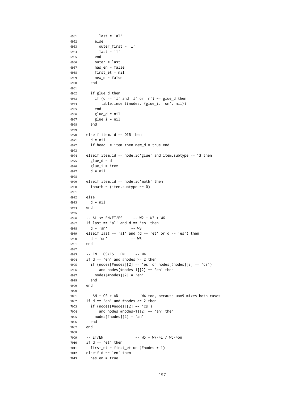```
6951 last = 'al'
6952 else
6953 outer_first = 'l'
6954 last = 'l'
6955 end
6956 outer = last
6957 has_en = false
6958 first_et = nil
6959 new d = false
6960 end
6961
6962 if glue_d then
6963 if (d == 'l' and 'l' or 'r') ~= glue_d then
6964 table.insert(nodes, {glue_i, 'on', nil})
6965 end
6966 glue_d = nil
6967 glue_i = nil
6968 end
6969
6970 elseif item.id == DIR then
6971 d = nil
6972 if head \sim= item then new d = true end
6973
6974 elseif item.id == node.id'glue' and item.subtype == 13 then
6975 glue d = d
6976 glue_i = item
6977 d = nil
6978
6979 elseif item.id == node.id'math' then
6980 inmath = (item.subtype == 0)
6981
6982 else
6983 d = nil
6984 end
6985
6986 -- AL <= EN/ET/ES -- W2 + W3 + W6
6987 if last == 'al' and d == 'en' then
6988 d = 'an' -- W3
6989 elseif last == 'al' and (d == 'et' or d == 'es') then
6990 d = 'on' -- W6
6991 end
6992
6993 -- EN + CS/ES + EN -- W4
6994 if d == 'en' and #nodes >= 2 then
6995 if (nodes[#nodes][2] == 'es' or nodes[#nodes][2] == 'cs')
6996 and nodes[#nodes-1][2] == 'en' then
6997 nodes[#nodes][2] = 'en'
6998 end
6999 end
7000
7001 -- AN + CS + AN -- W4 too, because uax9 mixes both cases
7002 if d == 'an' and #nodes >= 2 then
7003 if (nodes[#nodes][2] == 'cs')
7004 and nodes[#nodes-1][2] == 'an' then
7005 nodes[#nodes][2] = 'an'
7006 end
7007 end
7008
7009 -- ET/EN -- W5 + W7->l / W6->on
7010 if d == 'et' then
7011 first_et = first_et or (#nodes + 1)
7012 elseif d == 'en' then
7013 has_en = true
```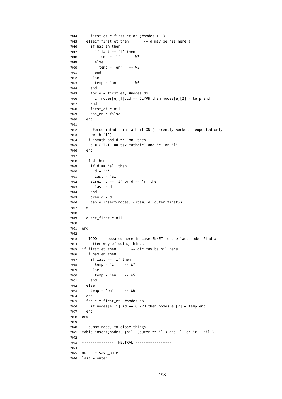```
7014 first et = first et or (#nodes + 1)
7015 elseif first_et then -- d may be nil here !
7016 if has_en then
7017 if last == 'l' then
7018 temp = 'l' -- W7
7019 else
7020 temp = 'en' -- W5
7021 end
7022 else
7023 temp = 'on' -- W6
7024 end
7025 for e = first_et, #nodes do
7026 if nodes[e][1].id == GLYPH then nodes[e][2] = temp end
7027 end
7028 first_et = nil
7029 has_en = false
7030 end
7031
7032 -- Force mathdir in math if ON (currently works as expected only
7033 -- with 'l')
7034 if inmath and d == 'on' then
7035 d = ('TRT' == tex.mathdir) and 'r' or 'l'
7036 end
7037
7038 if d then
7039 if d == 'al' then
7040 d = 'r'7041 last = 'al'
7042 elseif d == 'l' or d == 'r' then
7043 last = d
7044 end
7045 prev_d = d
7046 table.insert(nodes, {item, d, outer_first})
7047 end
7048
7049 outer_first = nil
7050
7051 end
7052
7053 -- TODO -- repeated here in case EN/ET is the last node. Find a
7054 -- better way of doing things:
7055 if first_et then -- dir may be nil here !
7056 if has_en then
7057 if last == 'l' then
7058 temp = 'l' -- W7
7059 else
7060 temp = 'en' -- W5
7061 end
7062 else
7063 temp = 'on' -- W6
7064 end
7065 for e = first_et, #nodes do
7066 if nodes[e][1].id == GLYPH then nodes[e][2] = temp end
7067 end
7068 end
7069
7070 -- dummy node, to close things
7071 table.insert(nodes, {nil, (outer == 'l') and 'l' or 'r', nil})
7072
7073 --------------- NEUTRAL -----------------
7074
7075 outer = save_outer
7076 last = outer
```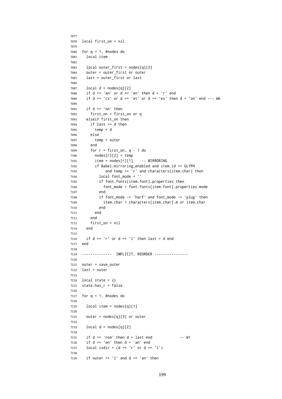```
7077
7078 local first_on = nil
7079
7080 for q = 1, #nodes do
7081 local item
7082
7083 local outer_first = nodes[q][3]
7084 outer = outer_first or outer
7085 last = outer_first or last
7086
7087 local d = nodes[q][2]
7088 if d == 'an' or d == 'en' then d = 'r' end
7089 if d == 'cs' or d == 'et' or d == 'es' then d = 'on' end --- W6
7090
7091 if d == 'on' then
7092 first_on = first_on or q
7093 elseif first_on then
7094 if last == d then
7095 temp = d
7096 else
7097 temp = outer
7098 end
7099 for r = first_on, q - 1 do
7100 nodes[r][2] = temp
7101 item = nodes[r][1] -- MIRRORING
7102 if Babel.mirroring_enabled and item.id == GLYPH
7103 and temp == 'r' and characters[item.char] then
7104 local font_mode = ''
7105 if font.fonts[item.font].properties then
7106 font_mode = font.fonts[item.font].properties.mode
7107 end
7108 if font_mode ~= 'harf' and font_mode ~= 'plug' then
7109 item.char = characters[item.char].m or item.char
7110 end
7111 end
7112 end
7113 first_on = nil
7114 end
7115
7116 if d == 'r' or d == 'l' then last = d end
7117 end
7118
7119 -------------- IMPLICIT, REORDER ----------------
7120
7121 outer = save_outer
7122 last = outer
7123
7124 local state = {}
7125 state.has_r = false
7126
7127 for q = 1, #nodes do
7128
7129 local item = nodes[q][1]
7130
7131 outer = nodes[q][3] or outer
7132
7133 local d = nodes[q][2]
7134
7135 if d == 'nsm' then d = last end -- W1
7136 if d == 'en' then d = 'an' end
7137 local isdir = (d == 'r' or d == 'l')7138
7139 if outer == 'l' and d == 'an' then
```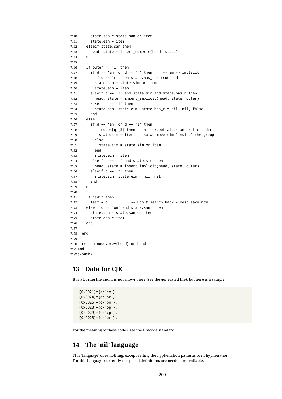```
7140 state.san = state.san or item
7141 state.ean = item
7142 elseif state.san then
7143 head, state = insert_numeric(head, state)
7144 end
7145
7146 if outer == 'l' then
7147 if d == 'an' or d == 'r' then -- im -> implicit
7148 if d == 'r' then state.has r = true end
7149 state.sim = state.sim or item
7150 state.eim = item
7151 elseif d == 'l' and state.sim and state.has_r then
7152 head, state = insert_implicit(head, state, outer)
7153 elseif d == 'l' then
7154 state.sim, state.eim, state.has_r = nil, nil, false
7155 end
7156 else
7157 if d == 'an' or d == 'l' then
7158 if nodes[q][3] then -- nil except after an explicit dir
7159 state.sim = item -- so we move sim 'inside' the group
7160 else
7161 state.sim = state.sim or item
7162 end
7163 state.eim = item
7164 elseif d == 'r' and state.sim then
7165 head, state = insert_implicit(head, state, outer)
7166 elseif d == 'r' then
7167 state.sim, state.eim = nil, nil
7168 end
7169 end
7170
7171 if isdir then
7172 last = d -- Don't search back - best save now
7173 elseif d == 'on' and state.san then
7174 state.san = state.san or item
7175 state.ean = item
7176 end
7177
7178 end
7179
7180 return node.prev(head) or head
7181 end
7182\langle/basic\rangle
```
### **13 Data for CJK**

It is a boring file and it is not shown here (see the generated file), but here is a sample:

```
[0x0021]={c='ex'},
[0x0024]={c='pr'},
[0x0025]={c='po'},
[0x0028]={c='op'},
[0 \times 0029] = \{c = 'cp' \},
[0x002B] = {c='pr'},
```
For the meaning of these codes, see the Unicode standard.

### **14 The 'nil' language**

This 'language' does nothing, except setting the hyphenation patterns to nohyphenation. For this language currently no special definitions are needed or available.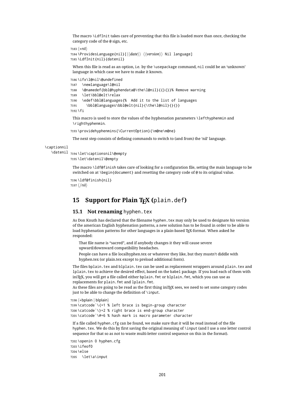The macro \LdfInit takes care of preventing that this file is loaded more than once, checking the category code of the @ sign, etc.

```
7183 (*nil)
```

```
7184 \ProvidesLanguage{nil}[\langle \langle date \rangle \rangle \langle \langle version \rangle \rangle Nil language]
7185 \LdfInit{nil}{datenil}
```
When this file is read as an option, i.e. by the \usepackage command, nil could be an 'unknown' language in which case we have to make it known.

7186 \ifx\l@nil\@undefined

```
7187 \newlanguage\l@nil
7188 \@namedef{bbl@hyphendata@\the\l@nil}{{}{}}% Remove warning
7189 \let\bbl@elt\relax
7190 \edef\bbl@languages{% Add it to the list of languages
7191 \bbl@languages\bbl@elt{nil}{\the\l@nil}{}{}}
7192 \fi
```
This macro is used to store the values of the hyphenation parameters \lefthyphenmin and \righthyphenmin.

7193 \providehyphenmins{\CurrentOption}{\m@ne\m@ne}

The next step consists of defining commands to switch to (and from) the 'nil' language.

```
\captionnil
```

```
\datenil <sub>7194</sub> \let\captionsnil\@empty
           7195 \let\datenil\@empty
```
The macro \ldf@finish takes care of looking for a configuration file, setting the main language to be switched on at \begin{document} and resetting the category code of @ to its original value.

```
7196 \ldf@finish{nil}
7197\langle/nil\rangle
```
## **15 Support for Plain TEX (**plain.def**)**

#### 15.1 Not renaming hyphen.tex

As Don Knuth has declared that the filename hyphen.tex may only be used to designate *his* version of the american English hyphenation patterns, a new solution has to be found in order to be able to load hyphenation patterns for other languages in a plain-based T<sub>E</sub>X-format. When asked he responded:

That file name is "sacred", and if anybody changes it they will cause severe upward/downward compatibility headaches.

People can have a file localhyphen.tex or whatever they like, but they mustn't diddle with hyphen.tex (or plain.tex except to preload additional fonts).

The files bplain.tex and blplain.tex can be used as replacement wrappers around plain.tex and lplain.tex to achieve the desired effect, based on the babel package. If you load each of them with iniT<sub>F</sub>X, you will get a file called either bplain. fmt or blplain. fmt, which you can use as replacements for plain.fmt and lplain.fmt.

As these files are going to be read as the first thing iniT<sub>E</sub>X sees, we need to set some category codes just to be able to change the definition of \input.

```
7198 (*bplain | blplain)
7199 \catcode`\{=1 % left brace is begin-group character
7200 \catcode`\}=2 % right brace is end-group character
7201 \catcode`\#=6 % hash mark is macro parameter character
```
If a file called hyphen.cfg can be found, we make sure that *it* will be read instead of the file hyphen.tex. We do this by first saving the original meaning of \input (and I use a one letter control sequence for that so as not to waste multi-letter control sequence on this in the format).

7202 \openin 0 hyphen.cfg  $7203 \text{ } \text{ifon}60$ 7204 \else 7205 \let\a\input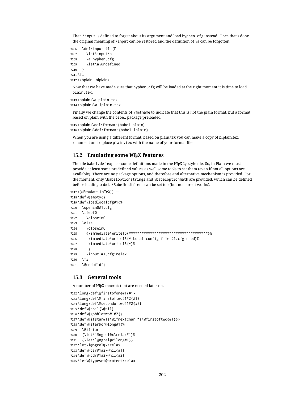Then \input is defined to forget about its argument and load hyphen.cfg instead. Once that's done the original meaning of  $\iota$  input can be restored and the definition of  $\iota$  can be forgotten.

```
7206 \def\input #1 {%
7207 \let\input\a
7208 \a hyphen.cfg
7209 \let\a\undefined
7210 }
7211 \fi
7212 \langle /bplain | blplain \rangle
```
Now that we have made sure that hyphen.cfg will be loaded at the right moment it is time to load plain.tex.

```
7213 (bplain) \a plain.tex
7214 \langle b|plain \ranglea lplain.tex
```
Finally we change the contents of \fmtname to indicate that this is *not* the plain format, but a format based on plain with the babel package preloaded.

```
7215 (bplain)\def\fmtname{babel-plain}
```

```
7216 (blplain)\def\fmtname{babel-lplain}
```
When you are using a different format, based on plain.tex you can make a copy of blplain.tex, rename it and replace plain.tex with the name of your format file.

#### **15.2 Emulating some LATEX features**

The file babel.def expects some definitions made in the  $\mathbb{E} \text{Tr} X 2 \varepsilon$  style file. So, in Plain we must provide at least some predefined values as well some tools to set them (even if not all options are available). There are no package options, and therefore and alternative mechanism is provided. For the moment, only \babeloptionstrings and \babeloptionmath are provided, which can be defined before loading babel. \BabelModifiers can be set too (but not sure it works).

```
7217 \langle\langle *Emulate\ LaTeX\rangle\rangle \equiv7218 \def\@empty{}
7219 \def\loadlocalcfg#1{%
7220 \openin0#1.cfg
7221 \ifeof0
7222 \closein0
7223 \else
7224 \closein0
7225 {\immediate\write16{*************************************}%
7226 \immediate\write16{* Local config file #1.cfg used}%
7227 \immediate\write16{*}%
7228 }
7229 \input #1.cfg\relax
7230 \fi
7231 \@endofldf}
```
#### **15.3 General tools**

A number of  $E/FX$  macro's that are needed later on.

```
7232 \long\def\@firstofone#1{#1}
7233 \long\def\@firstoftwo#1#2{#1}
7234 \long\def\@secondoftwo#1#2{#2}
7235 \def\@nnil{\@nil}
7236 \def\@gobbletwo#1#2{}
7237 \def\@ifstar#1{\@ifnextchar *{\@firstoftwo{#1}}}
7238 \def\@star@or@long#1{%
7239 \@ifstar
7240 {\let\l@ngrel@x\relax#1}%
7241 {\let\l@ngrel@x\long#1}}
7242 \let\l@ngrel@x\relax
7243 \def\@car#1#2\@nil{#1}
7244 \def\@cdr#1#2\@nil{#2}
7245 \let\@typeset@protect\relax
```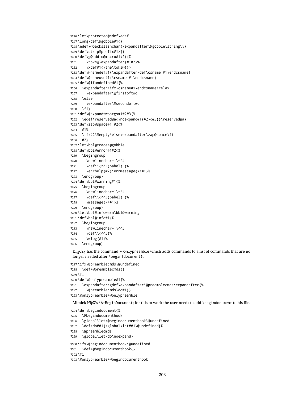```
7246 \let\protected@edef\edef
7247 \long\def\@gobble#1{}
7248 \edef\@backslashchar{\expandafter\@gobble\string\\}
7249 \def\strip@prefix#1>{}
7250 \def\g@addto@macro#1#2{{%
7251 \toks@\expandafter{#1#2}%
7252 \xdef#1{\the\toks@}}}
7253 \def\@namedef#1{\expandafter\def\csname #1\endcsname}
7254 \def\@nameuse#1{\csname #1\endcsname}
7255 \def\@ifundefined#1{%
7256 \expandafter\ifx\csname#1\endcsname\relax
7257 \expandafter\@firstoftwo
7258 \else
7259 \expandafter\@secondoftwo
7260 \fi}
7261 \def\@expandtwoargs#1#2#3{%
7262 \edef\reserved@a{\noexpand#1{#2}{#3}}\reserved@a}
7263 \def\zap@space#1 #2{%
7264 #1%
7265 \ifx#2\@empty\else\expandafter\zap@space\fi
7266 #2}
7267 \let\bbl@trace\@gobble
7268 \def\bbl@error#1#2{%
7269 \begingroup
7270 \newlinechar=`\^^J
7271 \def\\{^^J(babel) }%
7272 \errhelp{#2}\errmessage{\\#1}%
7273 \endgroup}
7274 \def\bbl@warning#1{%
7275 \begingroup
7276 \newlinechar=`\^^J
7277 \def\\{^^J(babel) }%
7278 \message{\\#1}%
7279 \endgroup}
7280 \let\bbl@infowarn\bbl@warning
7281 \def\bbl@info#1{%
7282 \begingroup
7283 \newlinechar=`\^^J
7284 \def\\{^^J}%
7285 \wlog{#1}%
7286 \endgroup}
```
ET<sub>E</sub>X 2<sub>ε</sub> has the command \@onlypreamble which adds commands to a list of commands that are no longer needed after \begin{document}.

```
7287 \ifx\@preamblecmds\@undefined
7288 \def\@preamblecmds{}
7289 \fi
7290 \def\@onlypreamble#1{%
7291 \expandafter\gdef\expandafter\@preamblecmds\expandafter{%
7292 \@preamblecmds\do#1}}
7293 \@onlypreamble\@onlypreamble
```
Mimick EIFX's \AtBeginDocument; for this to work the user needs to add \begindocument to his file.

\def\begindocument{%

```
7295 \@begindocumenthook
```

```
7296 \global\let\@begindocumenthook\@undefined
```
- \def\do##1{\global\let##1\@undefined}%
- \@preamblecmds
- 7299 \global\let\do\noexpand}

\ifx\@begindocumenthook\@undefined

\def\@begindocumenthook{}

```
7302 \fi
```
\@onlypreamble\@begindocumenthook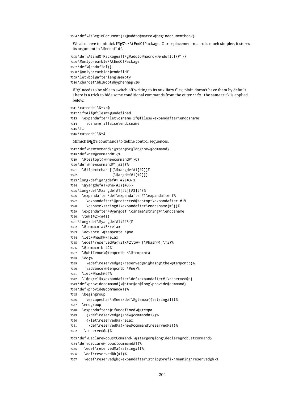\def\AtBeginDocument{\g@addto@macro\@begindocumenthook}

We also have to mimick ETEX's \AtEndOfPackage. Our replacement macro is much simpler; it stores its argument in \@endofldf.

```
7305 \def\AtEndOfPackage#1{\g@addto@macro\@endofldf{#1}}
7306 \@onlypreamble\AtEndOfPackage
7307 \def\@endofldf{}
7308 \@onlypreamble\@endofldf
7309 \let\bbl@afterlang\@empty
7310 \chardef\bbl@opt@hyphenmap\z@
```
LATEX needs to be able to switch off writing to its auxiliary files; plain doesn't have them by default. There is a trick to hide some conditional commands from the outer  $\iota$  ifx. The same trick is applied below.

```
7311 \catcode`\&=\z@
7312 \ifx&if@filesw\@undefined
7313 \expandafter\let\csname if@filesw\expandafter\endcsname
7314 \csname iffalse\endcsname
7315 \fi
7316 \catcode`\&=4
```
Mimick LATEX's commands to define control sequences.

```
7317 \def\newcommand{\@star@or@long\new@command}
7318 \def\new@command#1{%
7319 \@testopt{\@newcommand#1}0}
7320 \def\@newcommand#1[#2]{%
7321 \@ifnextchar [{\@xargdef#1[#2]}%
7322 {\@argdef#1[#2]}}
7323 \long\def\@argdef#1[#2]#3{%
7324 \@yargdef#1\@ne{#2}{#3}}
7325 \long\def\@xargdef#1[#2][#3]#4{%
7326 \expandafter\def\expandafter#1\expandafter{%
7327 \expandafter\@protected@testopt\expandafter #1%
7328 \csname\string#1\expandafter\endcsname{#3}}%
7329 \expandafter\@yargdef \csname\string#1\endcsname
7330 \tw@{#2}{#4}}
7331 \long\def\@yargdef#1#2#3{%
7332 \@tempcnta#3\relax
7333 \advance \@tempcnta \@ne
7334 \let\@hash@\relax
7335 \edef\reserved@a{\ifx#2\tw@ [\@hash@1]\fi}%
7336 \@tempcntb #2%
7337 \@whilenum\@tempcntb <\@tempcnta
7338 \do{%
7339 \edef\reserved@a{\reserved@a\@hash@\the\@tempcntb}%
7340 \advance\@tempcntb \@ne}%
7341 \let\@hash@##%
7342 \l@ngrel@x\expandafter\def\expandafter#1\reserved@a}
7343 \def\providecommand{\@star@or@long\provide@command}
7344 \def\provide@command#1{%
7345 \begingroup
7346 \escapechar\m@ne\xdef\@gtempa{{\string#1}}%
7347 \endgroup
7348 \expandafter\@ifundefined\@gtempa
7349 {\def\reserved@a{\new@command#1}}%
7350 {\let\reserved@a\relax
7351 \def\reserved@a{\new@command\reserved@a}}%
7352 \reserved@a}%
7353 \def\DeclareRobustCommand{\@star@or@long\declare@robustcommand}
7354 \def\declare@robustcommand#1{%
7355 \edef\reserved@a{\string#1}%
```

```
7356 \def\reserved@b{#1}%
```

```
7357 \edef\reserved@b{\expandafter\strip@prefix\meaning\reserved@b}%
```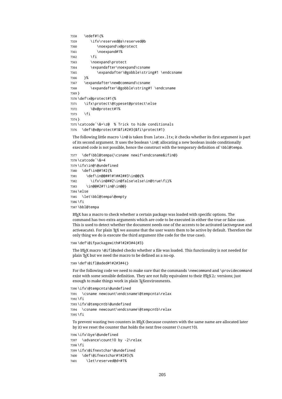```
7358 \edef#1{%
7359 \ifx\reserved@a\reserved@b
7360 \noexpand\x@protect
7361 \noexpand#1%
7362 \fi
7363 \noexpand\protect
7364 \expandafter\noexpand\csname
7365 \expandafter\@gobble\string#1 \endcsname
7366 }%
7367 \expandafter\new@command\csname
7368 \expandafter\@gobble\string#1 \endcsname
7369 }
7370 \def\x@protect#1{%
7371 \ifx\protect\@typeset@protect\else
7372 \@x@protect#1%
7373 \fi
7374 }
7375 \catcode`\&=\z@ % Trick to hide conditionals
7376 \def\@x@protect#1&fi#2#3{&fi\protect#1}
```
The following little macro \in@ is taken from latex.ltx; it checks whether its first argument is part of its second argument. It uses the boolean \in@; allocating a new boolean inside conditionally executed code is not possible, hence the construct with the temporary definition of \bbl@tempa.

```
7377 \def\bbl@tempa{\csname newif\endcsname&ifin@}
7378 \catcode`\&=4
7379 \ifx\in@\@undefined
7380 \def\in@#1#2{%
7381 \def\in@@##1#1##2##3\in@@{%
7382 \ifx\in@##2\in@false\else\in@true\fi}%
7383 \in@@#2#1\in@\in@@}
7384 \else
7385 \let\bbl@tempa\@empty
7386 \fi
7387 \bbl@tempa
```
LATEX has a macro to check whether a certain package was loaded with specific options. The command has two extra arguments which are code to be executed in either the true or false case. This is used to detect whether the document needs one of the accents to be activated (activegrave and activeacute). For plain TFX we assume that the user wants them to be active by default. Therefore the only thing we do is execute the third argument (the code for the true case).

```
7388 \def\@ifpackagewith#1#2#3#4{#3}
```
The LTFX macro \@ifl@aded checks whether a file was loaded. This functionality is not needed for plain T<sub>F</sub>X but we need the macro to be defined as a no-op.

```
7389 \def\@ifl@aded#1#2#3#4{}
```
For the following code we need to make sure that the commands \newcommand and \providecommand exist with some sensible definition. They are not fully equivalent to their  $\mathbb{E} E[X]$  versions; just enough to make things work in plain TEXenvironments.

```
7390 \ifx\@tempcnta\@undefined
7391 \csname newcount\endcsname\@tempcnta\relax
7392 \fi
7393 \ifx\@tempcntb\@undefined
7394 \csname newcount\endcsname\@tempcntb\relax
7395 \fi
```
To prevent wasting two counters in LHEX (because counters with the same name are allocated later by it) we reset the counter that holds the next free counter (\count10).

```
7396 \ifx\bye\@undefined
7397 \advance\count10 by -2\relax
7398 \fi
7399 \ifx\@ifnextchar\@undefined
7400 \def\@ifnextchar#1#2#3{%
7401 \let\reserved@d=#1%
```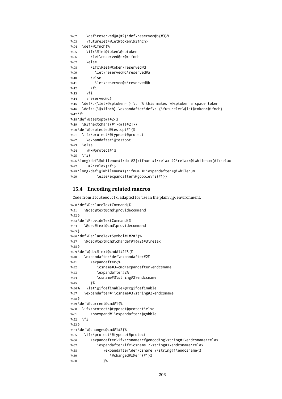```
7402 \def\reserved@a{#2}\def\reserved@b{#3}%
7403 \futurelet\@let@token\@ifnch}
7404 \def\@ifnch{%
7405 \ifx\@let@token\@sptoken
7406 \let\reserved@c\@xifnch
7407 \else
7408 \ifx\@let@token\reserved@d
7409 \let\reserved@c\reserved@a
7410 \else
7411 \let\reserved@c\reserved@b
7412 \fi
7413 \fi
7414 \reserved@c}
7415 \def\:{\let\@sptoken= } \: % this makes \@sptoken a space token
7416 \def\:{\@xifnch} \expandafter\def\: {\futurelet\@let@token\@ifnch}
7417 \fi
7418 \def\@testopt#1#2{%
7419 \@ifnextchar[{#1}{#1[#2]}}
7420 \def\@protected@testopt#1{%
7421 \ifx\protect\@typeset@protect
7422 \expandafter\@testopt
7423 \else
7424 \@x@protect#1%
7425 \fi}
7426 \long\def\@whilenum#1\do #2{\ifnum #1\relax #2\relax\@iwhilenum{#1\relax
7427 #2\relax}\fi}
7428 \long\def\@iwhilenum#1{\ifnum #1\expandafter\@iwhilenum
7429 \else\expandafter\@gobble\fi{#1}}
```
#### **15.4 Encoding related macros**

Code from ltoutenc.dtx, adapted for use in the plain T<sub>F</sub>X environment.

```
7430 \def\DeclareTextCommand{%
7431 \@dec@text@cmd\providecommand
7432 }
7433 \def\ProvideTextCommand{%
7434 \@dec@text@cmd\providecommand
7435 }
7436 \def\DeclareTextSymbol#1#2#3{%
7437 \@dec@text@cmd\chardef#1{#2}#3\relax
7438 }
7439 \def\@dec@text@cmd#1#2#3{%
7440 \expandafter\def\expandafter#2%
7441 \expandafter{%
7442 \csname#3-cmd\expandafter\endcsname
7443 \expandafter#2%
7444 \csname#3\string#2\endcsname
7445 }%
7446 % \let\@ifdefinable\@rc@ifdefinable
7447 \expandafter#1\csname#3\string#2\endcsname
7448 }
7449 \def\@current@cmd#1{%
7450 \ifx\protect\@typeset@protect\else
7451 \noexpand#1\expandafter\@gobble
7452 \fi
7453 }
7454 \def\@changed@cmd#1#2{%
7455 \ifx\protect\@typeset@protect
7456 \expandafter\ifx\csname\cf@encoding\string#1\endcsname\relax
7457 \expandafter\ifx\csname ?\string#1\endcsname\relax
7458 \expandafter\def\csname ?\string#1\endcsname{%
7459 \@changed@x@err{#1}%
7460 }%
```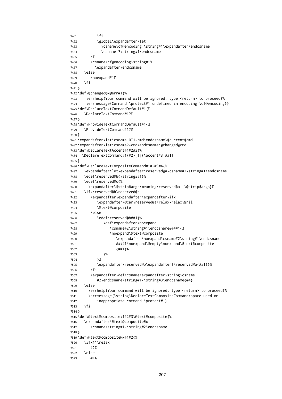```
7461 \fi
7462 \global\expandafter\let
7463 \csname\cf@encoding \string#1\expandafter\endcsname
7464 \csname ?\string#1\endcsname
7465 \fi
7466 \csname\cf@encoding\string#1%
7467 \expandafter\endcsname
7468 \else
7469 \noexpand#1%
7470 \text{ } \text{ } \text{ } \text{ } 747471 }
7472 \def\@changed@x@err#1{%
7473 \errhelp{Your command will be ignored, type <return> to proceed}%
7474 \errmessage{Command \protect#1 undefined in encoding \cf@encoding}}
7475 \def\DeclareTextCommandDefault#1{%
7476 \DeclareTextCommand#1?%
7477 }
7478 \def\ProvideTextCommandDefault#1{%
7479 \ProvideTextCommand#1?%
7480 }
7481 \expandafter\let\csname OT1-cmd\endcsname\@current@cmd
7482 \expandafter\let\csname?-cmd\endcsname\@changed@cmd
7483 \def\DeclareTextAccent#1#2#3{%
7484 \DeclareTextCommand#1{#2}[1]{\accent#3 ##1}
7485 }
7486 \def\DeclareTextCompositeCommand#1#2#3#4{%
7487 \expandafter\let\expandafter\reserved@a\csname#2\string#1\endcsname
7488 \edef\reserved@b{\string##1}%
7489 \edef\reserved@c{%
7490 \expandafter\@strip@args\meaning\reserved@a:-\@strip@args}%
7491 \ifx\reserved@b\reserved@c
7492 \expandafter\expandafter\expandafter\ifx
7493 \expandafter\@car\reserved@a\relax\relax\@nil
7494 \@text@composite
7495 \else
7496 \edef\reserved@b##1{%
7497 \def\expandafter\noexpand
7498 \csname#2\string#1\endcsname####1{%
7499 \noexpand\@text@composite
7500 \expandafter\noexpand\csname#2\string#1\endcsname
7501 ####1\noexpand\@empty\noexpand\@text@composite
7502 {##1}%
7503 }%
7504 }%
7505 \expandafter\reserved@b\expandafter{\reserved@a{##1}}%
7506 \fi
7507 \expandafter\def\csname\expandafter\string\csname
7508 #2\endcsname\string#1-\string#3\endcsname{#4}
7509 \else
7510 \errhelp{Your command will be ignored, type <return> to proceed}%
7511 \errmessage{\string\DeclareTextCompositeCommand\space used on
7512 inappropriate command \protect#1}
7513 \fi
7514 }
7515 \def\@text@composite#1#2#3\@text@composite{%
7516 \expandafter\@text@composite@x
7517 \csname\string#1-\string#2\endcsname
7518 }
7519 \def\@text@composite@x#1#2{%
7520 \ifx#1\relax
7521 #2%
7522 \else
7523 #1%
```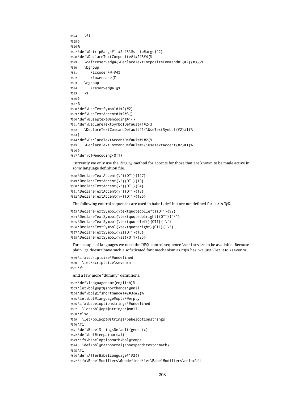```
7524 \fi
7525 }
7526 %
7527 \def\@strip@args#1:#2-#3\@strip@args{#2}
7528 \def\DeclareTextComposite#1#2#3#4{%
7529 \def\reserved@a{\DeclareTextCompositeCommand#1{#2}{#3}}%
7530 \bgroup
7531 \lccode`\@=#4%
7532 \lowercase{%
7533 \egroup
7534 \reserved@a @%
7535 }%
7536 }
7537 %
7538 \def\UseTextSymbol#1#2{#2}
7539 \def\UseTextAccent#1#2#3{}
7540 \def\@use@text@encoding#1{}
7541 \def\DeclareTextSymbolDefault#1#2{%
7542 \DeclareTextCommandDefault#1{\UseTextSymbol{#2}#1}%
7543 }
7544 \def\DeclareTextAccentDefault#1#2{%
7545 \DeclareTextCommandDefault#1{\UseTextAccent{#2}#1}%
7546 }
7547 \def\cf@encoding{OT1}
```
Currently we only use the LH<sub>E</sub>X 2 $_{\varepsilon}$  method for accents for those that are known to be made active in *some* language definition file.

```
7548 \DeclareTextAccent{\"}{OT1}{127}
7549 \DeclareTextAccent{\'}{OT1}{19}
7550 \DeclareTextAccent{\^}{OT1}{94}
7551 \DeclareTextAccent{\`}{OT1}{18}
7552 \DeclareTextAccent{\~}{OT1}{126}
```
The following control sequences are used in babel.def but are not defined for PLAIN TEX.

```
7553 \DeclareTextSymbol{\textquotedblleft}{OT1}{92}
7554 \DeclareTextSymbol{\textquotedblright}{OT1}{`\"}
7555 \DeclareTextSymbol{\textquoteleft}{OT1}{`\`}
7556 \DeclareTextSymbol{\textquoteright}{OT1}{`\'}
7557 \DeclareTextSymbol{\i}{OT1}{16}
7558 \DeclareTextSymbol{\ss}{OT1}{25}
```
For a couple of languages we need the LH<sub>EX</sub>-control sequence \scriptsize to be available. Because plain T<sub>E</sub>X doesn't have such a sofisticated font mechanism as  $E$ T<sub>E</sub>X has, we just \let it to \sevenrm.

```
7559 \ifx\scriptsize\@undefined
7560 \let\scriptsize\sevenrm
7561 \fi
```
And a few more "dummy" definitions.

```
7562 \def\languagename{english}%
7563 \let\bbl@opt@shorthands\@nnil
7564 \def\bbl@ifshorthand#1#2#3{#2}%
7565 \let\bbl@language@opts\@empty
7566 \ifx\babeloptionstrings\@undefined
7567 \let\bbl@opt@strings\@nnil
7568 \else
7569 \let\bbl@opt@strings\babeloptionstrings
7570 \fi
7571 \def\BabelStringsDefault{generic}
7572 \def\bbl@tempa{normal}
7573 \ifx\babeloptionmath\bbl@tempa
7574 \def\bbl@mathnormal{\noexpand\textormath}
7575 \fi
7576 \def\AfterBabelLanguage#1#2{}
7577 \ifx\BabelModifiers\@undefined\let\BabelModifiers\relax\fi
```